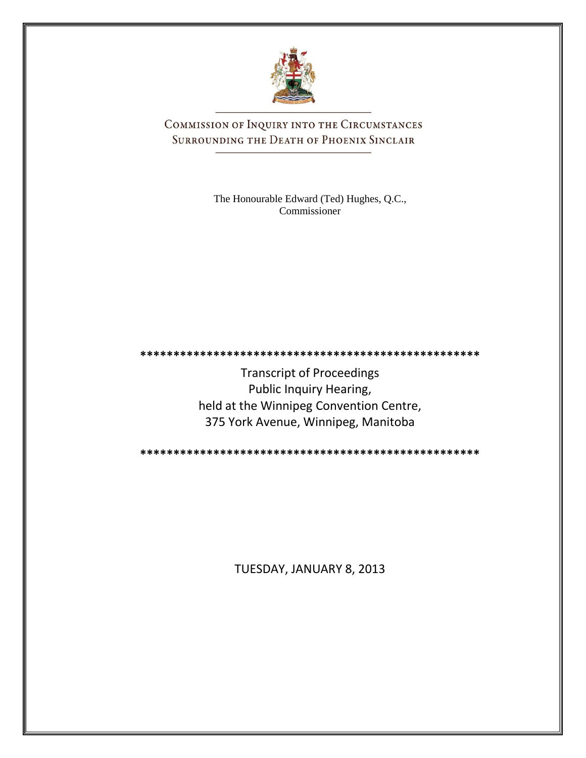

COMMISSION OF INQUIRY INTO THE CIRCUMSTANCES SURROUNDING THE DEATH OF PHOENIX SINCLAIR

> The Honourable Edward (Ted) Hughes, Q.C., Commissioner

Transcript of Proceedings Public Inquiry Hearing, held at the Winnipeg Convention Centre, 375 York Avenue, Winnipeg, Manitoba

**\*\*\*\*\*\*\*\*\*\*\*\*\*\*\*\*\*\*\*\*\*\*\*\*\*\*\*\*\*\*\*\*\*\*\*\*\*\*\*\*\*\*\*\*\*\*\*\*\*\*\***

**\*\*\*\*\*\*\*\*\*\*\*\*\*\*\*\*\*\*\*\*\*\*\*\*\*\*\*\*\*\*\*\*\*\*\*\*\*\*\*\*\*\*\*\*\*\*\*\*\*\*\***

TUESDAY, JANUARY 8, 2013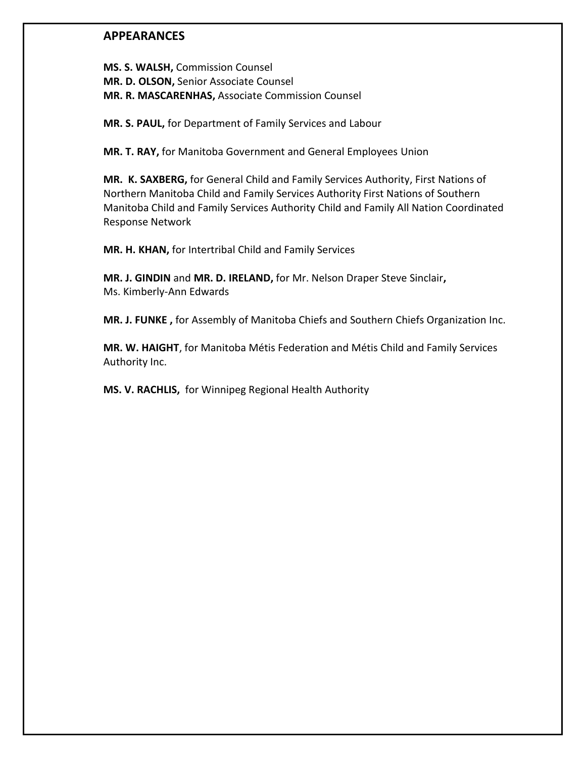## **APPEARANCES**

**MS. S. WALSH,** Commission Counsel **MR. D. OLSON,** Senior Associate Counsel **MR. R. MASCARENHAS,** Associate Commission Counsel

**MR. S. PAUL,** for Department of Family Services and Labour

**MR. T. RAY,** for Manitoba Government and General Employees Union

**MR. K. SAXBERG,** for General Child and Family Services Authority, First Nations of Northern Manitoba Child and Family Services Authority First Nations of Southern Manitoba Child and Family Services Authority Child and Family All Nation Coordinated Response Network

**MR. H. KHAN,** for Intertribal Child and Family Services

**MR. J. GINDIN** and **MR. D. IRELAND,** for Mr. Nelson Draper Steve Sinclair**,** Ms. Kimberly-Ann Edwards

**MR. J. FUNKE ,** for Assembly of Manitoba Chiefs and Southern Chiefs Organization Inc.

**MR. W. HAIGHT**, for Manitoba Métis Federation and Métis Child and Family Services Authority Inc.

**MS. V. RACHLIS,** for Winnipeg Regional Health Authority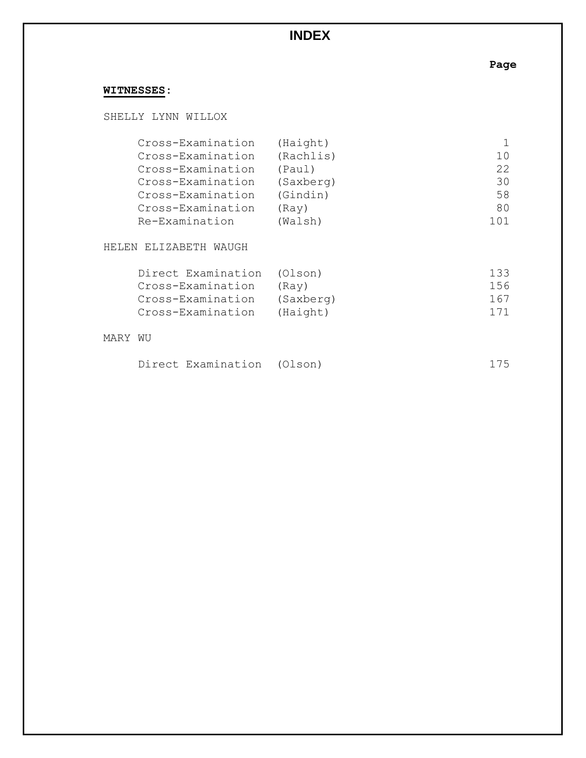# **INDEX**

**Page**

# **WITNESSES:**

SHELLY LYNN WILLOX

| Cross-Examination | (Haight)  |       |
|-------------------|-----------|-------|
| Cross-Examination | (Rachlis) | 1 Q   |
| Cross-Examination | (Paul)    | 22    |
| Cross-Examination | (Saxberg) | 30    |
| Cross-Examination | (Gindin)  | 58    |
| Cross-Examination | (Ray)     | 80    |
| Re-Examination    | (Walsh)   | 1 ∩ 1 |

### HELEN ELIZABETH WAUGH

| Direct Examination (Olson) | 133 |
|----------------------------|-----|
| (Rav)                      | 156 |
| (Saxberg)                  | 167 |
| (Haight)                   | 171 |
|                            |     |

### MARY WU

|  | Direct Examination (Olson) |  | 175 |
|--|----------------------------|--|-----|
|--|----------------------------|--|-----|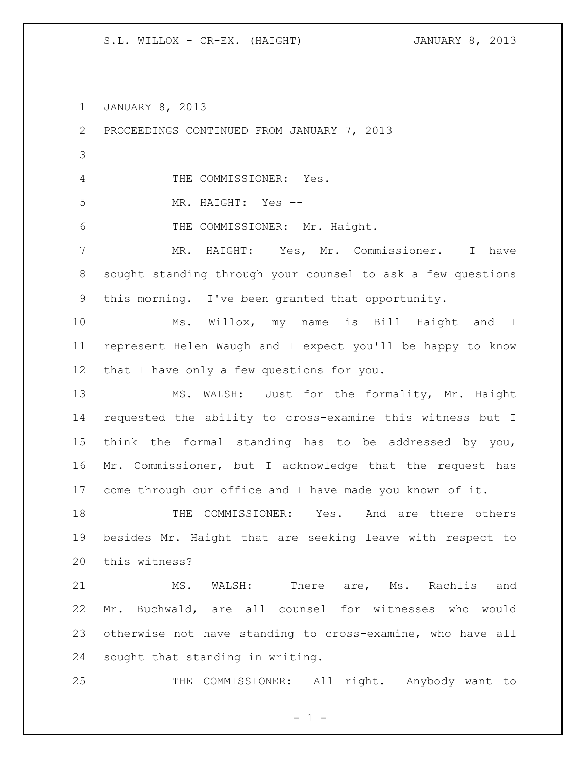S.L. WILLOX - CR-EX. (HAIGHT) JANUARY 8, 2013

JANUARY 8, 2013

 PROCEEDINGS CONTINUED FROM JANUARY 7, 2013 THE COMMISSIONER: Yes. MR. HAIGHT: Yes -- THE COMMISSIONER: Mr. Haight. MR. HAIGHT: Yes, Mr. Commissioner. I have sought standing through your counsel to ask a few questions this morning. I've been granted that opportunity. Ms. Willox, my name is Bill Haight and I represent Helen Waugh and I expect you'll be happy to know that I have only a few questions for you. MS. WALSH: Just for the formality, Mr. Haight requested the ability to cross-examine this witness but I think the formal standing has to be addressed by you, Mr. Commissioner, but I acknowledge that the request has come through our office and I have made you known of it. THE COMMISSIONER: Yes. And are there others besides Mr. Haight that are seeking leave with respect to this witness? MS. WALSH: There are, Ms. Rachlis and Mr. Buchwald, are all counsel for witnesses who would otherwise not have standing to cross-examine, who have all sought that standing in writing. THE COMMISSIONER: All right. Anybody want to

 $- 1 -$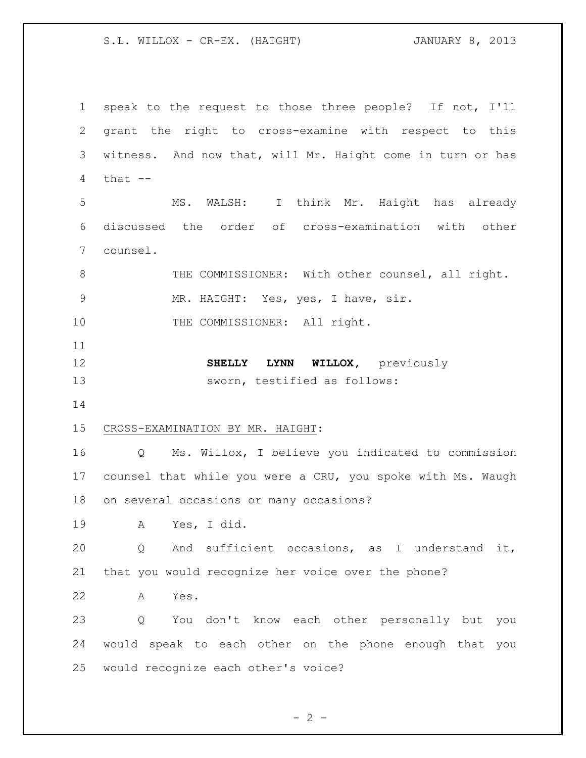S.L. WILLOX - CR-EX. (HAIGHT) JANUARY 8, 2013

 speak to the request to those three people? If not, I'll grant the right to cross-examine with respect to this witness. And now that, will Mr. Haight come in turn or has that -- MS. WALSH: I think Mr. Haight has already discussed the order of cross-examination with other counsel. 8 THE COMMISSIONER: With other counsel, all right. MR. HAIGHT: Yes, yes, I have, sir. 10 THE COMMISSIONER: All right. **SHELLY LYNN WILLOX,** previously sworn, testified as follows: CROSS-EXAMINATION BY MR. HAIGHT: Q Ms. Willox, I believe you indicated to commission counsel that while you were a CRU, you spoke with Ms. Waugh on several occasions or many occasions? A Yes, I did. Q And sufficient occasions, as I understand it, that you would recognize her voice over the phone? A Yes. Q You don't know each other personally but you would speak to each other on the phone enough that you would recognize each other's voice?

 $- 2 -$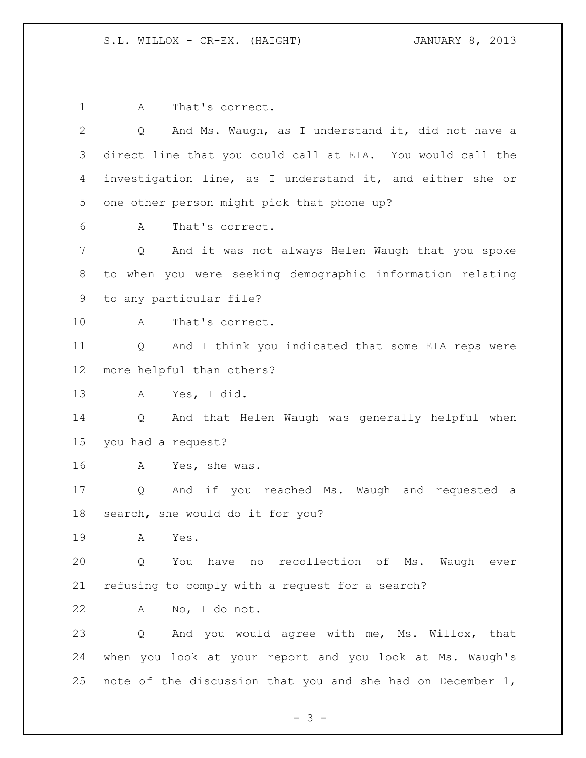1 A That's correct. Q And Ms. Waugh, as I understand it, did not have a direct line that you could call at EIA. You would call the investigation line, as I understand it, and either she or one other person might pick that phone up? A That's correct. Q And it was not always Helen Waugh that you spoke to when you were seeking demographic information relating to any particular file? A That's correct. Q And I think you indicated that some EIA reps were more helpful than others? A Yes, I did. Q And that Helen Waugh was generally helpful when you had a request? A Yes, she was. Q And if you reached Ms. Waugh and requested a search, she would do it for you? A Yes. Q You have no recollection of Ms. Waugh ever refusing to comply with a request for a search? A No, I do not. Q And you would agree with me, Ms. Willox, that when you look at your report and you look at Ms. Waugh's note of the discussion that you and she had on December 1,

- 3 -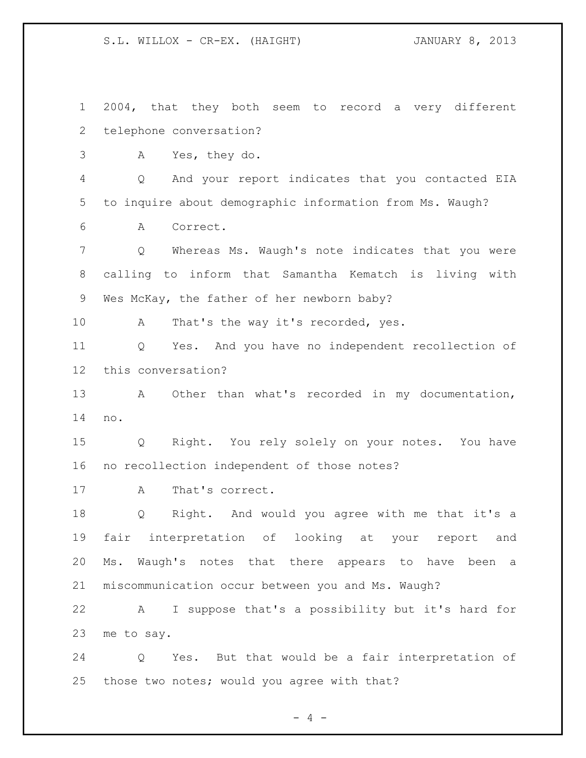S.L. WILLOX - CR-EX. (HAIGHT) JANUARY 8, 2013

 2004, that they both seem to record a very different telephone conversation?

A Yes, they do.

 Q And your report indicates that you contacted EIA to inquire about demographic information from Ms. Waugh?

A Correct.

 Q Whereas Ms. Waugh's note indicates that you were calling to inform that Samantha Kematch is living with Wes McKay, the father of her newborn baby?

10 A That's the way it's recorded, yes.

 Q Yes. And you have no independent recollection of this conversation?

 A Other than what's recorded in my documentation, no.

 Q Right. You rely solely on your notes. You have no recollection independent of those notes?

17 A That's correct.

 Q Right. And would you agree with me that it's a fair interpretation of looking at your report and Ms. Waugh's notes that there appears to have been a miscommunication occur between you and Ms. Waugh?

 A I suppose that's a possibility but it's hard for me to say.

 Q Yes. But that would be a fair interpretation of those two notes; would you agree with that?

 $- 4 -$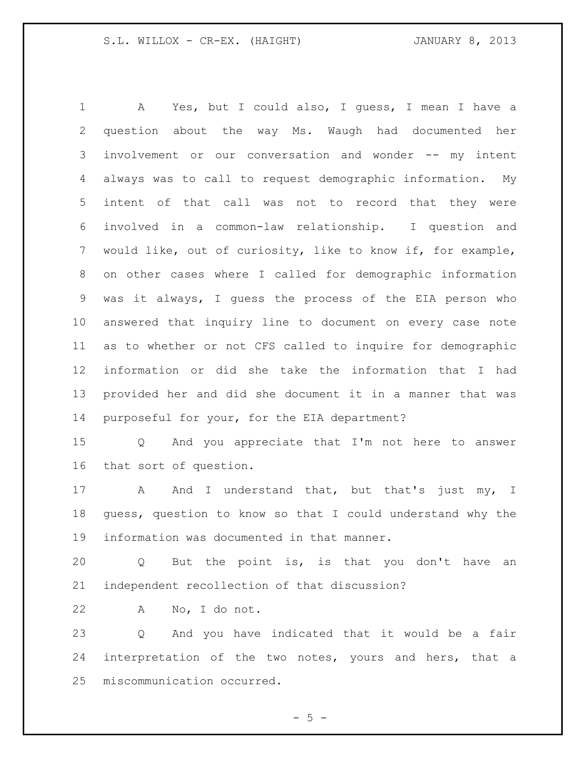A Yes, but I could also, I guess, I mean I have a question about the way Ms. Waugh had documented her involvement or our conversation and wonder -- my intent always was to call to request demographic information. My intent of that call was not to record that they were involved in a common-law relationship. I question and would like, out of curiosity, like to know if, for example, on other cases where I called for demographic information was it always, I guess the process of the EIA person who answered that inquiry line to document on every case note as to whether or not CFS called to inquire for demographic information or did she take the information that I had provided her and did she document it in a manner that was purposeful for your, for the EIA department?

 Q And you appreciate that I'm not here to answer that sort of question.

17 A And I understand that, but that's just my, I guess, question to know so that I could understand why the information was documented in that manner.

 Q But the point is, is that you don't have an independent recollection of that discussion?

A No, I do not.

 Q And you have indicated that it would be a fair interpretation of the two notes, yours and hers, that a miscommunication occurred.

 $- 5 -$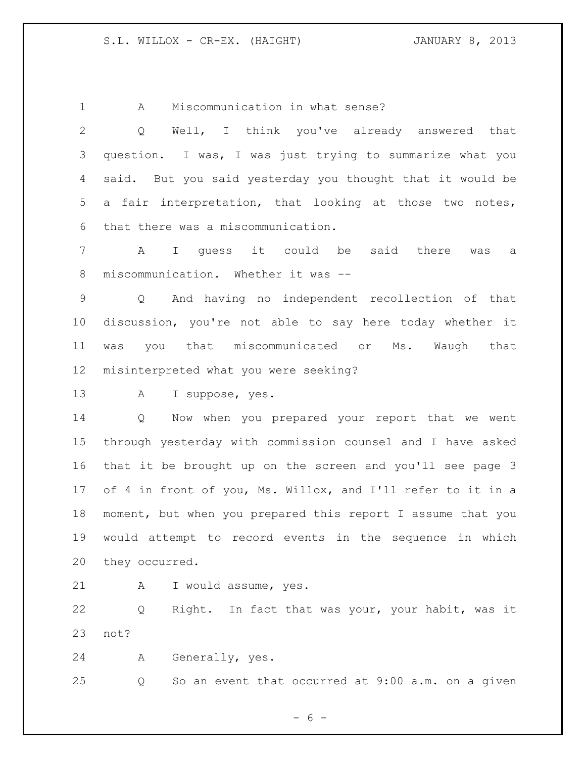A Miscommunication in what sense?

 Q Well, I think you've already answered that question. I was, I was just trying to summarize what you said. But you said yesterday you thought that it would be a fair interpretation, that looking at those two notes, that there was a miscommunication. A I guess it could be said there was a miscommunication. Whether it was -- Q And having no independent recollection of that discussion, you're not able to say here today whether it was you that miscommunicated or Ms. Waugh that misinterpreted what you were seeking? A I suppose, yes. Q Now when you prepared your report that we went through yesterday with commission counsel and I have asked that it be brought up on the screen and you'll see page 3 of 4 in front of you, Ms. Willox, and I'll refer to it in a moment, but when you prepared this report I assume that you

 would attempt to record events in the sequence in which they occurred.

A I would assume, yes.

 Q Right. In fact that was your, your habit, was it not?

A Generally, yes.

Q So an event that occurred at 9:00 a.m. on a given

 $- 6 -$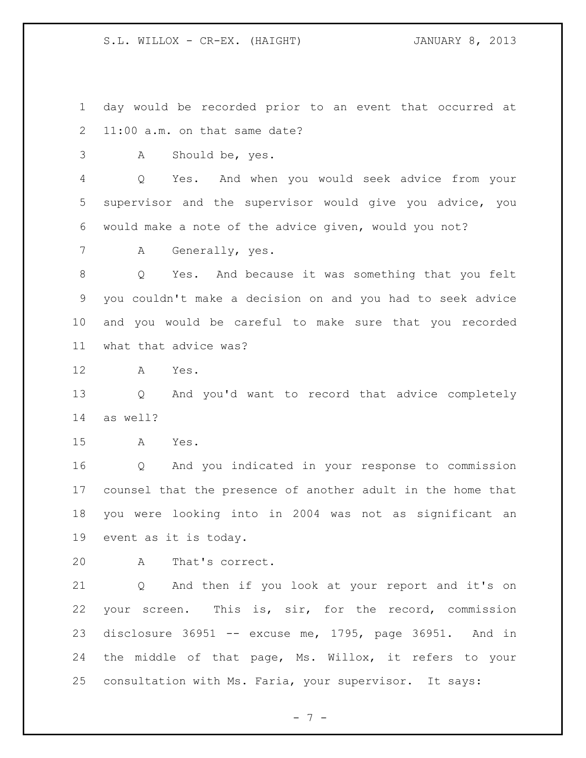day would be recorded prior to an event that occurred at 11:00 a.m. on that same date?

A Should be, yes.

 Q Yes. And when you would seek advice from your supervisor and the supervisor would give you advice, you would make a note of the advice given, would you not?

A Generally, yes.

 Q Yes. And because it was something that you felt you couldn't make a decision on and you had to seek advice and you would be careful to make sure that you recorded what that advice was?

A Yes.

 Q And you'd want to record that advice completely as well?

A Yes.

 Q And you indicated in your response to commission counsel that the presence of another adult in the home that you were looking into in 2004 was not as significant an event as it is today.

A That's correct.

 Q And then if you look at your report and it's on your screen. This is, sir, for the record, commission disclosure 36951 -- excuse me, 1795, page 36951. And in the middle of that page, Ms. Willox, it refers to your consultation with Ms. Faria, your supervisor. It says:

- 7 -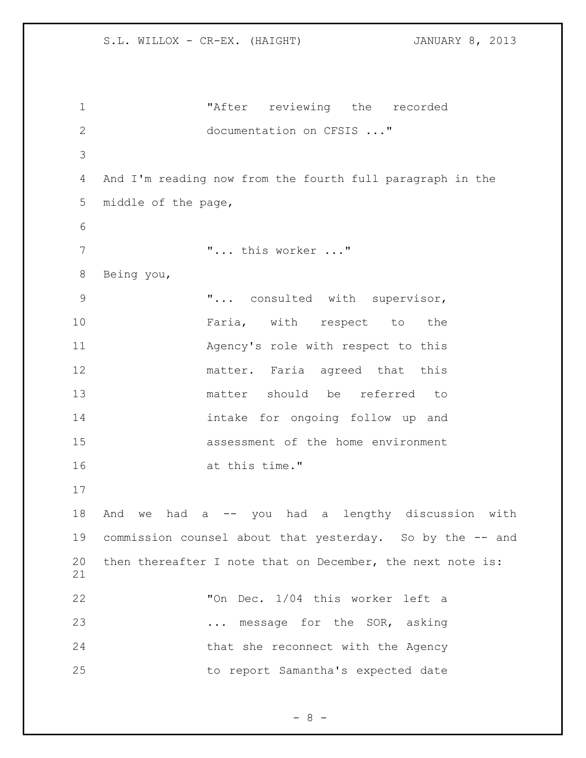"After reviewing the recorded 2 documentation on CFSIS ..." And I'm reading now from the fourth full paragraph in the middle of the page, 7 T... this worker ..." Being you, 9 T... consulted with supervisor, 10 Faria, with respect to the Agency's role with respect to this matter. Faria agreed that this matter should be referred to intake for ongoing follow up and assessment of the home environment at this time." And we had a -- you had a lengthy discussion with commission counsel about that yesterday. So by the -- and then thereafter I note that on December, the next note is: "On Dec. 1/04 this worker left a 23 ... message for the SOR, asking 24 that she reconnect with the Agency to report Samantha's expected date

 $-8 -$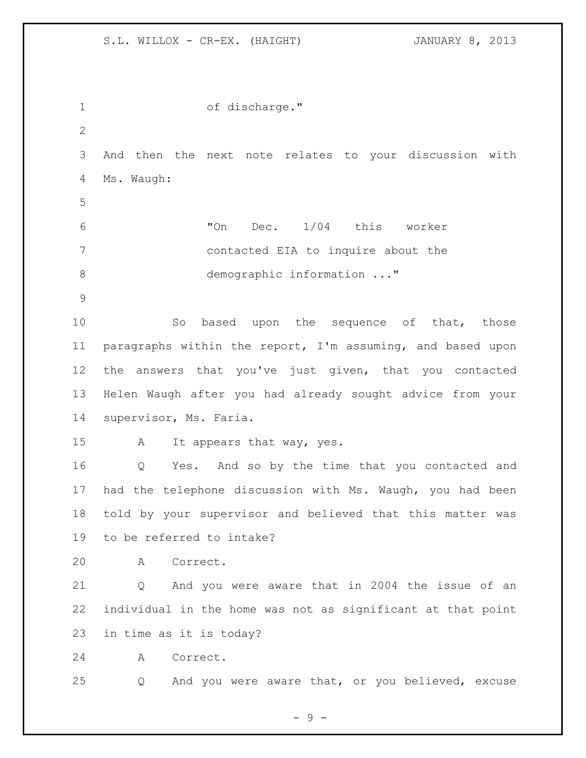| $\mathbf{1}$    | of discharge."                                              |
|-----------------|-------------------------------------------------------------|
| $\mathbf{2}$    |                                                             |
| 3               | And then the next note relates to your discussion with      |
| 4               | Ms. Waugh:                                                  |
| 5               |                                                             |
| 6               | Dec. 1/04 this worker<br>"On                                |
| 7               | contacted EIA to inquire about the                          |
| 8               | demographic information "                                   |
| $\mathcal{G}$   |                                                             |
| 10              | So<br>based upon the sequence of that, those                |
| 11              | paragraphs within the report, I'm assuming, and based upon  |
| 12 <sup>°</sup> | the answers that you've just given, that you contacted      |
| 13              | Helen Waugh after you had already sought advice from your   |
| 14              | supervisor, Ms. Faria.                                      |
| 15              | It appears that way, yes.<br>A                              |
| 16              | Yes. And so by the time that you contacted and<br>Q         |
| 17              | had the telephone discussion with Ms. Waugh, you had been   |
| 18              | told by your supervisor and believed that this matter was   |
| 19              | to be referred to intake?                                   |
| 20              | Α<br>Correct.                                               |
| 21              | And you were aware that in 2004 the issue of an<br>Q        |
| 22              | individual in the home was not as significant at that point |
| 23              | in time as it is today?                                     |
| 24              | Correct.<br>A                                               |
| 25              | And you were aware that, or you believed, excuse<br>Q       |

- 9 -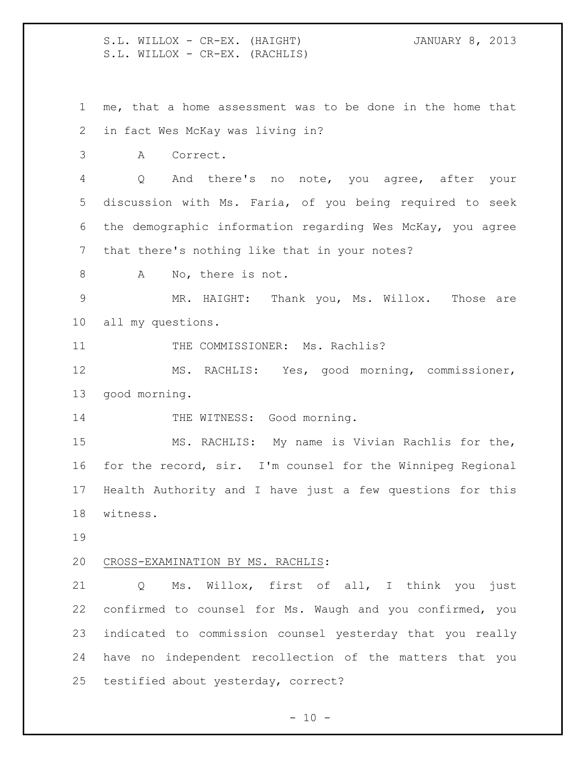S.L. WILLOX - CR-EX. (HAIGHT) JANUARY 8, 2013 S.L. WILLOX - CR-EX. (RACHLIS) me, that a home assessment was to be done in the home that in fact Wes McKay was living in? A Correct. Q And there's no note, you agree, after your discussion with Ms. Faria, of you being required to seek the demographic information regarding Wes McKay, you agree that there's nothing like that in your notes? 8 A No, there is not. MR. HAIGHT: Thank you, Ms. Willox. Those are all my questions. 11 THE COMMISSIONER: Ms. Rachlis? MS. RACHLIS: Yes, good morning, commissioner, good morning. 14 THE WITNESS: Good morning. MS. RACHLIS: My name is Vivian Rachlis for the, for the record, sir. I'm counsel for the Winnipeg Regional Health Authority and I have just a few questions for this witness. CROSS-EXAMINATION BY MS. RACHLIS: Q Ms. Willox, first of all, I think you just confirmed to counsel for Ms. Waugh and you confirmed, you indicated to commission counsel yesterday that you really have no independent recollection of the matters that you testified about yesterday, correct?

 $- 10 -$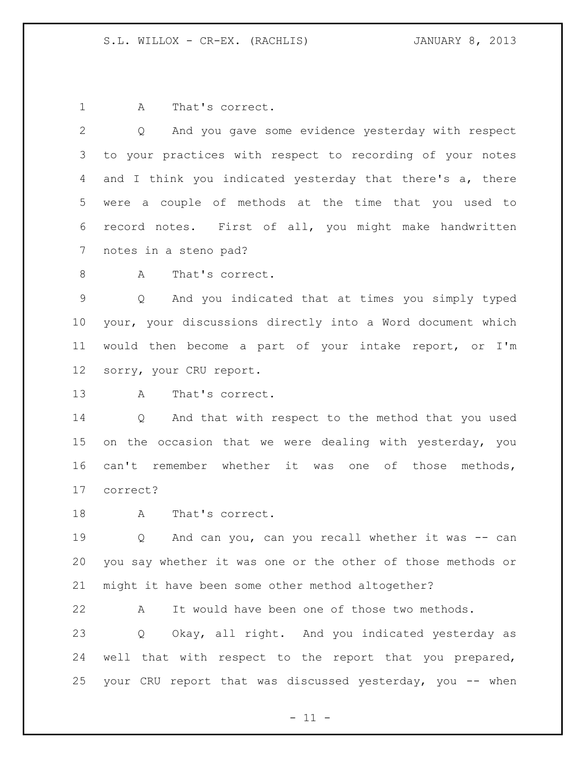1 A That's correct.

 Q And you gave some evidence yesterday with respect to your practices with respect to recording of your notes 4 and I think you indicated yesterday that there's a, there were a couple of methods at the time that you used to record notes. First of all, you might make handwritten notes in a steno pad?

8 A That's correct.

 Q And you indicated that at times you simply typed your, your discussions directly into a Word document which would then become a part of your intake report, or I'm sorry, your CRU report.

A That's correct.

 Q And that with respect to the method that you used on the occasion that we were dealing with yesterday, you can't remember whether it was one of those methods, correct?

18 A That's correct.

19 0 And can you, can you recall whether it was -- can you say whether it was one or the other of those methods or might it have been some other method altogether?

 A It would have been one of those two methods. Q Okay, all right. And you indicated yesterday as well that with respect to the report that you prepared, your CRU report that was discussed yesterday, you -- when

 $-11 -$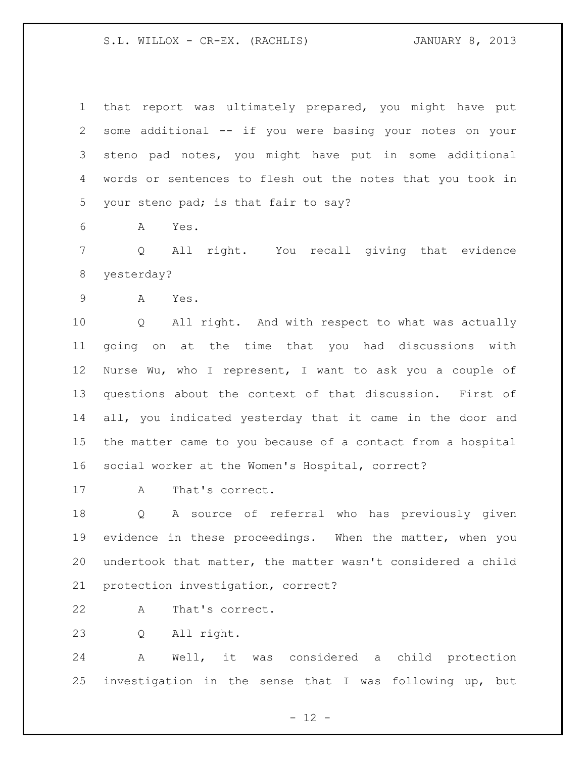that report was ultimately prepared, you might have put some additional -- if you were basing your notes on your steno pad notes, you might have put in some additional words or sentences to flesh out the notes that you took in your steno pad; is that fair to say?

A Yes.

 Q All right. You recall giving that evidence yesterday?

A Yes.

 Q All right. And with respect to what was actually going on at the time that you had discussions with Nurse Wu, who I represent, I want to ask you a couple of questions about the context of that discussion. First of all, you indicated yesterday that it came in the door and the matter came to you because of a contact from a hospital social worker at the Women's Hospital, correct?

A That's correct.

 Q A source of referral who has previously given evidence in these proceedings. When the matter, when you undertook that matter, the matter wasn't considered a child protection investigation, correct?

- A That's correct.
- Q All right.

 A Well, it was considered a child protection investigation in the sense that I was following up, but

 $- 12 -$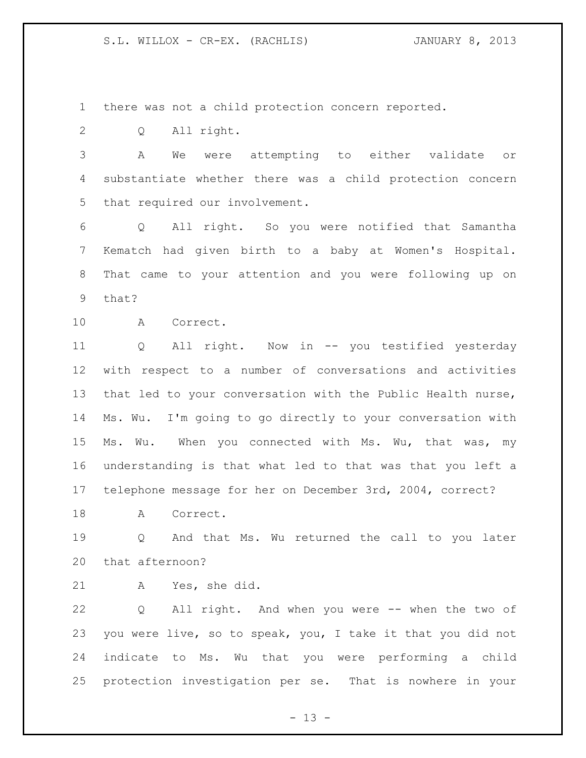there was not a child protection concern reported.

Q All right.

 A We were attempting to either validate or substantiate whether there was a child protection concern that required our involvement.

 Q All right. So you were notified that Samantha Kematch had given birth to a baby at Women's Hospital. That came to your attention and you were following up on that?

A Correct.

 Q All right. Now in -- you testified yesterday with respect to a number of conversations and activities that led to your conversation with the Public Health nurse, Ms. Wu. I'm going to go directly to your conversation with 15 Ms. Wu. When you connected with Ms. Wu, that was, my understanding is that what led to that was that you left a telephone message for her on December 3rd, 2004, correct?

18 A Correct.

 Q And that Ms. Wu returned the call to you later that afternoon?

A Yes, she did.

 Q All right. And when you were -- when the two of you were live, so to speak, you, I take it that you did not indicate to Ms. Wu that you were performing a child protection investigation per se. That is nowhere in your

 $- 13 -$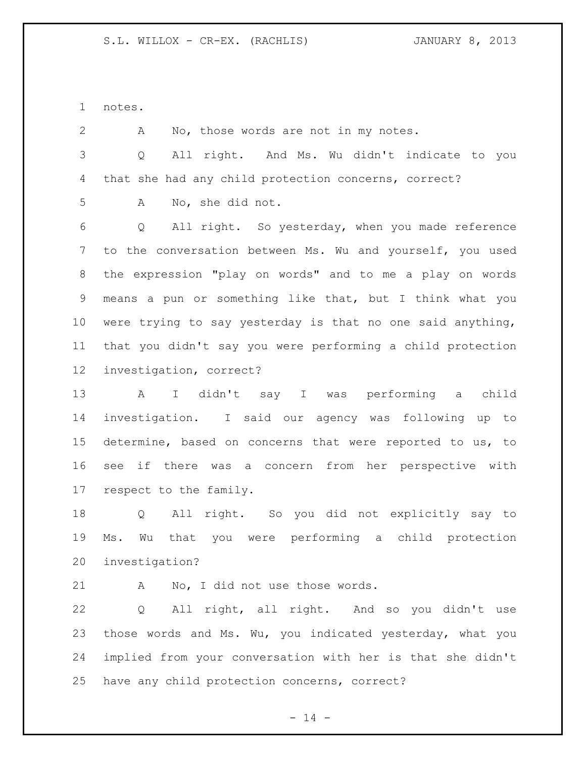notes.

 A No, those words are not in my notes. Q All right. And Ms. Wu didn't indicate to you that she had any child protection concerns, correct? A No, she did not. Q All right. So yesterday, when you made reference to the conversation between Ms. Wu and yourself, you used the expression "play on words" and to me a play on words means a pun or something like that, but I think what you were trying to say yesterday is that no one said anything, that you didn't say you were performing a child protection investigation, correct? A I didn't say I was performing a child investigation. I said our agency was following up to determine, based on concerns that were reported to us, to see if there was a concern from her perspective with respect to the family.

 Q All right. So you did not explicitly say to Ms. Wu that you were performing a child protection investigation?

21 A No, I did not use those words.

 Q All right, all right. And so you didn't use those words and Ms. Wu, you indicated yesterday, what you implied from your conversation with her is that she didn't have any child protection concerns, correct?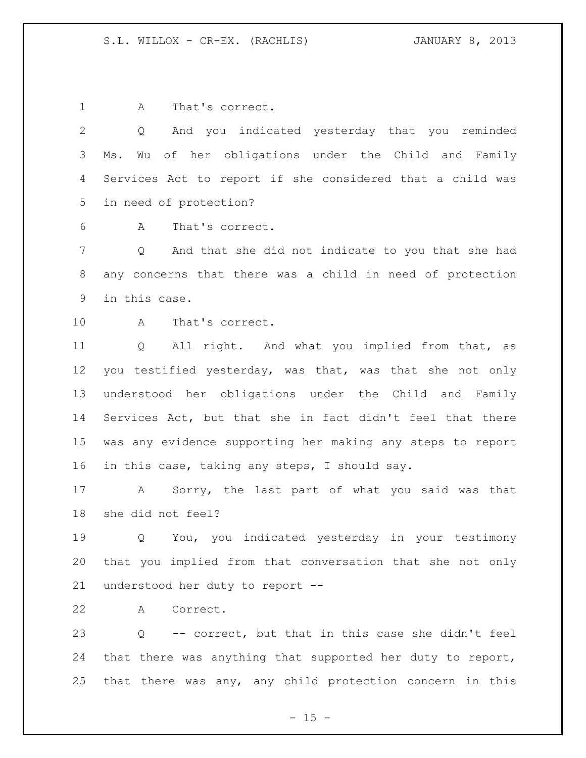1 A That's correct.

 Q And you indicated yesterday that you reminded Ms. Wu of her obligations under the Child and Family Services Act to report if she considered that a child was in need of protection?

A That's correct.

 Q And that she did not indicate to you that she had any concerns that there was a child in need of protection in this case.

A That's correct.

 Q All right. And what you implied from that, as you testified yesterday, was that, was that she not only understood her obligations under the Child and Family Services Act, but that she in fact didn't feel that there was any evidence supporting her making any steps to report in this case, taking any steps, I should say.

 A Sorry, the last part of what you said was that she did not feel?

 Q You, you indicated yesterday in your testimony that you implied from that conversation that she not only understood her duty to report --

A Correct.

 Q -- correct, but that in this case she didn't feel that there was anything that supported her duty to report, that there was any, any child protection concern in this

 $- 15 -$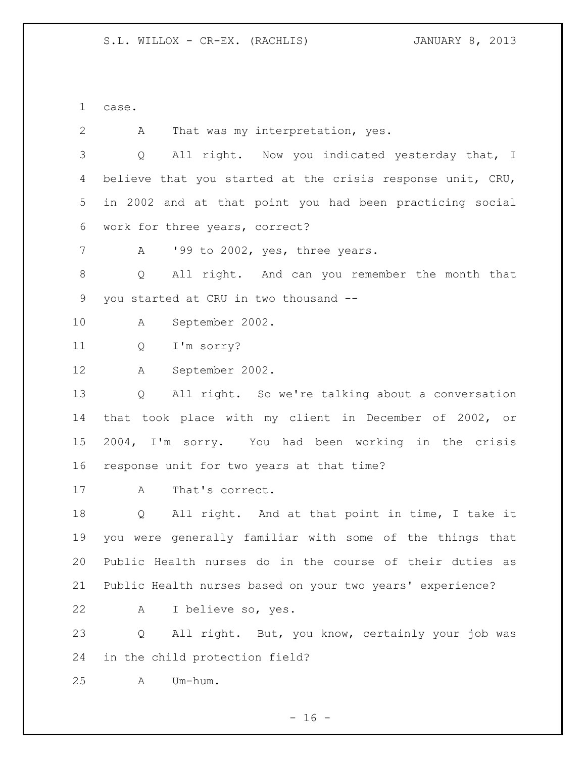case.

 A That was my interpretation, yes. Q All right. Now you indicated yesterday that, I believe that you started at the crisis response unit, CRU, in 2002 and at that point you had been practicing social work for three years, correct? 7 A '99 to 2002, yes, three years. Q All right. And can you remember the month that you started at CRU in two thousand -- A September 2002. Q I'm sorry? A September 2002. Q All right. So we're talking about a conversation that took place with my client in December of 2002, or 2004, I'm sorry. You had been working in the crisis response unit for two years at that time? A That's correct. Q All right. And at that point in time, I take it you were generally familiar with some of the things that Public Health nurses do in the course of their duties as Public Health nurses based on your two years' experience? A I believe so, yes. Q All right. But, you know, certainly your job was in the child protection field? A Um-hum.

 $- 16 -$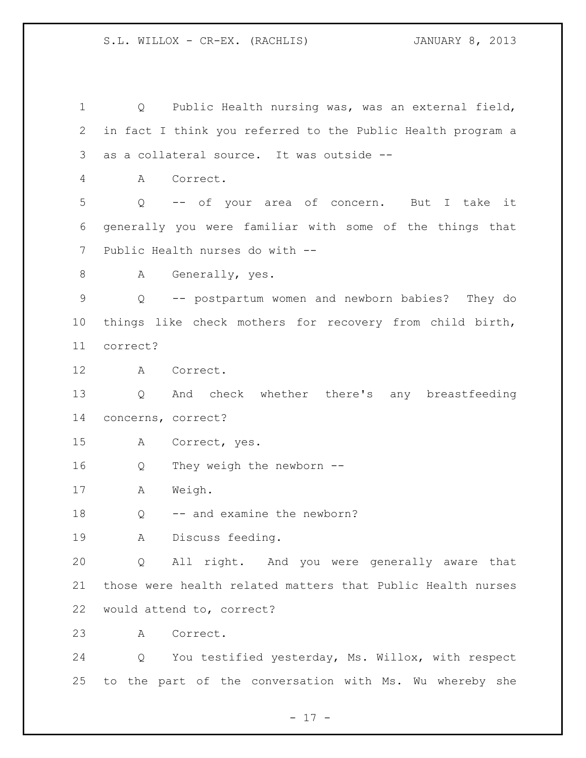Q Public Health nursing was, was an external field, in fact I think you referred to the Public Health program a as a collateral source. It was outside -- A Correct. Q -- of your area of concern. But I take it generally you were familiar with some of the things that Public Health nurses do with -- 8 A Generally, yes. Q -- postpartum women and newborn babies? They do things like check mothers for recovery from child birth, correct? A Correct. Q And check whether there's any breastfeeding concerns, correct? A Correct, yes. Q They weigh the newborn -- A Weigh. 18 Q -- and examine the newborn? A Discuss feeding. Q All right. And you were generally aware that those were health related matters that Public Health nurses would attend to, correct? A Correct. Q You testified yesterday, Ms. Willox, with respect to the part of the conversation with Ms. Wu whereby she

 $- 17 -$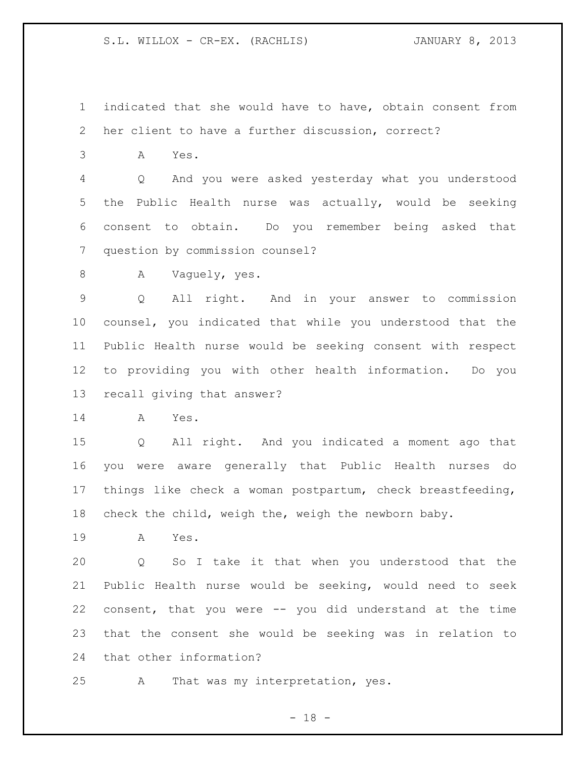indicated that she would have to have, obtain consent from her client to have a further discussion, correct?

A Yes.

 Q And you were asked yesterday what you understood the Public Health nurse was actually, would be seeking consent to obtain. Do you remember being asked that question by commission counsel?

8 A Vaquely, yes.

 Q All right. And in your answer to commission counsel, you indicated that while you understood that the Public Health nurse would be seeking consent with respect to providing you with other health information. Do you recall giving that answer?

A Yes.

 Q All right. And you indicated a moment ago that you were aware generally that Public Health nurses do things like check a woman postpartum, check breastfeeding, check the child, weigh the, weigh the newborn baby.

A Yes.

 Q So I take it that when you understood that the Public Health nurse would be seeking, would need to seek consent, that you were -- you did understand at the time that the consent she would be seeking was in relation to that other information?

A That was my interpretation, yes.

 $- 18 -$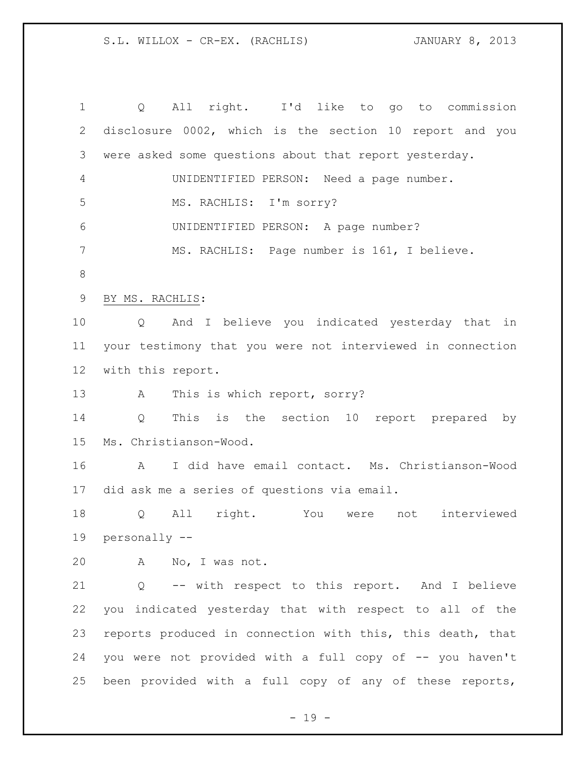Q All right. I'd like to go to commission disclosure 0002, which is the section 10 report and you were asked some questions about that report yesterday. UNIDENTIFIED PERSON: Need a page number. MS. RACHLIS: I'm sorry? UNIDENTIFIED PERSON: A page number? MS. RACHLIS: Page number is 161, I believe. BY MS. RACHLIS: Q And I believe you indicated yesterday that in your testimony that you were not interviewed in connection with this report. 13 A This is which report, sorry? Q This is the section 10 report prepared by Ms. Christianson-Wood. A I did have email contact. Ms. Christianson-Wood did ask me a series of questions via email. Q All right. You were not interviewed personally -- A No, I was not. Q -- with respect to this report. And I believe you indicated yesterday that with respect to all of the reports produced in connection with this, this death, that 24 you were not provided with a full copy of -- you haven't been provided with a full copy of any of these reports,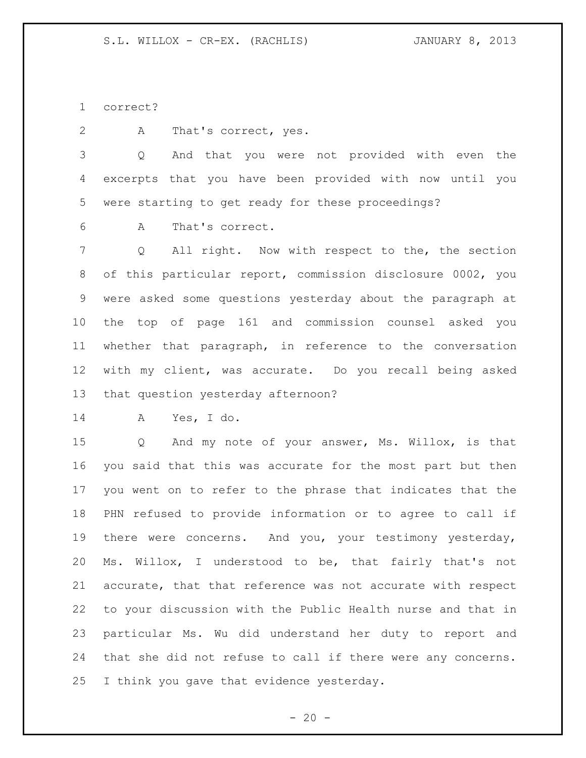correct?

A That's correct, yes.

 Q And that you were not provided with even the excerpts that you have been provided with now until you were starting to get ready for these proceedings?

A That's correct.

 Q All right. Now with respect to the, the section of this particular report, commission disclosure 0002, you were asked some questions yesterday about the paragraph at the top of page 161 and commission counsel asked you whether that paragraph, in reference to the conversation with my client, was accurate. Do you recall being asked that question yesterday afternoon?

A Yes, I do.

 Q And my note of your answer, Ms. Willox, is that you said that this was accurate for the most part but then you went on to refer to the phrase that indicates that the PHN refused to provide information or to agree to call if 19 there were concerns. And you, your testimony yesterday, Ms. Willox, I understood to be, that fairly that's not accurate, that that reference was not accurate with respect to your discussion with the Public Health nurse and that in particular Ms. Wu did understand her duty to report and that she did not refuse to call if there were any concerns. I think you gave that evidence yesterday.

 $- 20 -$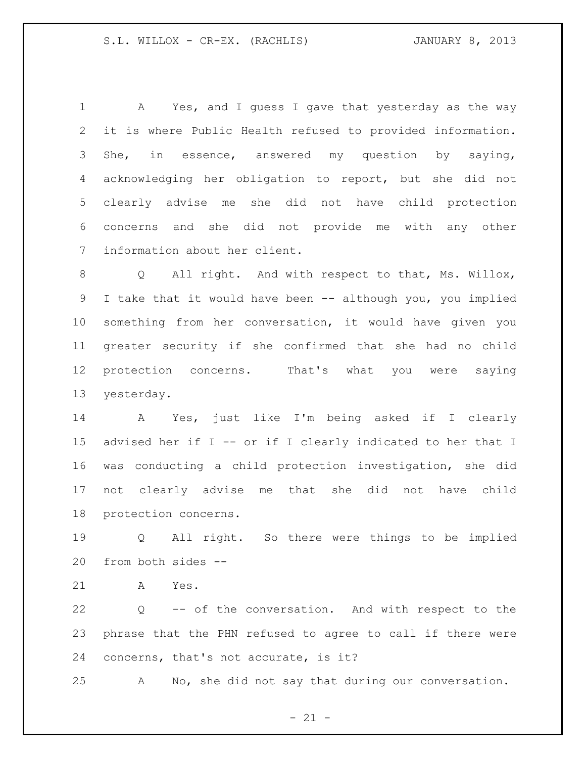A Yes, and I guess I gave that yesterday as the way it is where Public Health refused to provided information. She, in essence, answered my question by saying, acknowledging her obligation to report, but she did not clearly advise me she did not have child protection concerns and she did not provide me with any other information about her client.

 Q All right. And with respect to that, Ms. Willox, I take that it would have been -- although you, you implied something from her conversation, it would have given you greater security if she confirmed that she had no child protection concerns. That's what you were saying yesterday.

 A Yes, just like I'm being asked if I clearly advised her if I -- or if I clearly indicated to her that I was conducting a child protection investigation, she did not clearly advise me that she did not have child protection concerns.

 Q All right. So there were things to be implied from both sides --

A Yes.

 Q -- of the conversation. And with respect to the phrase that the PHN refused to agree to call if there were concerns, that's not accurate, is it?

A No, she did not say that during our conversation.

 $- 21 -$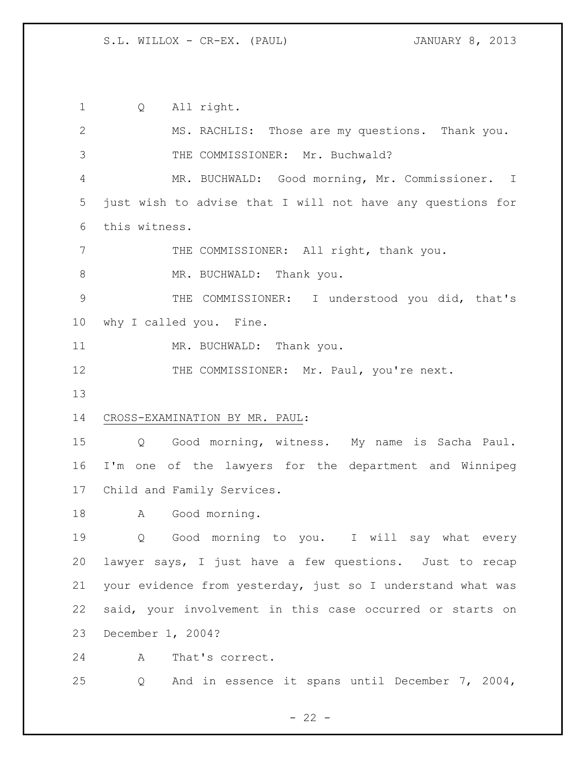Q All right. MS. RACHLIS: Those are my questions. Thank you. THE COMMISSIONER: Mr. Buchwald? MR. BUCHWALD: Good morning, Mr. Commissioner. I just wish to advise that I will not have any questions for this witness. THE COMMISSIONER: All right, thank you. 8 MR. BUCHWALD: Thank you. THE COMMISSIONER: I understood you did, that's why I called you. Fine. 11 MR. BUCHWALD: Thank you. 12 THE COMMISSIONER: Mr. Paul, you're next. CROSS-EXAMINATION BY MR. PAUL: Q Good morning, witness. My name is Sacha Paul. I'm one of the lawyers for the department and Winnipeg Child and Family Services. A Good morning. Q Good morning to you. I will say what every lawyer says, I just have a few questions. Just to recap your evidence from yesterday, just so I understand what was said, your involvement in this case occurred or starts on December 1, 2004? A That's correct. Q And in essence it spans until December 7, 2004,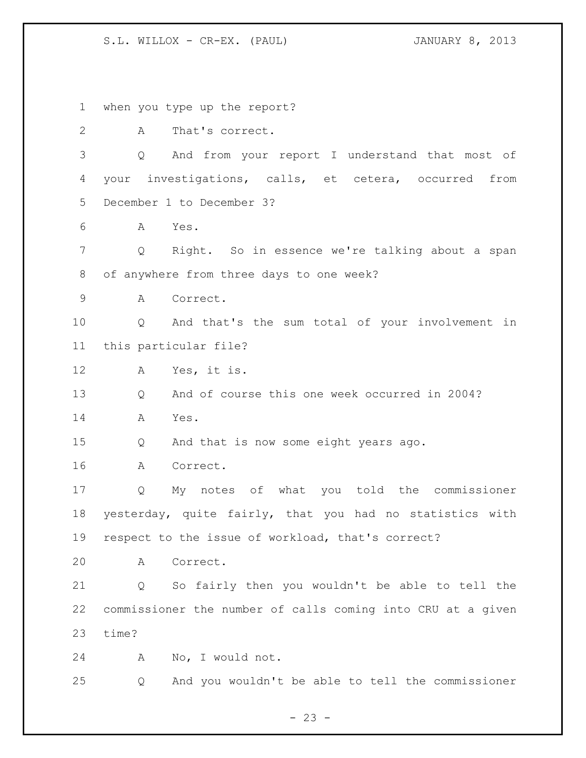when you type up the report? A That's correct. Q And from your report I understand that most of your investigations, calls, et cetera, occurred from December 1 to December 3? A Yes. Q Right. So in essence we're talking about a span of anywhere from three days to one week? A Correct. Q And that's the sum total of your involvement in this particular file? A Yes, it is. Q And of course this one week occurred in 2004? A Yes. Q And that is now some eight years ago. A Correct. Q My notes of what you told the commissioner yesterday, quite fairly, that you had no statistics with respect to the issue of workload, that's correct? A Correct. Q So fairly then you wouldn't be able to tell the commissioner the number of calls coming into CRU at a given time? A No, I would not. Q And you wouldn't be able to tell the commissioner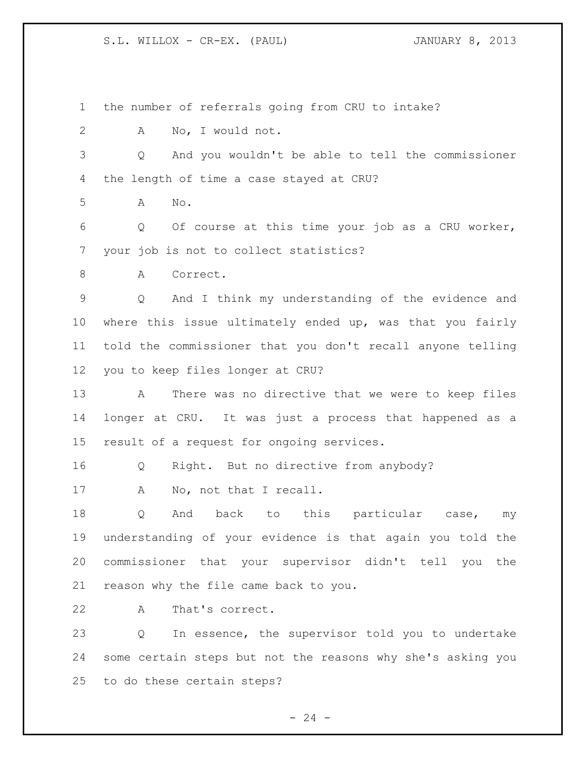the number of referrals going from CRU to intake? A No, I would not. Q And you wouldn't be able to tell the commissioner the length of time a case stayed at CRU? A No. Q Of course at this time your job as a CRU worker, your job is not to collect statistics? 8 A Correct. Q And I think my understanding of the evidence and where this issue ultimately ended up, was that you fairly told the commissioner that you don't recall anyone telling you to keep files longer at CRU? A There was no directive that we were to keep files longer at CRU. It was just a process that happened as a result of a request for ongoing services. Q Right. But no directive from anybody? 17 A No, not that I recall. Q And back to this particular case, my understanding of your evidence is that again you told the commissioner that your supervisor didn't tell you the reason why the file came back to you. A That's correct. Q In essence, the supervisor told you to undertake some certain steps but not the reasons why she's asking you to do these certain steps?

 $- 24 -$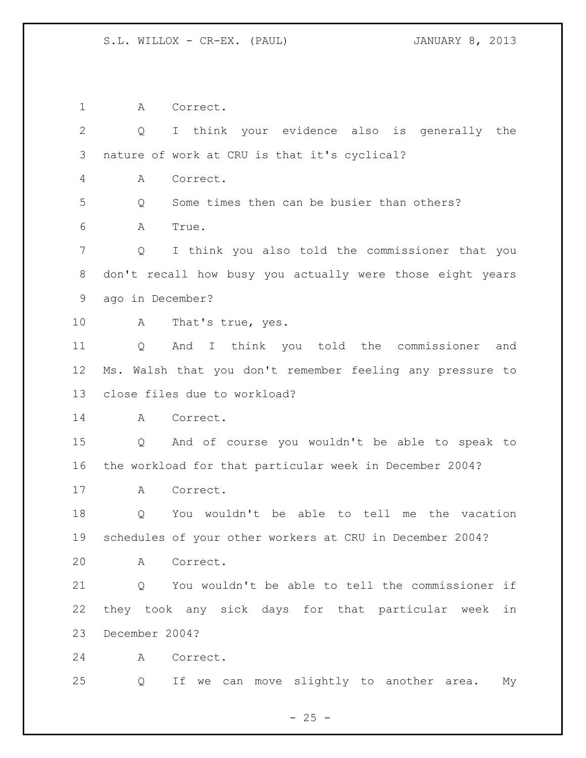A Correct. Q I think your evidence also is generally the nature of work at CRU is that it's cyclical? A Correct. Q Some times then can be busier than others? A True. Q I think you also told the commissioner that you don't recall how busy you actually were those eight years ago in December? A That's true, yes. Q And I think you told the commissioner and Ms. Walsh that you don't remember feeling any pressure to close files due to workload? A Correct. Q And of course you wouldn't be able to speak to the workload for that particular week in December 2004? A Correct. Q You wouldn't be able to tell me the vacation schedules of your other workers at CRU in December 2004? A Correct. Q You wouldn't be able to tell the commissioner if they took any sick days for that particular week in December 2004? A Correct. Q If we can move slightly to another area. My

 $- 25 -$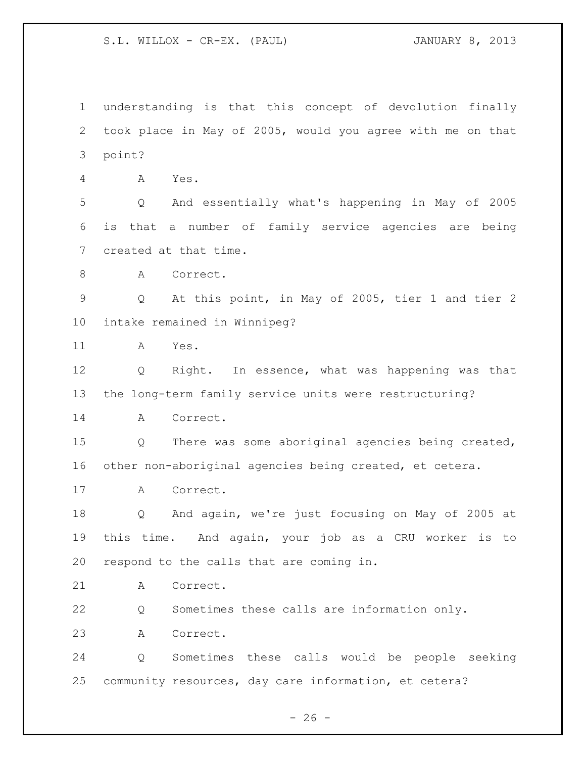understanding is that this concept of devolution finally took place in May of 2005, would you agree with me on that point? A Yes. Q And essentially what's happening in May of 2005 is that a number of family service agencies are being created at that time. 8 A Correct. Q At this point, in May of 2005, tier 1 and tier 2 intake remained in Winnipeg? A Yes. Q Right. In essence, what was happening was that the long-term family service units were restructuring? A Correct. Q There was some aboriginal agencies being created, other non-aboriginal agencies being created, et cetera. A Correct. Q And again, we're just focusing on May of 2005 at this time. And again, your job as a CRU worker is to respond to the calls that are coming in. A Correct. Q Sometimes these calls are information only. A Correct. Q Sometimes these calls would be people seeking community resources, day care information, et cetera?

 $- 26 -$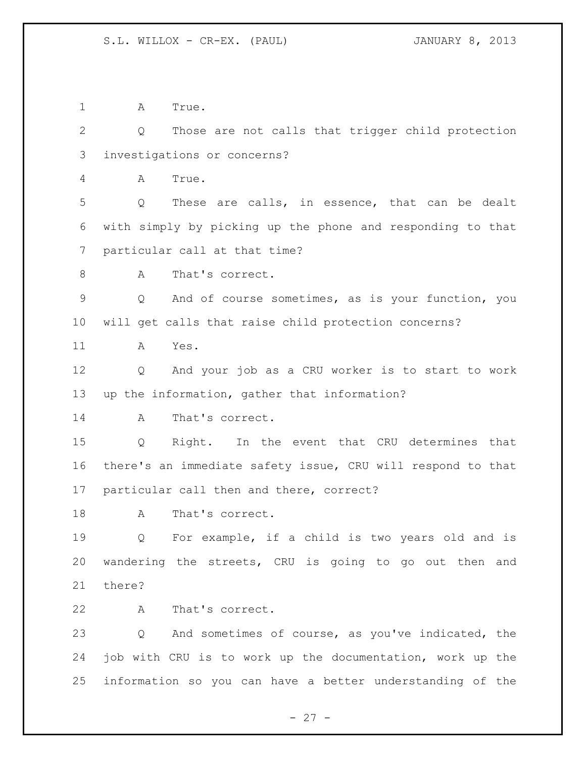A True.

 Q Those are not calls that trigger child protection investigations or concerns? A True. Q These are calls, in essence, that can be dealt with simply by picking up the phone and responding to that particular call at that time? 8 A That's correct.

 Q And of course sometimes, as is your function, you will get calls that raise child protection concerns?

A Yes.

 Q And your job as a CRU worker is to start to work up the information, gather that information?

14 A That's correct.

 Q Right. In the event that CRU determines that there's an immediate safety issue, CRU will respond to that particular call then and there, correct?

18 A That's correct.

 Q For example, if a child is two years old and is wandering the streets, CRU is going to go out then and there?

A That's correct.

 Q And sometimes of course, as you've indicated, the job with CRU is to work up the documentation, work up the information so you can have a better understanding of the

 $- 27 -$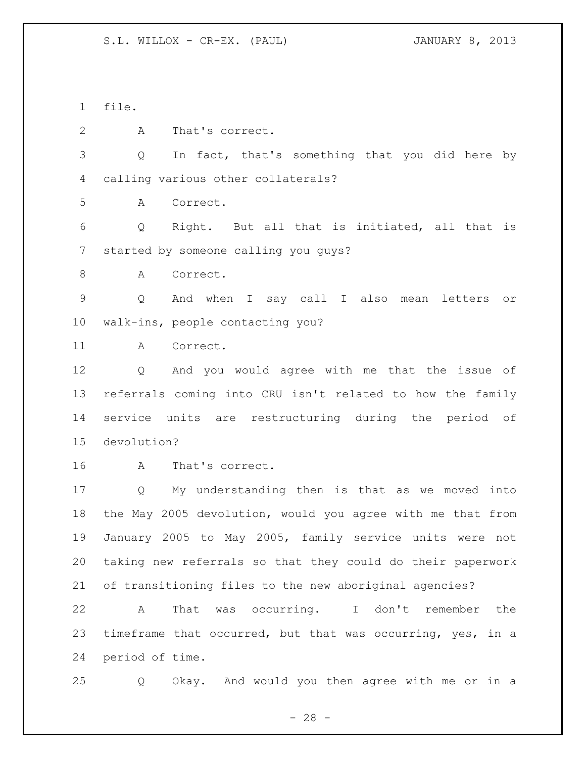file.

A That's correct.

 Q In fact, that's something that you did here by calling various other collaterals?

A Correct.

 Q Right. But all that is initiated, all that is started by someone calling you guys?

8 A Correct.

 Q And when I say call I also mean letters or walk-ins, people contacting you?

A Correct.

 Q And you would agree with me that the issue of referrals coming into CRU isn't related to how the family service units are restructuring during the period of devolution?

A That's correct.

 Q My understanding then is that as we moved into the May 2005 devolution, would you agree with me that from January 2005 to May 2005, family service units were not taking new referrals so that they could do their paperwork of transitioning files to the new aboriginal agencies?

 A That was occurring. I don't remember the timeframe that occurred, but that was occurring, yes, in a period of time.

Q Okay. And would you then agree with me or in a

 $- 28 -$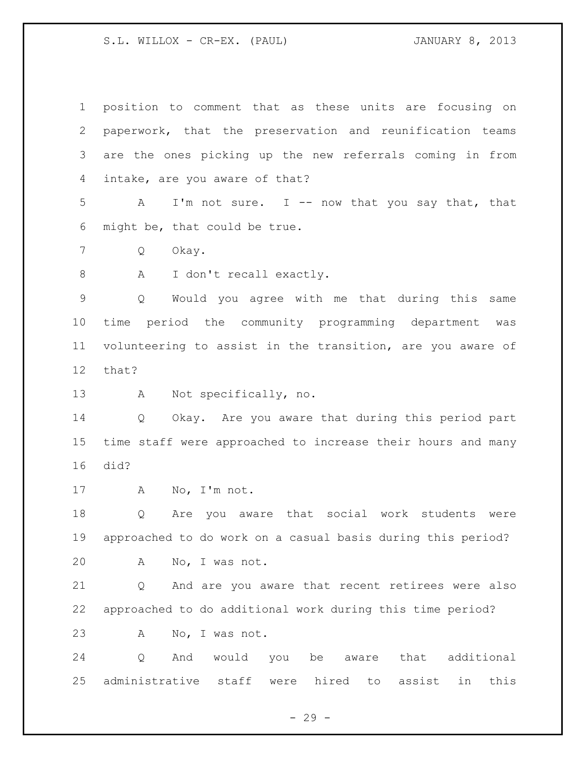| $\mathbf 1$     | position to comment that as these units are focusing on               |
|-----------------|-----------------------------------------------------------------------|
| $\mathbf{2}$    | paperwork, that the preservation and reunification teams              |
| 3               | are the ones picking up the new referrals coming in from              |
| 4               | intake, are you aware of that?                                        |
| 5               | I'm not sure. I -- now that you say that, that<br>A                   |
| 6               | might be, that could be true.                                         |
| 7               | Okay.<br>Q                                                            |
| $\,8\,$         | A<br>I don't recall exactly.                                          |
| $\mathsf 9$     | Would you agree with me that during this same<br>Q                    |
| 10              | time period the community programming department was                  |
| 11              | volunteering to assist in the transition, are you aware of            |
| 12 <sup>°</sup> | that?                                                                 |
| 13              | Not specifically, no.<br>A                                            |
| 14              | Okay. Are you aware that during this period part<br>$Q \qquad \qquad$ |
| 15              | time staff were approached to increase their hours and many           |
| 16              | did?                                                                  |
| 17              | No, I'm not.<br>A                                                     |
| 18              | Are you aware that social work students were<br>Q                     |
| 19              | approached to do work on a casual basis during this period?           |
| 20              | No, I was not.<br>А                                                   |
| 21              | And are you aware that recent retirees were also<br>Q                 |
| 22              | approached to do additional work during this time period?             |
| 23              | No, I was not.<br>Α                                                   |
| 24              | additional<br>would<br>that<br>Q<br>And<br>you<br>be<br>aware         |

- 29 -

administrative staff were hired to assist in this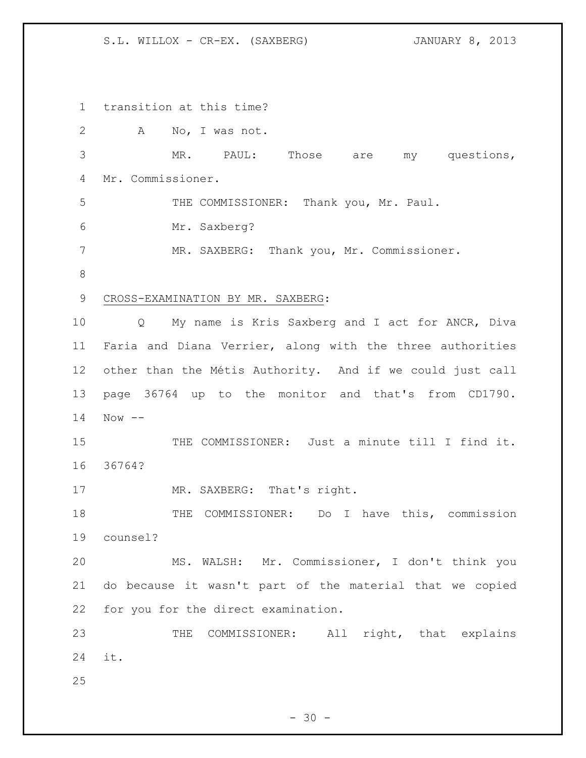S.L. WILLOX - CR-EX. (SAXBERG) JANUARY 8, 2013

 transition at this time? A No, I was not. MR. PAUL: Those are my questions, Mr. Commissioner. THE COMMISSIONER: Thank you, Mr. Paul. Mr. Saxberg? MR. SAXBERG: Thank you, Mr. Commissioner. CROSS-EXAMINATION BY MR. SAXBERG: Q My name is Kris Saxberg and I act for ANCR, Diva Faria and Diana Verrier, along with the three authorities other than the Métis Authority. And if we could just call page 36764 up to the monitor and that's from CD1790. Now -- THE COMMISSIONER: Just a minute till I find it. 36764? 17 MR. SAXBERG: That's right. 18 THE COMMISSIONER: Do I have this, commission counsel? MS. WALSH: Mr. Commissioner, I don't think you do because it wasn't part of the material that we copied for you for the direct examination. 23 THE COMMISSIONER: All right, that explains it. 

 $- 30 -$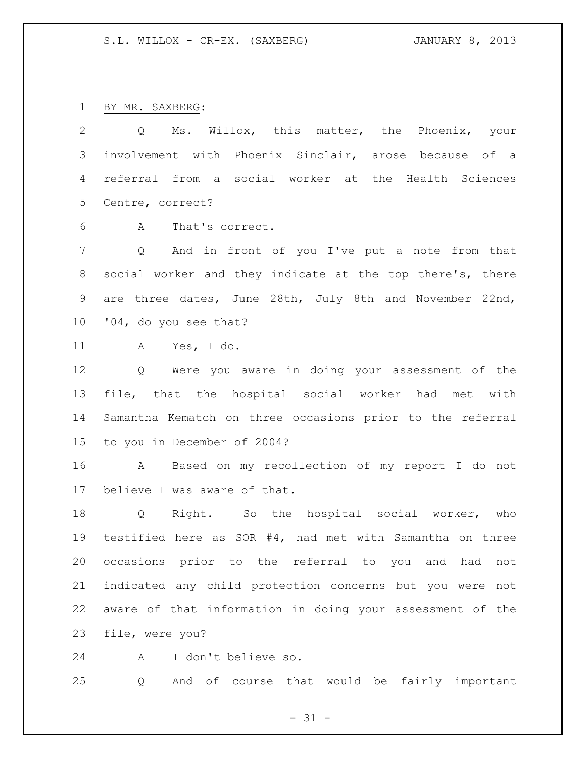BY MR. SAXBERG:

 Q Ms. Willox, this matter, the Phoenix, your involvement with Phoenix Sinclair, arose because of a referral from a social worker at the Health Sciences Centre, correct?

A That's correct.

 Q And in front of you I've put a note from that social worker and they indicate at the top there's, there are three dates, June 28th, July 8th and November 22nd, '04, do you see that?

A Yes, I do.

 Q Were you aware in doing your assessment of the file, that the hospital social worker had met with Samantha Kematch on three occasions prior to the referral to you in December of 2004?

 A Based on my recollection of my report I do not believe I was aware of that.

 Q Right. So the hospital social worker, who testified here as SOR #4, had met with Samantha on three occasions prior to the referral to you and had not indicated any child protection concerns but you were not aware of that information in doing your assessment of the file, were you?

A I don't believe so.

Q And of course that would be fairly important

 $- 31 -$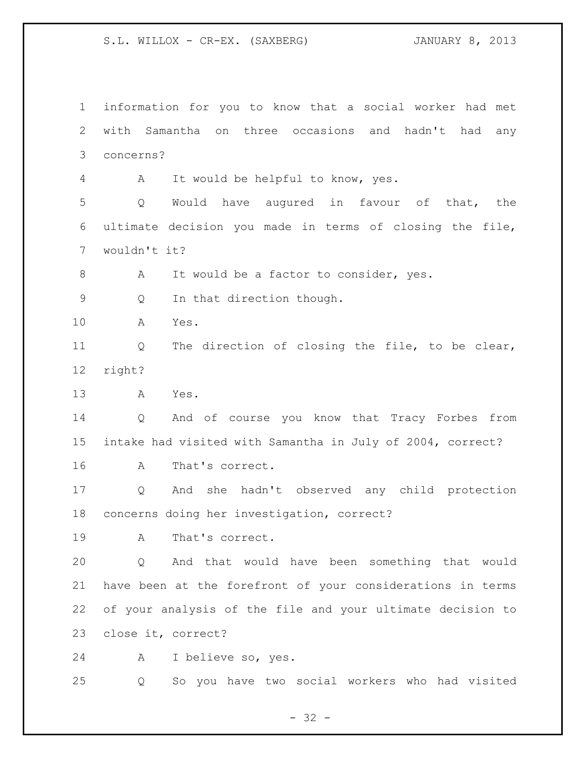S.L. WILLOX - CR-EX. (SAXBERG) JANUARY 8, 2013

 information for you to know that a social worker had met with Samantha on three occasions and hadn't had any concerns? A It would be helpful to know, yes. Q Would have augured in favour of that, the ultimate decision you made in terms of closing the file, wouldn't it? 8 A It would be a factor to consider, yes. Q In that direction though. A Yes. Q The direction of closing the file, to be clear, right? A Yes. Q And of course you know that Tracy Forbes from intake had visited with Samantha in July of 2004, correct? A That's correct. Q And she hadn't observed any child protection concerns doing her investigation, correct? A That's correct. Q And that would have been something that would have been at the forefront of your considerations in terms of your analysis of the file and your ultimate decision to close it, correct? A I believe so, yes. Q So you have two social workers who had visited

 $- 32 -$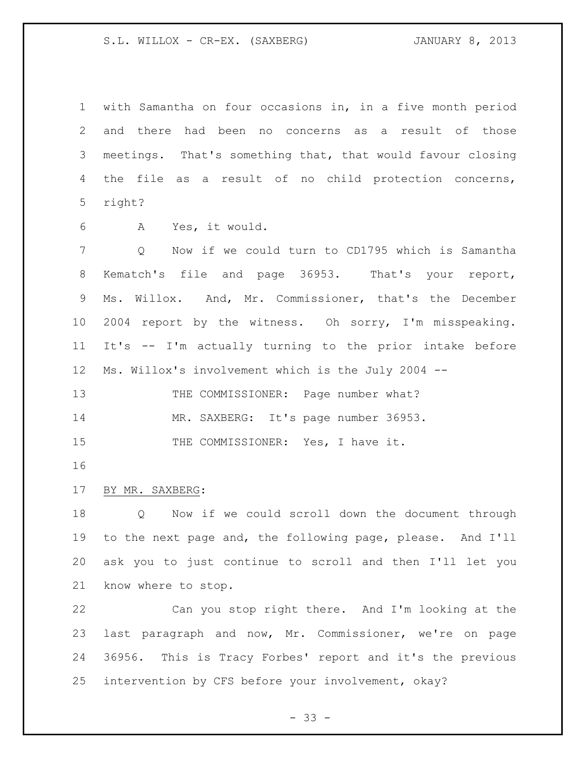S.L. WILLOX - CR-EX. (SAXBERG) JANUARY 8, 2013

 with Samantha on four occasions in, in a five month period and there had been no concerns as a result of those meetings. That's something that, that would favour closing the file as a result of no child protection concerns, right?

A Yes, it would.

 Q Now if we could turn to CD1795 which is Samantha Kematch's file and page 36953. That's your report, Ms. Willox. And, Mr. Commissioner, that's the December 10 2004 report by the witness. Oh sorry, I'm misspeaking. It's -- I'm actually turning to the prior intake before Ms. Willox's involvement which is the July 2004 --

13 THE COMMISSIONER: Page number what?

MR. SAXBERG: It's page number 36953.

15 THE COMMISSIONER: Yes, I have it.

### BY MR. SAXBERG:

 Q Now if we could scroll down the document through to the next page and, the following page, please. And I'll ask you to just continue to scroll and then I'll let you know where to stop.

 Can you stop right there. And I'm looking at the last paragraph and now, Mr. Commissioner, we're on page 36956. This is Tracy Forbes' report and it's the previous intervention by CFS before your involvement, okay?

 $- 33 -$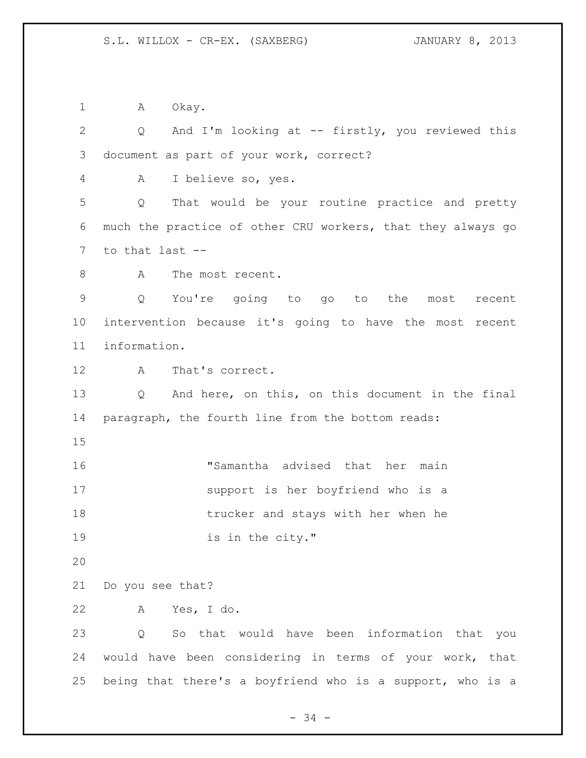1 A Okay.

 Q And I'm looking at -- firstly, you reviewed this document as part of your work, correct? A I believe so, yes. Q That would be your routine practice and pretty much the practice of other CRU workers, that they always go to that last -- 8 A The most recent. Q You're going to go to the most recent intervention because it's going to have the most recent information. A That's correct. Q And here, on this, on this document in the final paragraph, the fourth line from the bottom reads: "Samantha advised that her main support is her boyfriend who is a trucker and stays with her when he 19 is in the city." Do you see that? A Yes, I do. Q So that would have been information that you would have been considering in terms of your work, that being that there's a boyfriend who is a support, who is a

- 34 -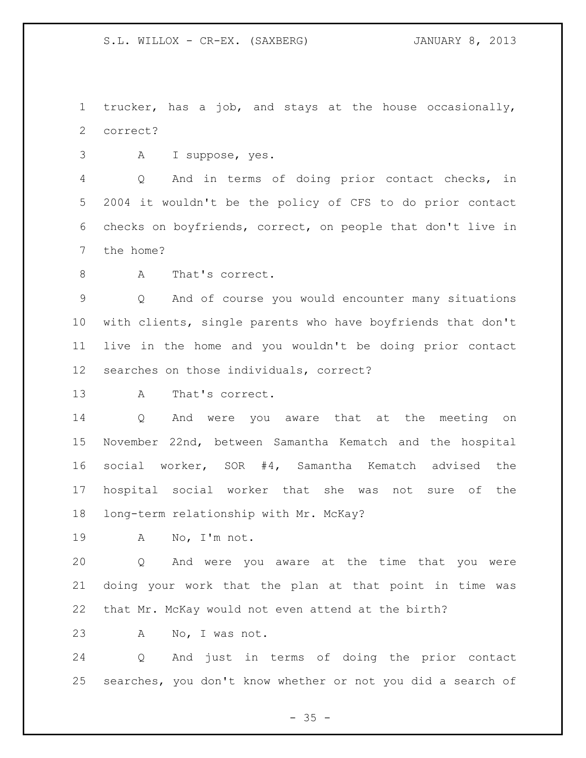trucker, has a job, and stays at the house occasionally, correct?

A I suppose, yes.

 Q And in terms of doing prior contact checks, in 2004 it wouldn't be the policy of CFS to do prior contact checks on boyfriends, correct, on people that don't live in the home?

8 A That's correct.

 Q And of course you would encounter many situations with clients, single parents who have boyfriends that don't live in the home and you wouldn't be doing prior contact searches on those individuals, correct?

A That's correct.

 Q And were you aware that at the meeting on November 22nd, between Samantha Kematch and the hospital social worker, SOR #4, Samantha Kematch advised the hospital social worker that she was not sure of the long-term relationship with Mr. McKay?

A No, I'm not.

 Q And were you aware at the time that you were doing your work that the plan at that point in time was that Mr. McKay would not even attend at the birth?

A No, I was not.

 Q And just in terms of doing the prior contact searches, you don't know whether or not you did a search of

 $- 35 -$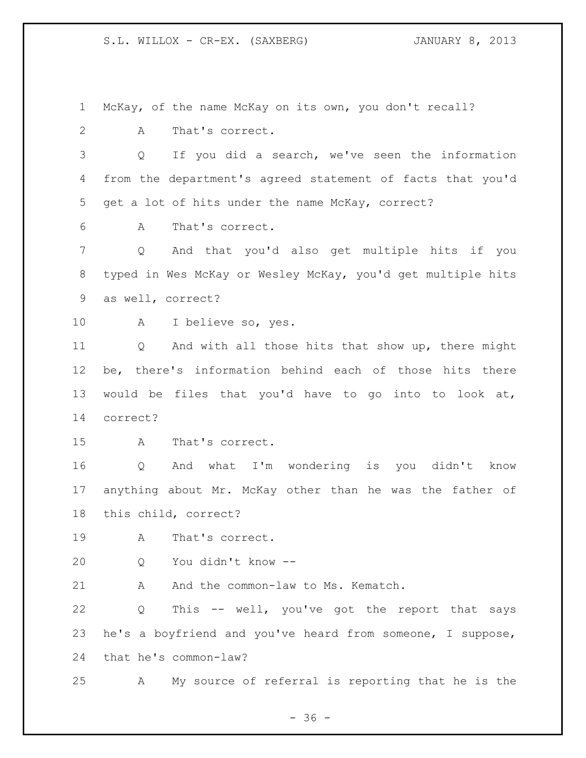McKay, of the name McKay on its own, you don't recall?

A That's correct.

 Q If you did a search, we've seen the information from the department's agreed statement of facts that you'd get a lot of hits under the name McKay, correct?

A That's correct.

 Q And that you'd also get multiple hits if you typed in Wes McKay or Wesley McKay, you'd get multiple hits as well, correct?

A I believe so, yes.

 Q And with all those hits that show up, there might be, there's information behind each of those hits there would be files that you'd have to go into to look at, correct?

A That's correct.

 Q And what I'm wondering is you didn't know anything about Mr. McKay other than he was the father of this child, correct?

A That's correct.

Q You didn't know --

21 A And the common-law to Ms. Kematch.

 Q This -- well, you've got the report that says he's a boyfriend and you've heard from someone, I suppose, that he's common-law?

A My source of referral is reporting that he is the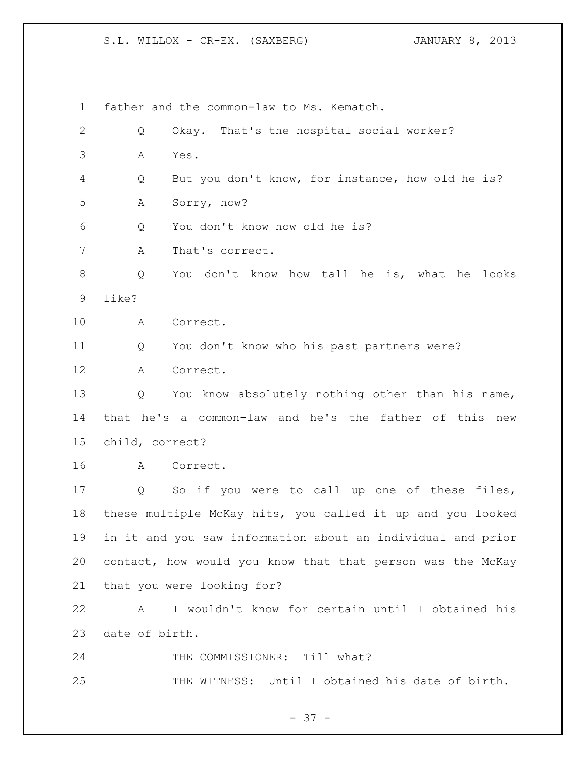father and the common-law to Ms. Kematch. Q Okay. That's the hospital social worker? A Yes. Q But you don't know, for instance, how old he is? A Sorry, how? Q You don't know how old he is? A That's correct. Q You don't know how tall he is, what he looks like? A Correct. Q You don't know who his past partners were? A Correct. Q You know absolutely nothing other than his name, that he's a common-law and he's the father of this new child, correct? A Correct. Q So if you were to call up one of these files, these multiple McKay hits, you called it up and you looked in it and you saw information about an individual and prior contact, how would you know that that person was the McKay that you were looking for? A I wouldn't know for certain until I obtained his date of birth. 24 THE COMMISSIONER: Till what? THE WITNESS: Until I obtained his date of birth.

- 37 -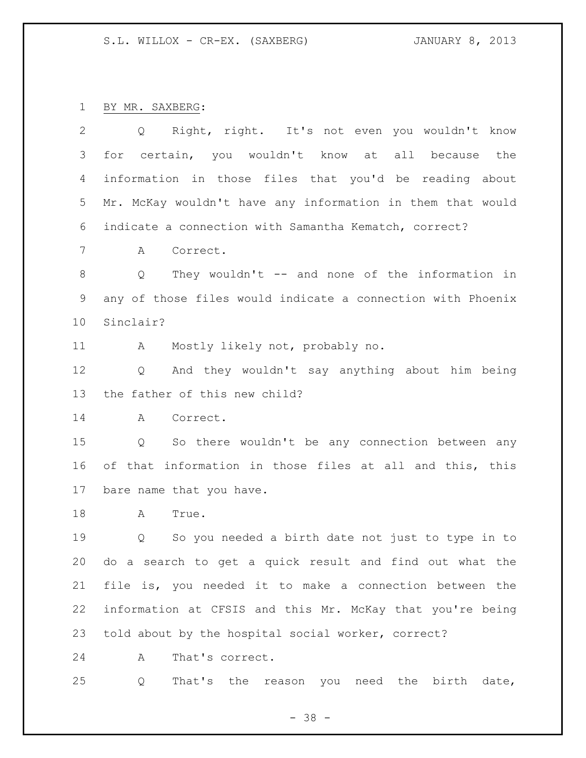BY MR. SAXBERG:

| $\mathbf{2}$    | Q Right, right. It's not even you wouldn't know                     |
|-----------------|---------------------------------------------------------------------|
| 3               | certain, you wouldn't know at all because<br>for<br>the             |
| 4               | information in those files that you'd be reading about              |
| 5               | Mr. McKay wouldn't have any information in them that would          |
| 6               | indicate a connection with Samantha Kematch, correct?               |
| 7               | Correct.<br>A                                                       |
| 8               | They wouldn't -- and none of the information in<br>Q                |
| 9               | any of those files would indicate a connection with Phoenix         |
| 10 <sub>o</sub> | Sinclair?                                                           |
| 11              | Mostly likely not, probably no.<br>A                                |
| 12              | And they wouldn't say anything about him being<br>$Q \qquad \qquad$ |
| 13              | the father of this new child?                                       |
| 14              | $\mathbf{A}$<br>Correct.                                            |
| 15              | Q So there wouldn't be any connection between any                   |
| 16              | of that information in those files at all and this, this            |
| 17              | bare name that you have.                                            |
| 18              | A<br>True.                                                          |
| 19              | So you needed a birth date not just to type in to<br>Q              |
| 20              | do a search to get a quick result and find out what the             |
| 21              | file is, you needed it to make a connection between the             |
| 22              | information at CFSIS and this Mr. McKay that you're being           |
| 23              | told about by the hospital social worker, correct?                  |
| 24              | That's correct.<br>Α                                                |

Q That's the reason you need the birth date,

- 38 -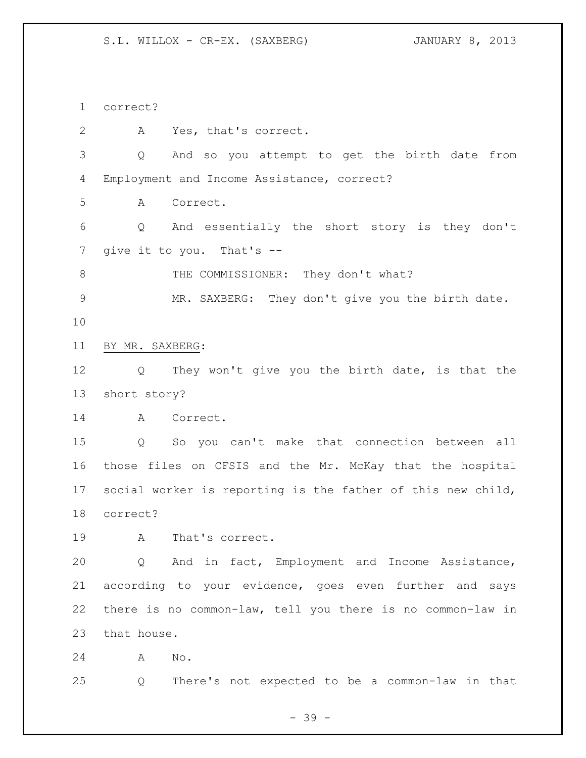correct?

 A Yes, that's correct. Q And so you attempt to get the birth date from Employment and Income Assistance, correct? A Correct. Q And essentially the short story is they don't 7 give it to you. That's --8 THE COMMISSIONER: They don't what? MR. SAXBERG: They don't give you the birth date. BY MR. SAXBERG: Q They won't give you the birth date, is that the short story? A Correct. Q So you can't make that connection between all those files on CFSIS and the Mr. McKay that the hospital social worker is reporting is the father of this new child, correct? A That's correct. Q And in fact, Employment and Income Assistance, according to your evidence, goes even further and says there is no common-law, tell you there is no common-law in that house. A No. Q There's not expected to be a common-law in that

- 39 -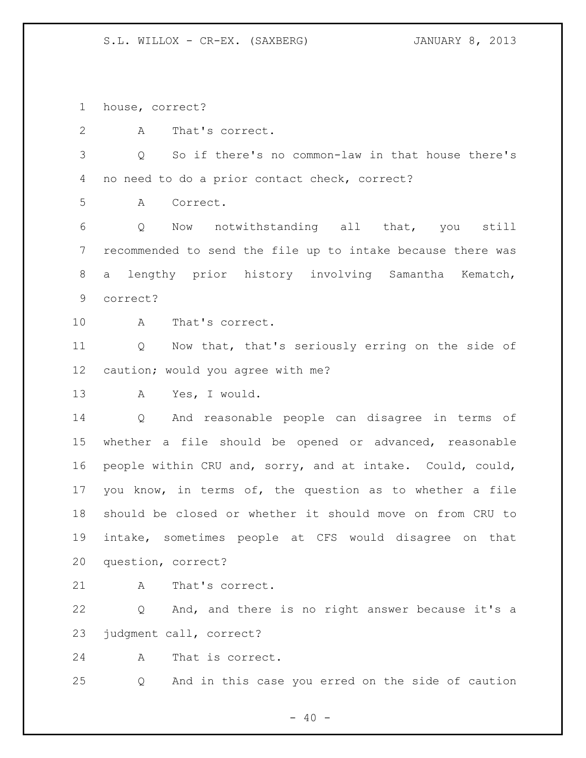house, correct?

A That's correct.

 Q So if there's no common-law in that house there's no need to do a prior contact check, correct?

A Correct.

 Q Now notwithstanding all that, you still recommended to send the file up to intake because there was a lengthy prior history involving Samantha Kematch, correct?

A That's correct.

 Q Now that, that's seriously erring on the side of caution; would you agree with me?

A Yes, I would.

 Q And reasonable people can disagree in terms of whether a file should be opened or advanced, reasonable people within CRU and, sorry, and at intake. Could, could, you know, in terms of, the question as to whether a file should be closed or whether it should move on from CRU to intake, sometimes people at CFS would disagree on that question, correct?

21 A That's correct.

 Q And, and there is no right answer because it's a judgment call, correct?

A That is correct.

Q And in this case you erred on the side of caution

 $- 40 -$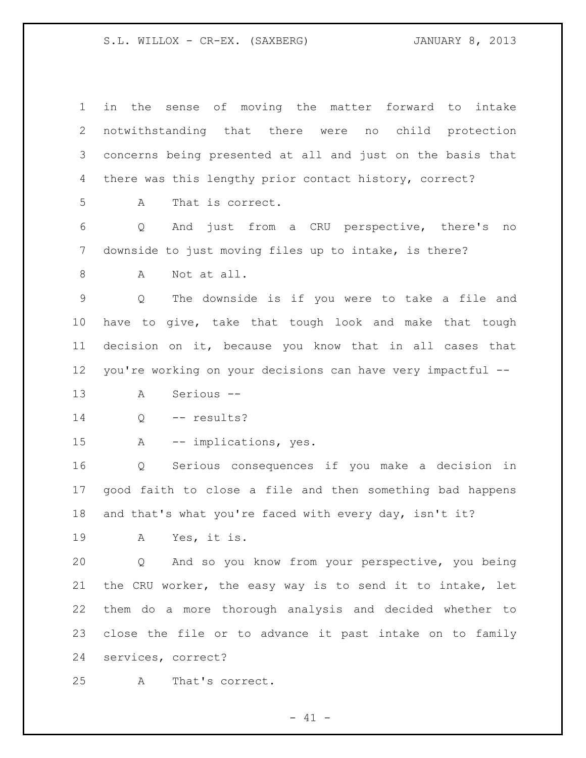| $\mathbf 1$ | in the sense of moving the matter forward to intake         |
|-------------|-------------------------------------------------------------|
| 2           | notwithstanding that there were no child protection         |
| 3           | concerns being presented at all and just on the basis that  |
| 4           | there was this lengthy prior contact history, correct?      |
| 5           | That is correct.<br>A                                       |
| 6           | And just from a CRU perspective, there's no<br>Q            |
| 7           | downside to just moving files up to intake, is there?       |
| 8           | Not at all.<br>Α                                            |
| $\mathsf 9$ | The downside is if you were to take a file and<br>Q         |
| 10          | have to give, take that tough look and make that tough      |
| 11          | decision on it, because you know that in all cases that     |
| 12          | you're working on your decisions can have very impactful -- |
| 13          | Serious --<br>Α                                             |
| 14          | -- results?<br>Q                                            |
| 15          | -- implications, yes.<br>A                                  |
| 16          | Serious consequences if you make a decision in<br>Q         |
| 17          | good faith to close a file and then something bad happens   |
| 18          | and that's what you're faced with every day, isn't it?      |
| 19          | A Yes, it is.                                               |
| 20          | And so you know from your perspective, you being<br>Q       |
| 21          | the CRU worker, the easy way is to send it to intake, let   |
| 22          | them do a more thorough analysis and decided whether to     |
| 23          | close the file or to advance it past intake on to family    |
| 24          | services, correct?                                          |
| 25          | That's correct.<br>A                                        |

- 41 -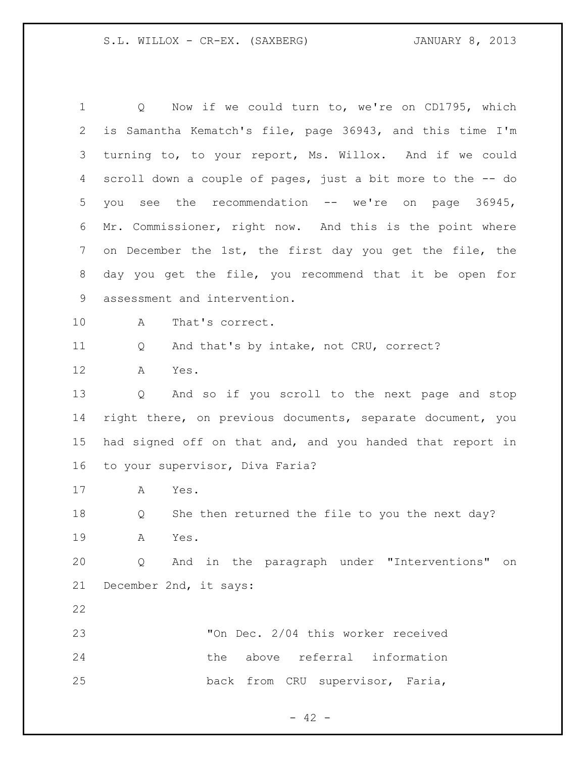Q Now if we could turn to, we're on CD1795, which is Samantha Kematch's file, page 36943, and this time I'm turning to, to your report, Ms. Willox. And if we could scroll down a couple of pages, just a bit more to the -- do you see the recommendation -- we're on page 36945, Mr. Commissioner, right now. And this is the point where on December the 1st, the first day you get the file, the day you get the file, you recommend that it be open for assessment and intervention. A That's correct. 11 Q And that's by intake, not CRU, correct? A Yes. Q And so if you scroll to the next page and stop right there, on previous documents, separate document, you had signed off on that and, and you handed that report in to your supervisor, Diva Faria? A Yes. Q She then returned the file to you the next day? A Yes. Q And in the paragraph under "Interventions" on December 2nd, it says: "On Dec. 2/04 this worker received the above referral information back from CRU supervisor, Faria,

 $- 42 -$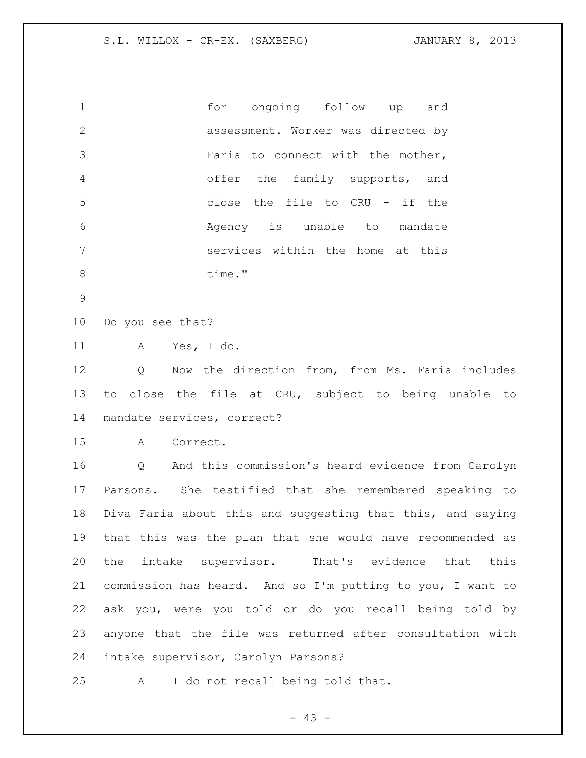| $\mathbf{1}$  | for ongoing follow up and          |
|---------------|------------------------------------|
| $\mathcal{P}$ | assessment. Worker was directed by |
| 3             | Faria to connect with the mother,  |
| 4             | offer the family supports, and     |
| 5             | close the file to CRU - if the     |
| 6             | Agency is unable to mandate        |
| 7             | services within the home at this   |
| 8             | time."                             |

Do you see that?

A Yes, I do.

 Q Now the direction from, from Ms. Faria includes to close the file at CRU, subject to being unable to mandate services, correct?

A Correct.

 Q And this commission's heard evidence from Carolyn Parsons. She testified that she remembered speaking to Diva Faria about this and suggesting that this, and saying that this was the plan that she would have recommended as the intake supervisor. That's evidence that this commission has heard. And so I'm putting to you, I want to ask you, were you told or do you recall being told by anyone that the file was returned after consultation with intake supervisor, Carolyn Parsons?

A I do not recall being told that.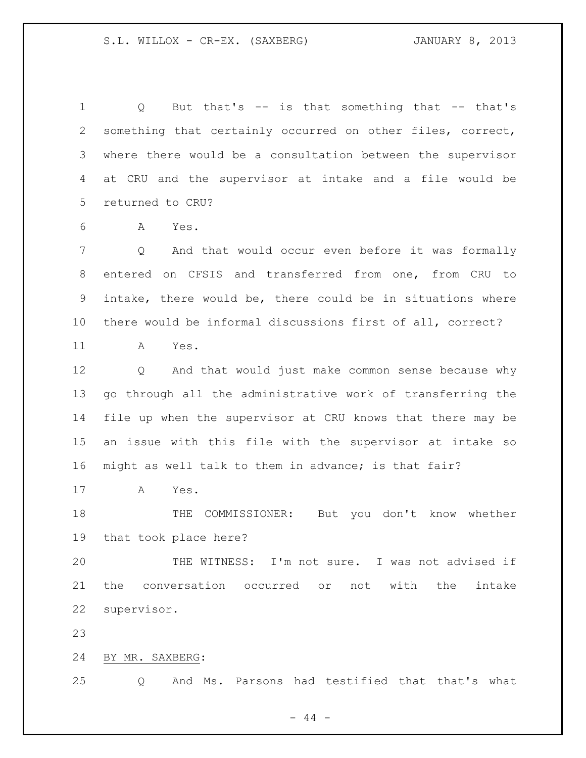Q But that's -- is that something that -- that's something that certainly occurred on other files, correct, where there would be a consultation between the supervisor at CRU and the supervisor at intake and a file would be returned to CRU?

A Yes.

 Q And that would occur even before it was formally entered on CFSIS and transferred from one, from CRU to intake, there would be, there could be in situations where there would be informal discussions first of all, correct?

A Yes.

 Q And that would just make common sense because why go through all the administrative work of transferring the file up when the supervisor at CRU knows that there may be an issue with this file with the supervisor at intake so might as well talk to them in advance; is that fair?

A Yes.

18 THE COMMISSIONER: But you don't know whether that took place here?

 THE WITNESS: I'm not sure. I was not advised if the conversation occurred or not with the intake supervisor.

BY MR. SAXBERG:

Q And Ms. Parsons had testified that that's what

 $-44 -$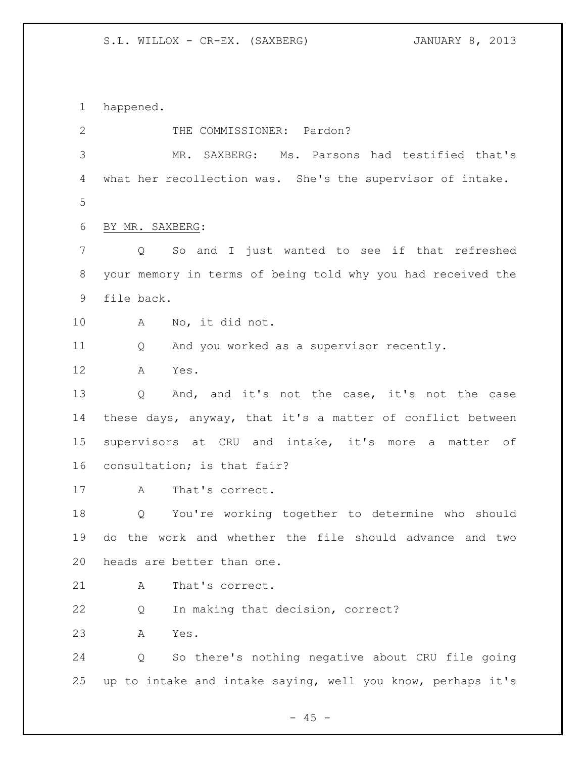happened.

2 THE COMMISSIONER: Pardon? MR. SAXBERG: Ms. Parsons had testified that's what her recollection was. She's the supervisor of intake. BY MR. SAXBERG: Q So and I just wanted to see if that refreshed your memory in terms of being told why you had received the file back. A No, it did not. Q And you worked as a supervisor recently. A Yes. Q And, and it's not the case, it's not the case these days, anyway, that it's a matter of conflict between supervisors at CRU and intake, it's more a matter of consultation; is that fair? A That's correct. Q You're working together to determine who should do the work and whether the file should advance and two heads are better than one. 21 A That's correct. Q In making that decision, correct? A Yes. Q So there's nothing negative about CRU file going up to intake and intake saying, well you know, perhaps it's

 $- 45 -$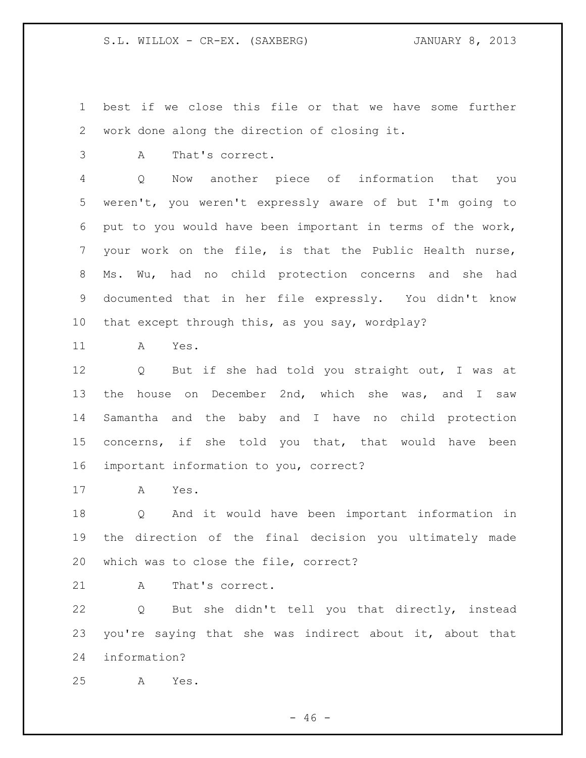best if we close this file or that we have some further work done along the direction of closing it.

A That's correct.

 Q Now another piece of information that you weren't, you weren't expressly aware of but I'm going to put to you would have been important in terms of the work, your work on the file, is that the Public Health nurse, Ms. Wu, had no child protection concerns and she had documented that in her file expressly. You didn't know that except through this, as you say, wordplay?

A Yes.

 Q But if she had told you straight out, I was at the house on December 2nd, which she was, and I saw Samantha and the baby and I have no child protection concerns, if she told you that, that would have been important information to you, correct?

A Yes.

 Q And it would have been important information in the direction of the final decision you ultimately made which was to close the file, correct?

21 A That's correct.

 Q But she didn't tell you that directly, instead you're saying that she was indirect about it, about that information?

A Yes.

 $- 46 -$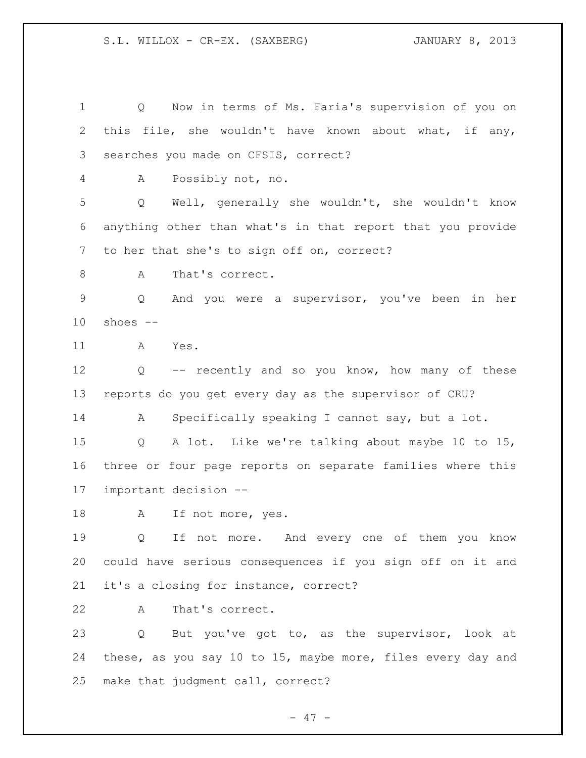Q Now in terms of Ms. Faria's supervision of you on this file, she wouldn't have known about what, if any, searches you made on CFSIS, correct? A Possibly not, no. Q Well, generally she wouldn't, she wouldn't know anything other than what's in that report that you provide to her that she's to sign off on, correct? 8 A That's correct. Q And you were a supervisor, you've been in her shoes  $-$  A Yes. Q -- recently and so you know, how many of these reports do you get every day as the supervisor of CRU? A Specifically speaking I cannot say, but a lot. Q A lot. Like we're talking about maybe 10 to 15, three or four page reports on separate families where this important decision -- 18 A If not more, yes. Q If not more. And every one of them you know could have serious consequences if you sign off on it and it's a closing for instance, correct? A That's correct. Q But you've got to, as the supervisor, look at these, as you say 10 to 15, maybe more, files every day and make that judgment call, correct?

- 47 -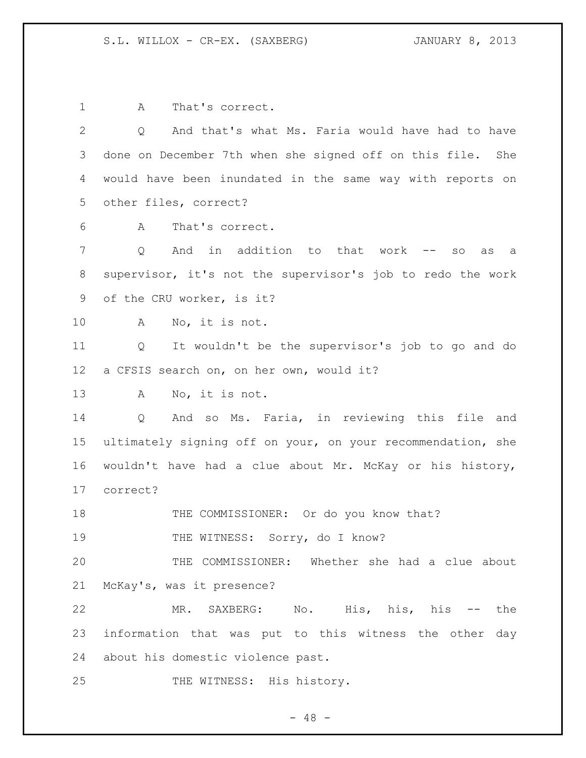A That's correct. Q And that's what Ms. Faria would have had to have done on December 7th when she signed off on this file. She would have been inundated in the same way with reports on other files, correct? A That's correct. Q And in addition to that work -- so as a supervisor, it's not the supervisor's job to redo the work of the CRU worker, is it? A No, it is not. Q It wouldn't be the supervisor's job to go and do a CFSIS search on, on her own, would it? A No, it is not. Q And so Ms. Faria, in reviewing this file and ultimately signing off on your, on your recommendation, she wouldn't have had a clue about Mr. McKay or his history, correct? 18 THE COMMISSIONER: Or do you know that? 19 THE WITNESS: Sorry, do I know? THE COMMISSIONER: Whether she had a clue about McKay's, was it presence? MR. SAXBERG: No. His, his, his -- the information that was put to this witness the other day about his domestic violence past. 25 THE WITNESS: His history.

 $- 48 -$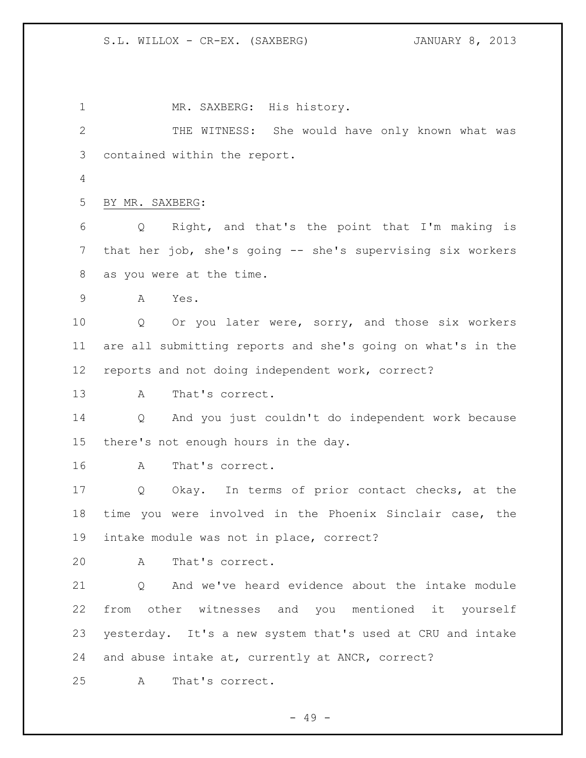1 MR. SAXBERG: His history. THE WITNESS: She would have only known what was contained within the report. BY MR. SAXBERG: Q Right, and that's the point that I'm making is that her job, she's going -- she's supervising six workers as you were at the time. A Yes. Q Or you later were, sorry, and those six workers are all submitting reports and she's going on what's in the reports and not doing independent work, correct? A That's correct. Q And you just couldn't do independent work because there's not enough hours in the day. A That's correct. Q Okay. In terms of prior contact checks, at the time you were involved in the Phoenix Sinclair case, the intake module was not in place, correct? A That's correct. Q And we've heard evidence about the intake module from other witnesses and you mentioned it yourself yesterday. It's a new system that's used at CRU and intake and abuse intake at, currently at ANCR, correct? A That's correct.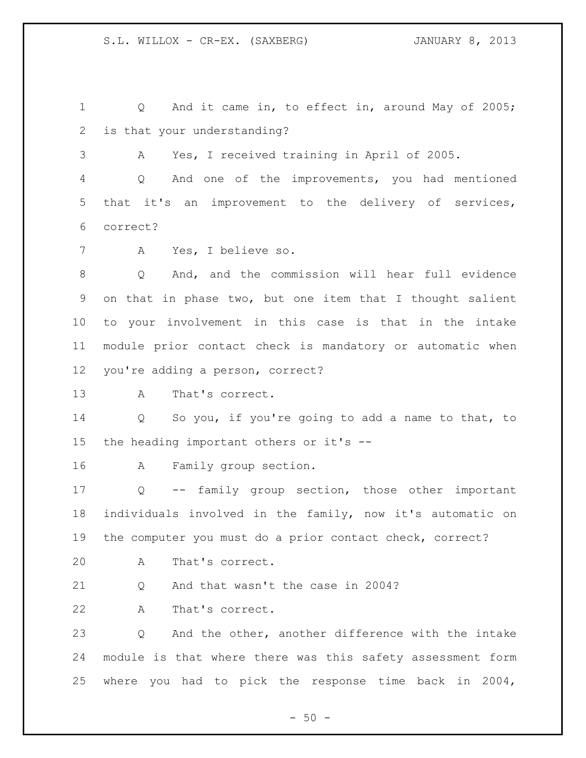1 Q And it came in, to effect in, around May of 2005; is that your understanding? A Yes, I received training in April of 2005. Q And one of the improvements, you had mentioned that it's an improvement to the delivery of services, correct? A Yes, I believe so. Q And, and the commission will hear full evidence on that in phase two, but one item that I thought salient to your involvement in this case is that in the intake module prior contact check is mandatory or automatic when you're adding a person, correct? A That's correct. Q So you, if you're going to add a name to that, to the heading important others or it's -- A Family group section. Q -- family group section, those other important individuals involved in the family, now it's automatic on the computer you must do a prior contact check, correct? A That's correct. 21 O And that wasn't the case in 2004? A That's correct. Q And the other, another difference with the intake module is that where there was this safety assessment form where you had to pick the response time back in 2004,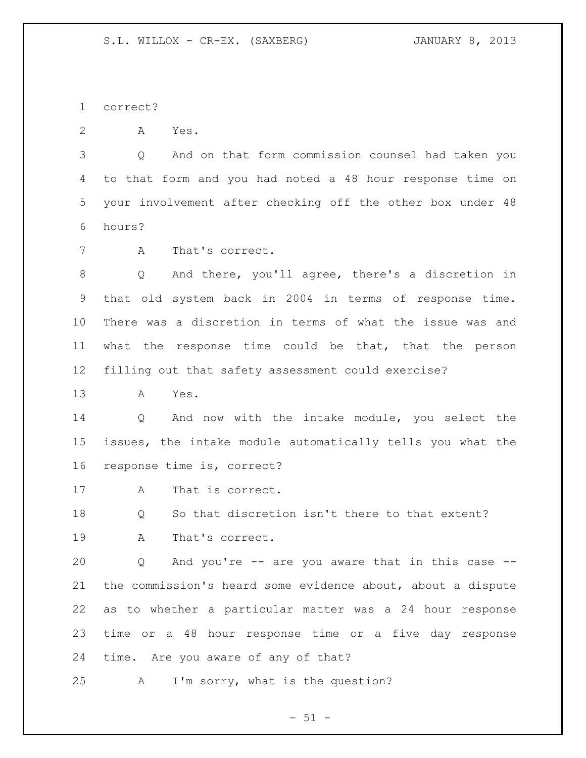correct?

A Yes.

 Q And on that form commission counsel had taken you to that form and you had noted a 48 hour response time on your involvement after checking off the other box under 48 hours?

A That's correct.

 Q And there, you'll agree, there's a discretion in that old system back in 2004 in terms of response time. There was a discretion in terms of what the issue was and what the response time could be that, that the person filling out that safety assessment could exercise?

A Yes.

 Q And now with the intake module, you select the issues, the intake module automatically tells you what the response time is, correct?

A That is correct.

 Q So that discretion isn't there to that extent? A That's correct.

 Q And you're -- are you aware that in this case -- the commission's heard some evidence about, about a dispute as to whether a particular matter was a 24 hour response time or a 48 hour response time or a five day response time. Are you aware of any of that?

A I'm sorry, what is the question?

 $-51 -$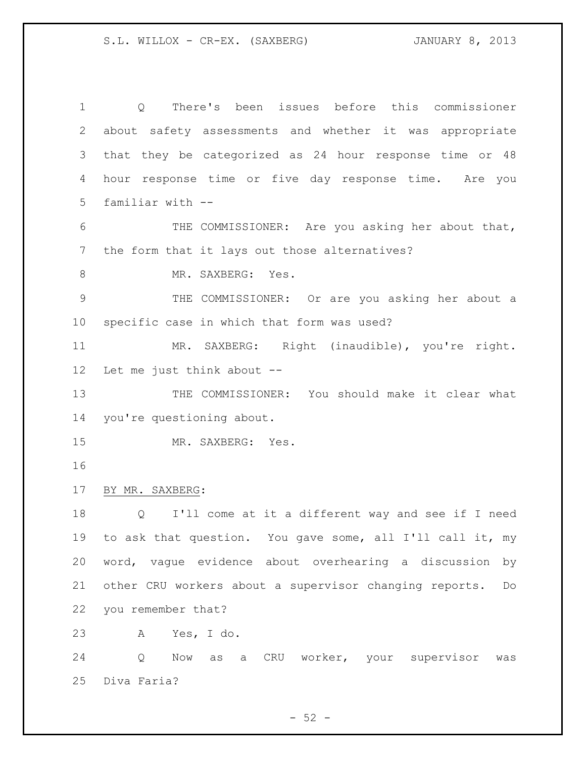Q There's been issues before this commissioner about safety assessments and whether it was appropriate that they be categorized as 24 hour response time or 48 hour response time or five day response time. Are you familiar with -- 6 THE COMMISSIONER: Are you asking her about that, the form that it lays out those alternatives? 8 MR. SAXBERG: Yes. THE COMMISSIONER: Or are you asking her about a specific case in which that form was used? MR. SAXBERG: Right (inaudible), you're right. Let me just think about -- THE COMMISSIONER: You should make it clear what you're questioning about. MR. SAXBERG: Yes. BY MR. SAXBERG: Q I'll come at it a different way and see if I need to ask that question. You gave some, all I'll call it, my word, vague evidence about overhearing a discussion by other CRU workers about a supervisor changing reports. Do you remember that? A Yes, I do. Q Now as a CRU worker, your supervisor was Diva Faria?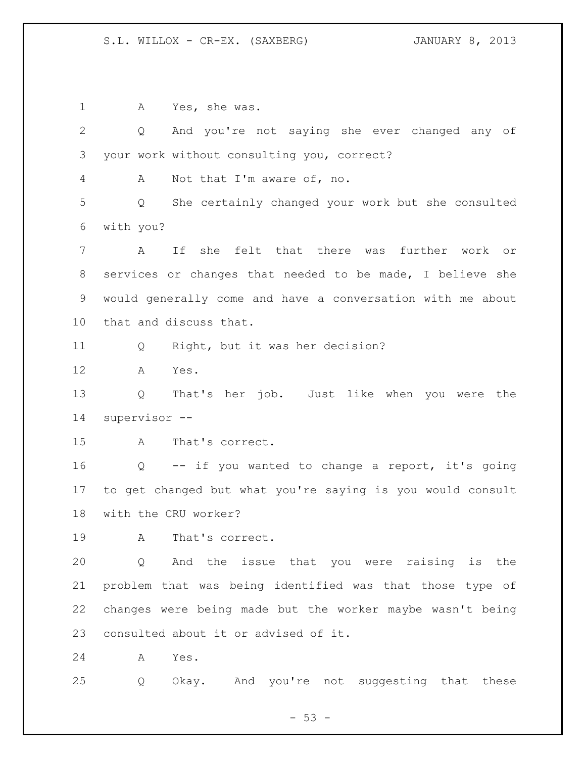A Yes, she was. Q And you're not saying she ever changed any of your work without consulting you, correct? A Not that I'm aware of, no. Q She certainly changed your work but she consulted with you? A If she felt that there was further work or services or changes that needed to be made, I believe she would generally come and have a conversation with me about that and discuss that. Q Right, but it was her decision? A Yes. Q That's her job. Just like when you were the supervisor -- A That's correct. Q -- if you wanted to change a report, it's going to get changed but what you're saying is you would consult with the CRU worker? A That's correct. Q And the issue that you were raising is the problem that was being identified was that those type of changes were being made but the worker maybe wasn't being consulted about it or advised of it. A Yes. Q Okay. And you're not suggesting that these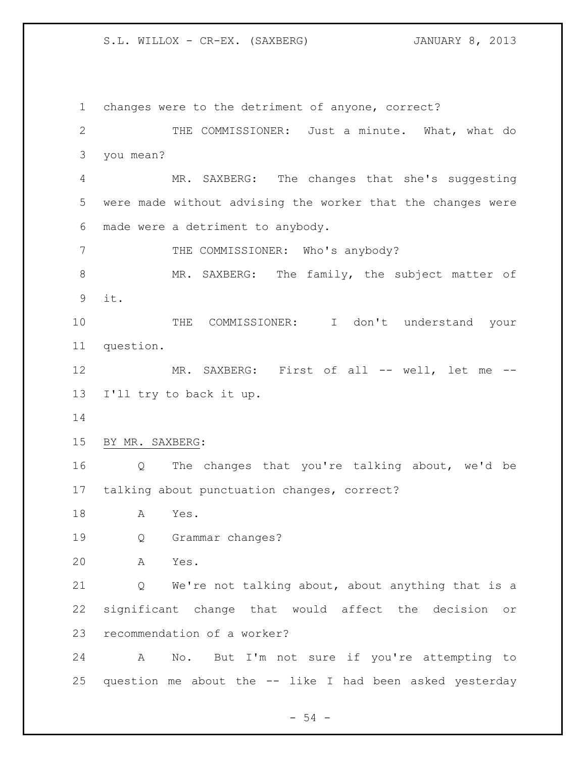changes were to the detriment of anyone, correct? THE COMMISSIONER: Just a minute. What, what do you mean? MR. SAXBERG: The changes that she's suggesting were made without advising the worker that the changes were made were a detriment to anybody. 7 THE COMMISSIONER: Who's anybody? 8 MR. SAXBERG: The family, the subject matter of it. THE COMMISSIONER: I don't understand your question. MR. SAXBERG: First of all -- well, let me -- I'll try to back it up. BY MR. SAXBERG: Q The changes that you're talking about, we'd be talking about punctuation changes, correct? A Yes. Q Grammar changes? A Yes. Q We're not talking about, about anything that is a significant change that would affect the decision or recommendation of a worker? A No. But I'm not sure if you're attempting to question me about the -- like I had been asked yesterday

 $-54 -$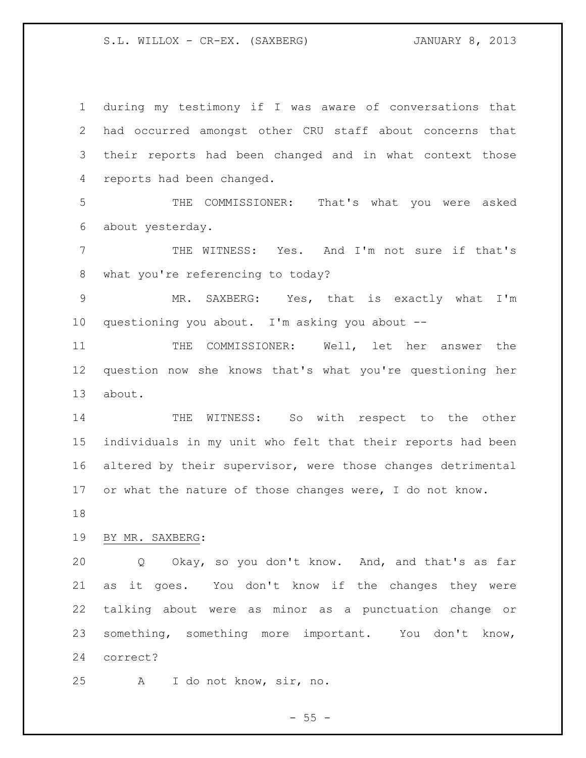during my testimony if I was aware of conversations that had occurred amongst other CRU staff about concerns that their reports had been changed and in what context those reports had been changed.

 THE COMMISSIONER: That's what you were asked about yesterday.

 THE WITNESS: Yes. And I'm not sure if that's what you're referencing to today?

 MR. SAXBERG: Yes, that is exactly what I'm questioning you about. I'm asking you about --

 THE COMMISSIONER: Well, let her answer the question now she knows that's what you're questioning her about.

14 THE WITNESS: So with respect to the other individuals in my unit who felt that their reports had been altered by their supervisor, were those changes detrimental 17 or what the nature of those changes were, I do not know.

## BY MR. SAXBERG:

 Q Okay, so you don't know. And, and that's as far as it goes. You don't know if the changes they were talking about were as minor as a punctuation change or something, something more important. You don't know, correct?

A I do not know, sir, no.

 $- 55 -$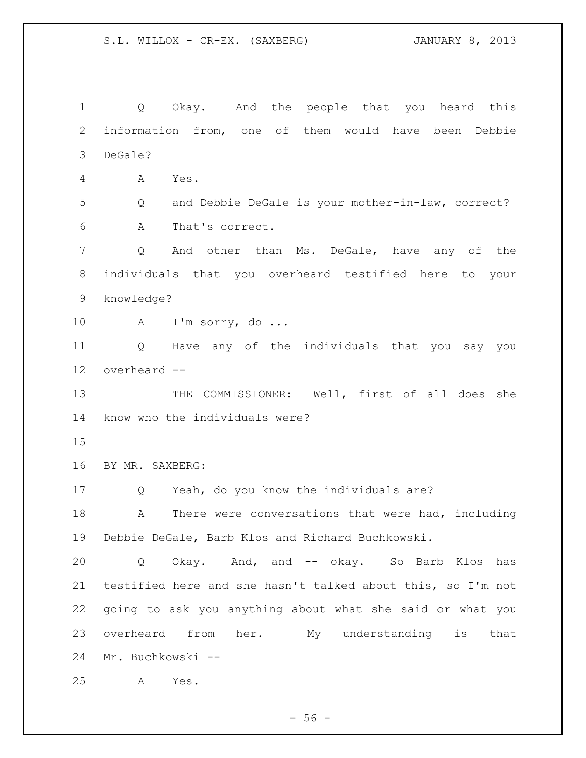1 Q Okay. And the people that you heard this information from, one of them would have been Debbie DeGale? A Yes. Q and Debbie DeGale is your mother-in-law, correct? A That's correct. Q And other than Ms. DeGale, have any of the individuals that you overheard testified here to your knowledge? A I'm sorry, do ... Q Have any of the individuals that you say you overheard -- 13 THE COMMISSIONER: Well, first of all does she know who the individuals were? BY MR. SAXBERG: Q Yeah, do you know the individuals are? 18 A There were conversations that were had, including Debbie DeGale, Barb Klos and Richard Buchkowski. Q Okay. And, and -- okay. So Barb Klos has testified here and she hasn't talked about this, so I'm not going to ask you anything about what she said or what you overheard from her. My understanding is that Mr. Buchkowski -- A Yes.

 $-56 -$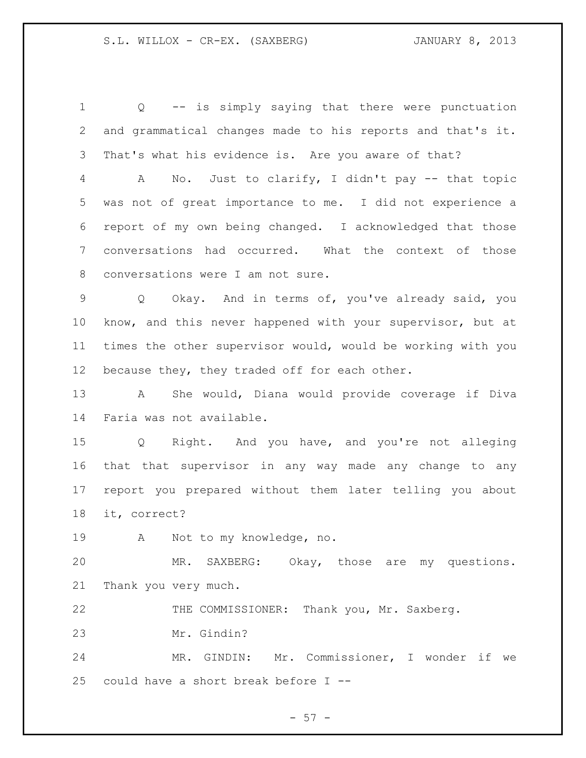Q -- is simply saying that there were punctuation and grammatical changes made to his reports and that's it. That's what his evidence is. Are you aware of that?

 A No. Just to clarify, I didn't pay -- that topic was not of great importance to me. I did not experience a report of my own being changed. I acknowledged that those conversations had occurred. What the context of those conversations were I am not sure.

 Q Okay. And in terms of, you've already said, you know, and this never happened with your supervisor, but at times the other supervisor would, would be working with you 12 because they, they traded off for each other.

 A She would, Diana would provide coverage if Diva Faria was not available.

 Q Right. And you have, and you're not alleging that that supervisor in any way made any change to any report you prepared without them later telling you about it, correct?

A Not to my knowledge, no.

 MR. SAXBERG: Okay, those are my questions. Thank you very much.

THE COMMISSIONER: Thank you, Mr. Saxberg.

Mr. Gindin?

 MR. GINDIN: Mr. Commissioner, I wonder if we could have a short break before I --

- 57 -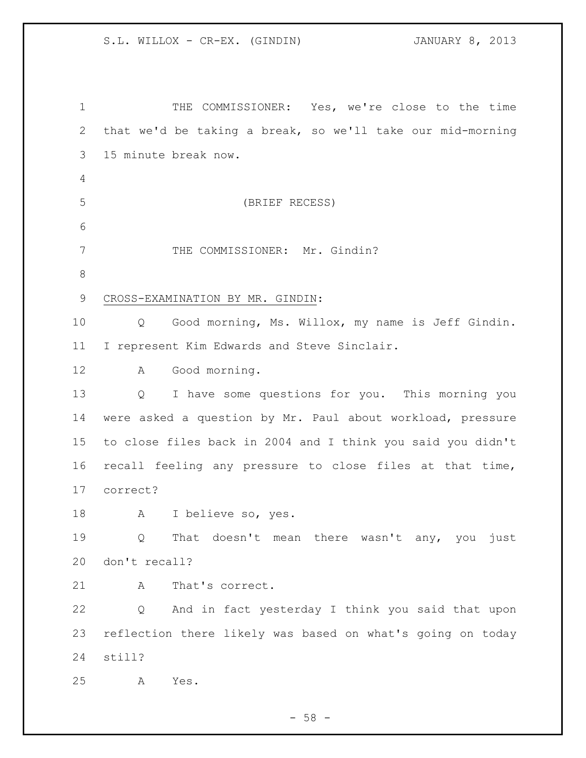| $\mathbf 1$ | THE COMMISSIONER: Yes, we're close to the time                  |
|-------------|-----------------------------------------------------------------|
| 2           | that we'd be taking a break, so we'll take our mid-morning      |
| 3           | 15 minute break now.                                            |
| 4           |                                                                 |
| 5           | (BRIEF RECESS)                                                  |
| 6           |                                                                 |
| 7           | THE COMMISSIONER: Mr. Gindin?                                   |
| $8\,$       |                                                                 |
| 9           | CROSS-EXAMINATION BY MR. GINDIN:                                |
| 10          | Good morning, Ms. Willox, my name is Jeff Gindin.<br>$Q \qquad$ |
| 11          | I represent Kim Edwards and Steve Sinclair.                     |
| 12          | Good morning.<br>A                                              |
| 13          | I have some questions for you. This morning you<br>Q            |
| 14          | were asked a question by Mr. Paul about workload, pressure      |
| 15          | to close files back in 2004 and I think you said you didn't     |
| 16          | recall feeling any pressure to close files at that time,        |
| 17          | correct?                                                        |
| 18          | I believe so, yes.<br>A                                         |
| 19          | That doesn't mean there wasn't any, you just<br>Q               |
| 20          | don't recall?                                                   |
| 21          | Α<br>That's correct.                                            |
| 22          | And in fact yesterday I think you said that upon<br>Q           |
| 23          | reflection there likely was based on what's going on today      |
| 24          | still?                                                          |
| 25          | Yes.<br>Α                                                       |

- 58 -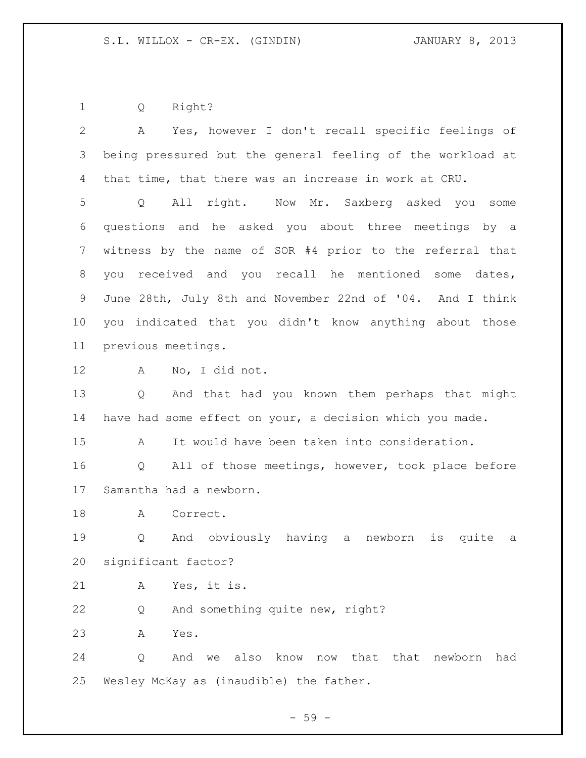Q Right?

| $\overline{2}$  | Yes, however I don't recall specific feelings of<br>A                |
|-----------------|----------------------------------------------------------------------|
| 3               | being pressured but the general feeling of the workload at           |
| 4               | that time, that there was an increase in work at CRU.                |
| 5               | All right. Now Mr. Saxberg asked you some<br>Q                       |
| 6               | questions and he asked you about three meetings by a                 |
| 7               | witness by the name of SOR #4 prior to the referral that             |
| 8               | you received and you recall he mentioned some dates,                 |
| 9               | June 28th, July 8th and November 22nd of '04. And I think            |
| 10 <sub>o</sub> | indicated that you didn't know anything about those<br>vou           |
| 11              | previous meetings.                                                   |
| 12              | Α<br>No, I did not.                                                  |
| 13              | And that had you known them perhaps that might<br>Q                  |
| 14              | have had some effect on your, a decision which you made.             |
| 15              | It would have been taken into consideration.<br>A                    |
| 16              | All of those meetings, however, took place before<br>Q               |
| 17              | Samantha had a newborn.                                              |
| 18              | Correct.<br>A                                                        |
| 19              | And obviously having a newborn<br>Q<br>is<br>quite<br>a              |
| 20              | significant factor?                                                  |
| 21              | Α<br>Yes, it is.                                                     |
| 22              | And something quite new, right?<br>Q                                 |
| 23              | Yes.<br>Α                                                            |
| 24              | also<br>know<br>now that<br>that<br>newborn<br>Q<br>And<br>had<br>we |
| 25              | Wesley McKay as (inaudible) the father.                              |

- 59 -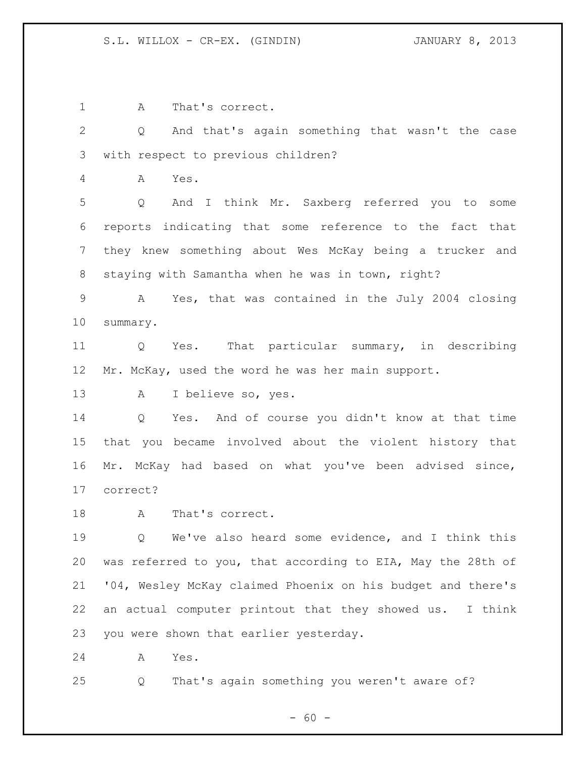A That's correct.

 Q And that's again something that wasn't the case with respect to previous children?

A Yes.

 Q And I think Mr. Saxberg referred you to some reports indicating that some reference to the fact that they knew something about Wes McKay being a trucker and staying with Samantha when he was in town, right?

 A Yes, that was contained in the July 2004 closing summary.

 Q Yes. That particular summary, in describing Mr. McKay, used the word he was her main support.

A I believe so, yes.

 Q Yes. And of course you didn't know at that time that you became involved about the violent history that Mr. McKay had based on what you've been advised since, correct?

18 A That's correct.

 Q We've also heard some evidence, and I think this was referred to you, that according to EIA, May the 28th of '04, Wesley McKay claimed Phoenix on his budget and there's an actual computer printout that they showed us. I think you were shown that earlier yesterday.

A Yes.

Q That's again something you weren't aware of?

 $- 60 -$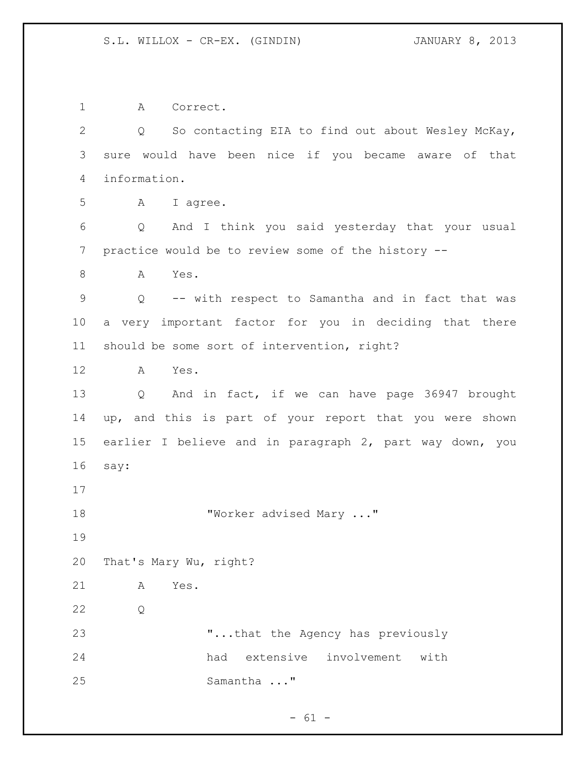A Correct. Q So contacting EIA to find out about Wesley McKay, sure would have been nice if you became aware of that information. A I agree. Q And I think you said yesterday that your usual practice would be to review some of the history -- A Yes. Q -- with respect to Samantha and in fact that was a very important factor for you in deciding that there should be some sort of intervention, right? A Yes. Q And in fact, if we can have page 36947 brought up, and this is part of your report that you were shown earlier I believe and in paragraph 2, part way down, you say: 18 "Worker advised Mary ..." That's Mary Wu, right? A Yes. Q "...that the Agency has previously had extensive involvement with Samantha ..."

 $- 61 -$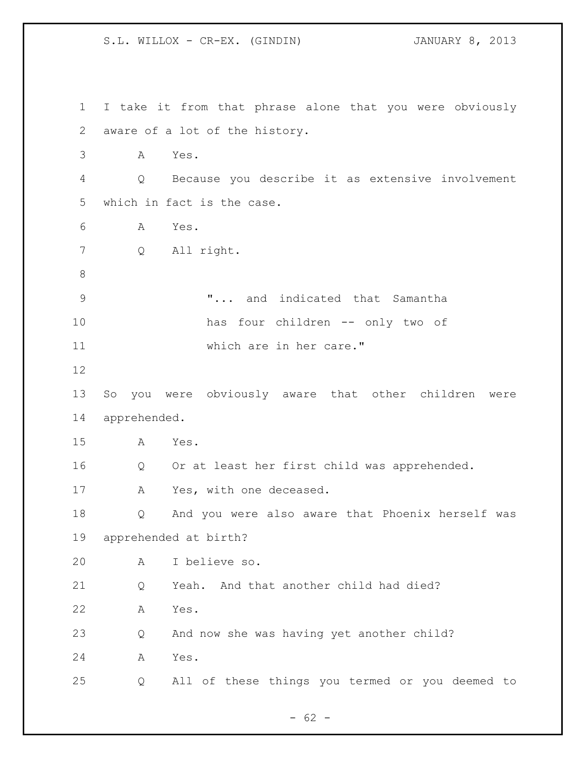S.L. WILLOX - CR-EX. (GINDIN) JANUARY 8, 2013 I take it from that phrase alone that you were obviously aware of a lot of the history. A Yes. Q Because you describe it as extensive involvement which in fact is the case. A Yes. Q All right. "... and indicated that Samantha has four children -- only two of which are in her care." So you were obviously aware that other children were apprehended. A Yes. Q Or at least her first child was apprehended. 17 A Yes, with one deceased. Q And you were also aware that Phoenix herself was apprehended at birth? A I believe so. Q Yeah. And that another child had died? A Yes. Q And now she was having yet another child? A Yes. Q All of these things you termed or you deemed to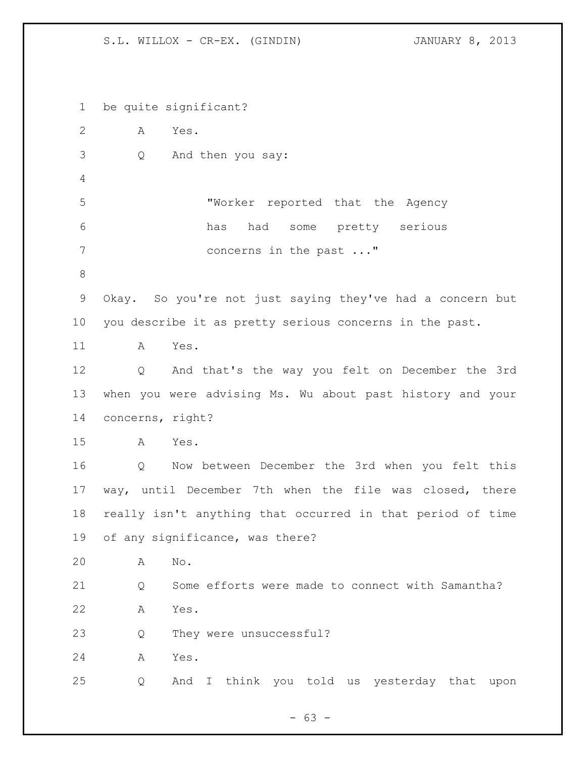S.L. WILLOX - CR-EX. (GINDIN) JANUARY 8, 2013

 be quite significant? A Yes. Q And then you say: "Worker reported that the Agency has had some pretty serious 7 concerns in the past ..." Okay. So you're not just saying they've had a concern but you describe it as pretty serious concerns in the past. A Yes. Q And that's the way you felt on December the 3rd when you were advising Ms. Wu about past history and your concerns, right? A Yes. Q Now between December the 3rd when you felt this way, until December 7th when the file was closed, there really isn't anything that occurred in that period of time of any significance, was there? A No. Q Some efforts were made to connect with Samantha? A Yes. Q They were unsuccessful? A Yes. Q And I think you told us yesterday that upon

- 63 -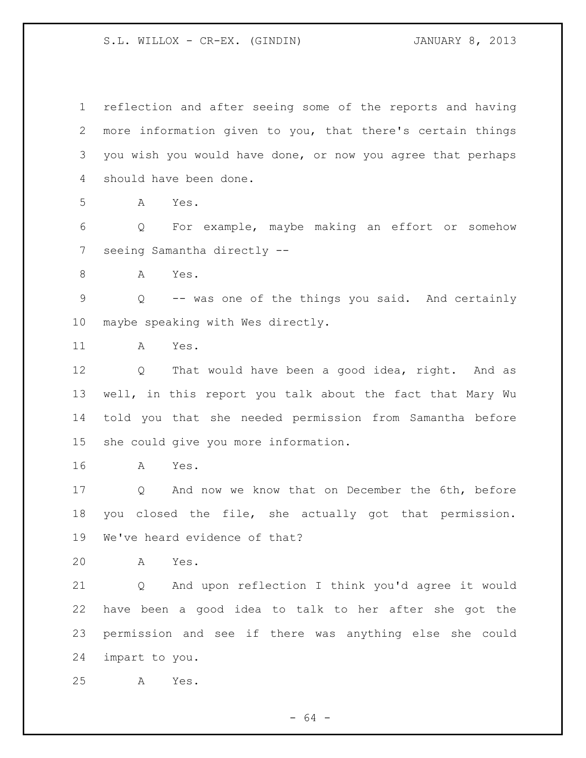S.L. WILLOX - CR-EX. (GINDIN) JANUARY 8, 2013

 reflection and after seeing some of the reports and having more information given to you, that there's certain things you wish you would have done, or now you agree that perhaps should have been done. A Yes. Q For example, maybe making an effort or somehow seeing Samantha directly -- 8 A Yes. Q -- was one of the things you said. And certainly maybe speaking with Wes directly. A Yes. Q That would have been a good idea, right. And as well, in this report you talk about the fact that Mary Wu told you that she needed permission from Samantha before she could give you more information. A Yes. Q And now we know that on December the 6th, before you closed the file, she actually got that permission. We've heard evidence of that? A Yes. Q And upon reflection I think you'd agree it would have been a good idea to talk to her after she got the permission and see if there was anything else she could impart to you. A Yes.

- 64 -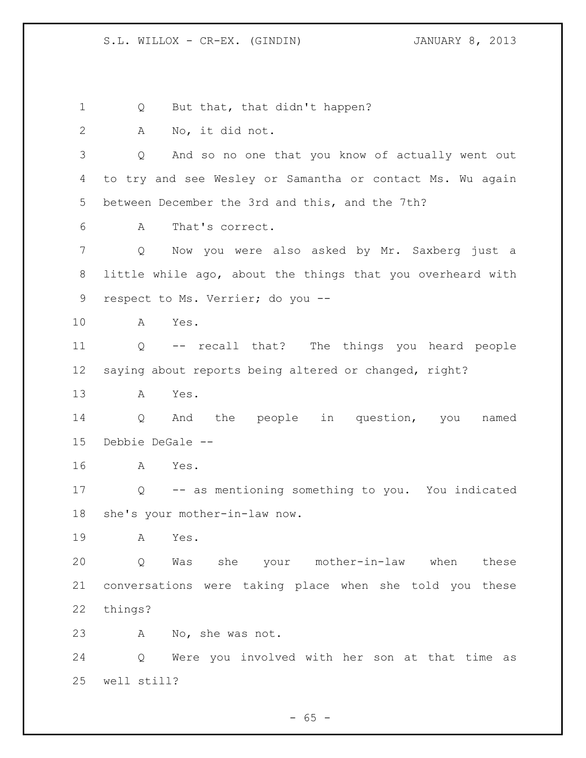1 Q But that, that didn't happen? A No, it did not. Q And so no one that you know of actually went out to try and see Wesley or Samantha or contact Ms. Wu again between December the 3rd and this, and the 7th? A That's correct. Q Now you were also asked by Mr. Saxberg just a little while ago, about the things that you overheard with respect to Ms. Verrier; do you -- A Yes. Q -- recall that? The things you heard people saying about reports being altered or changed, right? A Yes. Q And the people in question, you named Debbie DeGale -- A Yes. Q -- as mentioning something to you. You indicated she's your mother-in-law now. A Yes. Q Was she your mother-in-law when these conversations were taking place when she told you these things? A No, she was not. Q Were you involved with her son at that time as well still?

 $- 65 -$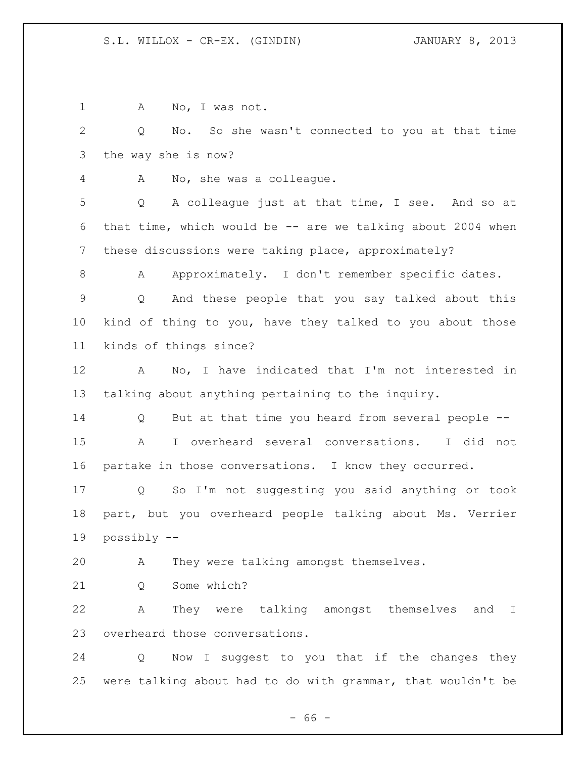| $\mathbf 1$  | No, I was not.<br>Α                                          |
|--------------|--------------------------------------------------------------|
| $\mathbf{2}$ | No. So she wasn't connected to you at that time<br>Q         |
| 3            | the way she is now?                                          |
| 4            | No, she was a colleague.<br>A                                |
| 5            | A colleague just at that time, I see. And so at<br>Q         |
| 6            | that time, which would be $-$ are we talking about 2004 when |
| 7            | these discussions were taking place, approximately?          |
| 8            | Approximately. I don't remember specific dates.<br>A         |
| $\mathsf 9$  | And these people that you say talked about this<br>Q         |
| 10           | kind of thing to you, have they talked to you about those    |
| 11           | kinds of things since?                                       |
| 12           | No, I have indicated that I'm not interested in<br>A         |
| 13           | talking about anything pertaining to the inquiry.            |
| 14           | But at that time you heard from several people --<br>Q       |
| 15           | I overheard several conversations.<br>I did not<br>A         |
| 16           | partake in those conversations. I know they occurred.        |
| 17           | So I'm not suggesting you said anything or took<br>Q         |
| 18           | part, but you overheard people talking about Ms. Verrier     |
| 19           | possibly --                                                  |
| 20           | They were talking amongst themselves.<br>A                   |
| 21           | Some which?<br>Q                                             |
| 22           | They were talking amongst themselves and I<br>Α              |
| 23           | overheard those conversations.                               |
| 24           | Now I suggest to you that if the changes they<br>Q           |
| 25           | were talking about had to do with grammar, that wouldn't be  |

- 66 -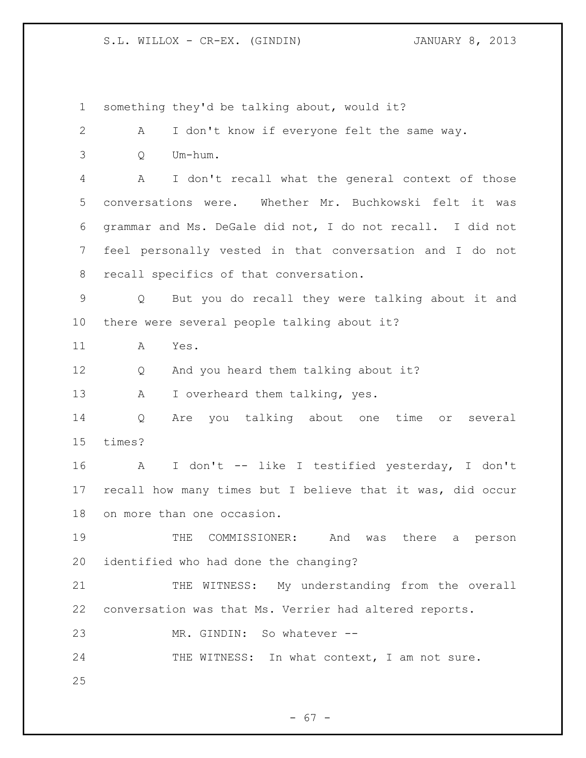S.L. WILLOX - CR-EX. (GINDIN) JANUARY 8, 2013

 something they'd be talking about, would it? A I don't know if everyone felt the same way. Q Um-hum. A I don't recall what the general context of those conversations were. Whether Mr. Buchkowski felt it was grammar and Ms. DeGale did not, I do not recall. I did not feel personally vested in that conversation and I do not recall specifics of that conversation. Q But you do recall they were talking about it and there were several people talking about it? A Yes. Q And you heard them talking about it? 13 A I overheard them talking, yes. Q Are you talking about one time or several times? A I don't -- like I testified yesterday, I don't recall how many times but I believe that it was, did occur on more than one occasion. 19 THE COMMISSIONER: And was there a person identified who had done the changing? 21 THE WITNESS: My understanding from the overall conversation was that Ms. Verrier had altered reports. MR. GINDIN: So whatever -- 24 THE WITNESS: In what context, I am not sure.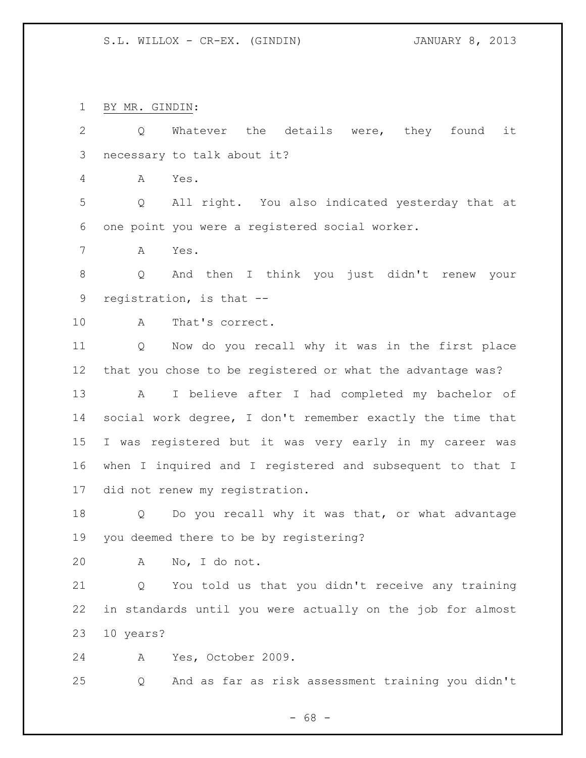BY MR. GINDIN:

 Q Whatever the details were, they found it necessary to talk about it?

A Yes.

 Q All right. You also indicated yesterday that at one point you were a registered social worker.

A Yes.

 Q And then I think you just didn't renew your registration, is that --

A That's correct.

 Q Now do you recall why it was in the first place that you chose to be registered or what the advantage was? A I believe after I had completed my bachelor of social work degree, I don't remember exactly the time that I was registered but it was very early in my career was when I inquired and I registered and subsequent to that I did not renew my registration.

 Q Do you recall why it was that, or what advantage you deemed there to be by registering?

A No, I do not.

 Q You told us that you didn't receive any training in standards until you were actually on the job for almost 10 years?

A Yes, October 2009.

Q And as far as risk assessment training you didn't

- 68 -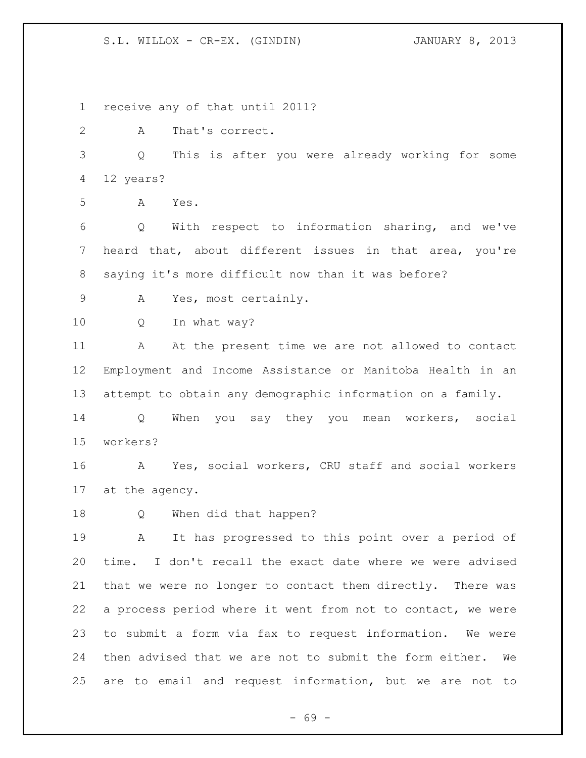S.L. WILLOX - CR-EX. (GINDIN) JANUARY 8, 2013

 receive any of that until 2011? A That's correct. Q This is after you were already working for some 12 years? A Yes. Q With respect to information sharing, and we've heard that, about different issues in that area, you're saying it's more difficult now than it was before? A Yes, most certainly. Q In what way? A At the present time we are not allowed to contact Employment and Income Assistance or Manitoba Health in an attempt to obtain any demographic information on a family. Q When you say they you mean workers, social workers? A Yes, social workers, CRU staff and social workers at the agency. Q When did that happen? A It has progressed to this point over a period of time. I don't recall the exact date where we were advised that we were no longer to contact them directly. There was a process period where it went from not to contact, we were to submit a form via fax to request information. We were then advised that we are not to submit the form either. We are to email and request information, but we are not to

- 69 -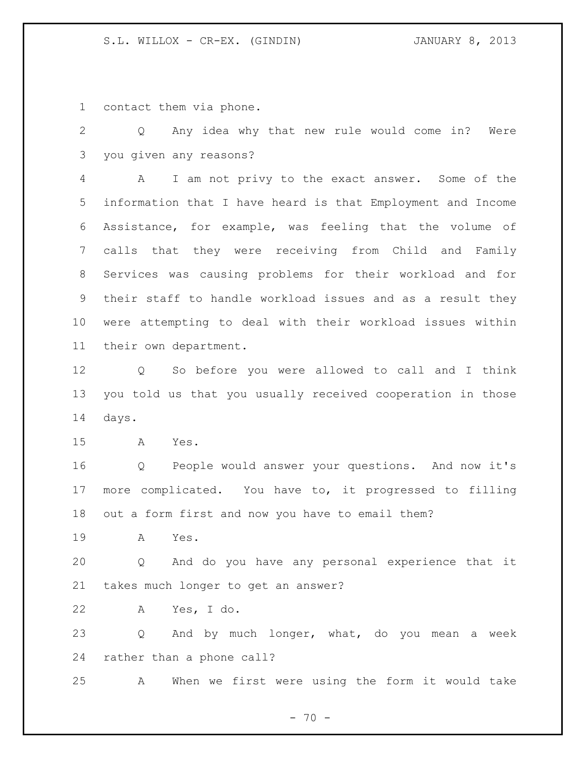contact them via phone.

 Q Any idea why that new rule would come in? Were you given any reasons?

 A I am not privy to the exact answer. Some of the information that I have heard is that Employment and Income Assistance, for example, was feeling that the volume of calls that they were receiving from Child and Family Services was causing problems for their workload and for their staff to handle workload issues and as a result they were attempting to deal with their workload issues within their own department.

 Q So before you were allowed to call and I think you told us that you usually received cooperation in those days.

A Yes.

 Q People would answer your questions. And now it's more complicated. You have to, it progressed to filling out a form first and now you have to email them?

A Yes.

 Q And do you have any personal experience that it takes much longer to get an answer?

A Yes, I do.

 Q And by much longer, what, do you mean a week rather than a phone call?

A When we first were using the form it would take

 $- 70 -$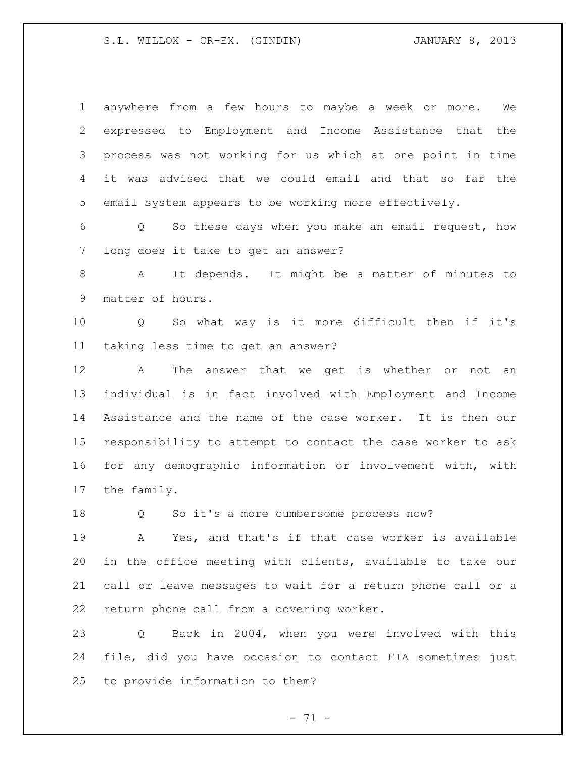## S.L. WILLOX - CR-EX. (GINDIN) JANUARY 8, 2013

| $\mathbf 1$ | anywhere from a few hours to maybe a week or more.<br>We           |
|-------------|--------------------------------------------------------------------|
| 2           | expressed to Employment and Income Assistance that the             |
| 3           | process was not working for us which at one point in time          |
| 4           | advised that we could email and that so far the<br>it was          |
| 5           | email system appears to be working more effectively.               |
| 6           | So these days when you make an email request, how<br>Q             |
| 7           | long does it take to get an answer?                                |
| 8           | It depends. It might be a matter of minutes to<br>A                |
| 9           | matter of hours.                                                   |
| 10          | So what way is it more difficult then if it's<br>$Q \qquad \qquad$ |
| 11          | taking less time to get an answer?                                 |
| 12          | The answer that we get is whether or<br>A<br>not an                |
| 13          | individual is in fact involved with Employment and Income          |
| 14          | Assistance and the name of the case worker. It is then our         |
| 15          | responsibility to attempt to contact the case worker to ask        |
| 16          | for any demographic information or involvement with, with          |
| 17          | the family.                                                        |
| 18          | So it's a more cumbersome process now?<br>Q                        |
| 19          | Yes, and that's if that case worker is available<br>A              |
| 20          | in the office meeting with clients, available to take our          |
| 21          | call or leave messages to wait for a return phone call or a        |
| 22          | return phone call from a covering worker.                          |
| 23          | Back in 2004, when you were involved with this<br>Q                |
| 24          | file, did you have occasion to contact EIA sometimes just          |
| 25          | to provide information to them?                                    |

- 71 -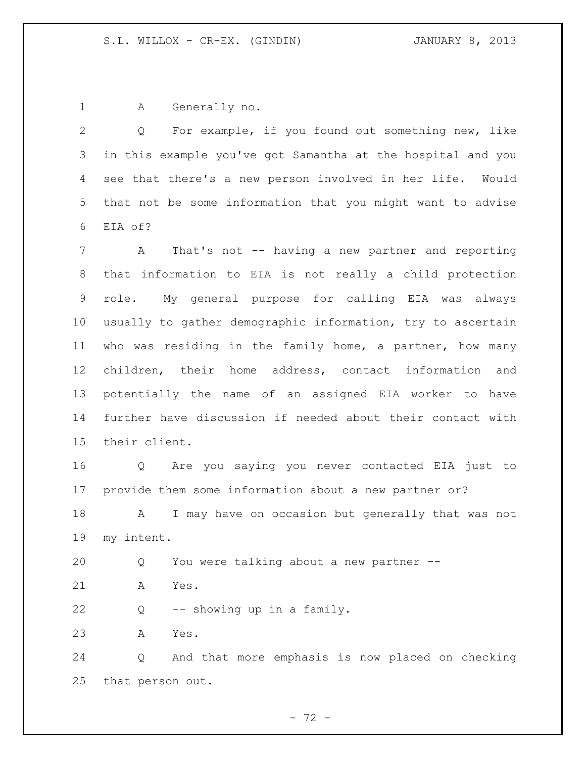A Generally no.

 Q For example, if you found out something new, like in this example you've got Samantha at the hospital and you see that there's a new person involved in her life. Would that not be some information that you might want to advise EIA of?

 A That's not -- having a new partner and reporting that information to EIA is not really a child protection role. My general purpose for calling EIA was always usually to gather demographic information, try to ascertain who was residing in the family home, a partner, how many children, their home address, contact information and potentially the name of an assigned EIA worker to have further have discussion if needed about their contact with their client.

 Q Are you saying you never contacted EIA just to provide them some information about a new partner or?

 A I may have on occasion but generally that was not my intent.

Q You were talking about a new partner --

A Yes.

Q -- showing up in a family.

A Yes.

 Q And that more emphasis is now placed on checking that person out.

- 72 -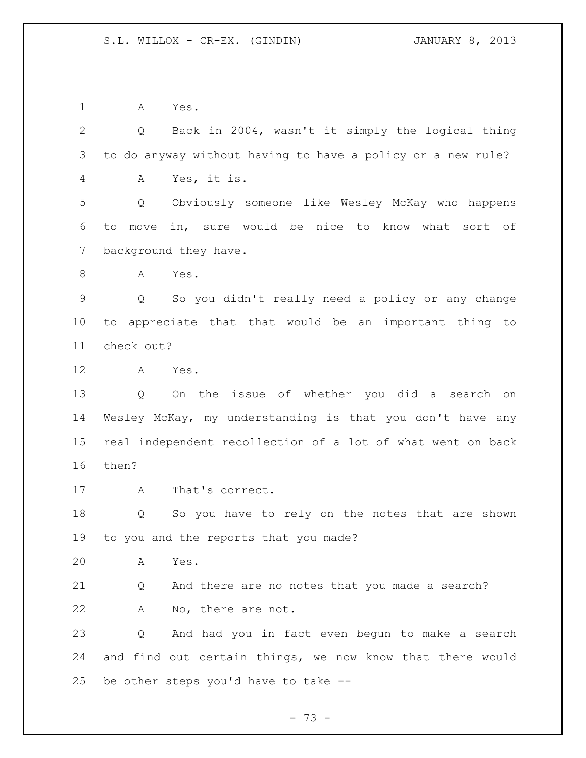A Yes.

 Q Back in 2004, wasn't it simply the logical thing to do anyway without having to have a policy or a new rule? A Yes, it is. Q Obviously someone like Wesley McKay who happens to move in, sure would be nice to know what sort of background they have. A Yes. Q So you didn't really need a policy or any change to appreciate that that would be an important thing to check out? A Yes. Q On the issue of whether you did a search on Wesley McKay, my understanding is that you don't have any real independent recollection of a lot of what went on back then? A That's correct. Q So you have to rely on the notes that are shown to you and the reports that you made? A Yes. Q And there are no notes that you made a search? A No, there are not. Q And had you in fact even begun to make a search and find out certain things, we now know that there would be other steps you'd have to take --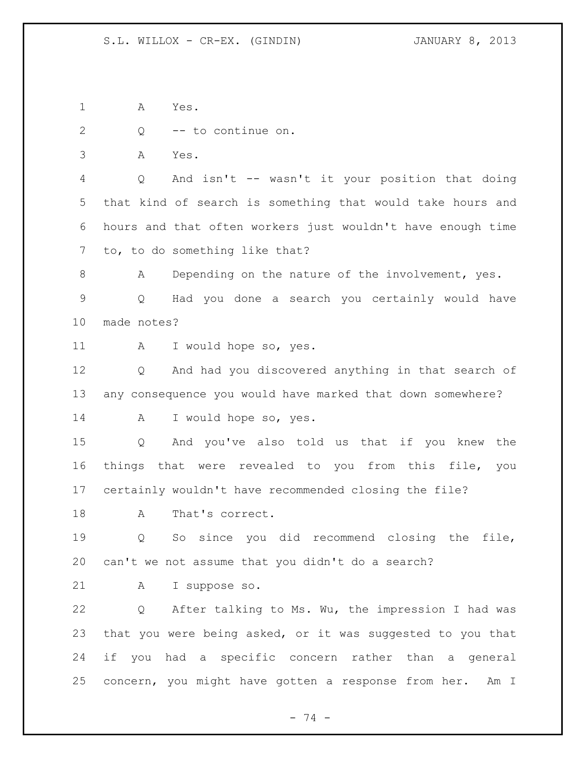A Yes.

Q -- to continue on.

A Yes.

 Q And isn't -- wasn't it your position that doing that kind of search is something that would take hours and hours and that often workers just wouldn't have enough time to, to do something like that?

8 A Depending on the nature of the involvement, yes. Q Had you done a search you certainly would have made notes?

A I would hope so, yes.

 Q And had you discovered anything in that search of any consequence you would have marked that down somewhere?

A I would hope so, yes.

 Q And you've also told us that if you knew the things that were revealed to you from this file, you certainly wouldn't have recommended closing the file?

18 A That's correct.

 Q So since you did recommend closing the file, can't we not assume that you didn't do a search?

A I suppose so.

 Q After talking to Ms. Wu, the impression I had was that you were being asked, or it was suggested to you that if you had a specific concern rather than a general concern, you might have gotten a response from her. Am I

- 74 -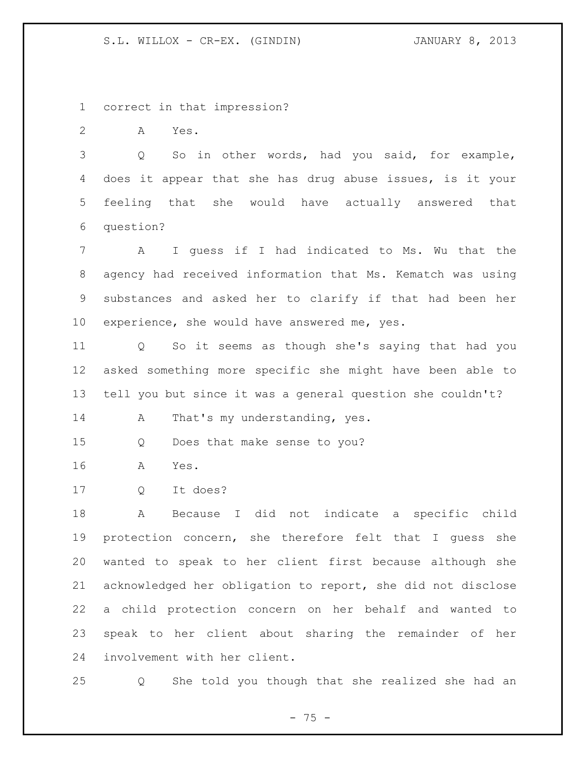S.L. WILLOX - CR-EX. (GINDIN) JANUARY 8, 2013

correct in that impression?

A Yes.

 Q So in other words, had you said, for example, does it appear that she has drug abuse issues, is it your feeling that she would have actually answered that question?

 A I guess if I had indicated to Ms. Wu that the agency had received information that Ms. Kematch was using substances and asked her to clarify if that had been her experience, she would have answered me, yes.

 Q So it seems as though she's saying that had you asked something more specific she might have been able to tell you but since it was a general question she couldn't?

14 A That's my understanding, yes.

Q Does that make sense to you?

- A Yes.
- Q It does?

 A Because I did not indicate a specific child protection concern, she therefore felt that I guess she wanted to speak to her client first because although she acknowledged her obligation to report, she did not disclose a child protection concern on her behalf and wanted to speak to her client about sharing the remainder of her involvement with her client.

Q She told you though that she realized she had an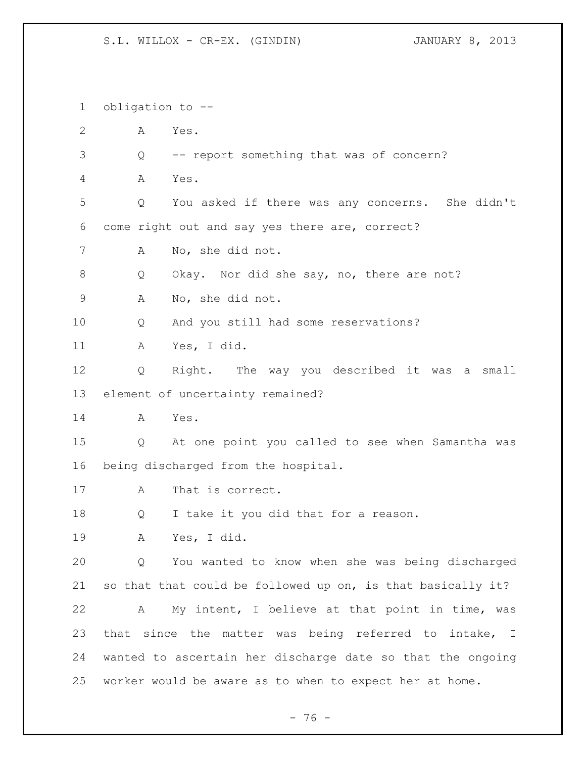S.L. WILLOX - CR-EX. (GINDIN) JANUARY 8, 2013

 obligation to -- A Yes. Q -- report something that was of concern? A Yes. Q You asked if there was any concerns. She didn't come right out and say yes there are, correct? A No, she did not. 8 Q Okay. Nor did she say, no, there are not? A No, she did not. Q And you still had some reservations? A Yes, I did. Q Right. The way you described it was a small element of uncertainty remained? A Yes. Q At one point you called to see when Samantha was being discharged from the hospital. A That is correct. Q I take it you did that for a reason. A Yes, I did. Q You wanted to know when she was being discharged so that that could be followed up on, is that basically it? A My intent, I believe at that point in time, was that since the matter was being referred to intake, I wanted to ascertain her discharge date so that the ongoing worker would be aware as to when to expect her at home.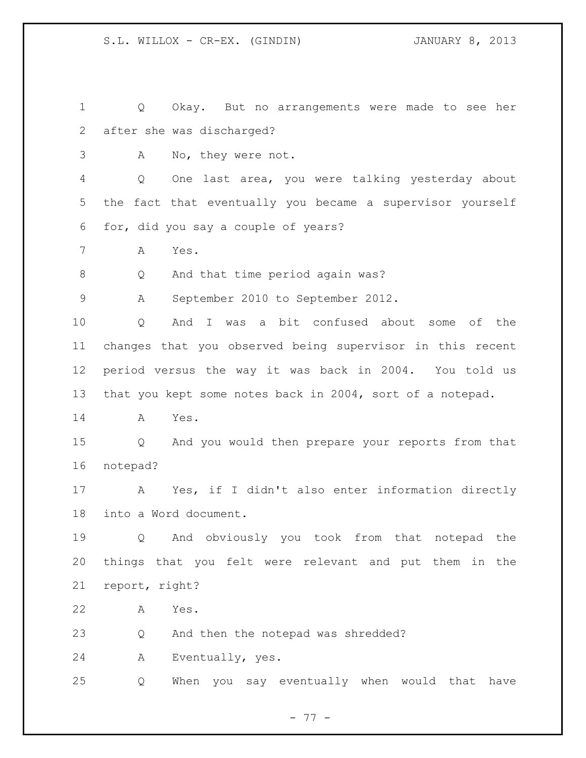Q Okay. But no arrangements were made to see her after she was discharged? A No, they were not. Q One last area, you were talking yesterday about the fact that eventually you became a supervisor yourself for, did you say a couple of years? A Yes. Q And that time period again was? A September 2010 to September 2012. Q And I was a bit confused about some of the changes that you observed being supervisor in this recent period versus the way it was back in 2004. You told us that you kept some notes back in 2004, sort of a notepad. A Yes. Q And you would then prepare your reports from that notepad? A Yes, if I didn't also enter information directly into a Word document. Q And obviously you took from that notepad the things that you felt were relevant and put them in the report, right? A Yes. Q And then the notepad was shredded? A Eventually, yes. Q When you say eventually when would that have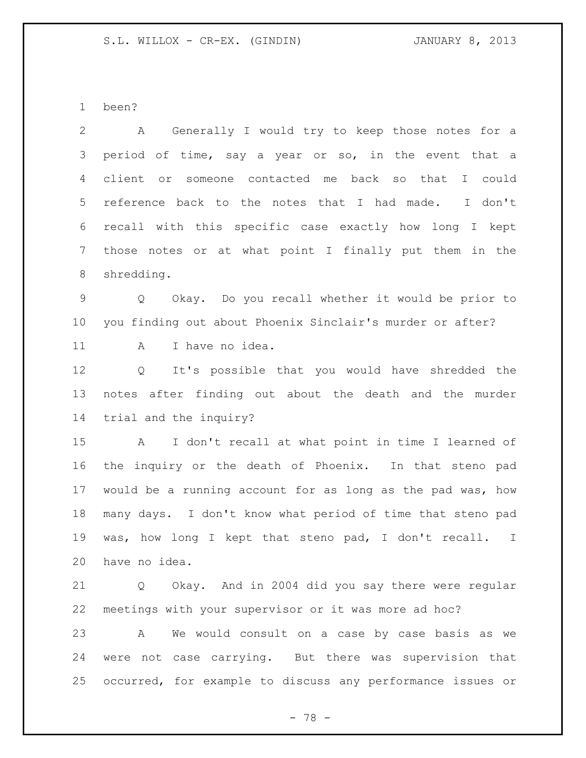been?

 A Generally I would try to keep those notes for a period of time, say a year or so, in the event that a client or someone contacted me back so that I could reference back to the notes that I had made. I don't recall with this specific case exactly how long I kept those notes or at what point I finally put them in the shredding. Q Okay. Do you recall whether it would be prior to you finding out about Phoenix Sinclair's murder or after? 11 A I have no idea. Q It's possible that you would have shredded the notes after finding out about the death and the murder trial and the inquiry? A I don't recall at what point in time I learned of the inquiry or the death of Phoenix. In that steno pad would be a running account for as long as the pad was, how many days. I don't know what period of time that steno pad was, how long I kept that steno pad, I don't recall. I have no idea. Q Okay. And in 2004 did you say there were regular meetings with your supervisor or it was more ad hoc?

 A We would consult on a case by case basis as we were not case carrying. But there was supervision that occurred, for example to discuss any performance issues or

- 78 -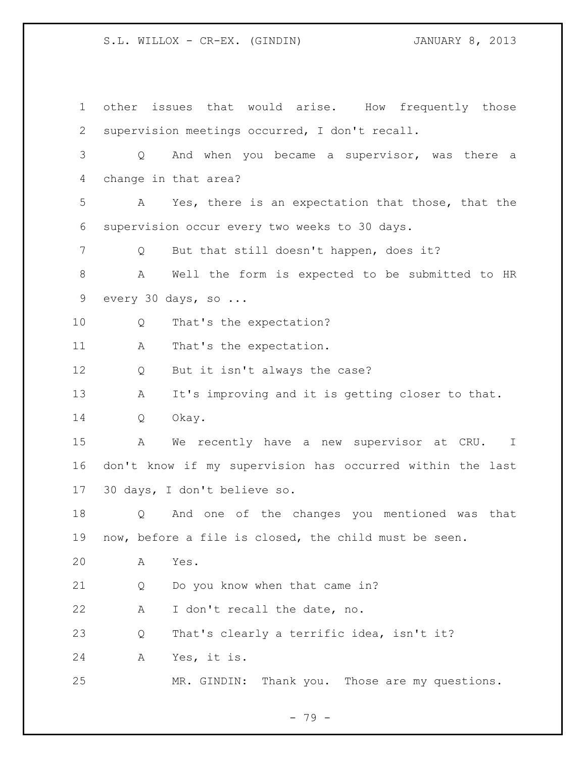S.L. WILLOX - CR-EX. (GINDIN)  $JANUARY 8$ , 2013

| $\mathbf 1$   |   | other issues that would arise. How frequently those       |
|---------------|---|-----------------------------------------------------------|
| 2             |   | supervision meetings occurred, I don't recall.            |
| $\mathcal{S}$ | Q | And when you became a supervisor, was there a             |
| 4             |   | change in that area?                                      |
| 5             | A | Yes, there is an expectation that those, that the         |
| 6             |   | supervision occur every two weeks to 30 days.             |
| 7             | Q | But that still doesn't happen, does it?                   |
| $\,8\,$       | Α | Well the form is expected to be submitted to HR           |
| 9             |   | every 30 days, so                                         |
| 10            | Q | That's the expectation?                                   |
| 11            | A | That's the expectation.                                   |
| 12            | Q | But it isn't always the case?                             |
| 13            | A | It's improving and it is getting closer to that.          |
| 14            | Q | Okay.                                                     |
| 15            | Α | We recently have a new supervisor at CRU. I               |
| 16            |   | don't know if my supervision has occurred within the last |
| 17            |   | 30 days, I don't believe so.                              |
| 18            | Q | And one of the changes you mentioned was that             |
| 19            |   | now, before a file is closed, the child must be seen.     |
| 20            | А | Yes.                                                      |
| 21            | Q | Do you know when that came in?                            |
| 22            | А | I don't recall the date, no.                              |
| 23            | Q | That's clearly a terrific idea, isn't it?                 |
| 24            | Α | Yes, it is.                                               |
| 25            |   | Thank you. Those are my questions.<br>MR. GINDIN:         |

- 79 -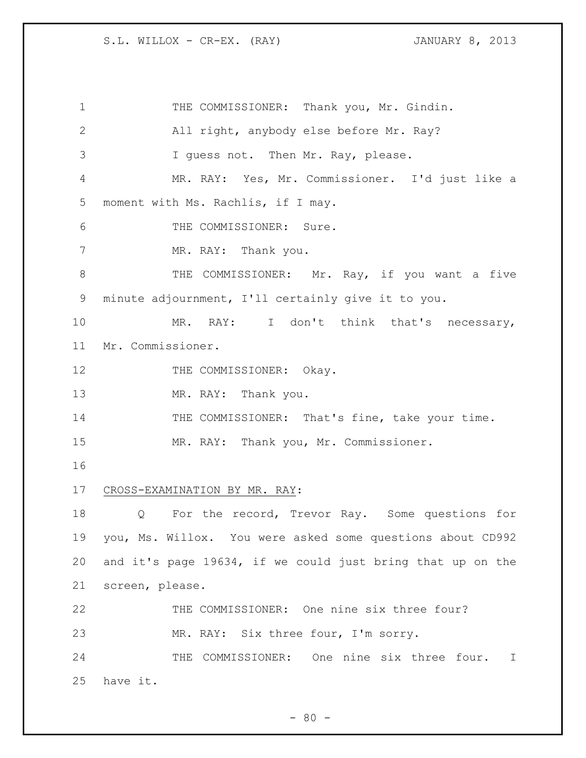1 THE COMMISSIONER: Thank you, Mr. Gindin. 2 All right, anybody else before Mr. Ray? 3 I guess not. Then Mr. Ray, please. 4 MR. RAY: Yes, Mr. Commissioner. I'd just like a 5 moment with Ms. Rachlis, if I may. 6 THE COMMISSIONER: Sure. 7 MR. RAY: Thank you. 8 THE COMMISSIONER: Mr. Ray, if you want a five 9 minute adjournment, I'll certainly give it to you. 10 MR. RAY: I don't think that's necessary, 11 Mr. Commissioner. 12 THE COMMISSIONER: Okay. 13 MR. RAY: Thank you. 14 THE COMMISSIONER: That's fine, take your time. 15 MR. RAY: Thank you, Mr. Commissioner. 16 17 CROSS-EXAMINATION BY MR. RAY: 18 Q For the record, Trevor Ray. Some questions for 19 you, Ms. Willox. You were asked some questions about CD992 20 and it's page 19634, if we could just bring that up on the 21 screen, please. 22 THE COMMISSIONER: One nine six three four? 23 MR. RAY: Six three four, I'm sorry. 24 THE COMMISSIONER: One nine six three four. I 25 have it.

 $- 80 -$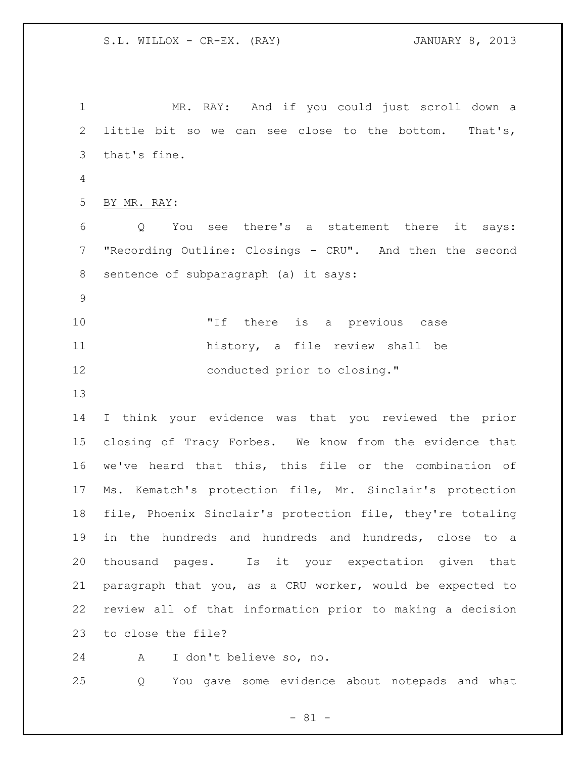MR. RAY: And if you could just scroll down a little bit so we can see close to the bottom. That's, that's fine. BY MR. RAY: Q You see there's a statement there it says: "Recording Outline: Closings - CRU". And then the second sentence of subparagraph (a) it says: "If there is a previous case history, a file review shall be 12 conducted prior to closing." I think your evidence was that you reviewed the prior closing of Tracy Forbes. We know from the evidence that we've heard that this, this file or the combination of Ms. Kematch's protection file, Mr. Sinclair's protection file, Phoenix Sinclair's protection file, they're totaling in the hundreds and hundreds and hundreds, close to a thousand pages. Is it your expectation given that paragraph that you, as a CRU worker, would be expected to review all of that information prior to making a decision to close the file?

A I don't believe so, no.

Q You gave some evidence about notepads and what

 $- 81 -$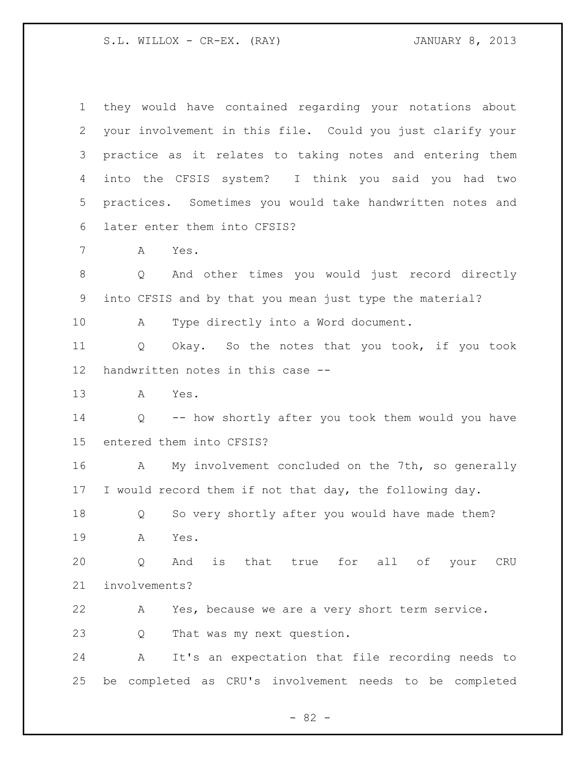S.L. WILLOX - CR-EX. (RAY) 3.1 JANUARY 8, 2013

| $\mathbf 1$ | they would have contained regarding your notations about   |
|-------------|------------------------------------------------------------|
| 2           | your involvement in this file. Could you just clarify your |
| 3           | practice as it relates to taking notes and entering them   |
| 4           | into the CFSIS system? I think you said you had two        |
| 5           | practices. Sometimes you would take handwritten notes and  |
| 6           | later enter them into CFSIS?                               |
| 7           | A<br>Yes.                                                  |
| 8           | And other times you would just record directly<br>Q        |
| $\mathsf 9$ | into CFSIS and by that you mean just type the material?    |
| 10          | Type directly into a Word document.<br>A                   |
| 11          | Okay. So the notes that you took, if you took<br>Q         |
| 12          | handwritten notes in this case --                          |
| 13          | Yes.<br>A                                                  |
| 14          | Q -- how shortly after you took them would you have        |
| 15          | entered them into CFSIS?                                   |
| 16          | My involvement concluded on the 7th, so generally<br>A     |
| 17          | I would record them if not that day, the following day.    |
| 18          | So very shortly after you would have made them?<br>Q       |
| 19          | Yes.<br>A                                                  |
| 20          | is that true for all of your<br>Q<br>And<br>CRU            |
| 21          | involvements?                                              |
| 22          | Yes, because we are a very short term service.<br>A        |
| 23          | That was my next question.<br>Q                            |
| 24          | It's an expectation that file recording needs to<br>Α      |
| 25          | completed as CRU's involvement needs to be completed<br>be |

- 82 -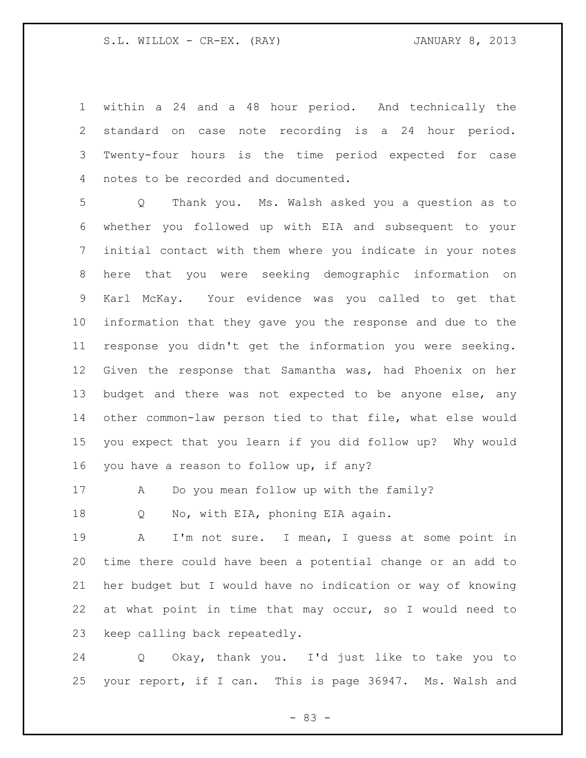within a 24 and a 48 hour period. And technically the standard on case note recording is a 24 hour period. Twenty-four hours is the time period expected for case notes to be recorded and documented.

 Q Thank you. Ms. Walsh asked you a question as to whether you followed up with EIA and subsequent to your initial contact with them where you indicate in your notes here that you were seeking demographic information on Karl McKay. Your evidence was you called to get that information that they gave you the response and due to the response you didn't get the information you were seeking. Given the response that Samantha was, had Phoenix on her budget and there was not expected to be anyone else, any other common-law person tied to that file, what else would you expect that you learn if you did follow up? Why would you have a reason to follow up, if any?

A Do you mean follow up with the family?

18 Q No, with EIA, phoning EIA again.

 A I'm not sure. I mean, I guess at some point in time there could have been a potential change or an add to her budget but I would have no indication or way of knowing at what point in time that may occur, so I would need to keep calling back repeatedly.

 Q Okay, thank you. I'd just like to take you to your report, if I can. This is page 36947. Ms. Walsh and

 $- 83 -$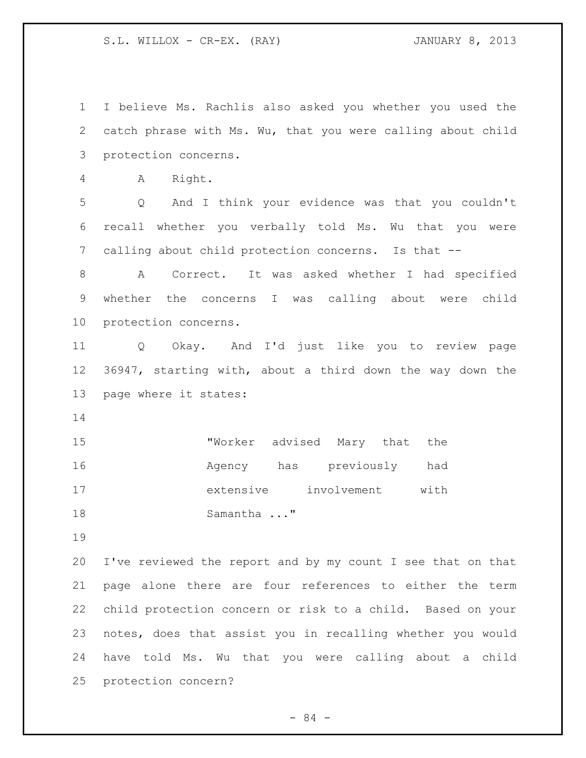S.L. WILLOX - CR-EX. (RAY) JANUARY 8, 2013

 I believe Ms. Rachlis also asked you whether you used the catch phrase with Ms. Wu, that you were calling about child protection concerns. A Right. Q And I think your evidence was that you couldn't recall whether you verbally told Ms. Wu that you were calling about child protection concerns. Is that -- A Correct. It was asked whether I had specified whether the concerns I was calling about were child protection concerns. Q Okay. And I'd just like you to review page 36947, starting with, about a third down the way down the page where it states: "Worker advised Mary that the Agency has previously had extensive involvement with 18 Samantha ..." I've reviewed the report and by my count I see that on that page alone there are four references to either the term child protection concern or risk to a child. Based on your notes, does that assist you in recalling whether you would have told Ms. Wu that you were calling about a child protection concern?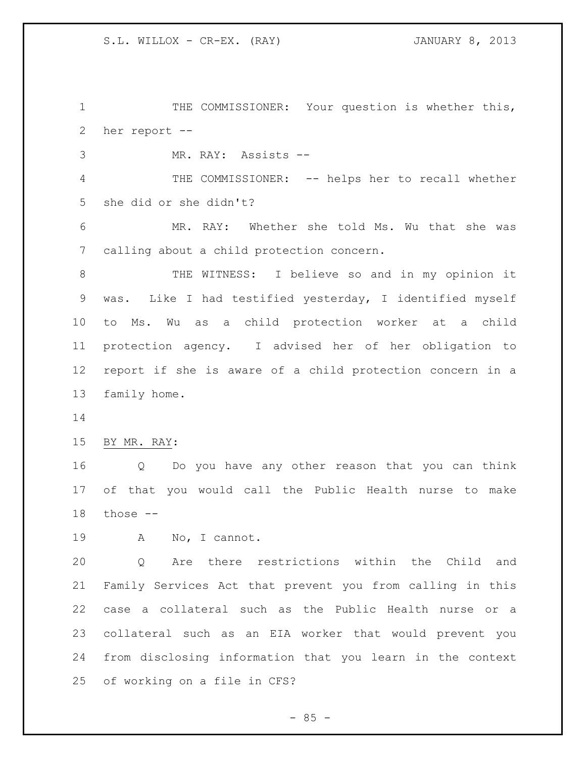1 THE COMMISSIONER: Your question is whether this, her report --

MR. RAY: Assists --

 THE COMMISSIONER: -- helps her to recall whether she did or she didn't?

 MR. RAY: Whether she told Ms. Wu that she was calling about a child protection concern.

 THE WITNESS: I believe so and in my opinion it was. Like I had testified yesterday, I identified myself to Ms. Wu as a child protection worker at a child protection agency. I advised her of her obligation to report if she is aware of a child protection concern in a family home.

BY MR. RAY:

 Q Do you have any other reason that you can think of that you would call the Public Health nurse to make those --

A No, I cannot.

 Q Are there restrictions within the Child and Family Services Act that prevent you from calling in this case a collateral such as the Public Health nurse or a collateral such as an EIA worker that would prevent you from disclosing information that you learn in the context of working on a file in CFS?

 $-85 -$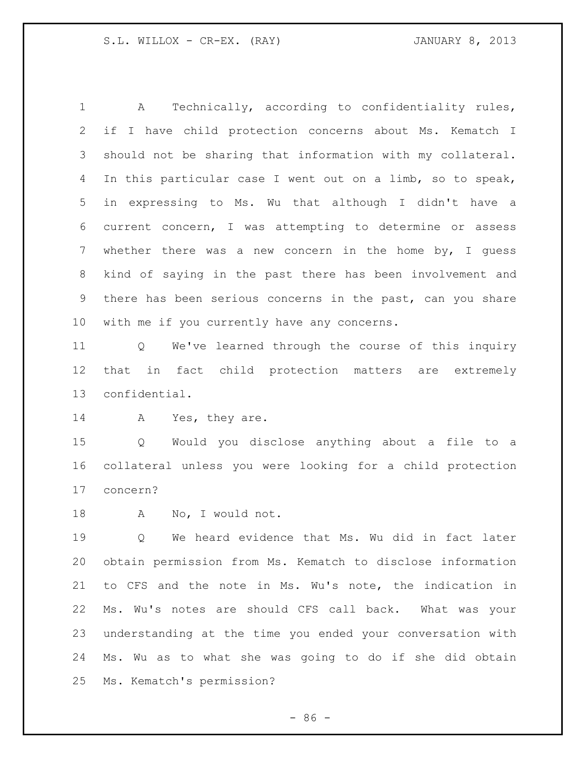A Technically, according to confidentiality rules, if I have child protection concerns about Ms. Kematch I should not be sharing that information with my collateral. In this particular case I went out on a limb, so to speak, in expressing to Ms. Wu that although I didn't have a current concern, I was attempting to determine or assess whether there was a new concern in the home by, I guess kind of saying in the past there has been involvement and there has been serious concerns in the past, can you share with me if you currently have any concerns.

 Q We've learned through the course of this inquiry that in fact child protection matters are extremely confidential.

14 A Yes, they are.

 Q Would you disclose anything about a file to a collateral unless you were looking for a child protection concern?

A No, I would not.

 Q We heard evidence that Ms. Wu did in fact later obtain permission from Ms. Kematch to disclose information to CFS and the note in Ms. Wu's note, the indication in Ms. Wu's notes are should CFS call back. What was your understanding at the time you ended your conversation with Ms. Wu as to what she was going to do if she did obtain Ms. Kematch's permission?

 $-86 -$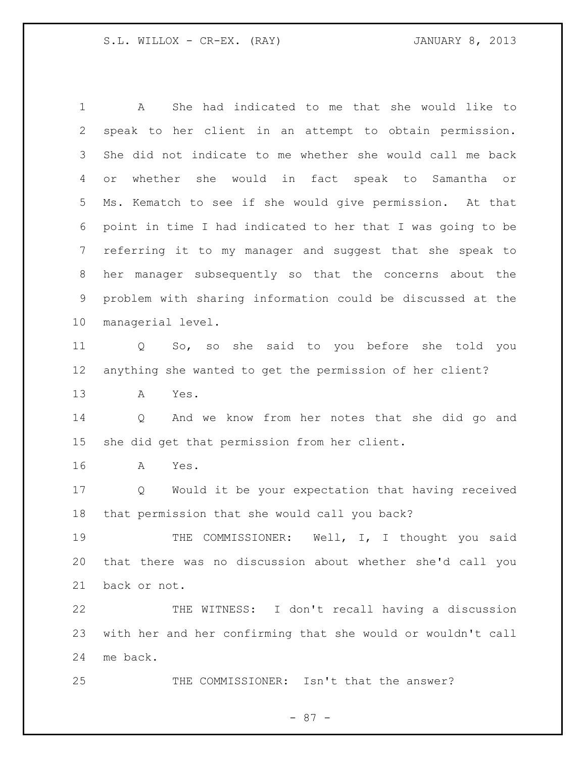A She had indicated to me that she would like to speak to her client in an attempt to obtain permission. She did not indicate to me whether she would call me back or whether she would in fact speak to Samantha or Ms. Kematch to see if she would give permission. At that point in time I had indicated to her that I was going to be referring it to my manager and suggest that she speak to her manager subsequently so that the concerns about the problem with sharing information could be discussed at the managerial level. Q So, so she said to you before she told you anything she wanted to get the permission of her client? A Yes. Q And we know from her notes that she did go and she did get that permission from her client. A Yes. Q Would it be your expectation that having received that permission that she would call you back? THE COMMISSIONER: Well, I, I thought you said that there was no discussion about whether she'd call you back or not. THE WITNESS: I don't recall having a discussion with her and her confirming that she would or wouldn't call me back. THE COMMISSIONER: Isn't that the answer?

- 87 -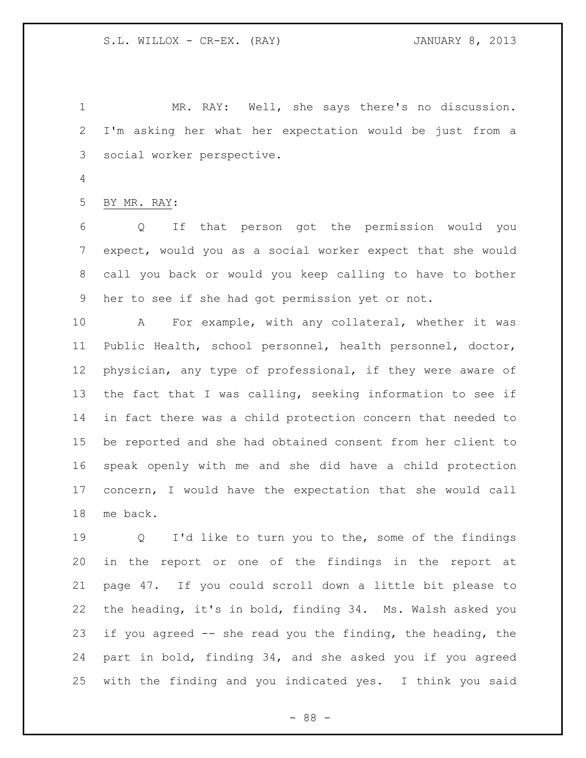MR. RAY: Well, she says there's no discussion. I'm asking her what her expectation would be just from a social worker perspective.

BY MR. RAY:

 Q If that person got the permission would you expect, would you as a social worker expect that she would call you back or would you keep calling to have to bother her to see if she had got permission yet or not.

 A For example, with any collateral, whether it was Public Health, school personnel, health personnel, doctor, physician, any type of professional, if they were aware of the fact that I was calling, seeking information to see if in fact there was a child protection concern that needed to be reported and she had obtained consent from her client to speak openly with me and she did have a child protection concern, I would have the expectation that she would call me back.

 Q I'd like to turn you to the, some of the findings in the report or one of the findings in the report at page 47. If you could scroll down a little bit please to the heading, it's in bold, finding 34. Ms. Walsh asked you if you agreed -- she read you the finding, the heading, the part in bold, finding 34, and she asked you if you agreed with the finding and you indicated yes. I think you said

- 88 -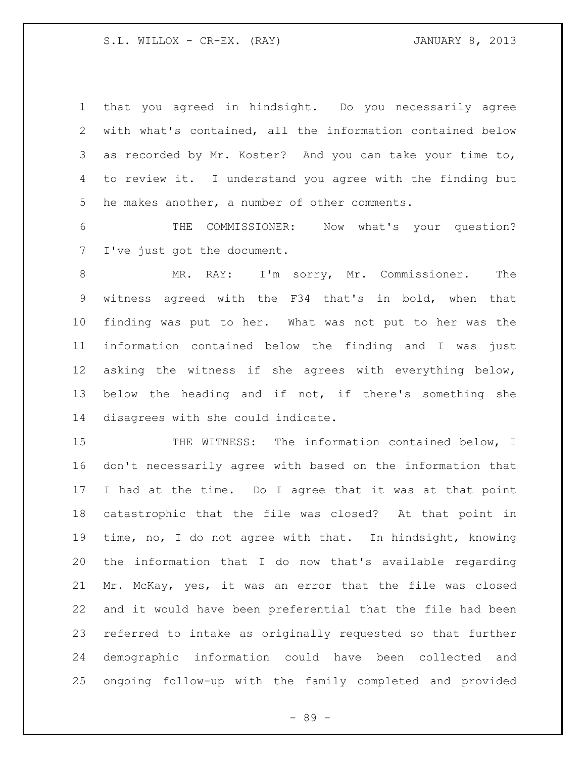S.L. WILLOX - CR-EX. (RAY) JANUARY 8, 2013

 that you agreed in hindsight. Do you necessarily agree with what's contained, all the information contained below as recorded by Mr. Koster? And you can take your time to, to review it. I understand you agree with the finding but he makes another, a number of other comments.

 THE COMMISSIONER: Now what's your question? I've just got the document.

 MR. RAY: I'm sorry, Mr. Commissioner. The witness agreed with the F34 that's in bold, when that finding was put to her. What was not put to her was the information contained below the finding and I was just asking the witness if she agrees with everything below, below the heading and if not, if there's something she disagrees with she could indicate.

15 THE WITNESS: The information contained below, I don't necessarily agree with based on the information that I had at the time. Do I agree that it was at that point catastrophic that the file was closed? At that point in time, no, I do not agree with that. In hindsight, knowing the information that I do now that's available regarding Mr. McKay, yes, it was an error that the file was closed and it would have been preferential that the file had been referred to intake as originally requested so that further demographic information could have been collected and ongoing follow-up with the family completed and provided

- 89 -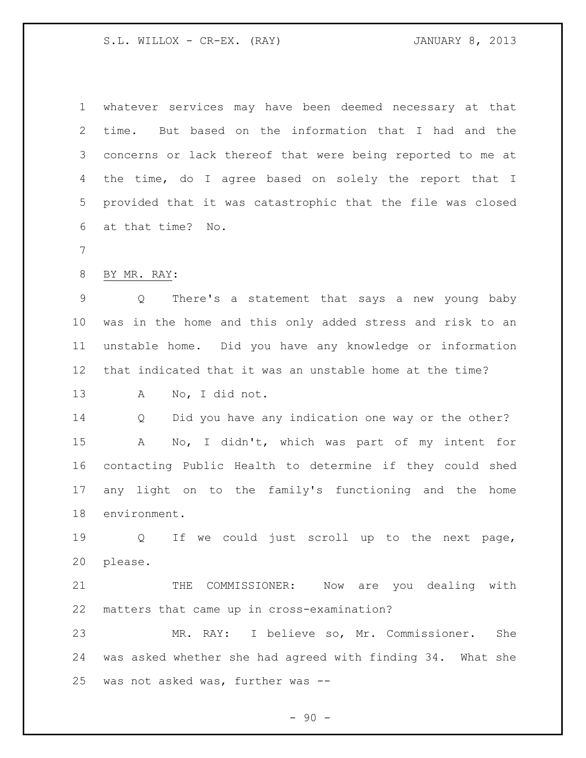S.L. WILLOX - CR-EX. (RAY) JANUARY 8, 2013

 whatever services may have been deemed necessary at that time. But based on the information that I had and the concerns or lack thereof that were being reported to me at the time, do I agree based on solely the report that I provided that it was catastrophic that the file was closed at that time? No. BY MR. RAY: Q There's a statement that says a new young baby was in the home and this only added stress and risk to an unstable home. Did you have any knowledge or information that indicated that it was an unstable home at the time? A No, I did not. Q Did you have any indication one way or the other? A No, I didn't, which was part of my intent for contacting Public Health to determine if they could shed any light on to the family's functioning and the home environment. Q If we could just scroll up to the next page, please. THE COMMISSIONER: Now are you dealing with matters that came up in cross-examination? MR. RAY: I believe so, Mr. Commissioner. She was asked whether she had agreed with finding 34. What she was not asked was, further was --

 $-90 -$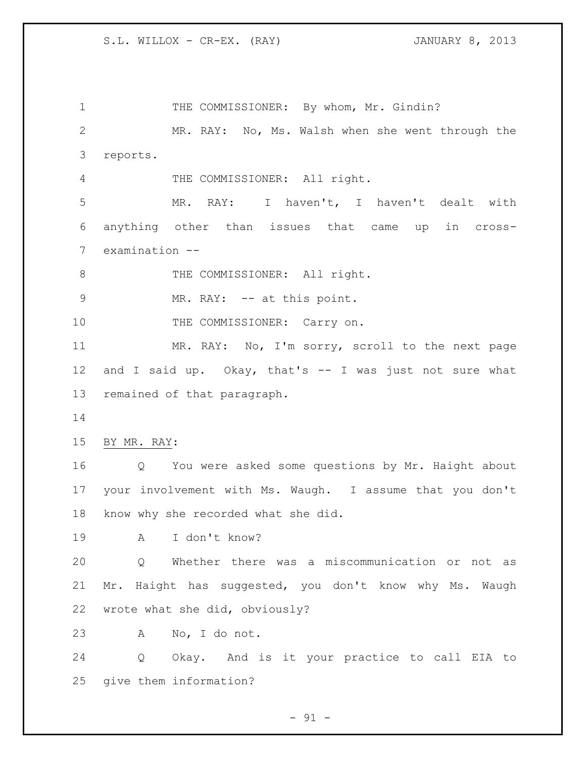1 THE COMMISSIONER: By whom, Mr. Gindin? MR. RAY: No, Ms. Walsh when she went through the reports. THE COMMISSIONER: All right. MR. RAY: I haven't, I haven't dealt with anything other than issues that came up in cross- examination -- 8 THE COMMISSIONER: All right. 9 MR. RAY: -- at this point. 10 THE COMMISSIONER: Carry on. MR. RAY: No, I'm sorry, scroll to the next page and I said up. Okay, that's -- I was just not sure what remained of that paragraph. BY MR. RAY: Q You were asked some questions by Mr. Haight about your involvement with Ms. Waugh. I assume that you don't know why she recorded what she did. A I don't know? Q Whether there was a miscommunication or not as Mr. Haight has suggested, you don't know why Ms. Waugh wrote what she did, obviously? A No, I do not. Q Okay. And is it your practice to call EIA to give them information?

 $-91 -$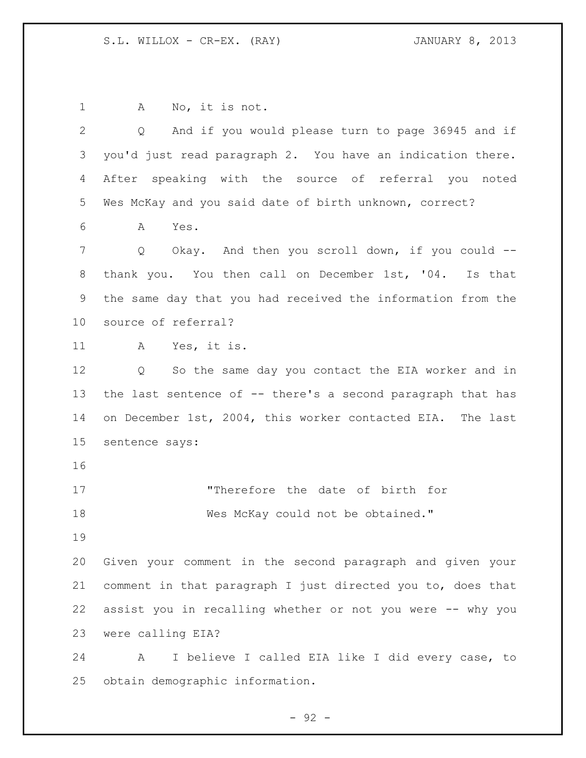A No, it is not. Q And if you would please turn to page 36945 and if you'd just read paragraph 2. You have an indication there. After speaking with the source of referral you noted Wes McKay and you said date of birth unknown, correct? A Yes. Q Okay. And then you scroll down, if you could -- thank you. You then call on December 1st, '04. Is that the same day that you had received the information from the source of referral? A Yes, it is. Q So the same day you contact the EIA worker and in 13 the last sentence of -- there's a second paragraph that has on December 1st, 2004, this worker contacted EIA. The last sentence says: "Therefore the date of birth for 18 Mes McKay could not be obtained." Given your comment in the second paragraph and given your comment in that paragraph I just directed you to, does that assist you in recalling whether or not you were -- why you were calling EIA? A I believe I called EIA like I did every case, to obtain demographic information.

 $-92 -$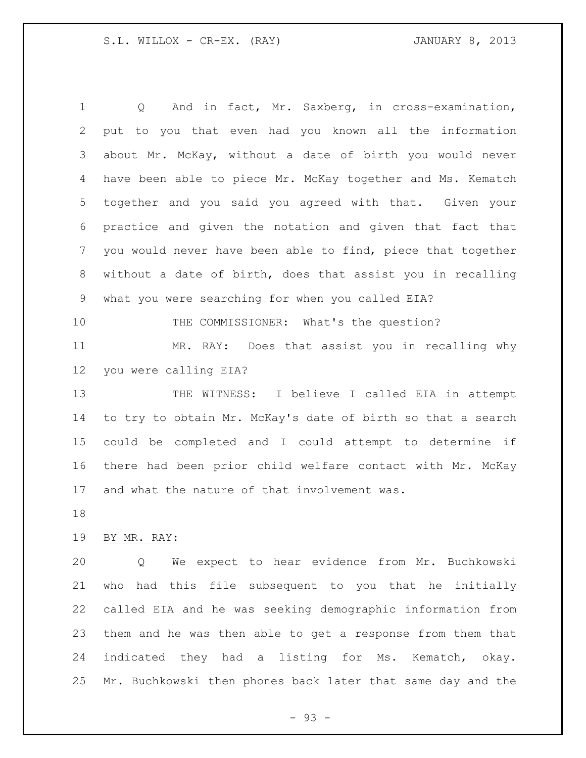Q And in fact, Mr. Saxberg, in cross-examination, put to you that even had you known all the information about Mr. McKay, without a date of birth you would never have been able to piece Mr. McKay together and Ms. Kematch together and you said you agreed with that. Given your practice and given the notation and given that fact that you would never have been able to find, piece that together without a date of birth, does that assist you in recalling what you were searching for when you called EIA? THE COMMISSIONER: What's the question? MR. RAY: Does that assist you in recalling why you were calling EIA? THE WITNESS: I believe I called EIA in attempt to try to obtain Mr. McKay's date of birth so that a search could be completed and I could attempt to determine if there had been prior child welfare contact with Mr. McKay and what the nature of that involvement was. BY MR. RAY: Q We expect to hear evidence from Mr. Buchkowski who had this file subsequent to you that he initially called EIA and he was seeking demographic information from them and he was then able to get a response from them that

Mr. Buchkowski then phones back later that same day and the

indicated they had a listing for Ms. Kematch, okay.

- 93 -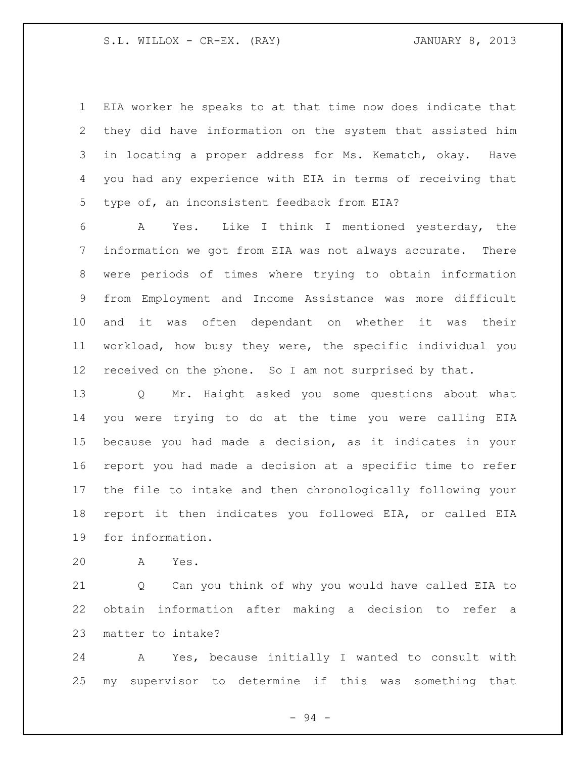EIA worker he speaks to at that time now does indicate that they did have information on the system that assisted him in locating a proper address for Ms. Kematch, okay. Have you had any experience with EIA in terms of receiving that type of, an inconsistent feedback from EIA?

 A Yes. Like I think I mentioned yesterday, the information we got from EIA was not always accurate. There were periods of times where trying to obtain information from Employment and Income Assistance was more difficult and it was often dependant on whether it was their workload, how busy they were, the specific individual you received on the phone. So I am not surprised by that.

 Q Mr. Haight asked you some questions about what you were trying to do at the time you were calling EIA because you had made a decision, as it indicates in your report you had made a decision at a specific time to refer the file to intake and then chronologically following your report it then indicates you followed EIA, or called EIA for information.

A Yes.

 Q Can you think of why you would have called EIA to obtain information after making a decision to refer a matter to intake?

 A Yes, because initially I wanted to consult with my supervisor to determine if this was something that

- 94 -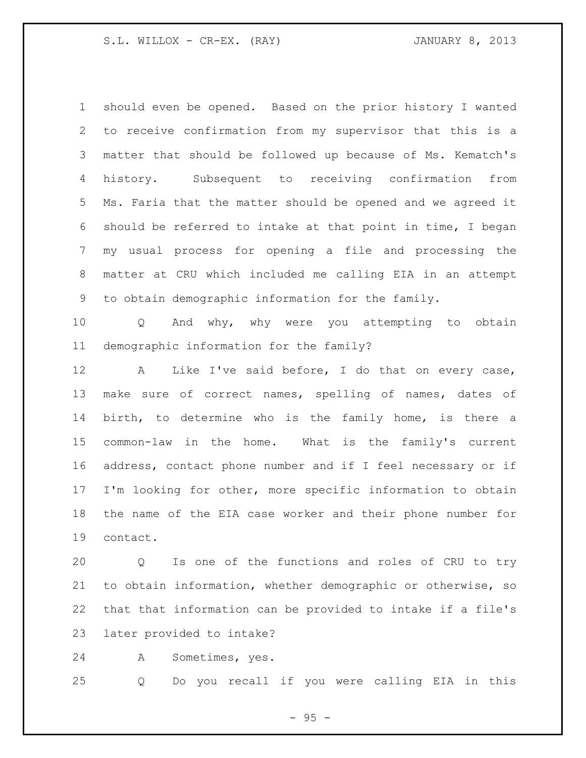S.L. WILLOX - CR-EX. (RAY) JANUARY 8, 2013

 should even be opened. Based on the prior history I wanted to receive confirmation from my supervisor that this is a matter that should be followed up because of Ms. Kematch's history. Subsequent to receiving confirmation from Ms. Faria that the matter should be opened and we agreed it should be referred to intake at that point in time, I began my usual process for opening a file and processing the matter at CRU which included me calling EIA in an attempt to obtain demographic information for the family.

 Q And why, why were you attempting to obtain demographic information for the family?

 A Like I've said before, I do that on every case, make sure of correct names, spelling of names, dates of birth, to determine who is the family home, is there a common-law in the home. What is the family's current address, contact phone number and if I feel necessary or if I'm looking for other, more specific information to obtain the name of the EIA case worker and their phone number for contact.

 Q Is one of the functions and roles of CRU to try to obtain information, whether demographic or otherwise, so that that information can be provided to intake if a file's later provided to intake?

A Sometimes, yes.

Q Do you recall if you were calling EIA in this

- 95 -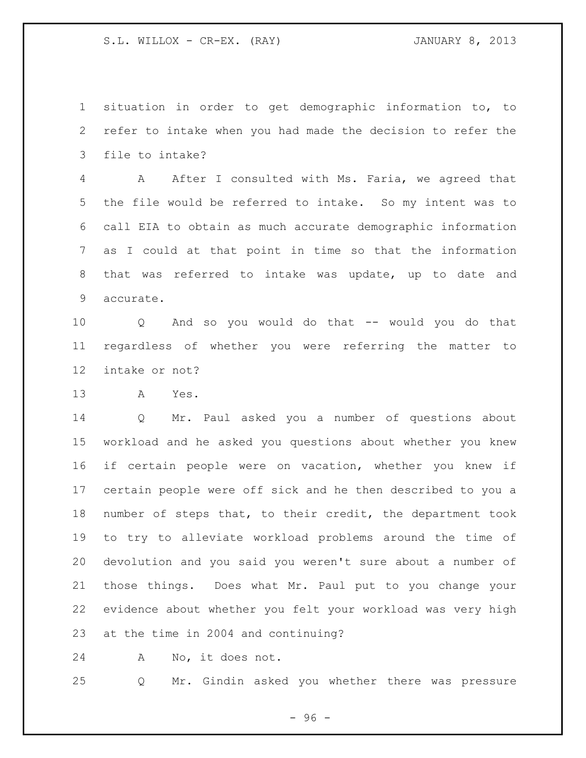situation in order to get demographic information to, to refer to intake when you had made the decision to refer the file to intake?

 A After I consulted with Ms. Faria, we agreed that the file would be referred to intake. So my intent was to call EIA to obtain as much accurate demographic information as I could at that point in time so that the information that was referred to intake was update, up to date and accurate.

 Q And so you would do that -- would you do that regardless of whether you were referring the matter to intake or not?

A Yes.

 Q Mr. Paul asked you a number of questions about workload and he asked you questions about whether you knew if certain people were on vacation, whether you knew if certain people were off sick and he then described to you a number of steps that, to their credit, the department took to try to alleviate workload problems around the time of devolution and you said you weren't sure about a number of those things. Does what Mr. Paul put to you change your evidence about whether you felt your workload was very high at the time in 2004 and continuing?

A No, it does not.

Q Mr. Gindin asked you whether there was pressure

- 96 -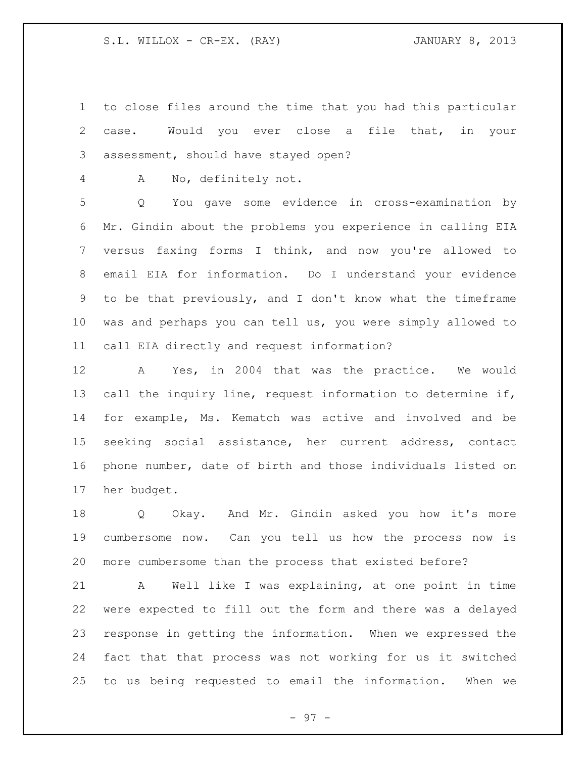to close files around the time that you had this particular case. Would you ever close a file that, in your assessment, should have stayed open?

A No, definitely not.

 Q You gave some evidence in cross-examination by Mr. Gindin about the problems you experience in calling EIA versus faxing forms I think, and now you're allowed to email EIA for information. Do I understand your evidence to be that previously, and I don't know what the timeframe was and perhaps you can tell us, you were simply allowed to call EIA directly and request information?

 A Yes, in 2004 that was the practice. We would call the inquiry line, request information to determine if, for example, Ms. Kematch was active and involved and be seeking social assistance, her current address, contact phone number, date of birth and those individuals listed on her budget.

 Q Okay. And Mr. Gindin asked you how it's more cumbersome now. Can you tell us how the process now is more cumbersome than the process that existed before?

 A Well like I was explaining, at one point in time were expected to fill out the form and there was a delayed response in getting the information. When we expressed the fact that that process was not working for us it switched to us being requested to email the information. When we

- 97 -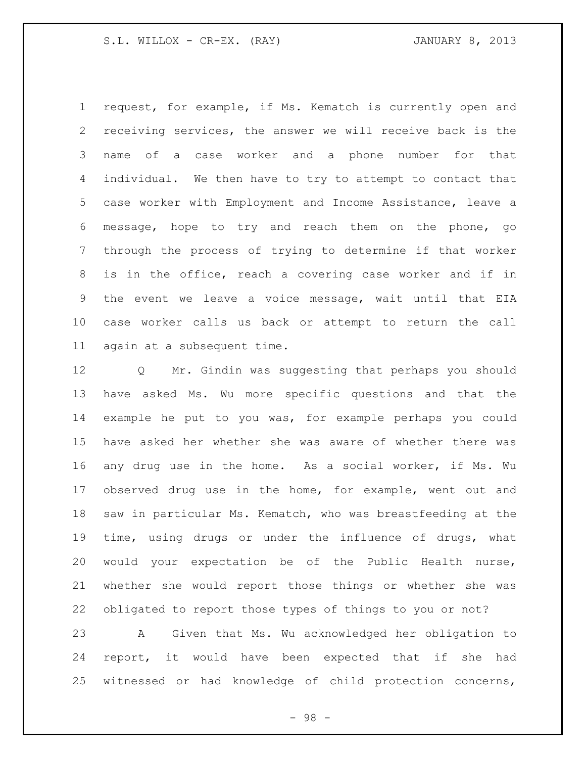S.L. WILLOX - CR-EX. (RAY) JANUARY 8, 2013

 request, for example, if Ms. Kematch is currently open and receiving services, the answer we will receive back is the name of a case worker and a phone number for that individual. We then have to try to attempt to contact that case worker with Employment and Income Assistance, leave a message, hope to try and reach them on the phone, go through the process of trying to determine if that worker is in the office, reach a covering case worker and if in the event we leave a voice message, wait until that EIA case worker calls us back or attempt to return the call again at a subsequent time.

 Q Mr. Gindin was suggesting that perhaps you should have asked Ms. Wu more specific questions and that the example he put to you was, for example perhaps you could have asked her whether she was aware of whether there was any drug use in the home. As a social worker, if Ms. Wu observed drug use in the home, for example, went out and saw in particular Ms. Kematch, who was breastfeeding at the time, using drugs or under the influence of drugs, what would your expectation be of the Public Health nurse, whether she would report those things or whether she was obligated to report those types of things to you or not? A Given that Ms. Wu acknowledged her obligation to report, it would have been expected that if she had witnessed or had knowledge of child protection concerns,

- 98 -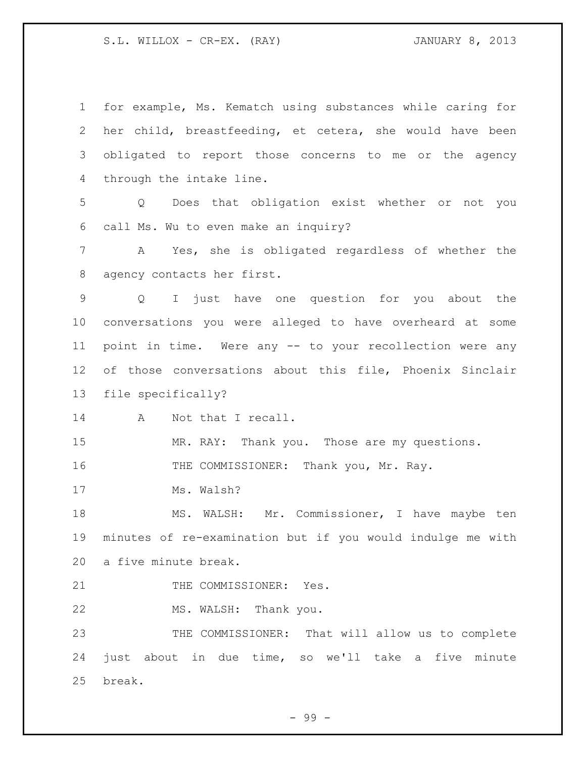S.L. WILLOX - CR-EX. (RAY) 3. JANUARY 8, 2013

| $\mathbf{1}$    | for example, Ms. Kematch using substances while caring for      |
|-----------------|-----------------------------------------------------------------|
| 2               | her child, breastfeeding, et cetera, she would have been        |
| 3               | obligated to report those concerns to me or the agency          |
| 4               | through the intake line.                                        |
| 5               | Q Does that obligation exist whether or not you                 |
| 6               | call Ms. Wu to even make an inquiry?                            |
| $\overline{7}$  | A Yes, she is obligated regardless of whether the               |
| 8               | agency contacts her first.                                      |
| 9               | I just have one question for you about the<br>$Q \qquad \qquad$ |
| 10 <sub>o</sub> | conversations you were alleged to have overheard at some        |
| 11              | point in time. Were any -- to your recollection were any        |
| 12 <sup>°</sup> | of those conversations about this file, Phoenix Sinclair        |
| 13              | file specifically?                                              |
| 14              | Not that I recall.<br>A                                         |
| 15              | MR. RAY: Thank you. Those are my questions.                     |
| 16              | THE COMMISSIONER: Thank you, Mr. Ray.                           |
| 17              | Ms. Walsh?                                                      |
| 18              | MS. WALSH: Mr. Commissioner, I have maybe ten                   |
| 19              | minutes of re-examination but if you would indulge me with      |
| 20              | a five minute break.                                            |
| 21              | THE COMMISSIONER: Yes.                                          |
| 22              | MS. WALSH: Thank you.                                           |
| 23              | THE COMMISSIONER: That will allow us to complete                |
| 24              | just about in due time, so we'll take a five minute             |
| 25              | break.                                                          |

- 99 -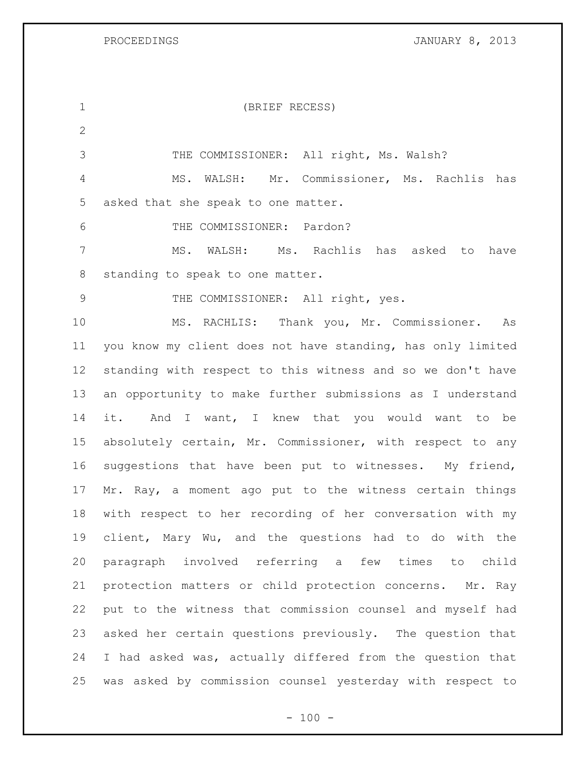PROCEEDINGS **PROCEEDINGS JANUARY 8, 2013** 

| $\mathbf 1$    | (BRIEF RECESS)                                              |
|----------------|-------------------------------------------------------------|
| $\overline{2}$ |                                                             |
| 3              | THE COMMISSIONER: All right, Ms. Walsh?                     |
| $\overline{4}$ | WALSH: Mr. Commissioner, Ms. Rachlis<br>MS.<br>has          |
| 5              | asked that she speak to one matter.                         |
| 6              | THE COMMISSIONER: Pardon?                                   |
| 7              | MS. WALSH:<br>Ms. Rachlis has asked to<br>have              |
| 8              | standing to speak to one matter.                            |
| $\mathcal{G}$  | THE COMMISSIONER: All right, yes.                           |
| 10             | MS. RACHLIS: Thank you, Mr. Commissioner. As                |
| 11             | you know my client does not have standing, has only limited |
| 12             | standing with respect to this witness and so we don't have  |
| 13             | an opportunity to make further submissions as I understand  |
| 14             | it. And I want, I knew that you would want to be            |
| 15             | absolutely certain, Mr. Commissioner, with respect to any   |
| 16             | suggestions that have been put to witnesses. My friend,     |
| 17             | Mr. Ray, a moment ago put to the witness certain things     |
| 18             | with respect to her recording of her conversation with my   |
| 19             | client, Mary Wu, and the questions had to do with the       |
| 20             | paragraph involved referring a few times to child           |
| 21             | protection matters or child protection concerns. Mr. Ray    |
| 22             | put to the witness that commission counsel and myself had   |
| 23             | asked her certain questions previously. The question that   |
| 24             | I had asked was, actually differed from the question that   |
| 25             | was asked by commission counsel yesterday with respect to   |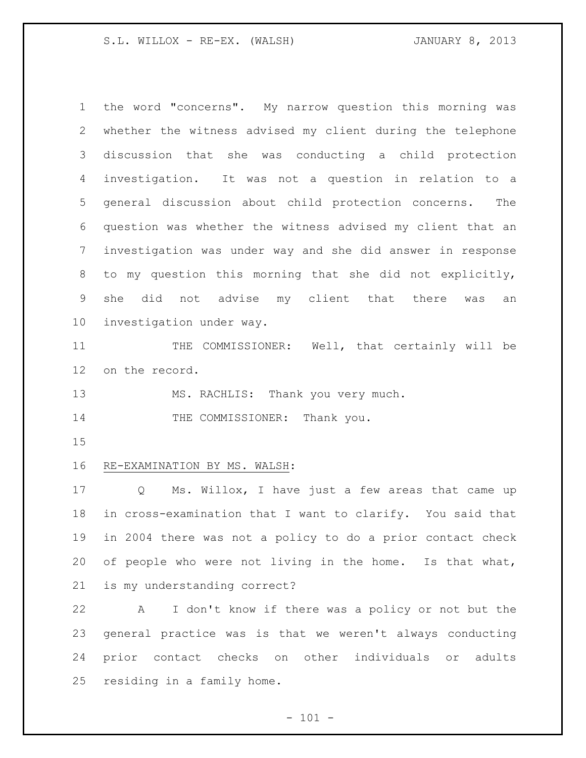S.L. WILLOX - RE-EX. (WALSH) JANUARY 8, 2013

 the word "concerns". My narrow question this morning was whether the witness advised my client during the telephone discussion that she was conducting a child protection investigation. It was not a question in relation to a general discussion about child protection concerns. The question was whether the witness advised my client that an investigation was under way and she did answer in response to my question this morning that she did not explicitly, she did not advise my client that there was an investigation under way. 11 THE COMMISSIONER: Well, that certainly will be on the record. 13 MS. RACHLIS: Thank you very much. 14 THE COMMISSIONER: Thank you. RE-EXAMINATION BY MS. WALSH:

 Q Ms. Willox, I have just a few areas that came up in cross-examination that I want to clarify. You said that in 2004 there was not a policy to do a prior contact check of people who were not living in the home. Is that what, is my understanding correct?

 A I don't know if there was a policy or not but the general practice was is that we weren't always conducting prior contact checks on other individuals or adults residing in a family home.

 $- 101 -$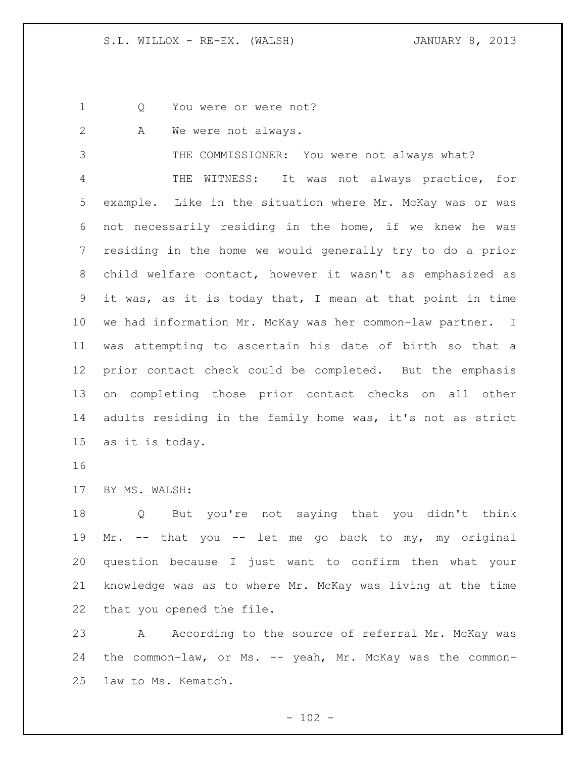1 Q You were or were not?

A We were not always.

THE COMMISSIONER: You were not always what?

 THE WITNESS: It was not always practice, for example. Like in the situation where Mr. McKay was or was not necessarily residing in the home, if we knew he was residing in the home we would generally try to do a prior child welfare contact, however it wasn't as emphasized as it was, as it is today that, I mean at that point in time we had information Mr. McKay was her common-law partner. I was attempting to ascertain his date of birth so that a prior contact check could be completed. But the emphasis on completing those prior contact checks on all other adults residing in the family home was, it's not as strict as it is today.

## BY MS. WALSH:

 Q But you're not saying that you didn't think Mr. -- that you -- let me go back to my, my original question because I just want to confirm then what your knowledge was as to where Mr. McKay was living at the time that you opened the file.

23 A According to the source of referral Mr. McKay was 24 the common-law, or Ms. -- yeah, Mr. McKay was the common-law to Ms. Kematch.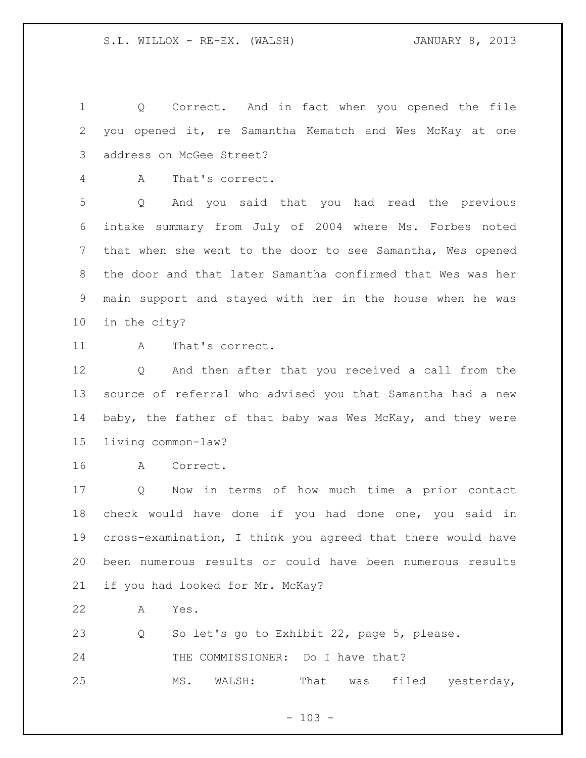Q Correct. And in fact when you opened the file you opened it, re Samantha Kematch and Wes McKay at one address on McGee Street?

A That's correct.

 Q And you said that you had read the previous intake summary from July of 2004 where Ms. Forbes noted that when she went to the door to see Samantha, Wes opened the door and that later Samantha confirmed that Wes was her main support and stayed with her in the house when he was in the city?

11 A That's correct.

 Q And then after that you received a call from the source of referral who advised you that Samantha had a new baby, the father of that baby was Wes McKay, and they were living common-law?

A Correct.

 Q Now in terms of how much time a prior contact check would have done if you had done one, you said in cross-examination, I think you agreed that there would have been numerous results or could have been numerous results if you had looked for Mr. McKay?

A Yes.

Q So let's go to Exhibit 22, page 5, please.

24 THE COMMISSIONER: Do I have that?

MS. WALSH: That was filed yesterday,

 $- 103 -$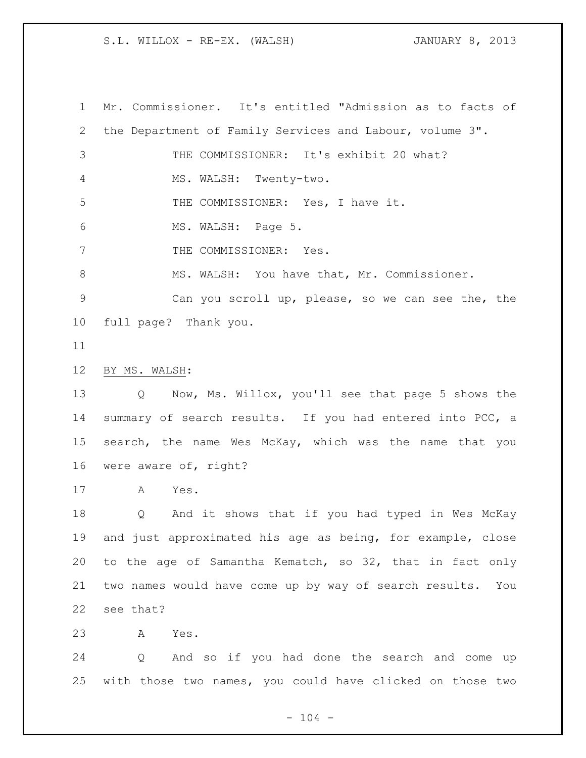S.L. WILLOX - RE-EX. (WALSH) JANUARY 8, 2013

 Mr. Commissioner. It's entitled "Admission as to facts of the Department of Family Services and Labour, volume 3". THE COMMISSIONER: It's exhibit 20 what? MS. WALSH: Twenty-two. THE COMMISSIONER: Yes, I have it. MS. WALSH: Page 5. 7 THE COMMISSIONER: Yes. 8 MS. WALSH: You have that, Mr. Commissioner. Can you scroll up, please, so we can see the, the full page? Thank you. BY MS. WALSH: Q Now, Ms. Willox, you'll see that page 5 shows the 14 summary of search results. If you had entered into PCC, a search, the name Wes McKay, which was the name that you were aware of, right? A Yes. Q And it shows that if you had typed in Wes McKay and just approximated his age as being, for example, close to the age of Samantha Kematch, so 32, that in fact only two names would have come up by way of search results. You see that? A Yes. Q And so if you had done the search and come up with those two names, you could have clicked on those two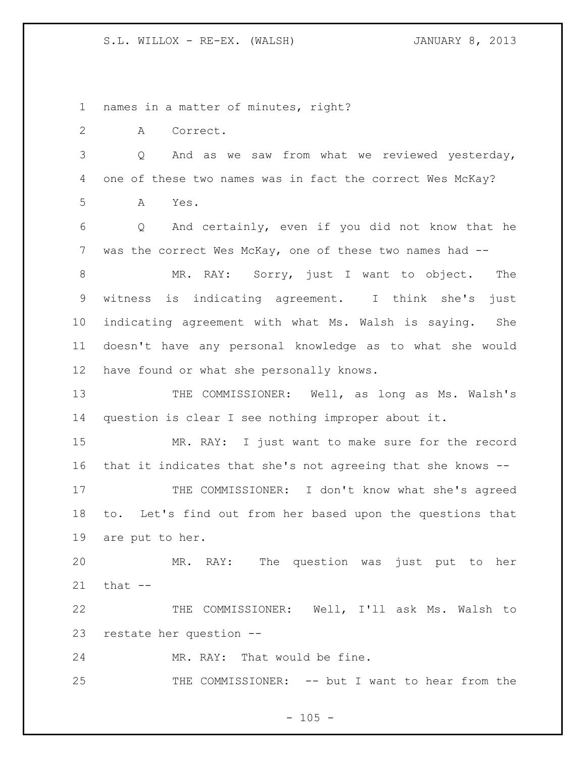S.L. WILLOX - RE-EX. (WALSH) JANUARY 8, 2013

names in a matter of minutes, right?

A Correct.

 Q And as we saw from what we reviewed yesterday, one of these two names was in fact the correct Wes McKay? A Yes.

 Q And certainly, even if you did not know that he was the correct Wes McKay, one of these two names had --

 MR. RAY: Sorry, just I want to object. The witness is indicating agreement. I think she's just indicating agreement with what Ms. Walsh is saying. She doesn't have any personal knowledge as to what she would have found or what she personally knows.

13 THE COMMISSIONER: Well, as long as Ms. Walsh's question is clear I see nothing improper about it.

 MR. RAY: I just want to make sure for the record that it indicates that she's not agreeing that she knows --

17 THE COMMISSIONER: I don't know what she's agreed to. Let's find out from her based upon the questions that are put to her.

 MR. RAY: The question was just put to her that  $-$ 

 THE COMMISSIONER: Well, I'll ask Ms. Walsh to restate her question --

MR. RAY: That would be fine.

THE COMMISSIONER: -- but I want to hear from the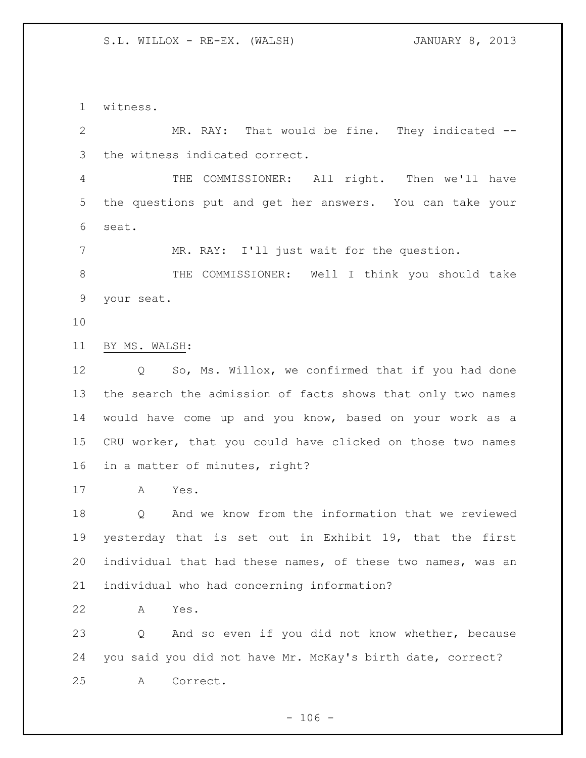witness.

 MR. RAY: That would be fine. They indicated -- the witness indicated correct.

 THE COMMISSIONER: All right. Then we'll have the questions put and get her answers. You can take your seat.

MR. RAY: I'll just wait for the question.

8 THE COMMISSIONER: Well I think you should take your seat.

BY MS. WALSH:

12 Q So, Ms. Willox, we confirmed that if you had done the search the admission of facts shows that only two names would have come up and you know, based on your work as a CRU worker, that you could have clicked on those two names in a matter of minutes, right?

A Yes.

 Q And we know from the information that we reviewed yesterday that is set out in Exhibit 19, that the first individual that had these names, of these two names, was an individual who had concerning information?

A Yes.

 Q And so even if you did not know whether, because you said you did not have Mr. McKay's birth date, correct? A Correct.

 $- 106 -$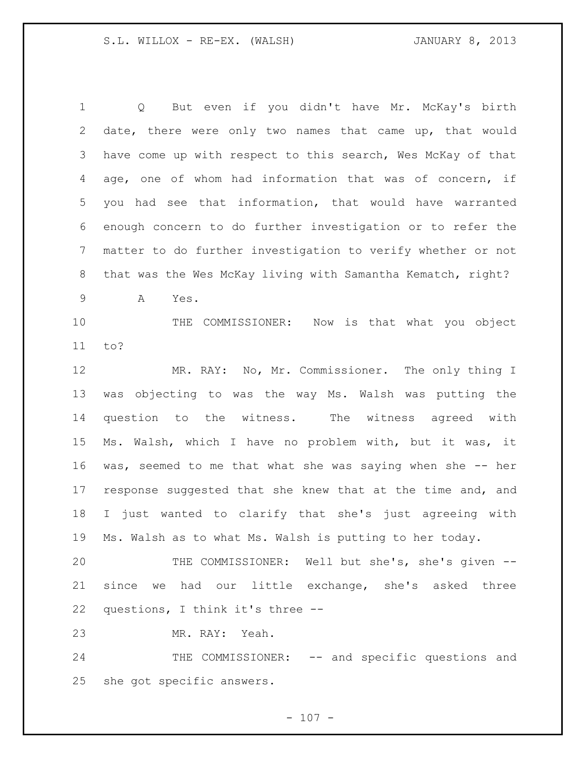Q But even if you didn't have Mr. McKay's birth date, there were only two names that came up, that would have come up with respect to this search, Wes McKay of that age, one of whom had information that was of concern, if you had see that information, that would have warranted enough concern to do further investigation or to refer the matter to do further investigation to verify whether or not that was the Wes McKay living with Samantha Kematch, right? A Yes. THE COMMISSIONER: Now is that what you object to? MR. RAY: No, Mr. Commissioner. The only thing I was objecting to was the way Ms. Walsh was putting the question to the witness. The witness agreed with Ms. Walsh, which I have no problem with, but it was, it was, seemed to me that what she was saying when she -- her response suggested that she knew that at the time and, and I just wanted to clarify that she's just agreeing with Ms. Walsh as to what Ms. Walsh is putting to her today. THE COMMISSIONER: Well but she's, she's given -- since we had our little exchange, she's asked three questions, I think it's three -- MR. RAY: Yeah. 24 THE COMMISSIONER: -- and specific questions and

she got specific answers.

 $- 107 -$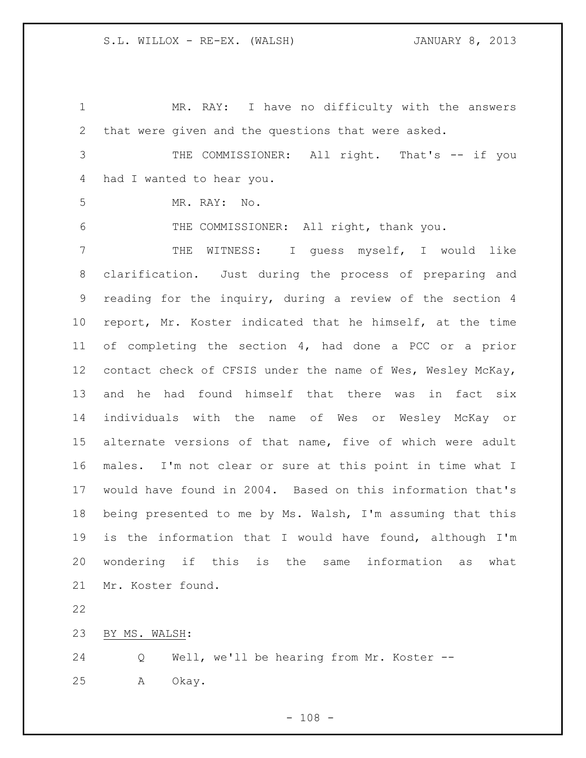MR. RAY: I have no difficulty with the answers that were given and the questions that were asked. THE COMMISSIONER: All right. That's -- if you had I wanted to hear you. MR. RAY: No. THE COMMISSIONER: All right, thank you. THE WITNESS: I guess myself, I would like clarification. Just during the process of preparing and reading for the inquiry, during a review of the section 4 report, Mr. Koster indicated that he himself, at the time of completing the section 4, had done a PCC or a prior contact check of CFSIS under the name of Wes, Wesley McKay, and he had found himself that there was in fact six individuals with the name of Wes or Wesley McKay or alternate versions of that name, five of which were adult males. I'm not clear or sure at this point in time what I would have found in 2004. Based on this information that's being presented to me by Ms. Walsh, I'm assuming that this is the information that I would have found, although I'm wondering if this is the same information as what Mr. Koster found. BY MS. WALSH: Q Well, we'll be hearing from Mr. Koster --

A Okay.

 $- 108 -$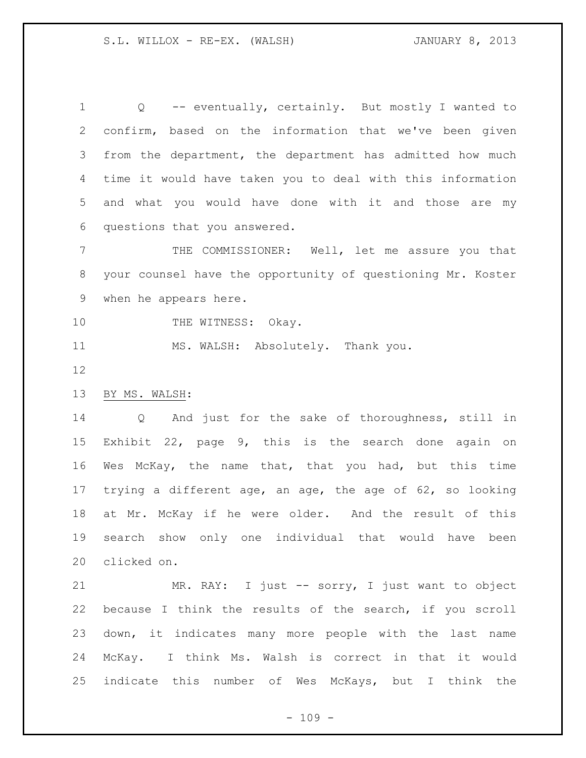Q -- eventually, certainly. But mostly I wanted to confirm, based on the information that we've been given from the department, the department has admitted how much time it would have taken you to deal with this information and what you would have done with it and those are my questions that you answered.

 THE COMMISSIONER: Well, let me assure you that your counsel have the opportunity of questioning Mr. Koster when he appears here.

10 THE WITNESS: Okay.

MS. WALSH: Absolutely. Thank you.

# BY MS. WALSH:

 Q And just for the sake of thoroughness, still in Exhibit 22, page 9, this is the search done again on Wes McKay, the name that, that you had, but this time trying a different age, an age, the age of 62, so looking at Mr. McKay if he were older. And the result of this search show only one individual that would have been clicked on.

 MR. RAY: I just -- sorry, I just want to object because I think the results of the search, if you scroll down, it indicates many more people with the last name McKay. I think Ms. Walsh is correct in that it would indicate this number of Wes McKays, but I think the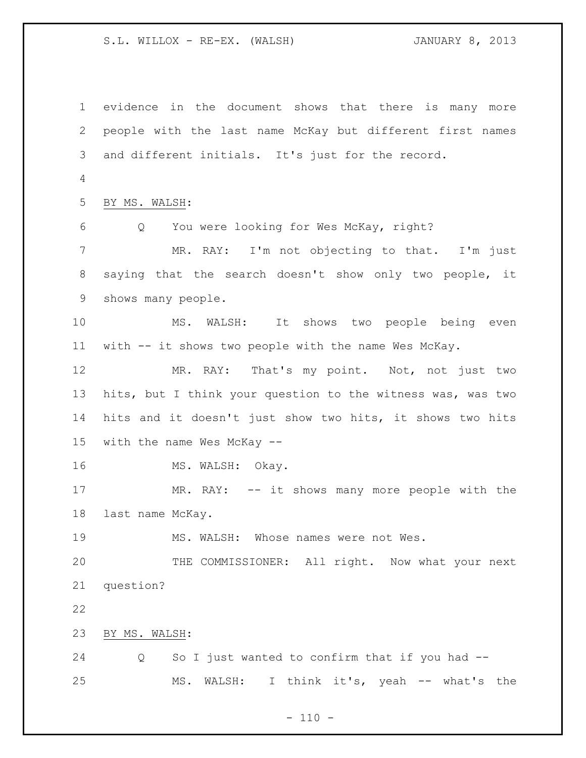evidence in the document shows that there is many more people with the last name McKay but different first names and different initials. It's just for the record. BY MS. WALSH: Q You were looking for Wes McKay, right? MR. RAY: I'm not objecting to that. I'm just saying that the search doesn't show only two people, it shows many people. MS. WALSH: It shows two people being even with -- it shows two people with the name Wes McKay. MR. RAY: That's my point. Not, not just two hits, but I think your question to the witness was, was two hits and it doesn't just show two hits, it shows two hits with the name Wes McKay -- 16 MS. WALSH: Okay. MR. RAY: -- it shows many more people with the last name McKay. MS. WALSH: Whose names were not Wes. THE COMMISSIONER: All right. Now what your next question? BY MS. WALSH: Q So I just wanted to confirm that if you had -- MS. WALSH: I think it's, yeah -- what's the

 $- 110 -$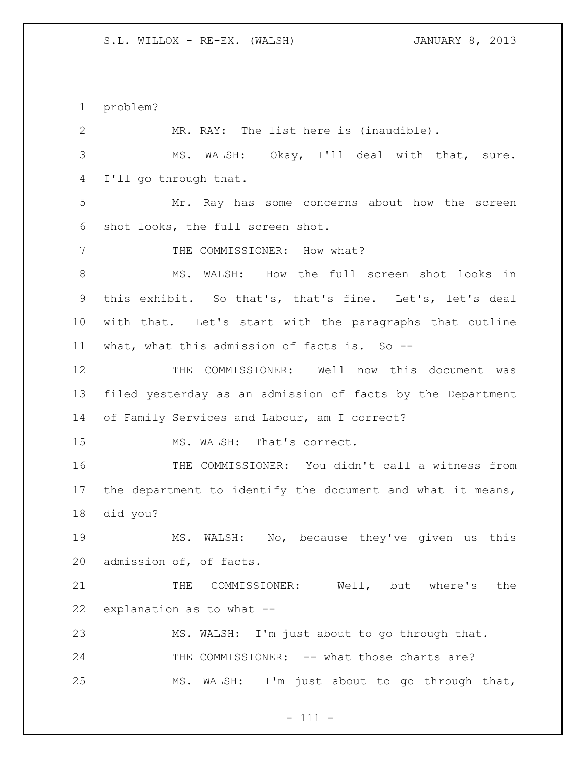problem?

| $\overline{2}$ | MR. RAY: The list here is (inaudible).                     |
|----------------|------------------------------------------------------------|
| 3              | MS. WALSH: Okay, I'll deal with that, sure.                |
| 4              | I'll go through that.                                      |
| 5              | Mr. Ray has some concerns about how the screen             |
| 6              | shot looks, the full screen shot.                          |
| 7              | THE COMMISSIONER: How what?                                |
| $8\,$          | MS. WALSH: How the full screen shot looks in               |
| 9              | this exhibit. So that's, that's fine. Let's, let's deal    |
| 10             | with that. Let's start with the paragraphs that outline    |
| 11             | what, what this admission of facts is. So --               |
| 12             | THE COMMISSIONER: Well now this document was               |
| 13             | filed yesterday as an admission of facts by the Department |
| 14             | of Family Services and Labour, am I correct?               |
| 15             | MS. WALSH: That's correct.                                 |
| 16             | THE COMMISSIONER: You didn't call a witness from           |
| 17             | the department to identify the document and what it means, |
| 18             | did you?                                                   |
| 19             | MS. WALSH: No, because they've given us this               |
| 20             | admission of, of facts.                                    |
| 21             | COMMISSIONER: Well, but where's the<br>THE                 |
| 22             | explanation as to what --                                  |
| 23             | MS. WALSH: I'm just about to go through that.              |
| 24             | THE COMMISSIONER: -- what those charts are?                |
| 25             | MS. WALSH: I'm just about to go through that,              |
|                |                                                            |

- 111 -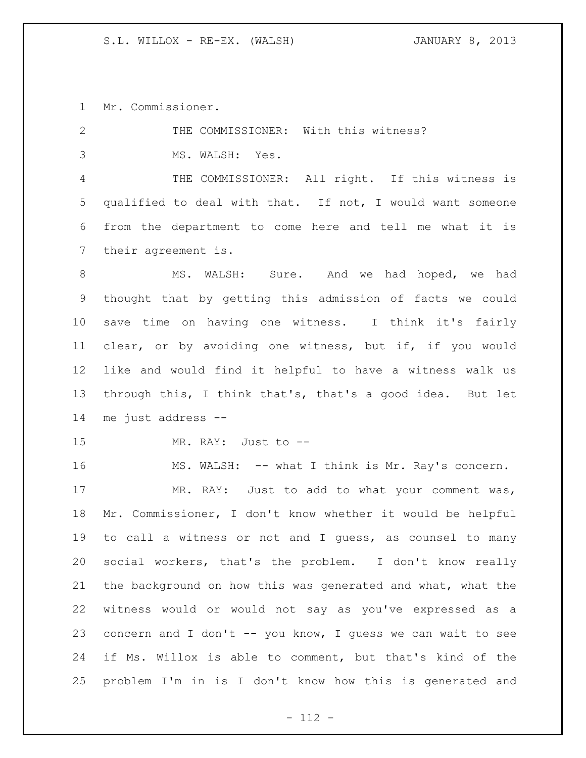Mr. Commissioner.

| 2               | THE COMMISSIONER: With this witness?                        |
|-----------------|-------------------------------------------------------------|
| 3               | MS. WALSH: Yes.                                             |
| 4               | THE COMMISSIONER: All right. If this witness is             |
| 5               | qualified to deal with that. If not, I would want someone   |
| 6               | from the department to come here and tell me what it is     |
| $7\phantom{.0}$ | their agreement is.                                         |
| 8               | MS. WALSH: Sure. And we had hoped, we had                   |
| 9               | thought that by getting this admission of facts we could    |
| 10              | save time on having one witness. I think it's fairly        |
| 11              | clear, or by avoiding one witness, but if, if you would     |
| 12              | like and would find it helpful to have a witness walk us    |
| 13              | through this, I think that's, that's a good idea. But let   |
|                 |                                                             |
|                 | me just address --                                          |
|                 | MR. RAY: Just to --                                         |
| 16              | MS. WALSH: -- what I think is Mr. Ray's concern.            |
| 14<br>15<br>17  | MR. RAY: Just to add to what your comment was,              |
| 18              | Mr. Commissioner, I don't know whether it would be helpful  |
| 19              | to call a witness or not and I guess, as counsel to many    |
| 20              | social workers, that's the problem. I don't know really     |
| 21              | the background on how this was generated and what, what the |
| 22              | witness would or would not say as you've expressed as a     |
| 23              | concern and I don't -- you know, I quess we can wait to see |
| 24              | if Ms. Willox is able to comment, but that's kind of the    |

- 112 -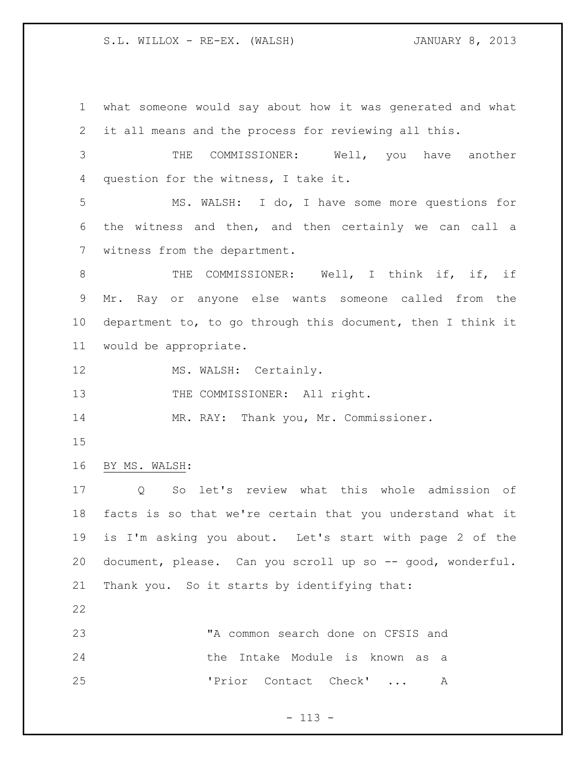what someone would say about how it was generated and what it all means and the process for reviewing all this. THE COMMISSIONER: Well, you have another question for the witness, I take it.

 MS. WALSH: I do, I have some more questions for the witness and then, and then certainly we can call a witness from the department.

8 THE COMMISSIONER: Well, I think if, if, if Mr. Ray or anyone else wants someone called from the department to, to go through this document, then I think it would be appropriate.

12 MS. WALSH: Certainly.

13 THE COMMISSIONER: All right.

MR. RAY: Thank you, Mr. Commissioner.

- 
- BY MS. WALSH:

 Q So let's review what this whole admission of facts is so that we're certain that you understand what it is I'm asking you about. Let's start with page 2 of the document, please. Can you scroll up so -- good, wonderful. Thank you. So it starts by identifying that:

 "A common search done on CFSIS and the Intake Module is known as a 'Prior Contact Check' ... A

# - 113 -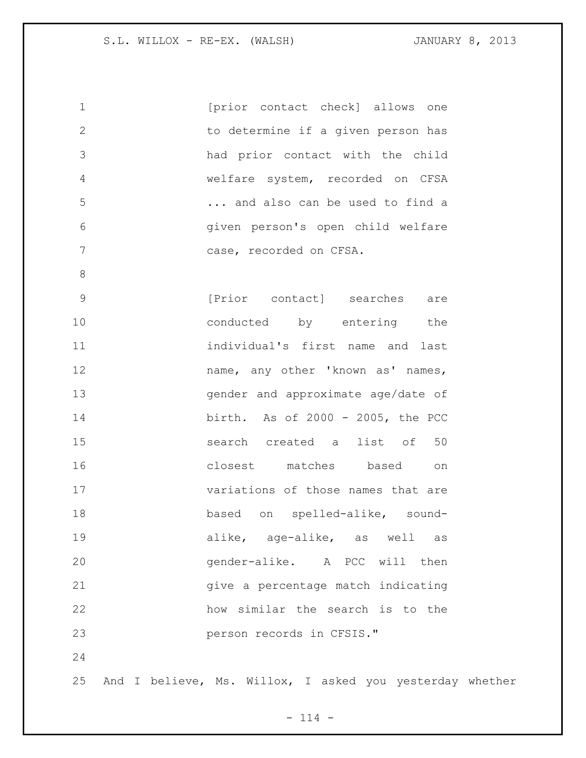| $\mathbf 1$    | [prior contact check] allows one                         |
|----------------|----------------------------------------------------------|
| $\overline{2}$ | to determine if a given person has                       |
| 3              | had prior contact with the child                         |
| $\overline{4}$ | welfare system, recorded on CFSA                         |
| 5              | and also can be used to find a                           |
| $6\,$          | given person's open child welfare                        |
| 7              | case, recorded on CFSA.                                  |
| $8\,$          |                                                          |
| $\mathsf 9$    | [Prior contact] searches are                             |
| 10             | conducted by entering the                                |
| 11             | individual's first name and last                         |
| 12             | name, any other 'known as' names,                        |
| 13             | gender and approximate age/date of                       |
| 14             | birth. As of 2000 - 2005, the PCC                        |
| 15             | search created a list of 50                              |
| 16             | closest matches based<br>on                              |
| 17             | variations of those names that are                       |
| 18             | based on spelled-alike, sound-                           |
| 19             | alike, age-alike, as well as                             |
| 20             | gender-alike. A PCC will then                            |
| 21             | give a percentage match indicating                       |
| 22             | how similar the search is to the                         |
| 23             | person records in CFSIS."                                |
| 24             |                                                          |
| 25             | And I believe, Ms. Willox, I asked you yesterday whether |

- 114 -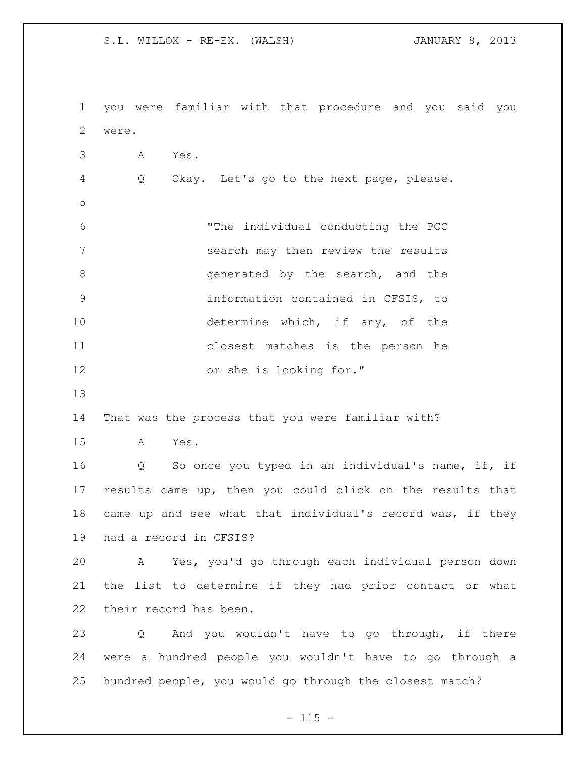you were familiar with that procedure and you said you were. A Yes. Q Okay. Let's go to the next page, please. "The individual conducting the PCC search may then review the results 8 8 and the search, and the search, and the information contained in CFSIS, to 10 determine which, if any, of the closest matches is the person he or she is looking for." That was the process that you were familiar with? A Yes. Q So once you typed in an individual's name, if, if results came up, then you could click on the results that came up and see what that individual's record was, if they had a record in CFSIS? A Yes, you'd go through each individual person down the list to determine if they had prior contact or what their record has been. Q And you wouldn't have to go through, if there were a hundred people you wouldn't have to go through a hundred people, you would go through the closest match?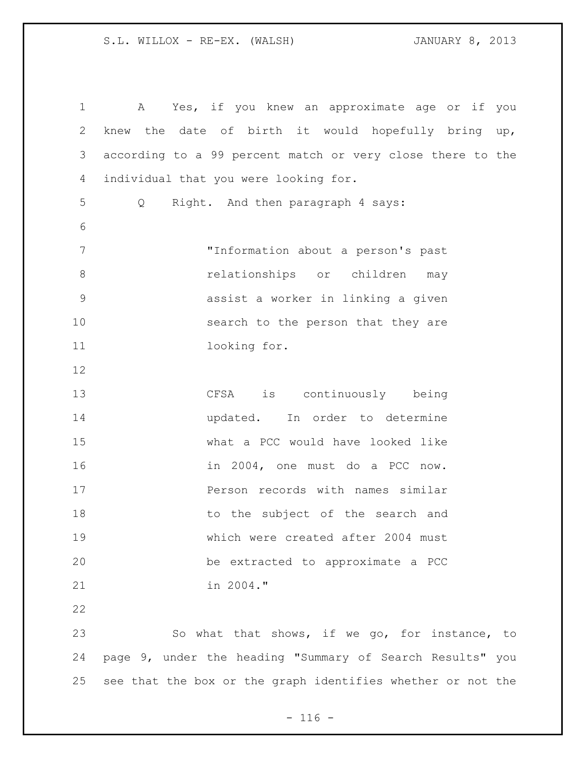A Yes, if you knew an approximate age or if you knew the date of birth it would hopefully bring up, according to a 99 percent match or very close there to the individual that you were looking for. Q Right. And then paragraph 4 says: "Information about a person's past **8 relationships** or children may assist a worker in linking a given 10 search to the person that they are 11 looking for. CFSA is continuously being updated. In order to determine what a PCC would have looked like in 2004, one must do a PCC now. **Person records with names similar** 18 to the subject of the search and which were created after 2004 must be extracted to approximate a PCC in 2004." So what that shows, if we go, for instance, to page 9, under the heading "Summary of Search Results" you see that the box or the graph identifies whether or not the

 $- 116 -$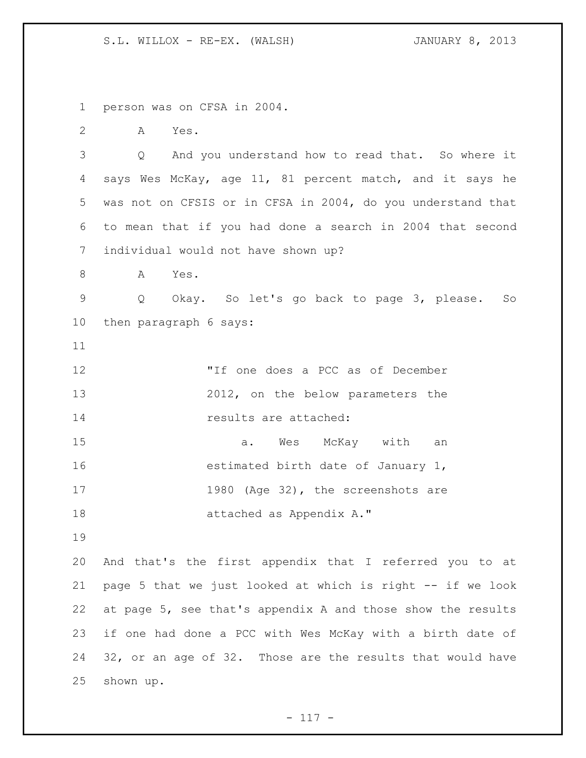person was on CFSA in 2004.

A Yes.

 Q And you understand how to read that. So where it says Wes McKay, age 11, 81 percent match, and it says he was not on CFSIS or in CFSA in 2004, do you understand that to mean that if you had done a search in 2004 that second individual would not have shown up?

A Yes.

 Q Okay. So let's go back to page 3, please. So then paragraph 6 says:

 "If one does a PCC as of December 2012, on the below parameters the **results** are attached:

 a. Wes McKay with an **estimated birth date of January 1,** 17 1980 (Age 32), the screenshots are attached as Appendix A."

 And that's the first appendix that I referred you to at page 5 that we just looked at which is right -- if we look at page 5, see that's appendix A and those show the results if one had done a PCC with Wes McKay with a birth date of 32, or an age of 32. Those are the results that would have shown up.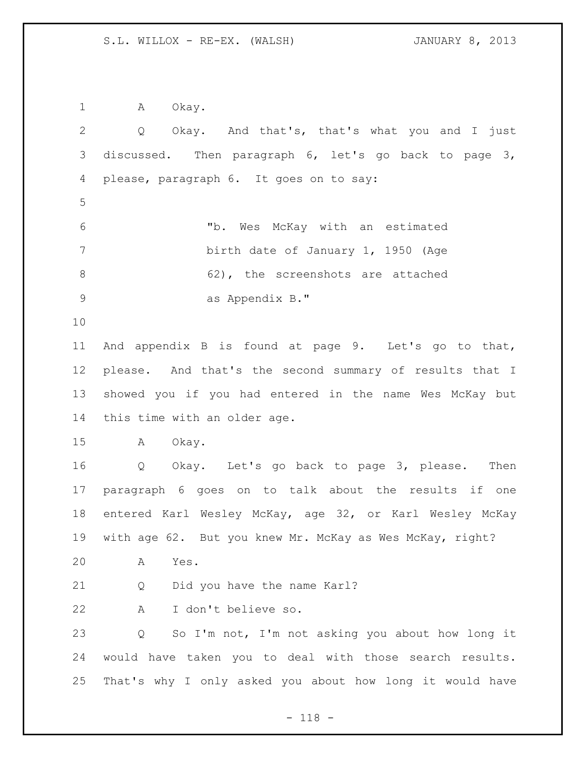1 A Okay. Q Okay. And that's, that's what you and I just discussed. Then paragraph 6, let's go back to page 3, please, paragraph 6. It goes on to say: "b. Wes McKay with an estimated birth date of January 1, 1950 (Age 8 62), the screenshots are attached as Appendix B." And appendix B is found at page 9. Let's go to that, please. And that's the second summary of results that I showed you if you had entered in the name Wes McKay but this time with an older age. A Okay. Q Okay. Let's go back to page 3, please. Then paragraph 6 goes on to talk about the results if one entered Karl Wesley McKay, age 32, or Karl Wesley McKay with age 62. But you knew Mr. McKay as Wes McKay, right? A Yes. Q Did you have the name Karl? A I don't believe so. Q So I'm not, I'm not asking you about how long it would have taken you to deal with those search results. That's why I only asked you about how long it would have

- 118 -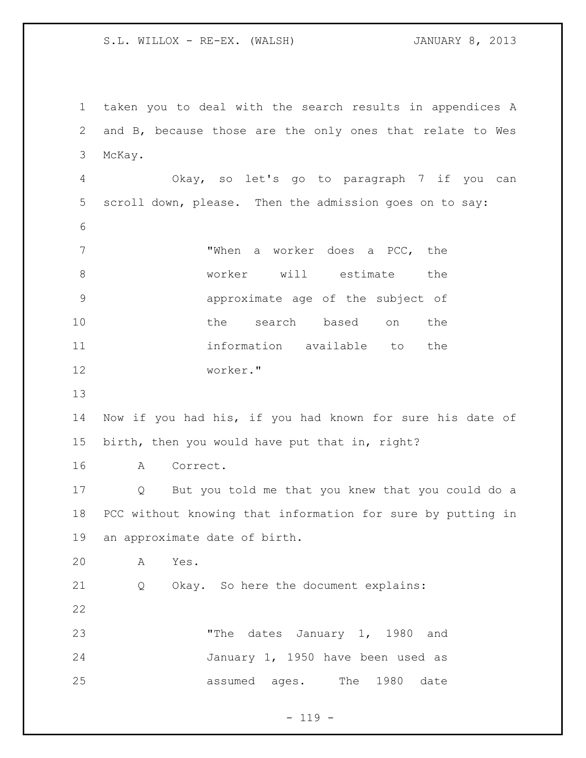taken you to deal with the search results in appendices A and B, because those are the only ones that relate to Wes McKay. Okay, so let's go to paragraph 7 if you can scroll down, please. Then the admission goes on to say: "When a worker does a PCC, the worker will estimate the approximate age of the subject of the search based on the information available to the worker." Now if you had his, if you had known for sure his date of birth, then you would have put that in, right? A Correct. Q But you told me that you knew that you could do a PCC without knowing that information for sure by putting in an approximate date of birth. A Yes. Q Okay. So here the document explains: "The dates January 1, 1980 and January 1, 1950 have been used as assumed ages. The 1980 date

 $- 119 -$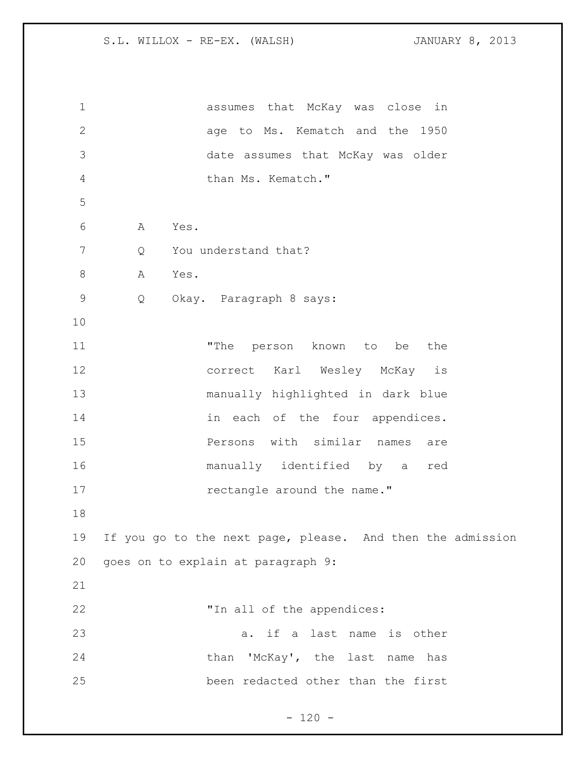| $\mathbf 1$    | assumes that McKay was close<br>in                         |
|----------------|------------------------------------------------------------|
| $\mathbf{2}$   | age to Ms. Kematch and the 1950                            |
| 3              | date assumes that McKay was older                          |
| $\overline{4}$ | than Ms. Kematch."                                         |
| 5              |                                                            |
| 6              | Yes.<br>Α                                                  |
| 7              | You understand that?<br>Q                                  |
| $\,8\,$        | Yes.<br>Α                                                  |
| $\mathsf 9$    | Q<br>Okay. Paragraph 8 says:                               |
| 10             |                                                            |
| 11             | "The<br>person known to be<br>the                          |
| 12             | correct Karl Wesley McKay<br>is                            |
| 13             | manually highlighted in dark blue                          |
| 14             | in each of the four appendices.                            |
| 15             | Persons with similar names<br>are                          |
| 16             | manually identified by a<br>red                            |
| 17             | rectangle around the name."                                |
| 18             |                                                            |
| 19             | If you go to the next page, please. And then the admission |
| 20             | goes on to explain at paragraph 9:                         |
| 21             |                                                            |
| 22             | "In all of the appendices:                                 |
| 23             | a. if a last name is other                                 |
| 24             | than 'McKay', the last name has                            |
| 25             | been redacted other than the first                         |
|                |                                                            |

- 120 -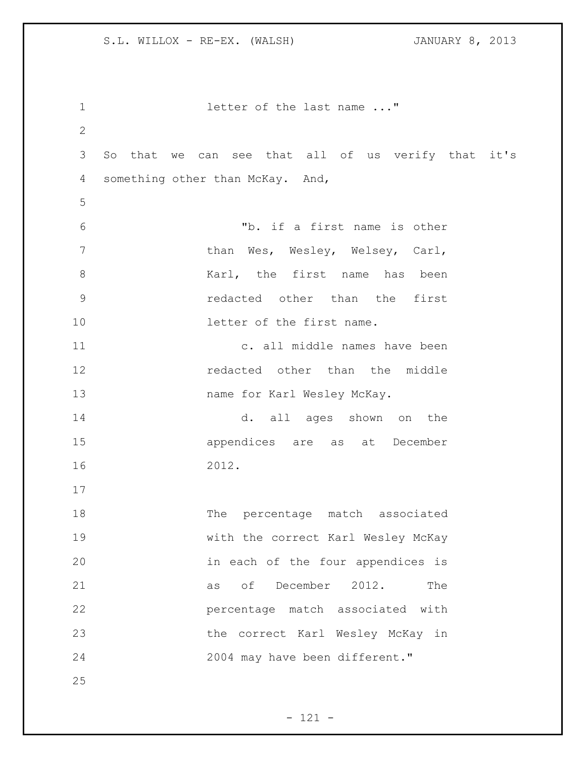| $\mathbf 1$   | letter of the last name "                          |
|---------------|----------------------------------------------------|
| $\mathbf{2}$  |                                                    |
| 3             | So that we can see that all of us verify that it's |
| 4             | something other than McKay. And,                   |
| 5             |                                                    |
| 6             | "b. if a first name is other                       |
| 7             | than Wes, Wesley, Welsey, Carl,                    |
| $\,8\,$       | Karl, the first name has been                      |
| $\mathcal{G}$ | redacted other than the first                      |
| 10            | letter of the first name.                          |
| 11            | c. all middle names have been                      |
| 12            | redacted other than the middle                     |
| 13            | name for Karl Wesley McKay.                        |
| 14            | d. all ages shown on the                           |
| 15            | appendices are as at December                      |
| 16            | 2012.                                              |
| 17            |                                                    |
| 18            | The percentage match associated                    |
| 19            | with the correct Karl Wesley McKay                 |
| 20            | in each of the four appendices is                  |
| 21            | as of December 2012.<br>The                        |
| 22            | percentage match associated with                   |
| 23            | the correct Karl Wesley McKay in                   |
| 24            | 2004 may have been different."                     |
| 25            |                                                    |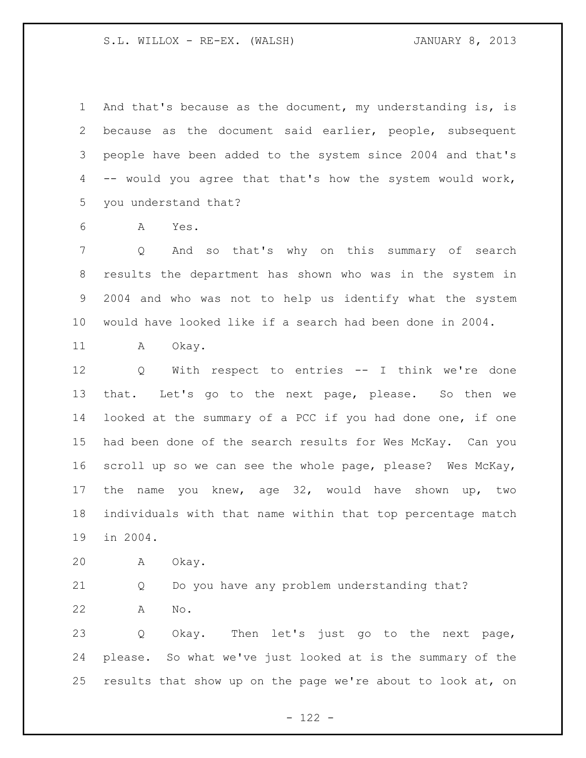And that's because as the document, my understanding is, is because as the document said earlier, people, subsequent people have been added to the system since 2004 and that's -- would you agree that that's how the system would work, you understand that?

A Yes.

 Q And so that's why on this summary of search results the department has shown who was in the system in 2004 and who was not to help us identify what the system would have looked like if a search had been done in 2004.

11 A Okay.

 Q With respect to entries -- I think we're done that. Let's go to the next page, please. So then we looked at the summary of a PCC if you had done one, if one had been done of the search results for Wes McKay. Can you scroll up so we can see the whole page, please? Wes McKay, the name you knew, age 32, would have shown up, two individuals with that name within that top percentage match in 2004.

A Okay.

 Q Do you have any problem understanding that? A No.

 Q Okay. Then let's just go to the next page, please. So what we've just looked at is the summary of the results that show up on the page we're about to look at, on

- 122 -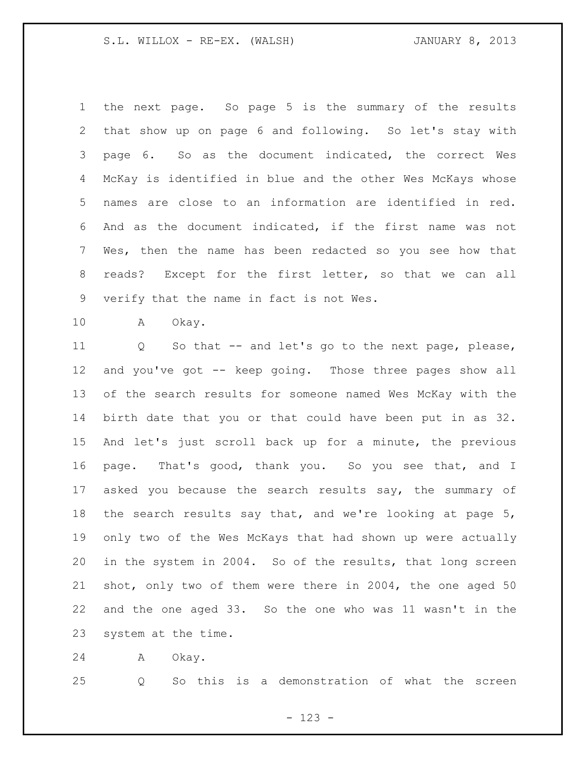the next page. So page 5 is the summary of the results that show up on page 6 and following. So let's stay with page 6. So as the document indicated, the correct Wes McKay is identified in blue and the other Wes McKays whose names are close to an information are identified in red. And as the document indicated, if the first name was not Wes, then the name has been redacted so you see how that reads? Except for the first letter, so that we can all verify that the name in fact is not Wes.

A Okay.

 Q So that -- and let's go to the next page, please, and you've got -- keep going. Those three pages show all of the search results for someone named Wes McKay with the birth date that you or that could have been put in as 32. And let's just scroll back up for a minute, the previous page. That's good, thank you. So you see that, and I 17 asked you because the search results say, the summary of 18 the search results say that, and we're looking at page 5, only two of the Wes McKays that had shown up were actually in the system in 2004. So of the results, that long screen shot, only two of them were there in 2004, the one aged 50 and the one aged 33. So the one who was 11 wasn't in the system at the time.

A Okay.

Q So this is a demonstration of what the screen

- 123 -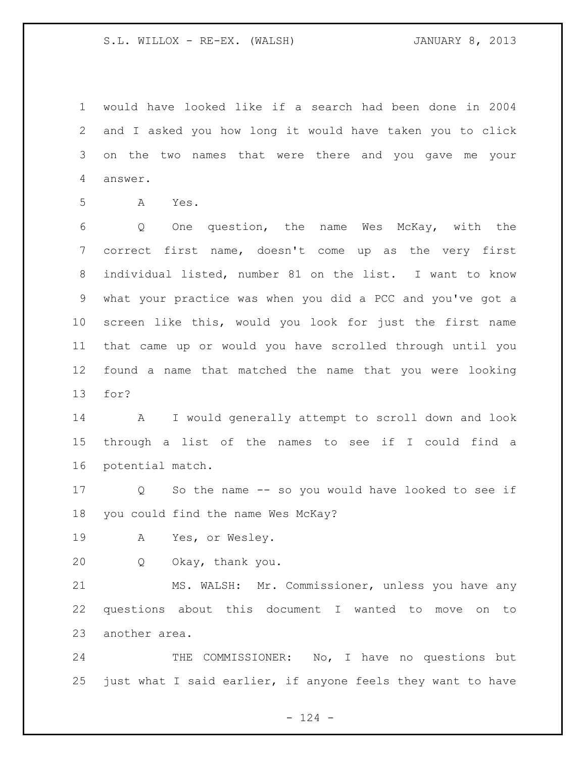would have looked like if a search had been done in 2004 and I asked you how long it would have taken you to click on the two names that were there and you gave me your answer.

A Yes.

 Q One question, the name Wes McKay, with the correct first name, doesn't come up as the very first individual listed, number 81 on the list. I want to know what your practice was when you did a PCC and you've got a screen like this, would you look for just the first name that came up or would you have scrolled through until you found a name that matched the name that you were looking for?

 A I would generally attempt to scroll down and look through a list of the names to see if I could find a potential match.

 Q So the name -- so you would have looked to see if you could find the name Wes McKay?

A Yes, or Wesley.

Q Okay, thank you.

 MS. WALSH: Mr. Commissioner, unless you have any questions about this document I wanted to move on to another area.

24 THE COMMISSIONER: No, I have no questions but just what I said earlier, if anyone feels they want to have

 $- 124 -$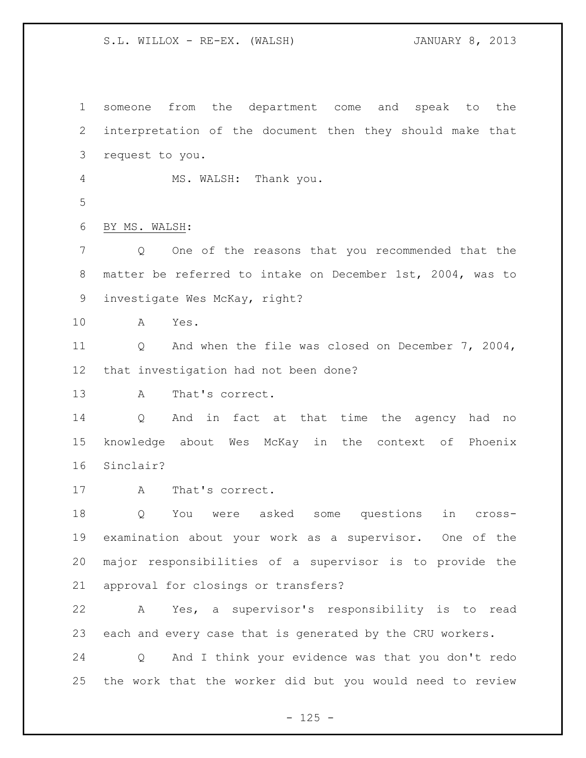| $\mathbf 1$    | from the department come and<br>speak to<br>the<br>someone      |
|----------------|-----------------------------------------------------------------|
| $\mathbf{2}$   | interpretation of the document then they should make that       |
| $\mathcal{S}$  | request to you.                                                 |
| $\overline{4}$ | MS. WALSH:<br>Thank you.                                        |
| 5              |                                                                 |
| 6              | BY MS. WALSH:                                                   |
| $\overline{7}$ | One of the reasons that you recommended that the<br>Q           |
| 8              | matter be referred to intake on December 1st, 2004, was to      |
| $\mathsf 9$    | investigate Wes McKay, right?                                   |
| 10             | Yes.<br>A                                                       |
| 11             | And when the file was closed on December 7, 2004,<br>Q          |
| 12             | that investigation had not been done?                           |
| 13             | That's correct.<br>A                                            |
| 14             | And in fact at that time the agency<br>Q<br>had<br>no           |
| 15             | knowledge about Wes McKay in the context of<br>Phoenix          |
| 16             | Sinclair?                                                       |
| 17             | That's correct.<br>A                                            |
| 18             | were asked<br>questions<br>Q<br>You<br>some<br>in<br>cross-     |
| 19             | examination about your work as a supervisor. One of the         |
| 20             | major responsibilities of a supervisor is to provide the        |
| 21             | approval for closings or transfers?                             |
| 22             | Yes, a supervisor's responsibility is to read<br>$\mathbb A$    |
| 23             | each and every case that is generated by the CRU workers.       |
| 24             | And I think your evidence was that you don't redo<br>$Q \qquad$ |
| 25             | the work that the worker did but you would need to review       |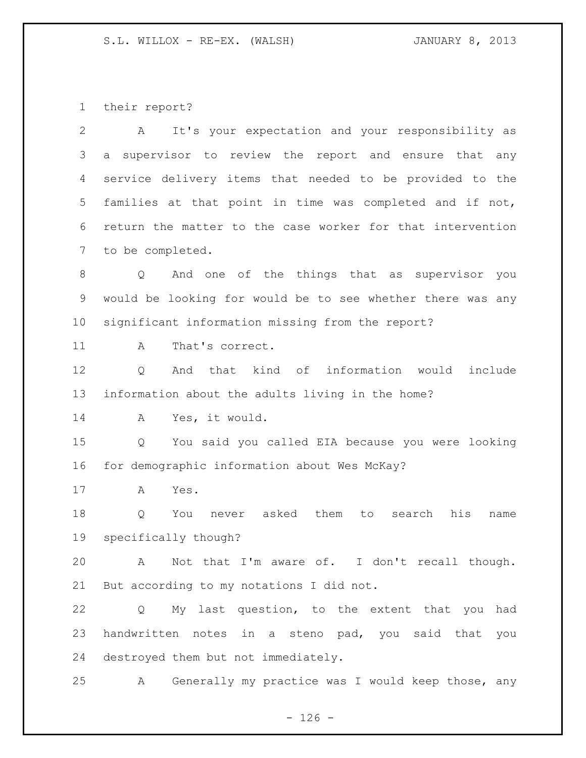their report?

| $\mathbf{2}$ | It's your expectation and your responsibility as<br>A             |
|--------------|-------------------------------------------------------------------|
| 3            | supervisor to review the report and ensure that any<br>a          |
| 4            | service delivery items that needed to be provided to the          |
| 5            | families at that point in time was completed and if not,          |
| 6            | return the matter to the case worker for that intervention        |
| 7            | to be completed.                                                  |
| 8            | And one of the things that as supervisor you<br>$Q \qquad$        |
| 9            | would be looking for would be to see whether there was any        |
| 10           | significant information missing from the report?                  |
| 11           | That's correct.<br>A                                              |
| 12           | that kind of information would<br>include<br>Q<br>And             |
| 13           | information about the adults living in the home?                  |
| 14           | Yes, it would.<br>A                                               |
| 15           | You said you called EIA because you were looking<br>$Q \qquad$    |
| 16           | for demographic information about Wes McKay?                      |
| 17           | Yes.<br>A                                                         |
| 18           | asked<br>them<br>to<br>his<br>Q<br>You<br>search<br>never<br>name |
| 19           | specifically though?                                              |
| 20           | A Not that I'm aware of. I don't recall though.                   |
| 21           | But according to my notations I did not.                          |
| 22           | My last question, to the extent that you had<br>Q                 |
| 23           | handwritten notes in a steno pad, you said that you               |
| 24           | destroyed them but not immediately.                               |
| 25           | Generally my practice was I would keep those, any<br>A            |

- 126 -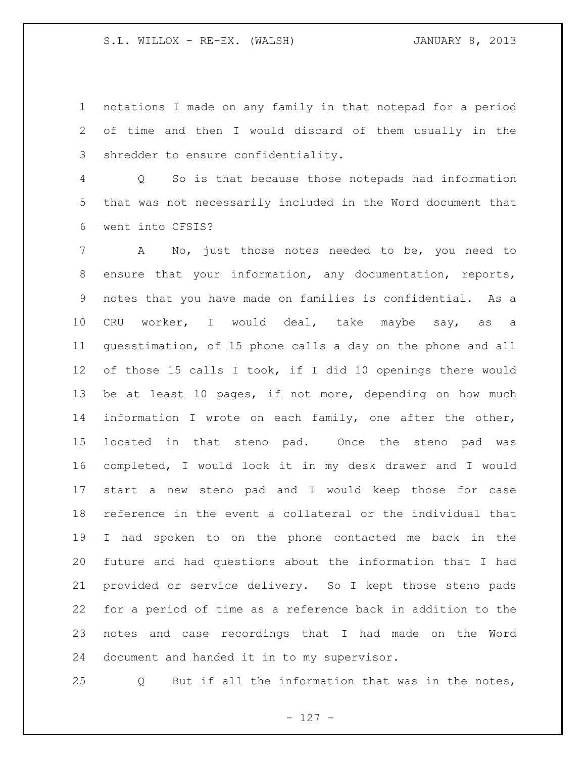notations I made on any family in that notepad for a period of time and then I would discard of them usually in the shredder to ensure confidentiality.

 Q So is that because those notepads had information that was not necessarily included in the Word document that went into CFSIS?

 A No, just those notes needed to be, you need to ensure that your information, any documentation, reports, notes that you have made on families is confidential. As a CRU worker, I would deal, take maybe say, as a guesstimation, of 15 phone calls a day on the phone and all of those 15 calls I took, if I did 10 openings there would be at least 10 pages, if not more, depending on how much information I wrote on each family, one after the other, located in that steno pad. Once the steno pad was completed, I would lock it in my desk drawer and I would start a new steno pad and I would keep those for case reference in the event a collateral or the individual that I had spoken to on the phone contacted me back in the future and had questions about the information that I had provided or service delivery. So I kept those steno pads for a period of time as a reference back in addition to the notes and case recordings that I had made on the Word document and handed it in to my supervisor.

Q But if all the information that was in the notes,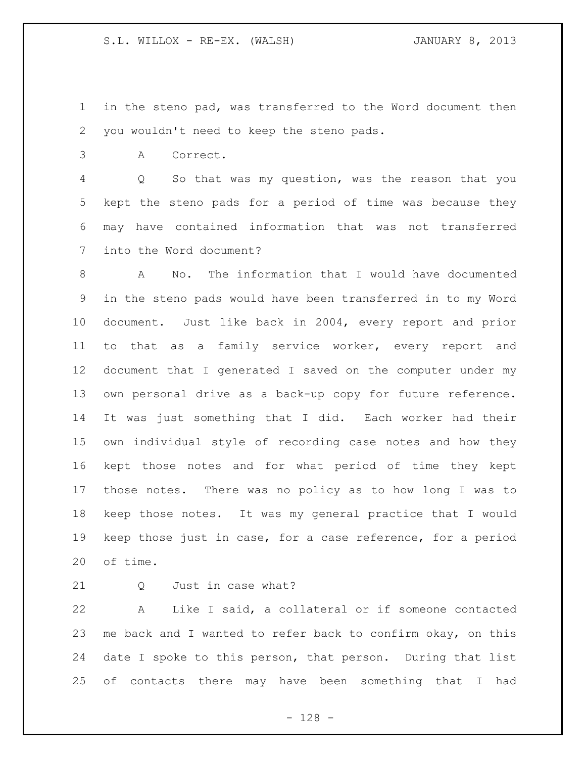in the steno pad, was transferred to the Word document then you wouldn't need to keep the steno pads.

A Correct.

 Q So that was my question, was the reason that you kept the steno pads for a period of time was because they may have contained information that was not transferred into the Word document?

 A No. The information that I would have documented in the steno pads would have been transferred in to my Word document. Just like back in 2004, every report and prior to that as a family service worker, every report and document that I generated I saved on the computer under my own personal drive as a back-up copy for future reference. It was just something that I did. Each worker had their own individual style of recording case notes and how they kept those notes and for what period of time they kept those notes. There was no policy as to how long I was to keep those notes. It was my general practice that I would keep those just in case, for a case reference, for a period of time.

21 0 Just in case what?

 A Like I said, a collateral or if someone contacted me back and I wanted to refer back to confirm okay, on this date I spoke to this person, that person. During that list of contacts there may have been something that I had

- 128 -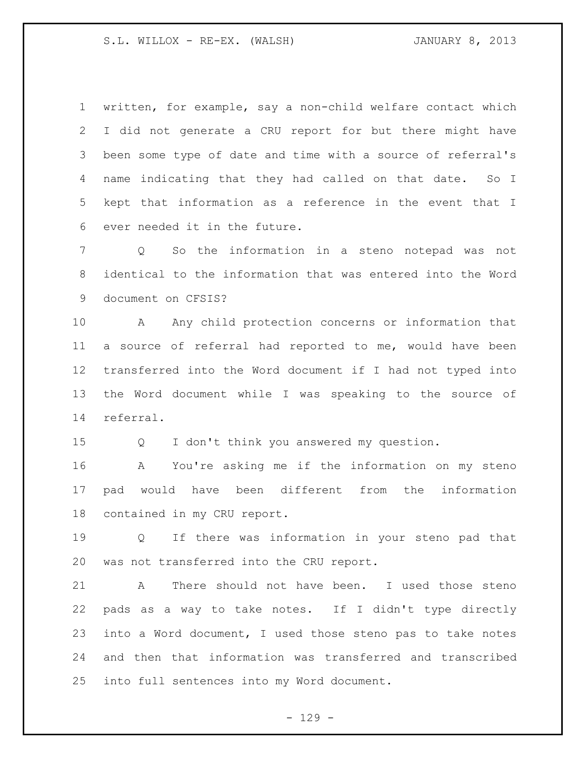written, for example, say a non-child welfare contact which I did not generate a CRU report for but there might have been some type of date and time with a source of referral's name indicating that they had called on that date. So I kept that information as a reference in the event that I ever needed it in the future.

 Q So the information in a steno notepad was not identical to the information that was entered into the Word document on CFSIS?

 A Any child protection concerns or information that a source of referral had reported to me, would have been transferred into the Word document if I had not typed into the Word document while I was speaking to the source of referral.

Q I don't think you answered my question.

 A You're asking me if the information on my steno pad would have been different from the information contained in my CRU report.

 Q If there was information in your steno pad that was not transferred into the CRU report.

 A There should not have been. I used those steno pads as a way to take notes. If I didn't type directly into a Word document, I used those steno pas to take notes and then that information was transferred and transcribed into full sentences into my Word document.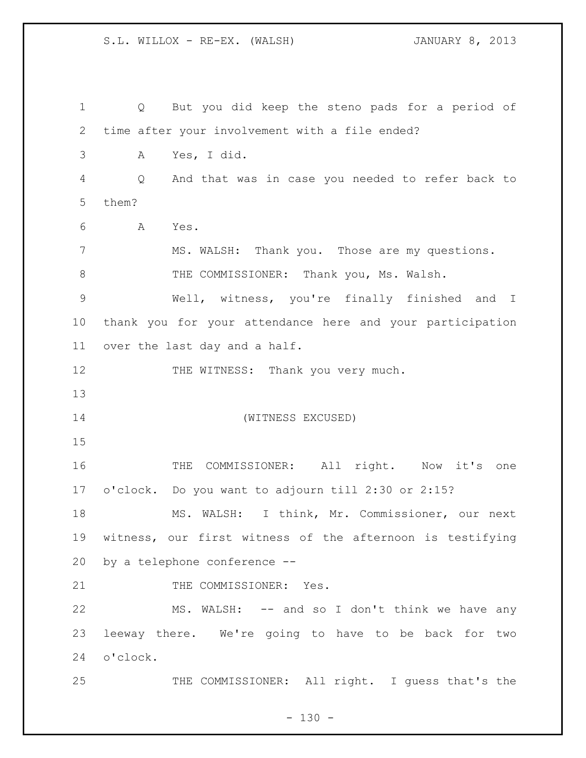| $\mathbf 1$ | But you did keep the steno pads for a period of<br>Q      |
|-------------|-----------------------------------------------------------|
| 2           | time after your involvement with a file ended?            |
| 3           | Yes, I did.<br>Α                                          |
| 4           | And that was in case you needed to refer back to<br>Q     |
| 5           | them?                                                     |
| 6           | Α<br>Yes.                                                 |
| 7           | MS. WALSH: Thank you. Those are my questions.             |
| 8           | THE COMMISSIONER: Thank you, Ms. Walsh.                   |
| $\mathsf 9$ | Well, witness, you're finally finished and I              |
| 10          | thank you for your attendance here and your participation |
| 11          | over the last day and a half.                             |
| 12          | THE WITNESS: Thank you very much.                         |
| 13          |                                                           |
| 14          | (WITNESS EXCUSED)                                         |
| 15          |                                                           |
|             |                                                           |
| 16          | THE COMMISSIONER: All right. Now it's one                 |
| 17          | o'clock. Do you want to adjourn till 2:30 or 2:15?        |
| 18          | MS. WALSH: I think, Mr. Commissioner, our next            |
| 19          | witness, our first witness of the afternoon is testifying |
| 20          | by a telephone conference --                              |
| 21          | THE COMMISSIONER: Yes.                                    |
| 22          | MS. WALSH: -- and so I don't think we have any            |
| 23          | leeway there. We're going to have to be back for two      |
| 24          | o'clock.                                                  |

- 130 -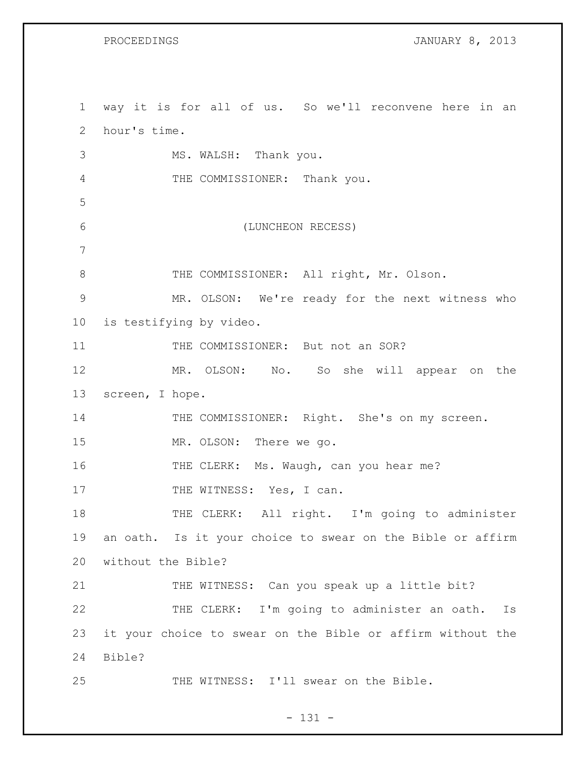PROCEEDINGS **IMPOOLS** JANUARY 8, 2013

 way it is for all of us. So we'll reconvene here in an hour's time. MS. WALSH: Thank you. THE COMMISSIONER: Thank you. (LUNCHEON RECESS) 8 THE COMMISSIONER: All right, Mr. Olson. MR. OLSON: We're ready for the next witness who is testifying by video. 11 THE COMMISSIONER: But not an SOR? MR. OLSON: No. So she will appear on the screen, I hope. 14 THE COMMISSIONER: Right. She's on my screen. MR. OLSON: There we go. THE CLERK: Ms. Waugh, can you hear me? 17 THE WITNESS: Yes, I can. 18 THE CLERK: All right. I'm going to administer an oath. Is it your choice to swear on the Bible or affirm without the Bible? 21 THE WITNESS: Can you speak up a little bit? THE CLERK: I'm going to administer an oath. Is it your choice to swear on the Bible or affirm without the Bible? THE WITNESS: I'll swear on the Bible.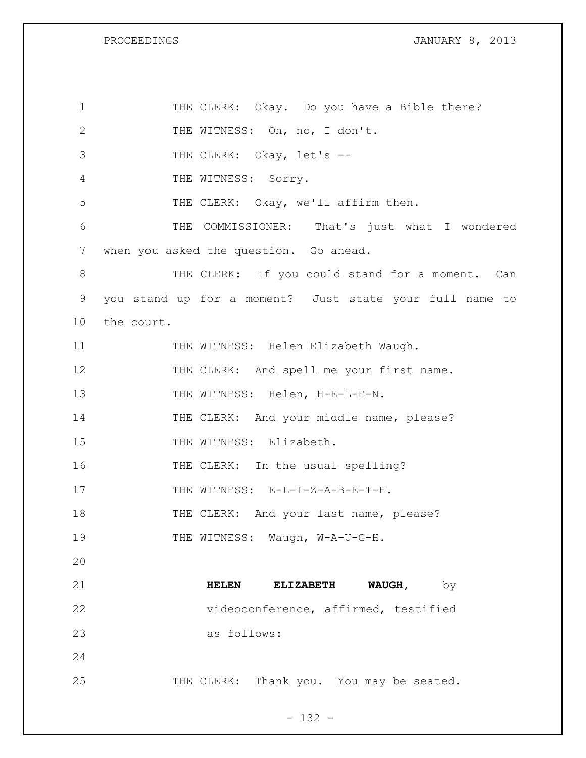PROCEEDINGS **PROCEEDINGS JANUARY 8, 2013** 

| $\mathbf 1$  | THE CLERK: Okay. Do you have a Bible there?             |
|--------------|---------------------------------------------------------|
| $\mathbf{2}$ | THE WITNESS: Oh, no, I don't.                           |
| 3            | THE CLERK: Okay, let's --                               |
| 4            | THE WITNESS: Sorry.                                     |
| 5            | THE CLERK: Okay, we'll affirm then.                     |
| 6            | THE COMMISSIONER: That's just what I wondered           |
| 7            | when you asked the question. Go ahead.                  |
| 8            | THE CLERK: If you could stand for a moment. Can         |
| 9            | you stand up for a moment? Just state your full name to |
| 10           | the court.                                              |
| 11           | THE WITNESS: Helen Elizabeth Waugh.                     |
| 12           | THE CLERK: And spell me your first name.                |
| 13           | THE WITNESS: Helen, H-E-L-E-N.                          |
| 14           | THE CLERK: And your middle name, please?                |
| 15           | THE WITNESS: Elizabeth.                                 |
| 16           | THE CLERK: In the usual spelling?                       |
| 17           | THE WITNESS: E-L-I-Z-A-B-E-T-H.                         |
| 18           | THE CLERK: And your last name, please?                  |
| 19           | THE WITNESS: Waugh, W-A-U-G-H.                          |
| 20           |                                                         |
| 21           | WAUGH, $by$<br><b>HELEN</b><br><b>ELIZABETH</b>         |
| 22           | videoconference, affirmed, testified                    |
| 23           | as follows:                                             |
| 24           |                                                         |
| 25           | THE CLERK: Thank you. You may be seated.                |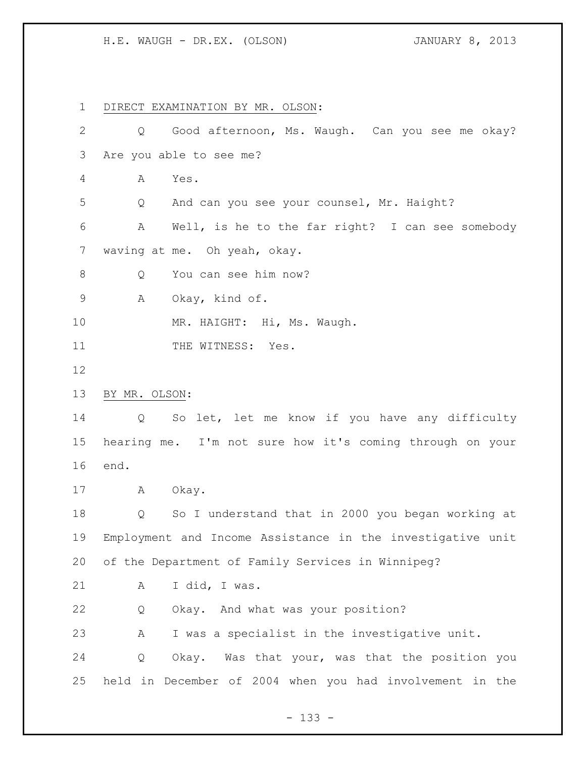## H.E. WAUGH - DR.EX. (OLSON) JANUARY 8, 2013

 DIRECT EXAMINATION BY MR. OLSON: Q Good afternoon, Ms. Waugh. Can you see me okay? Are you able to see me? A Yes. Q And can you see your counsel, Mr. Haight? A Well, is he to the far right? I can see somebody waving at me. Oh yeah, okay. 8 Q You can see him now? A Okay, kind of. 10 MR. HAIGHT: Hi, Ms. Waugh. 11 THE WITNESS: Yes. BY MR. OLSON: Q So let, let me know if you have any difficulty hearing me. I'm not sure how it's coming through on your end. A Okay. Q So I understand that in 2000 you began working at Employment and Income Assistance in the investigative unit of the Department of Family Services in Winnipeg? A I did, I was. Q Okay. And what was your position? A I was a specialist in the investigative unit. Q Okay. Was that your, was that the position you held in December of 2004 when you had involvement in the

- 133 -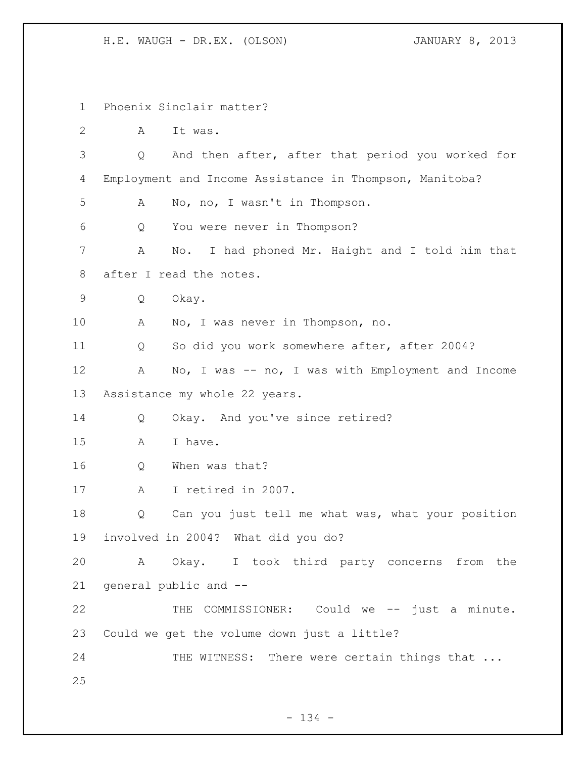H.E. WAUGH - DR.EX. (OLSON) JANUARY 8, 2013

 Phoenix Sinclair matter? A It was. Q And then after, after that period you worked for Employment and Income Assistance in Thompson, Manitoba? A No, no, I wasn't in Thompson. Q You were never in Thompson? A No. I had phoned Mr. Haight and I told him that after I read the notes. Q Okay. A No, I was never in Thompson, no. Q So did you work somewhere after, after 2004? A No, I was -- no, I was with Employment and Income Assistance my whole 22 years. 14 Q Okay. And you've since retired? 15 A I have. Q When was that? A I retired in 2007. Q Can you just tell me what was, what your position involved in 2004? What did you do? A Okay. I took third party concerns from the general public and -- THE COMMISSIONER: Could we -- just a minute. Could we get the volume down just a little? 24 THE WITNESS: There were certain things that ...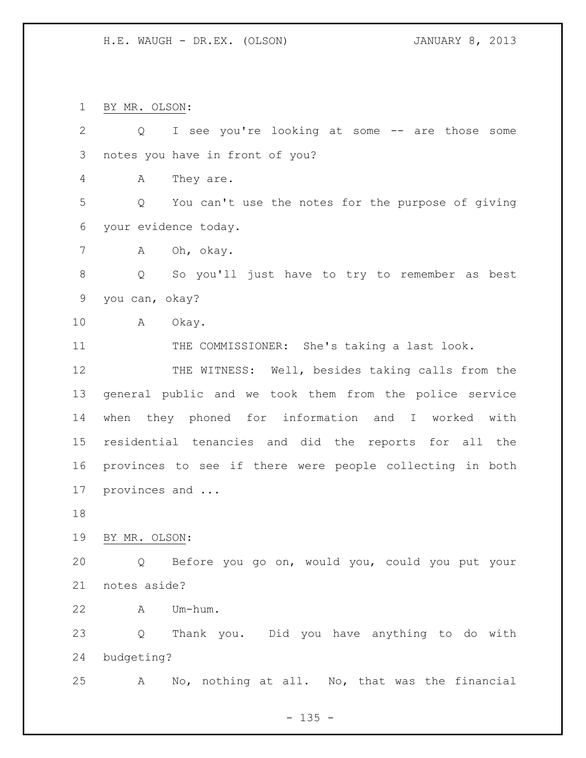BY MR. OLSON:

| $\mathbf{2}$  | I see you're looking at some -- are those some<br>Q      |
|---------------|----------------------------------------------------------|
| $\mathcal{S}$ | notes you have in front of you?                          |
| 4             | They are.<br>A                                           |
| 5             | You can't use the notes for the purpose of giving<br>Q   |
| 6             | your evidence today.                                     |
| 7             | Oh, okay.<br>Α                                           |
| 8             | So you'll just have to try to remember as best<br>Q      |
| $\mathsf 9$   | you can, okay?                                           |
| 10            | A<br>Okay.                                               |
| 11            | THE COMMISSIONER: She's taking a last look.              |
| 12            | THE WITNESS: Well, besides taking calls from the         |
| 13            | general public and we took them from the police service  |
| 14            | when they phoned for information and I worked<br>with    |
| 15            | residential tenancies and did the reports for all the    |
| 16            | provinces to see if there were people collecting in both |
| 17            | provinces and                                            |
| 18            |                                                          |
| 19            | BY MR. OLSON:                                            |
| 20            | Q Before you go on, would you, could you put your        |
| 21            | notes aside?                                             |
| 22            | Um-hum.<br>A                                             |
| 23            | Thank you. Did you have anything to do with<br>Q         |
| 24            | budgeting?                                               |
| 25            | No, nothing at all. No, that was the financial<br>A      |

- 135 -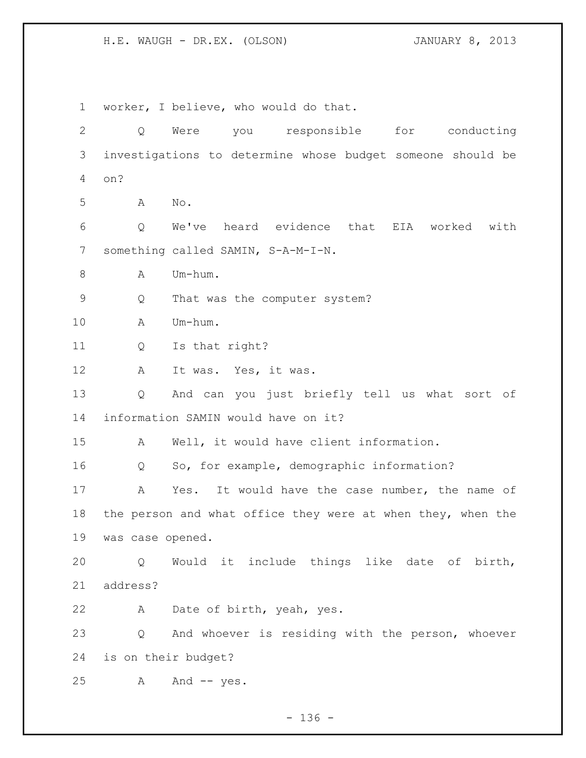H.E. WAUGH - DR.EX. (OLSON) JANUARY 8, 2013

 worker, I believe, who would do that. Q Were you responsible for conducting investigations to determine whose budget someone should be on? A No. Q We've heard evidence that EIA worked with something called SAMIN, S-A-M-I-N. A Um-hum. Q That was the computer system? A Um-hum. Q Is that right? A It was. Yes, it was. Q And can you just briefly tell us what sort of information SAMIN would have on it? A Well, it would have client information. Q So, for example, demographic information? A Yes. It would have the case number, the name of 18 the person and what office they were at when they, when the was case opened. Q Would it include things like date of birth, address? A Date of birth, yeah, yes. Q And whoever is residing with the person, whoever is on their budget? A And -- yes.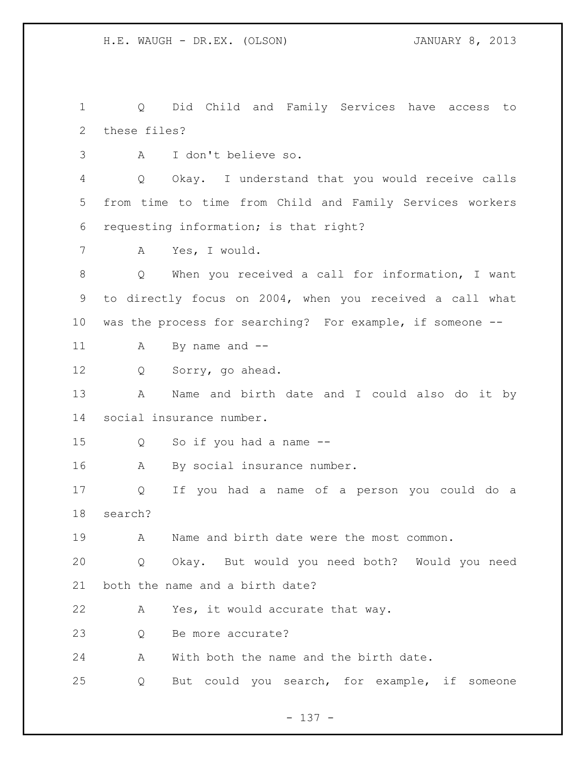Q Did Child and Family Services have access to these files? A I don't believe so. Q Okay. I understand that you would receive calls from time to time from Child and Family Services workers requesting information; is that right? A Yes, I would. Q When you received a call for information, I want to directly focus on 2004, when you received a call what was the process for searching? For example, if someone -- A By name and -- Q Sorry, go ahead. A Name and birth date and I could also do it by social insurance number. Q So if you had a name -- A By social insurance number. Q If you had a name of a person you could do a search? A Name and birth date were the most common. Q Okay. But would you need both? Would you need both the name and a birth date? A Yes, it would accurate that way. 23 0 Be more accurate? A With both the name and the birth date. Q But could you search, for example, if someone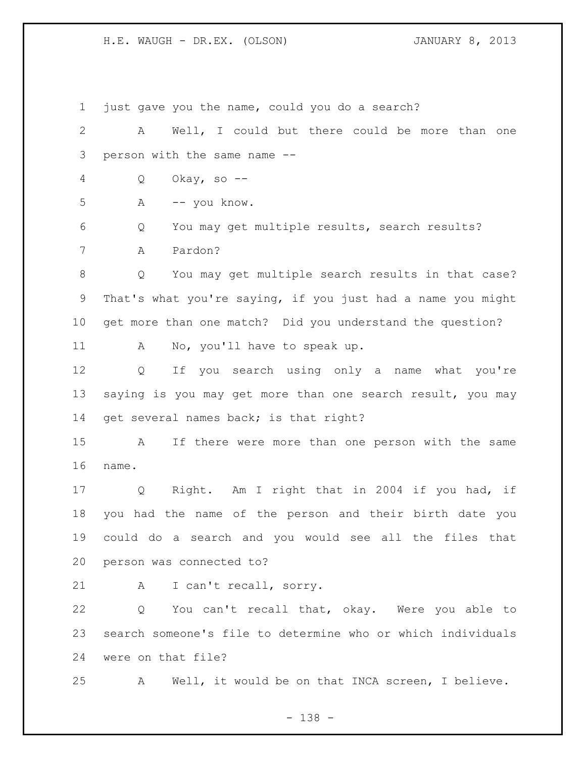H.E. WAUGH - DR.EX. (OLSON) JANUARY 8, 2013

 just gave you the name, could you do a search? A Well, I could but there could be more than one person with the same name -- Q Okay, so -- A -- you know. Q You may get multiple results, search results? A Pardon? Q You may get multiple search results in that case? That's what you're saying, if you just had a name you might get more than one match? Did you understand the question? 11 A No, you'll have to speak up. Q If you search using only a name what you're saying is you may get more than one search result, you may get several names back; is that right? A If there were more than one person with the same name. Q Right. Am I right that in 2004 if you had, if you had the name of the person and their birth date you could do a search and you would see all the files that person was connected to? A I can't recall, sorry. Q You can't recall that, okay. Were you able to search someone's file to determine who or which individuals were on that file? A Well, it would be on that INCA screen, I believe.

- 138 -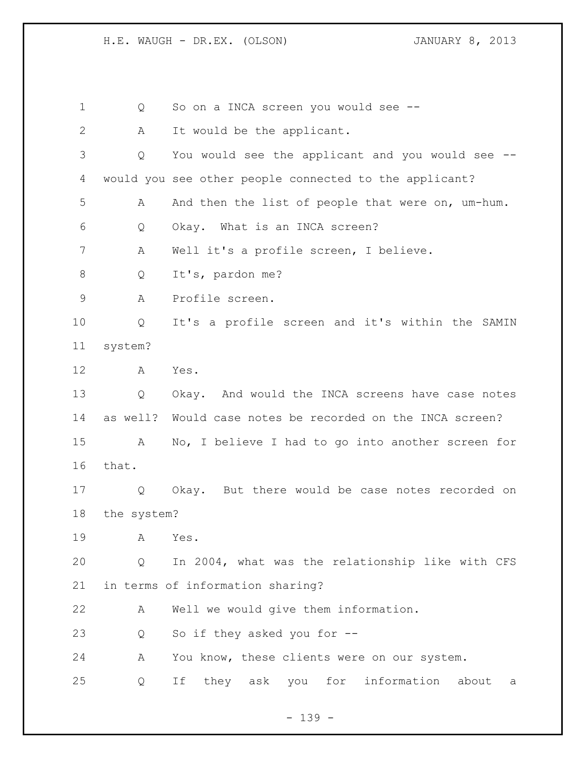Q So on a INCA screen you would see -- 2 A It would be the applicant. Q You would see the applicant and you would see -- would you see other people connected to the applicant? A And then the list of people that were on, um-hum. Q Okay. What is an INCA screen? A Well it's a profile screen, I believe. 8 O It's, pardon me? A Profile screen. Q It's a profile screen and it's within the SAMIN system? A Yes. Q Okay. And would the INCA screens have case notes as well? Would case notes be recorded on the INCA screen? A No, I believe I had to go into another screen for that. Q Okay. But there would be case notes recorded on the system? A Yes. Q In 2004, what was the relationship like with CFS in terms of information sharing? A Well we would give them information. Q So if they asked you for -- A You know, these clients were on our system. Q If they ask you for information about a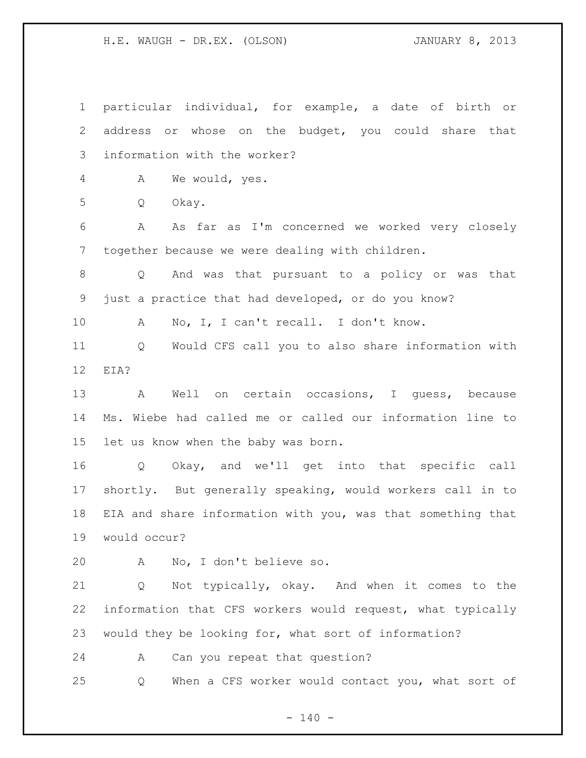H.E. WAUGH - DR.EX. (OLSON) JANUARY 8, 2013

 particular individual, for example, a date of birth or address or whose on the budget, you could share that information with the worker? A We would, yes. Q Okay. A As far as I'm concerned we worked very closely together because we were dealing with children. Q And was that pursuant to a policy or was that just a practice that had developed, or do you know? A No, I, I can't recall. I don't know. Q Would CFS call you to also share information with EIA? A Well on certain occasions, I guess, because Ms. Wiebe had called me or called our information line to let us know when the baby was born. Q Okay, and we'll get into that specific call shortly. But generally speaking, would workers call in to EIA and share information with you, was that something that would occur? A No, I don't believe so. Q Not typically, okay. And when it comes to the information that CFS workers would request, what typically would they be looking for, what sort of information? A Can you repeat that question? Q When a CFS worker would contact you, what sort of

 $- 140 -$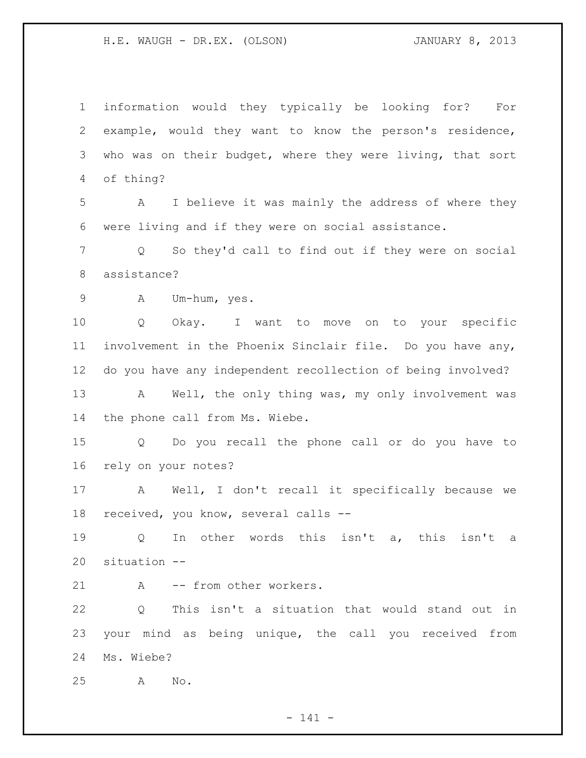information would they typically be looking for? For example, would they want to know the person's residence, 3 who was on their budget, where they were living, that sort of thing?

 A I believe it was mainly the address of where they were living and if they were on social assistance.

 Q So they'd call to find out if they were on social assistance?

A Um-hum, yes.

 Q Okay. I want to move on to your specific involvement in the Phoenix Sinclair file. Do you have any, do you have any independent recollection of being involved? 13 A Well, the only thing was, my only involvement was the phone call from Ms. Wiebe.

 Q Do you recall the phone call or do you have to rely on your notes?

 A Well, I don't recall it specifically because we received, you know, several calls --

 Q In other words this isn't a, this isn't a situation --

21 A -- from other workers.

 Q This isn't a situation that would stand out in your mind as being unique, the call you received from Ms. Wiebe?

A No.

- 141 -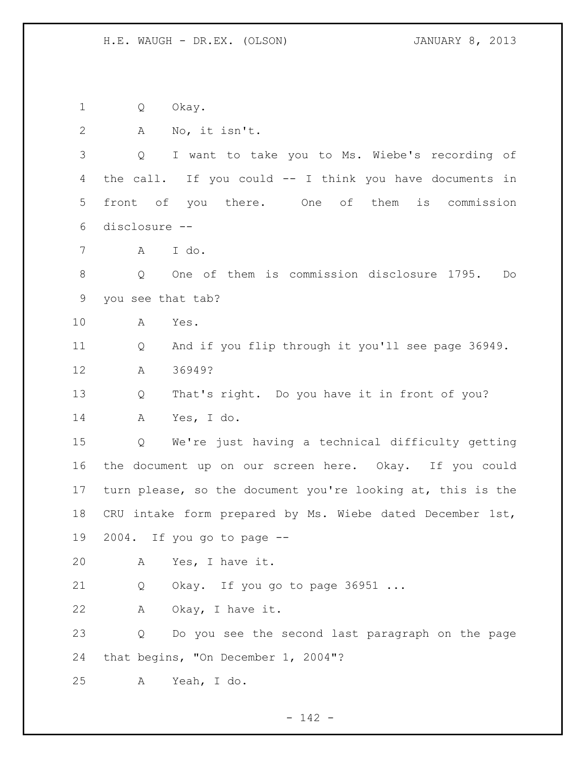Q Okay. A No, it isn't. Q I want to take you to Ms. Wiebe's recording of the call. If you could -- I think you have documents in front of you there. One of them is commission disclosure -- A I do. Q One of them is commission disclosure 1795. Do you see that tab? A Yes. Q And if you flip through it you'll see page 36949. A 36949? Q That's right. Do you have it in front of you? A Yes, I do. Q We're just having a technical difficulty getting the document up on our screen here. Okay. If you could turn please, so the document you're looking at, this is the CRU intake form prepared by Ms. Wiebe dated December 1st, 2004. If you go to page -- A Yes, I have it. Q Okay. If you go to page 36951 ... A Okay, I have it. Q Do you see the second last paragraph on the page that begins, "On December 1, 2004"? A Yeah, I do.

- 142 -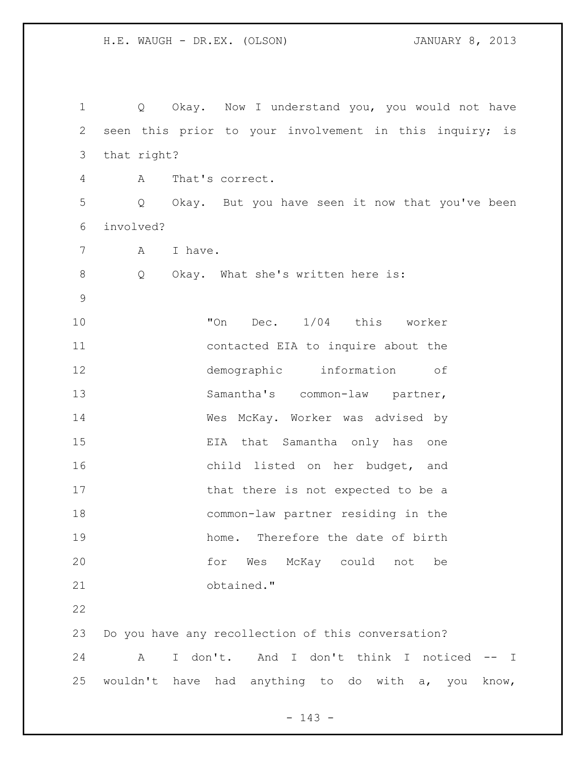Q Okay. Now I understand you, you would not have seen this prior to your involvement in this inquiry; is that right? A That's correct. Q Okay. But you have seen it now that you've been involved? A I have. 8 Q Okay. What she's written here is: **"On Dec.** 1/04 this worker contacted EIA to inquire about the demographic information of 13 Samantha's common-law partner, Wes McKay. Worker was advised by EIA that Samantha only has one child listed on her budget, and 17 that there is not expected to be a common-law partner residing in the home. Therefore the date of birth for Wes McKay could not be obtained." Do you have any recollection of this conversation? A I don't. And I don't think I noticed -- I wouldn't have had anything to do with a, you know,

- 143 -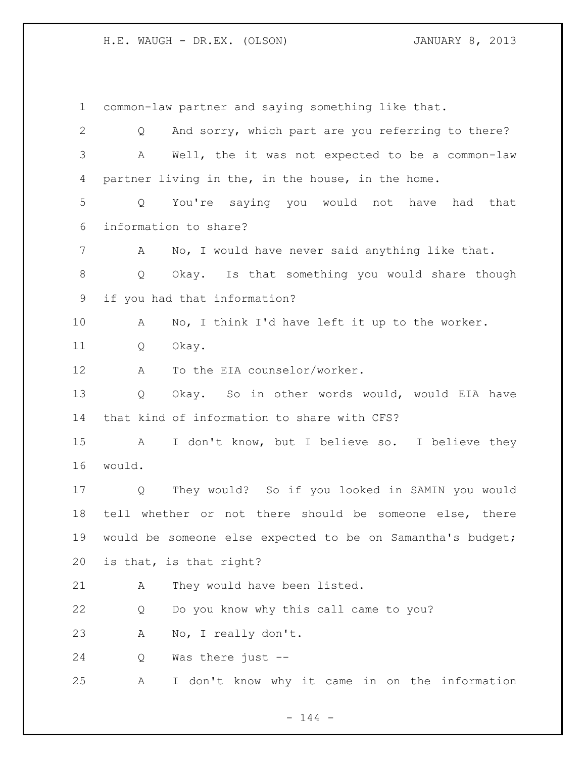common-law partner and saying something like that. Q And sorry, which part are you referring to there? A Well, the it was not expected to be a common-law partner living in the, in the house, in the home. Q You're saying you would not have had that information to share? A No, I would have never said anything like that. Q Okay. Is that something you would share though if you had that information? A No, I think I'd have left it up to the worker. Q Okay. 12 A To the EIA counselor/worker. Q Okay. So in other words would, would EIA have that kind of information to share with CFS? A I don't know, but I believe so. I believe they would. Q They would? So if you looked in SAMIN you would tell whether or not there should be someone else, there would be someone else expected to be on Samantha's budget; is that, is that right? 21 A They would have been listed. Q Do you know why this call came to you? A No, I really don't. Q Was there just -- A I don't know why it came in on the information

 $- 144 -$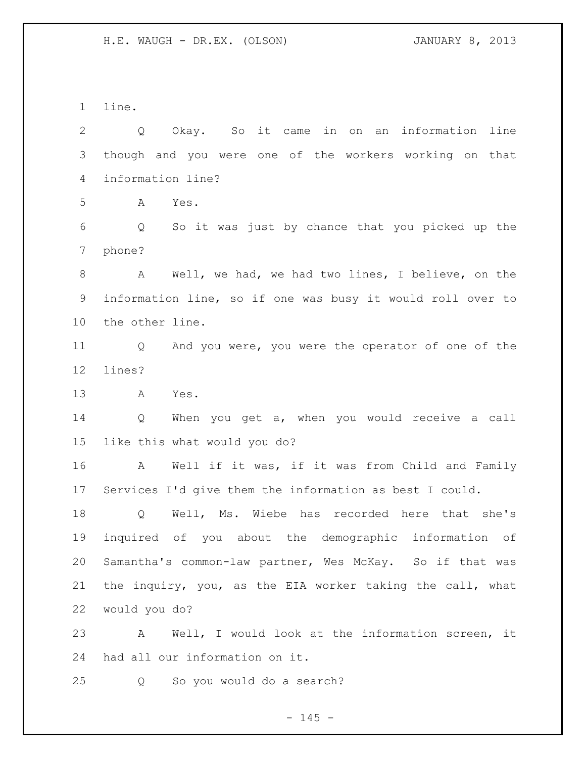line.

 Q Okay. So it came in on an information line though and you were one of the workers working on that information line? A Yes. Q So it was just by chance that you picked up the phone? A Well, we had, we had two lines, I believe, on the information line, so if one was busy it would roll over to the other line. Q And you were, you were the operator of one of the lines? A Yes. Q When you get a, when you would receive a call like this what would you do? A Well if it was, if it was from Child and Family Services I'd give them the information as best I could. Q Well, Ms. Wiebe has recorded here that she's inquired of you about the demographic information of Samantha's common-law partner, Wes McKay. So if that was the inquiry, you, as the EIA worker taking the call, what would you do? A Well, I would look at the information screen, it had all our information on it. Q So you would do a search?

 $- 145 -$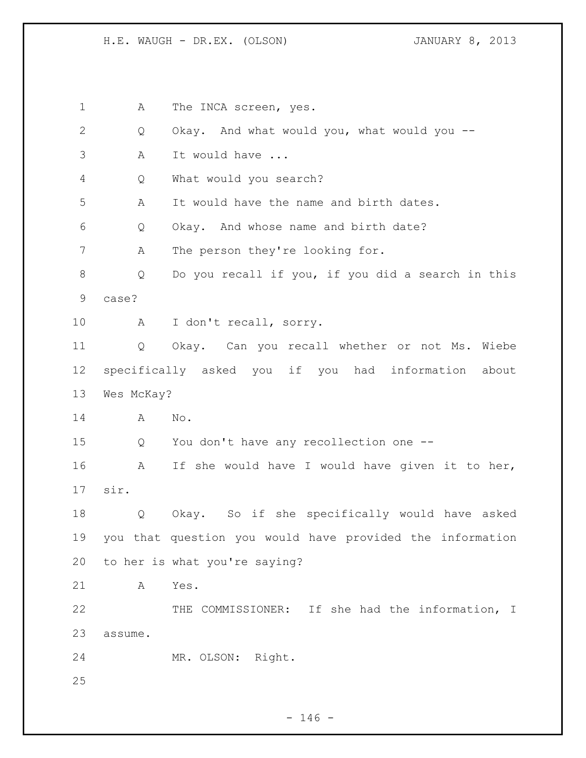1 A The INCA screen, yes. Q Okay. And what would you, what would you -- A It would have ... Q What would you search? A It would have the name and birth dates. Q Okay. And whose name and birth date? A The person they're looking for. Q Do you recall if you, if you did a search in this case? A I don't recall, sorry. Q Okay. Can you recall whether or not Ms. Wiebe specifically asked you if you had information about Wes McKay? A No. Q You don't have any recollection one -- A If she would have I would have given it to her, sir. Q Okay. So if she specifically would have asked you that question you would have provided the information to her is what you're saying? A Yes. THE COMMISSIONER: If she had the information, I assume. MR. OLSON: Right.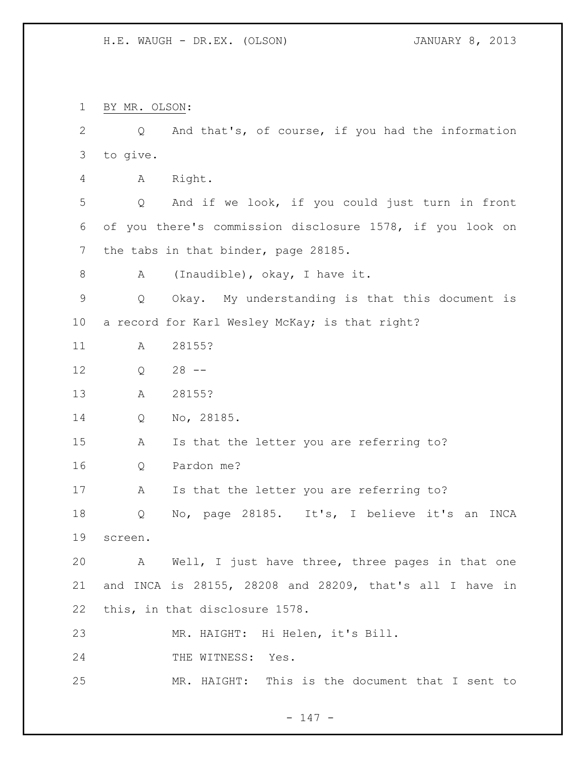BY MR. OLSON: Q And that's, of course, if you had the information to give. A Right. Q And if we look, if you could just turn in front of you there's commission disclosure 1578, if you look on the tabs in that binder, page 28185. A (Inaudible), okay, I have it. Q Okay. My understanding is that this document is a record for Karl Wesley McKay; is that right? A 28155? Q 28 -- A 28155? Q No, 28185. A Is that the letter you are referring to? Q Pardon me? 17 A Is that the letter you are referring to? Q No, page 28185. It's, I believe it's an INCA screen. A Well, I just have three, three pages in that one and INCA is 28155, 28208 and 28209, that's all I have in this, in that disclosure 1578. MR. HAIGHT: Hi Helen, it's Bill. 24 THE WITNESS: Yes. MR. HAIGHT: This is the document that I sent to

- 147 -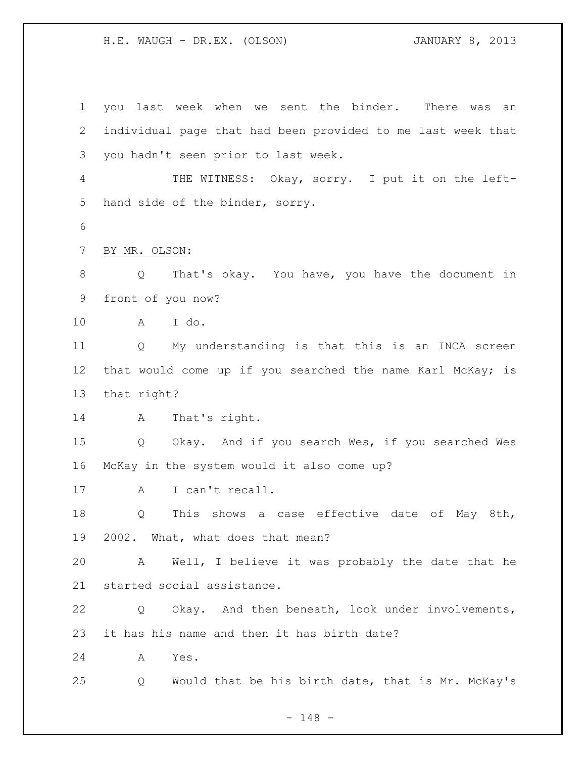you last week when we sent the binder. There was an individual page that had been provided to me last week that you hadn't seen prior to last week. THE WITNESS: Okay, sorry. I put it on the left- hand side of the binder, sorry. BY MR. OLSON: Q That's okay. You have, you have the document in front of you now? A I do. Q My understanding is that this is an INCA screen 12 that would come up if you searched the name Karl McKay; is that right? 14 A That's right. Q Okay. And if you search Wes, if you searched Wes McKay in the system would it also come up? 17 A I can't recall. Q This shows a case effective date of May 8th, 2002. What, what does that mean? A Well, I believe it was probably the date that he started social assistance. Q Okay. And then beneath, look under involvements, it has his name and then it has birth date? A Yes. Q Would that be his birth date, that is Mr. McKay's

- 148 -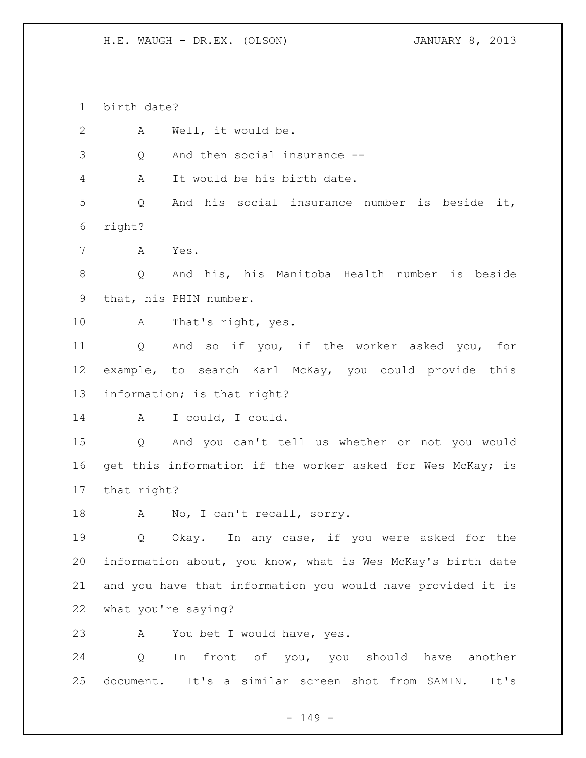birth date?

 A Well, it would be. Q And then social insurance -- A It would be his birth date. Q And his social insurance number is beside it, right? A Yes. Q And his, his Manitoba Health number is beside that, his PHIN number. A That's right, yes. Q And so if you, if the worker asked you, for example, to search Karl McKay, you could provide this information; is that right? A I could, I could. Q And you can't tell us whether or not you would 16 get this information if the worker asked for Wes McKay; is that right? 18 A No, I can't recall, sorry. Q Okay. In any case, if you were asked for the information about, you know, what is Wes McKay's birth date and you have that information you would have provided it is what you're saying? A You bet I would have, yes. Q In front of you, you should have another document. It's a similar screen shot from SAMIN. It's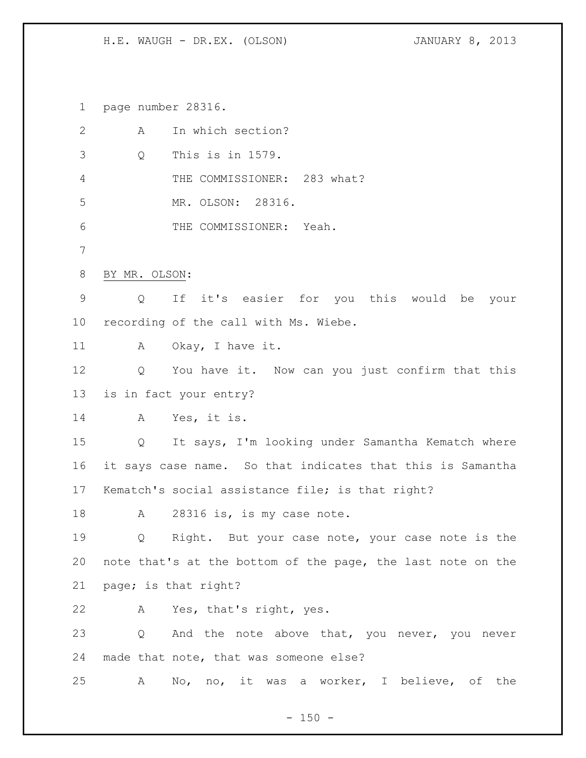page number 28316.

| A                 | In which section?                                           |
|-------------------|-------------------------------------------------------------|
| Q                 | This is in 1579.                                            |
|                   | THE COMMISSIONER: 283 what?                                 |
|                   | MR. OLSON: 28316.                                           |
|                   | THE COMMISSIONER: Yeah.                                     |
|                   |                                                             |
| BY MR. OLSON:     |                                                             |
| $\circ$           | If it's easier for you this would be your                   |
|                   | recording of the call with Ms. Wiebe.                       |
|                   | A Okay, I have it.                                          |
|                   | Q You have it. Now can you just confirm that this           |
|                   | is in fact your entry?                                      |
| A                 | Yes, it is.                                                 |
| $Q \qquad \qquad$ | It says, I'm looking under Samantha Kematch where           |
|                   | it says case name. So that indicates that this is Samantha  |
|                   | Kematch's social assistance file; is that right?            |
| A                 | 28316 is, is my case note.                                  |
| Q                 | Right. But your case note, your case note is the            |
|                   | note that's at the bottom of the page, the last note on the |
|                   | page; is that right?                                        |
| $\mathbb A$       | Yes, that's right, yes.                                     |
| Q                 | And the note above that, you never, you never               |
|                   | made that note, that was someone else?                      |
| A                 | No, no, it was a worker, I believe, of the                  |
|                   |                                                             |

- 150 -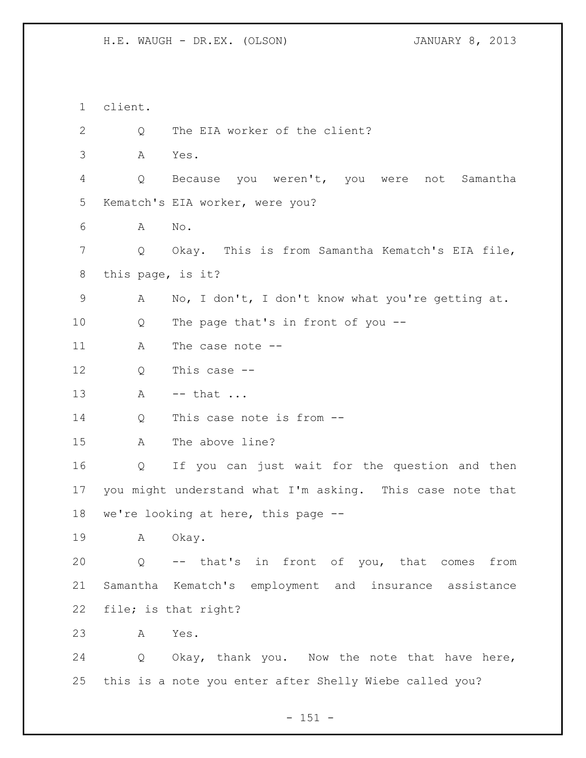client. 2 Q The EIA worker of the client? A Yes. Q Because you weren't, you were not Samantha Kematch's EIA worker, were you? A No. Q Okay. This is from Samantha Kematch's EIA file, this page, is it? A No, I don't, I don't know what you're getting at. Q The page that's in front of you -- 11 A The case note -- Q This case -- 13 A -- that ... Q This case note is from -- A The above line? Q If you can just wait for the question and then you might understand what I'm asking. This case note that we're looking at here, this page -- 19 A Okay. Q -- that's in front of you, that comes from Samantha Kematch's employment and insurance assistance file; is that right? A Yes. Q Okay, thank you. Now the note that have here, this is a note you enter after Shelly Wiebe called you?

- 151 -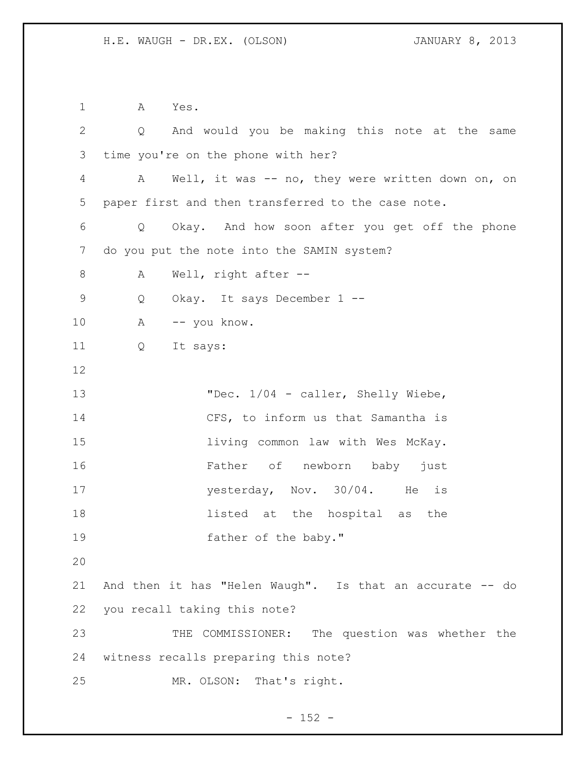A Yes. Q And would you be making this note at the same time you're on the phone with her? A Well, it was -- no, they were written down on, on paper first and then transferred to the case note. Q Okay. And how soon after you get off the phone do you put the note into the SAMIN system? 8 A Well, right after -- Q Okay. It says December 1 -- A -- you know. Q It says: 13 "Dec. 1/04 - caller, Shelly Wiebe, 14 CFS, to inform us that Samantha is **living common law with Wes McKay.**  Father of newborn baby just 17 yesterday, Nov. 30/04. He is listed at the hospital as the 19 father of the baby." And then it has "Helen Waugh". Is that an accurate -- do you recall taking this note? THE COMMISSIONER: The question was whether the witness recalls preparing this note? MR. OLSON: That's right.

 $- 152 -$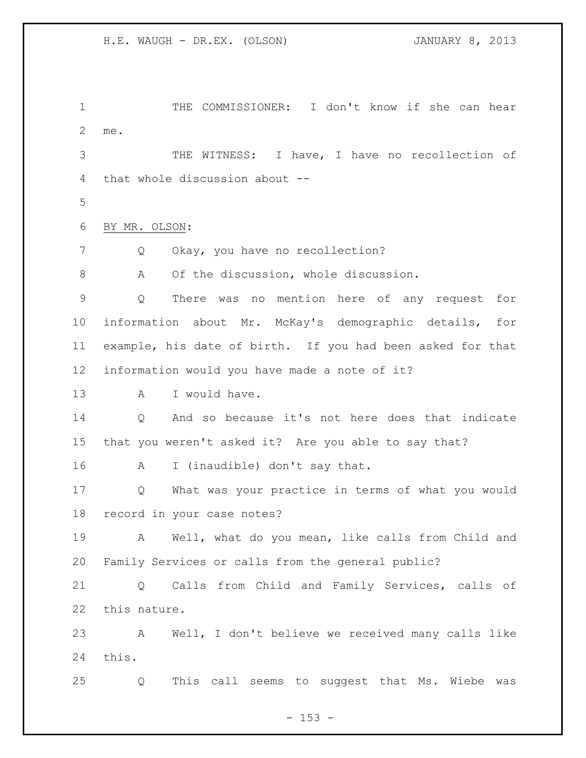THE COMMISSIONER: I don't know if she can hear me. THE WITNESS: I have, I have no recollection of that whole discussion about -- 

BY MR. OLSON:

7 Q Okay, you have no recollection?

A Of the discussion, whole discussion.

 Q There was no mention here of any request for information about Mr. McKay's demographic details, for example, his date of birth. If you had been asked for that information would you have made a note of it?

13 A I would have.

 Q And so because it's not here does that indicate that you weren't asked it? Are you able to say that?

A I (inaudible) don't say that.

 Q What was your practice in terms of what you would record in your case notes?

 A Well, what do you mean, like calls from Child and Family Services or calls from the general public?

 Q Calls from Child and Family Services, calls of this nature.

 A Well, I don't believe we received many calls like this.

Q This call seems to suggest that Ms. Wiebe was

 $- 153 -$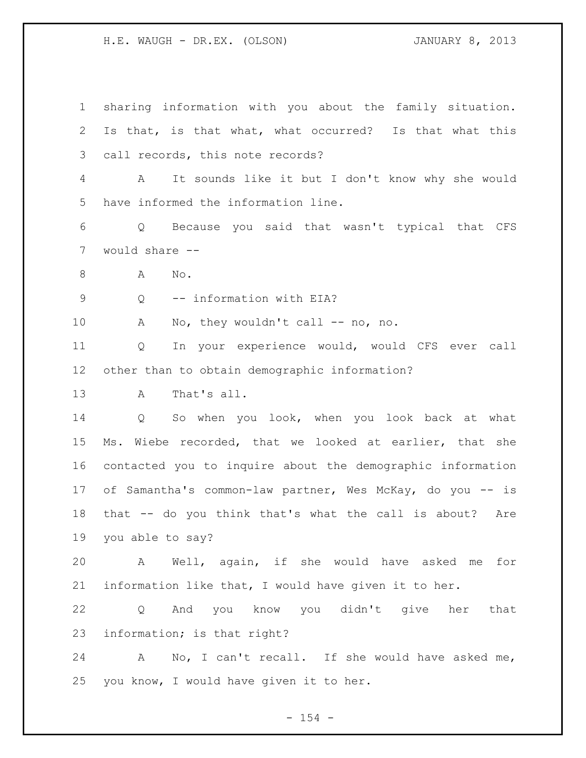sharing information with you about the family situation. Is that, is that what, what occurred? Is that what this call records, this note records? A It sounds like it but I don't know why she would have informed the information line. Q Because you said that wasn't typical that CFS would share -- A No. Q -- information with EIA? 10 A No, they wouldn't call -- no, no. Q In your experience would, would CFS ever call other than to obtain demographic information? A That's all. Q So when you look, when you look back at what Ms. Wiebe recorded, that we looked at earlier, that she contacted you to inquire about the demographic information of Samantha's common-law partner, Wes McKay, do you -- is that -- do you think that's what the call is about? Are you able to say? A Well, again, if she would have asked me for information like that, I would have given it to her. Q And you know you didn't give her that information; is that right? A No, I can't recall. If she would have asked me, you know, I would have given it to her.

 $- 154 -$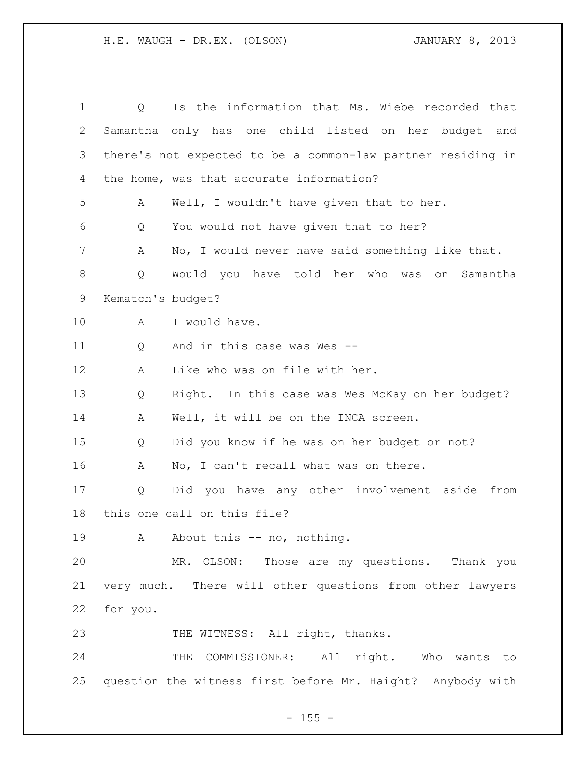| $\mathbf 1$ | Is the information that Ms. Wiebe recorded that<br>Q        |
|-------------|-------------------------------------------------------------|
| 2           | Samantha only has one child listed on her budget and        |
| 3           | there's not expected to be a common-law partner residing in |
| 4           | the home, was that accurate information?                    |
| 5           | Well, I wouldn't have given that to her.<br>A               |
| 6           | You would not have given that to her?<br>Q                  |
| 7           | No, I would never have said something like that.<br>Α       |
| 8           | Would you have told her who was<br>Q<br>on Samantha         |
| 9           | Kematch's budget?                                           |
| 10          | I would have.<br>Α                                          |
| 11          | And in this case was Wes --<br>Q                            |
| 12          | Like who was on file with her.<br>A                         |
| 13          | Right. In this case was Wes McKay on her budget?<br>Q       |
| 14          | Well, it will be on the INCA screen.<br>A                   |
| 15          | Did you know if he was on her budget or not?<br>Q           |
| 16          | Α<br>No, I can't recall what was on there.                  |
| 17          | Did you have any other involvement aside from<br>Q          |
| 18          | this one call on this file?                                 |
| 19          | A About this -- no, nothing.                                |
| 20          | MR. OLSON: Those are my questions. Thank you                |
| 21          | very much. There will other questions from other lawyers    |
| 22          | for you.                                                    |
| 23          | THE WITNESS: All right, thanks.                             |
| 24          | THE COMMISSIONER: All right. Who wants to                   |
| 25          | question the witness first before Mr. Haight? Anybody with  |

# - 155 -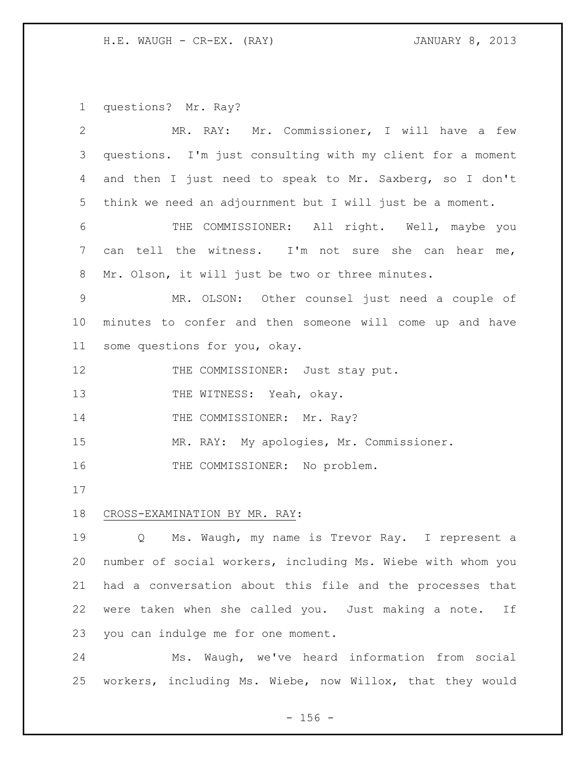H.E. WAUGH - CR-EX. (RAY) 31 JANUARY 8, 2013

questions? Mr. Ray?

| 2           | MR. RAY: Mr. Commissioner, I will have a few                |
|-------------|-------------------------------------------------------------|
| 3           | questions. I'm just consulting with my client for a moment  |
| 4           | and then I just need to speak to Mr. Saxberg, so I don't    |
| 5           | think we need an adjournment but I will just be a moment.   |
| 6           | THE COMMISSIONER: All right. Well, maybe you                |
| 7           | can tell the witness. I'm not sure she can hear me,         |
| 8           | Mr. Olson, it will just be two or three minutes.            |
| $\mathsf 9$ | MR. OLSON: Other counsel just need a couple of              |
| 10          | minutes to confer and then someone will come up and have    |
| 11          | some questions for you, okay.                               |
| 12          | THE COMMISSIONER: Just stay put.                            |
| 13          | THE WITNESS: Yeah, okay.                                    |
| 14          | THE COMMISSIONER: Mr. Ray?                                  |
| 15          | MR. RAY: My apologies, Mr. Commissioner.                    |
| 16          | THE COMMISSIONER: No problem.                               |
| 17          |                                                             |
| 18          | CROSS-EXAMINATION BY MR. RAY:                               |
| 19          | Ms. Waugh, my name is Trevor Ray. I represent a<br>Q        |
| 20          | number of social workers, including Ms. Wiebe with whom you |
| 21          | had a conversation about this file and the processes that   |
| 22          | were taken when she called you. Just making a note.<br>If   |
| 23          | you can indulge me for one moment.                          |
| 24          | Waugh, we've heard information from social<br>Ms.           |

- 156 -

workers, including Ms. Wiebe, now Willox, that they would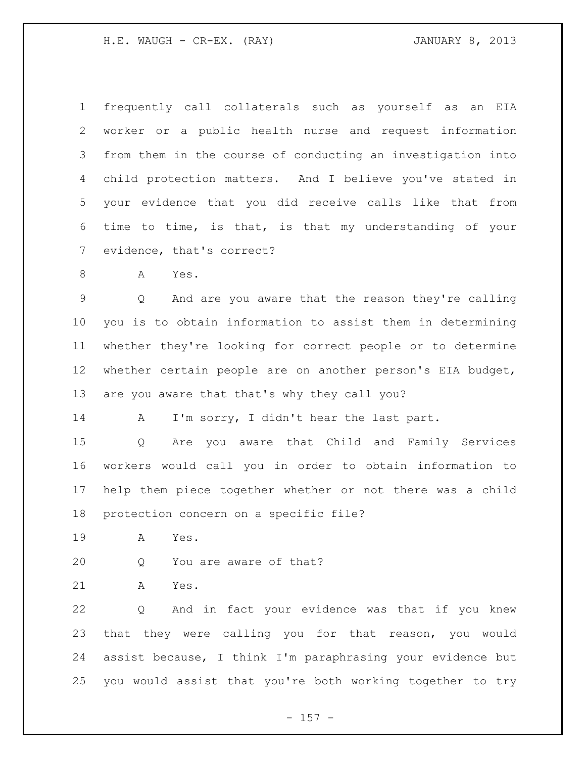frequently call collaterals such as yourself as an EIA worker or a public health nurse and request information from them in the course of conducting an investigation into child protection matters. And I believe you've stated in your evidence that you did receive calls like that from time to time, is that, is that my understanding of your evidence, that's correct?

A Yes.

 Q And are you aware that the reason they're calling you is to obtain information to assist them in determining whether they're looking for correct people or to determine whether certain people are on another person's EIA budget, are you aware that that's why they call you?

A I'm sorry, I didn't hear the last part.

 Q Are you aware that Child and Family Services workers would call you in order to obtain information to help them piece together whether or not there was a child protection concern on a specific file?

A Yes.

Q You are aware of that?

A Yes.

 Q And in fact your evidence was that if you knew that they were calling you for that reason, you would assist because, I think I'm paraphrasing your evidence but you would assist that you're both working together to try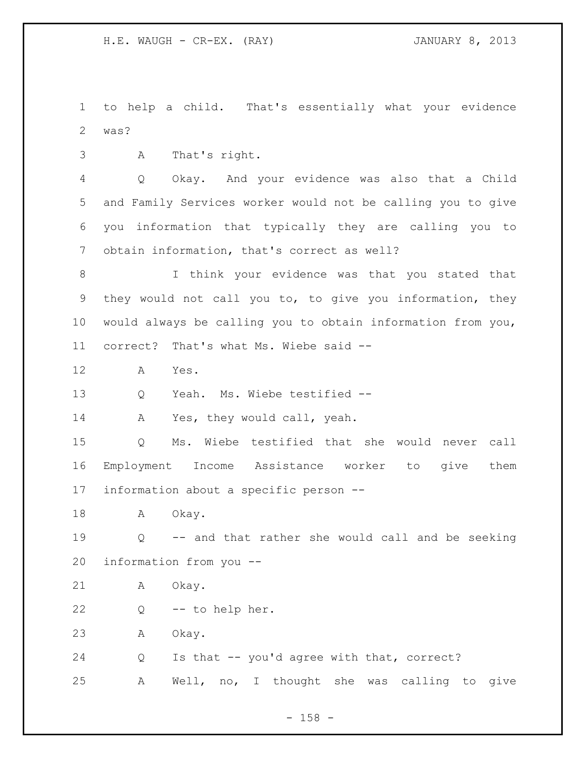to help a child. That's essentially what your evidence was?

A That's right.

 Q Okay. And your evidence was also that a Child and Family Services worker would not be calling you to give you information that typically they are calling you to obtain information, that's correct as well?

 I think your evidence was that you stated that they would not call you to, to give you information, they would always be calling you to obtain information from you, correct? That's what Ms. Wiebe said --

A Yes.

Q Yeah. Ms. Wiebe testified --

A Yes, they would call, yeah.

 Q Ms. Wiebe testified that she would never call Employment Income Assistance worker to give them information about a specific person --

18 A Okay.

 Q -- and that rather she would call and be seeking information from you --

A Okay.

Q -- to help her.

A Okay.

 Q Is that -- you'd agree with that, correct? A Well, no, I thought she was calling to give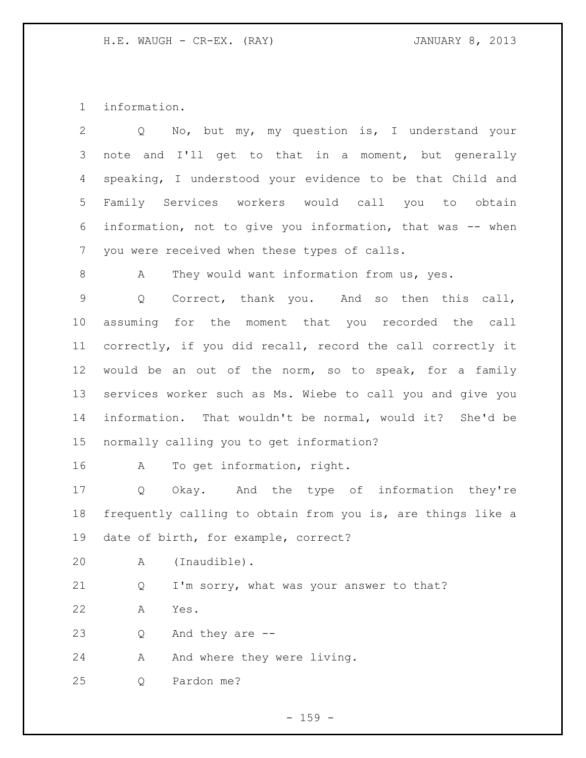information.

| 2               | No, but my, my question is, I understand your<br>$Q \qquad \qquad$ |
|-----------------|--------------------------------------------------------------------|
| 3               | note and I'll get to that in a moment, but generally               |
| 4               | speaking, I understood your evidence to be that Child and          |
| 5               | Family Services workers would call you to obtain                   |
| 6               | information, not to give you information, that was -- when         |
| $7\phantom{.0}$ | you were received when these types of calls.                       |
| 8               | They would want information from us, yes.<br>A                     |
| $\mathsf 9$     | Correct, thank you. And so then this call,<br>Q                    |
| 10 <sub>o</sub> | assuming for the moment that you recorded the call                 |
| 11              | correctly, if you did recall, record the call correctly it         |
| 12              | would be an out of the norm, so to speak, for a family             |
| 13              | services worker such as Ms. Wiebe to call you and give you         |
| 14              | information. That wouldn't be normal, would it? She'd be           |
| 15              | normally calling you to get information?                           |
| 16              | To get information, right.<br>A                                    |
| 17              | Okay. And the type of information they're<br>Q                     |
| 18              | frequently calling to obtain from you is, are things like a        |
| 19              | date of birth, for example, correct?                               |
| 20              | (Inaudible).<br>Α                                                  |
| 21              | I'm sorry, what was your answer to that?<br>Q                      |
| 22              | Yes.<br>Α                                                          |
| 23              | And they are $-$ -<br>Q                                            |
| 24              | And where they were living.<br>Α                                   |
| 25              | Pardon me?<br>Q                                                    |

- 159 -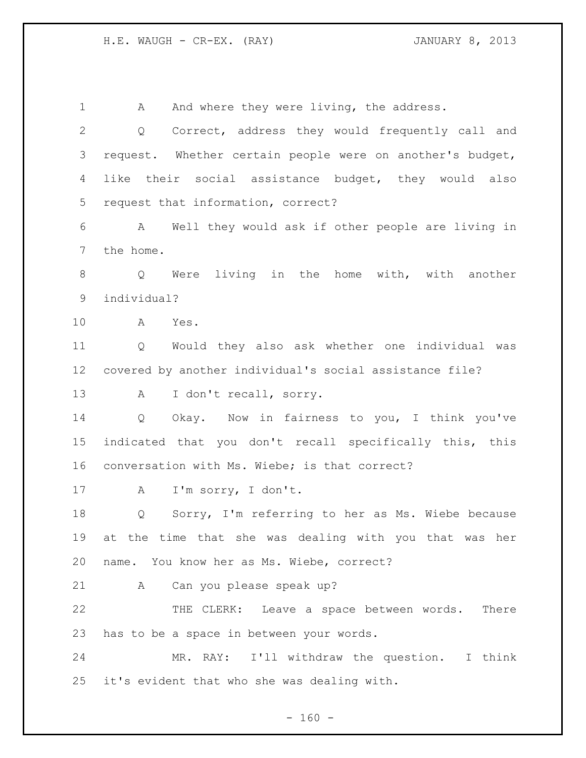H.E. WAUGH - CR-EX. (RAY) JANUARY 8, 2013

1 A And where they were living, the address. Q Correct, address they would frequently call and request. Whether certain people were on another's budget, like their social assistance budget, they would also request that information, correct? A Well they would ask if other people are living in the home. Q Were living in the home with, with another individual? A Yes. Q Would they also ask whether one individual was covered by another individual's social assistance file? A I don't recall, sorry. Q Okay. Now in fairness to you, I think you've indicated that you don't recall specifically this, this conversation with Ms. Wiebe; is that correct? 17 A I'm sorry, I don't. Q Sorry, I'm referring to her as Ms. Wiebe because at the time that she was dealing with you that was her name. You know her as Ms. Wiebe, correct? A Can you please speak up? THE CLERK: Leave a space between words. There has to be a space in between your words. MR. RAY: I'll withdraw the question. I think it's evident that who she was dealing with.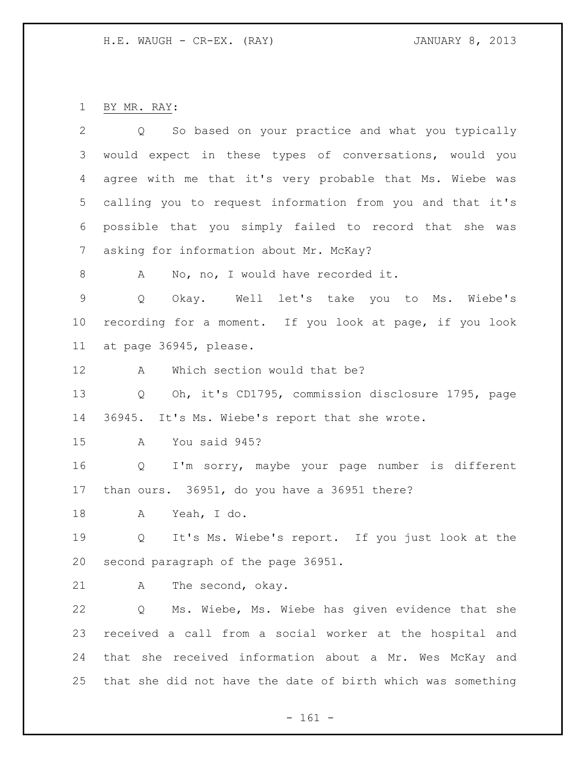BY MR. RAY:

| 2           | Q So based on your practice and what you typically          |
|-------------|-------------------------------------------------------------|
| 3           | would expect in these types of conversations, would you     |
| 4           | agree with me that it's very probable that Ms. Wiebe was    |
| 5           | calling you to request information from you and that it's   |
| 6           | possible that you simply failed to record that she was      |
| 7           | asking for information about Mr. McKay?                     |
| 8           | No, no, I would have recorded it.<br>A                      |
| $\mathsf 9$ | Okay. Well let's take you to Ms. Wiebe's<br>Q               |
| 10          | recording for a moment. If you look at page, if you look    |
| 11          | at page 36945, please.                                      |
| 12          | Which section would that be?<br>Α                           |
| 13          | Oh, it's CD1795, commission disclosure 1795, page<br>Q      |
| 14          | 36945. It's Ms. Wiebe's report that she wrote.              |
| 15          | You said 945?<br>A                                          |
| 16          | I'm sorry, maybe your page number is different<br>Q         |
| 17          | than ours. 36951, do you have a 36951 there?                |
| 18          | Yeah, I do.<br>A                                            |
| 19          | It's Ms. Wiebe's report. If you just look at the<br>Q       |
| 20          | second paragraph of the page 36951.                         |
| 21          | The second, okay.<br>Α                                      |
| 22          | Ms. Wiebe, Ms. Wiebe has given evidence that she<br>Q       |
| 23          | received a call from a social worker at the hospital and    |
| 24          | that she received information about a Mr. Wes McKay and     |
| 25          | that she did not have the date of birth which was something |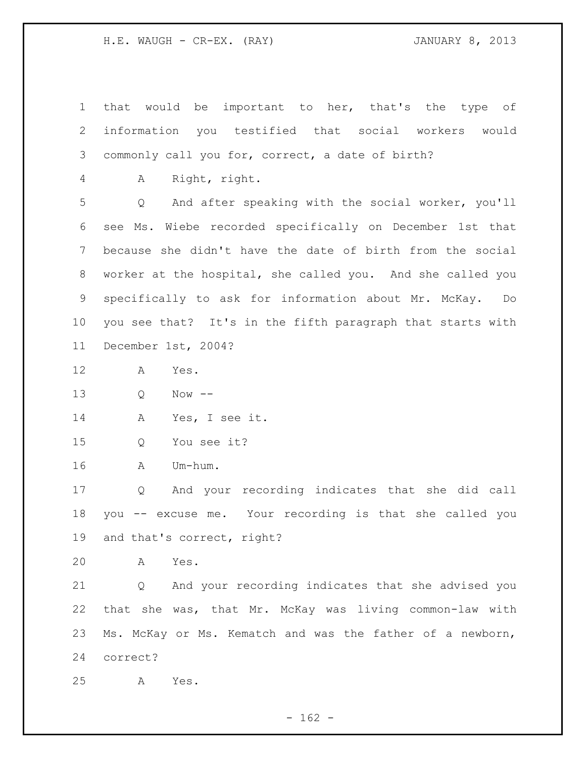H.E. WAUGH - CR-EX. (RAY) JANUARY 8, 2013

 that would be important to her, that's the type of information you testified that social workers would commonly call you for, correct, a date of birth? A Right, right. Q And after speaking with the social worker, you'll see Ms. Wiebe recorded specifically on December 1st that because she didn't have the date of birth from the social worker at the hospital, she called you. And she called you specifically to ask for information about Mr. McKay. Do you see that? It's in the fifth paragraph that starts with December 1st, 2004? A Yes. Q Now -- A Yes, I see it. Q You see it? A Um-hum. Q And your recording indicates that she did call you -- excuse me. Your recording is that she called you and that's correct, right? A Yes. Q And your recording indicates that she advised you that she was, that Mr. McKay was living common-law with Ms. McKay or Ms. Kematch and was the father of a newborn, correct? A Yes.

 $- 162 -$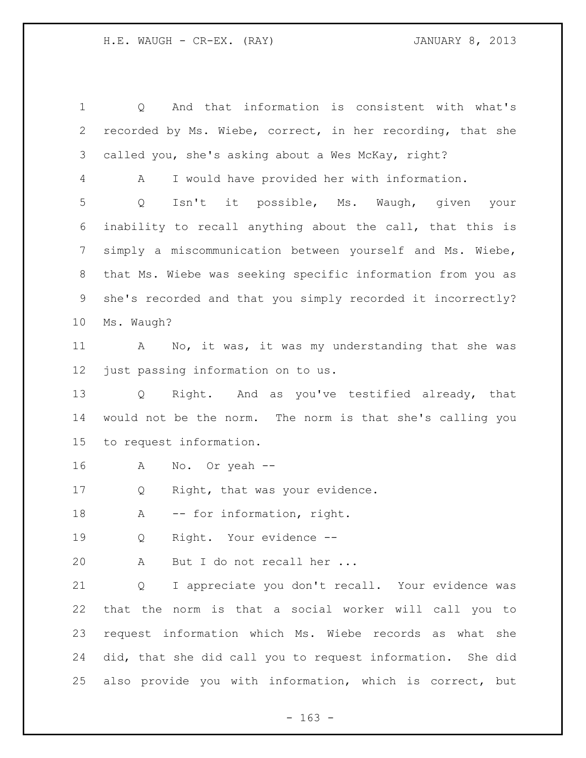Q And that information is consistent with what's recorded by Ms. Wiebe, correct, in her recording, that she called you, she's asking about a Wes McKay, right? A I would have provided her with information. Q Isn't it possible, Ms. Waugh, given your inability to recall anything about the call, that this is simply a miscommunication between yourself and Ms. Wiebe, that Ms. Wiebe was seeking specific information from you as she's recorded and that you simply recorded it incorrectly? Ms. Waugh? A No, it was, it was my understanding that she was just passing information on to us. Q Right. And as you've testified already, that would not be the norm. The norm is that she's calling you to request information. A No. Or yeah -- 17 Q Right, that was your evidence. 18 A -- for information, right. Q Right. Your evidence -- A But I do not recall her ... Q I appreciate you don't recall. Your evidence was that the norm is that a social worker will call you to request information which Ms. Wiebe records as what she did, that she did call you to request information. She did also provide you with information, which is correct, but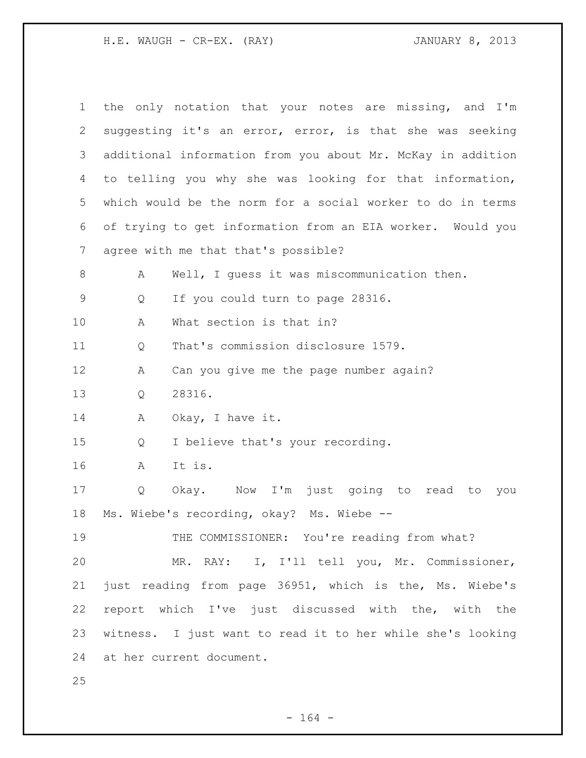H.E. WAUGH - CR-EX. (RAY) 31 JANUARY 8, 2013

| $\mathbf 1$ |   | the only notation that your notes are missing, and I'm      |
|-------------|---|-------------------------------------------------------------|
| 2           |   | suggesting it's an error, error, is that she was seeking    |
| 3           |   | additional information from you about Mr. McKay in addition |
| 4           |   | to telling you why she was looking for that information,    |
| 5           |   | which would be the norm for a social worker to do in terms  |
| 6           |   | of trying to get information from an EIA worker. Would you  |
| 7           |   | agree with me that that's possible?                         |
| 8           | Α | Well, I quess it was miscommunication then.                 |
| $\mathsf 9$ | Q | If you could turn to page 28316.                            |
| 10          | A | What section is that in?                                    |
| 11          | Q | That's commission disclosure 1579.                          |
| 12          | A | Can you give me the page number again?                      |
| 13          | Q | 28316.                                                      |
| 14          | Α | Okay, I have it.                                            |
| 15          | Q | I believe that's your recording.                            |
| 16          | A | It is.                                                      |
| 17          | Q | Okay. Now I'm just going to read<br>to<br>you               |
| 18          |   | Ms. Wiebe's recording, okay? Ms. Wiebe --                   |
| 19          |   | THE COMMISSIONER: You're reading from what?                 |
| 20          |   | MR. RAY: I, I'll tell you, Mr. Commissioner,                |
| 21          |   | just reading from page 36951, which is the, Ms. Wiebe's     |
| 22          |   | report which I've just discussed with the, with the         |
| 23          |   | witness. I just want to read it to her while she's looking  |
| 24          |   | at her current document.                                    |
| 25          |   |                                                             |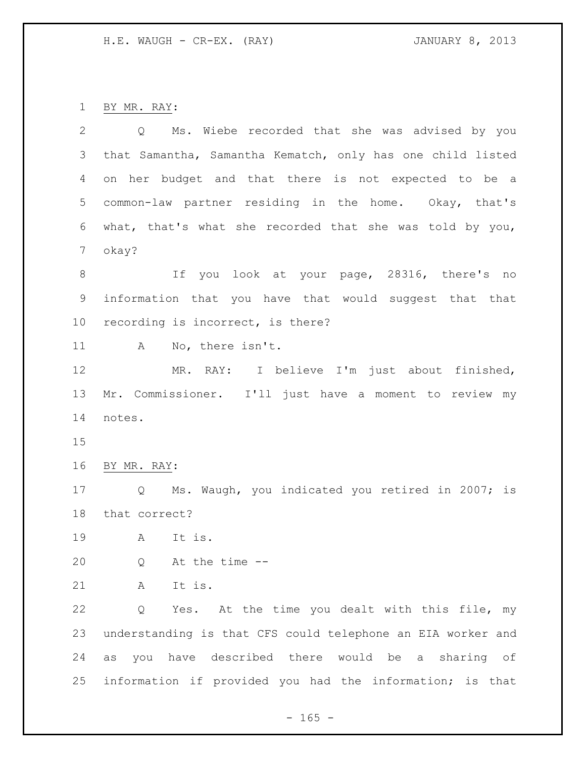BY MR. RAY:

| $\overline{2}$ | Ms. Wiebe recorded that she was advised by you<br>$Q \qquad \qquad$ |
|----------------|---------------------------------------------------------------------|
| 3              | that Samantha, Samantha Kematch, only has one child listed          |
| 4              | on her budget and that there is not expected to be a                |
| 5              | common-law partner residing in the home. Okay, that's               |
| 6              | what, that's what she recorded that she was told by you,            |
| 7              | okay?                                                               |
| 8              | If you look at your page, 28316, there's no                         |
| 9              | information that you have that would suggest that that              |
| 10             | recording is incorrect, is there?                                   |
| 11             | No, there isn't.<br>A                                               |
| 12             | MR. RAY: I believe I'm just about finished,                         |
| 13             | Mr. Commissioner. I'll just have a moment to review my              |
| 14             | notes.                                                              |
| 15             |                                                                     |
| 16             | BY MR. RAY:                                                         |
| 17             | Q Ms. Waugh, you indicated you retired in 2007; is                  |
| 18             | that correct?                                                       |
| 19             | It is.<br>A                                                         |
| 20             | At the time --<br>Q                                                 |
| 21             | It is.<br>A                                                         |
| 22             | Yes. At the time you dealt with this file, my<br>Q                  |
| 23             | understanding is that CFS could telephone an EIA worker and         |
| 24             | you have described there would be a sharing of<br>as                |
| 25             | information if provided you had the information; is that            |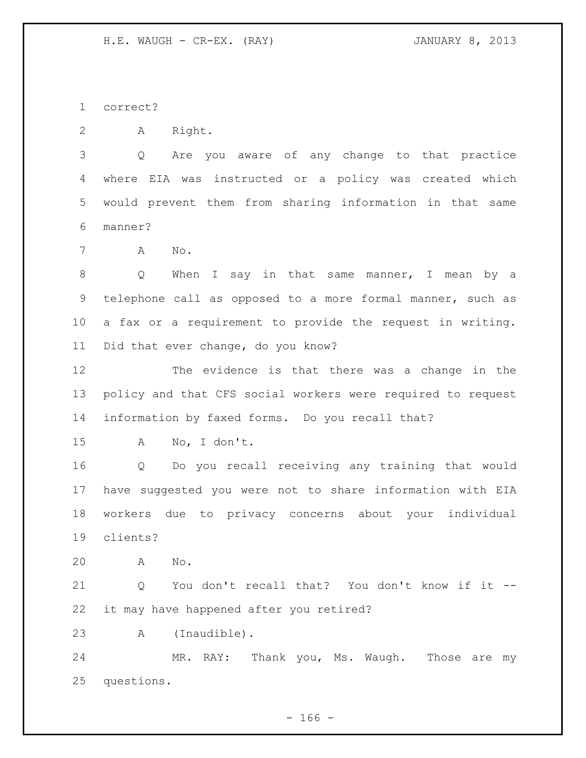correct?

A Right.

 Q Are you aware of any change to that practice where EIA was instructed or a policy was created which would prevent them from sharing information in that same manner?

A No.

 Q When I say in that same manner, I mean by a telephone call as opposed to a more formal manner, such as a fax or a requirement to provide the request in writing. Did that ever change, do you know?

 The evidence is that there was a change in the policy and that CFS social workers were required to request information by faxed forms. Do you recall that?

A No, I don't.

 Q Do you recall receiving any training that would have suggested you were not to share information with EIA workers due to privacy concerns about your individual clients?

A No.

 Q You don't recall that? You don't know if it -- it may have happened after you retired?

A (Inaudible).

 MR. RAY: Thank you, Ms. Waugh. Those are my questions.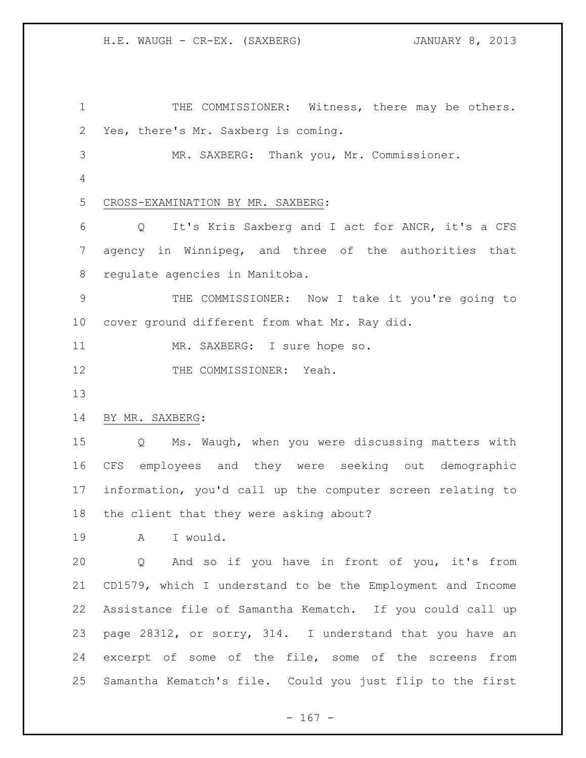1 THE COMMISSIONER: Witness, there may be others. Yes, there's Mr. Saxberg is coming. MR. SAXBERG: Thank you, Mr. Commissioner. CROSS-EXAMINATION BY MR. SAXBERG: Q It's Kris Saxberg and I act for ANCR, it's a CFS agency in Winnipeg, and three of the authorities that regulate agencies in Manitoba. THE COMMISSIONER: Now I take it you're going to cover ground different from what Mr. Ray did. 11 MR. SAXBERG: I sure hope so. 12 THE COMMISSIONER: Yeah. BY MR. SAXBERG: Q Ms. Waugh, when you were discussing matters with CFS employees and they were seeking out demographic information, you'd call up the computer screen relating to the client that they were asking about? A I would. Q And so if you have in front of you, it's from CD1579, which I understand to be the Employment and Income Assistance file of Samantha Kematch. If you could call up page 28312, or sorry, 314. I understand that you have an excerpt of some of the file, some of the screens from Samantha Kematch's file. Could you just flip to the first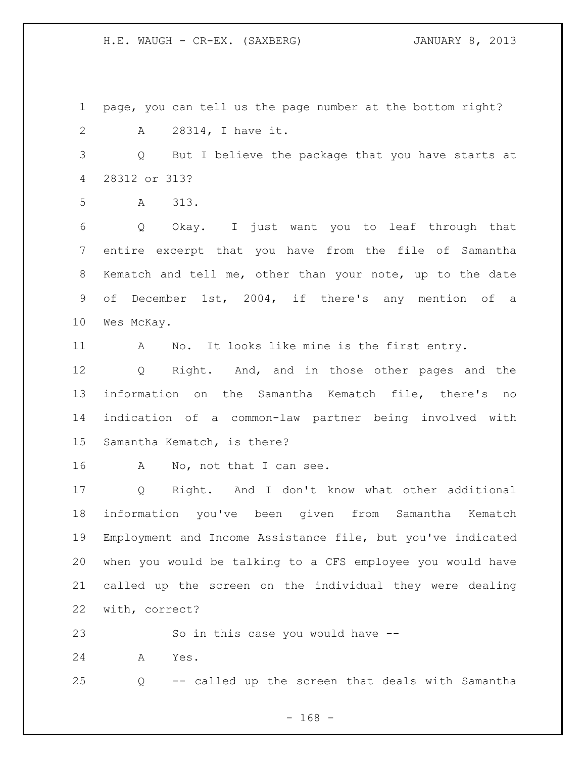H.E. WAUGH - CR-EX. (SAXBERG) JANUARY 8, 2013

 page, you can tell us the page number at the bottom right? A 28314, I have it.

 Q But I believe the package that you have starts at 28312 or 313?

A 313.

 Q Okay. I just want you to leaf through that entire excerpt that you have from the file of Samantha Kematch and tell me, other than your note, up to the date of December 1st, 2004, if there's any mention of a Wes McKay.

A No. It looks like mine is the first entry.

 Q Right. And, and in those other pages and the information on the Samantha Kematch file, there's no indication of a common-law partner being involved with Samantha Kematch, is there?

16 A No, not that I can see.

 Q Right. And I don't know what other additional information you've been given from Samantha Kematch Employment and Income Assistance file, but you've indicated when you would be talking to a CFS employee you would have called up the screen on the individual they were dealing with, correct?

So in this case you would have --

A Yes.

Q -- called up the screen that deals with Samantha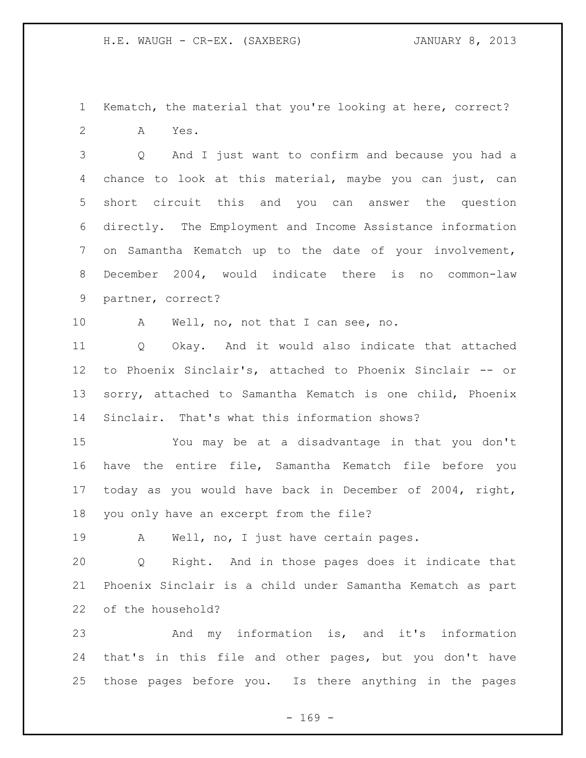Kematch, the material that you're looking at here, correct? A Yes.

 Q And I just want to confirm and because you had a chance to look at this material, maybe you can just, can short circuit this and you can answer the question directly. The Employment and Income Assistance information on Samantha Kematch up to the date of your involvement, December 2004, would indicate there is no common-law partner, correct?

A Well, no, not that I can see, no.

 Q Okay. And it would also indicate that attached to Phoenix Sinclair's, attached to Phoenix Sinclair -- or sorry, attached to Samantha Kematch is one child, Phoenix Sinclair. That's what this information shows?

 You may be at a disadvantage in that you don't have the entire file, Samantha Kematch file before you today as you would have back in December of 2004, right, you only have an excerpt from the file?

A Well, no, I just have certain pages.

 Q Right. And in those pages does it indicate that Phoenix Sinclair is a child under Samantha Kematch as part of the household?

 And my information is, and it's information that's in this file and other pages, but you don't have those pages before you. Is there anything in the pages

 $- 169 -$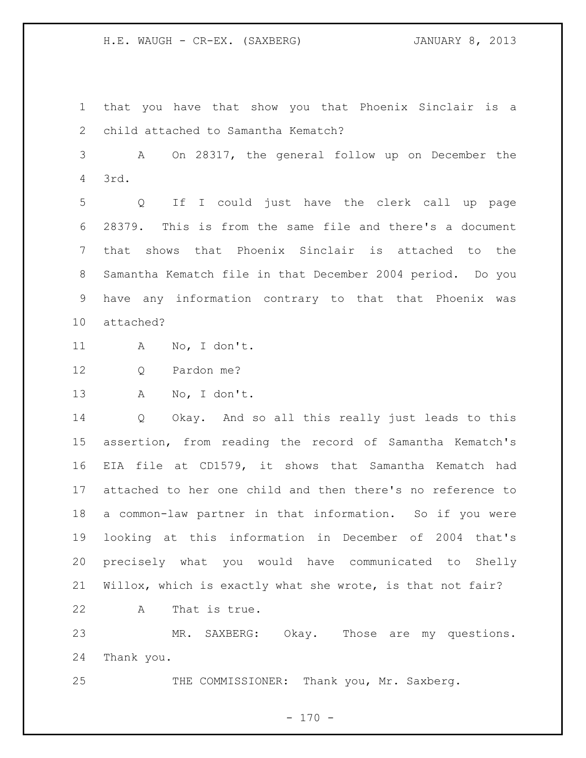H.E. WAUGH - CR-EX. (SAXBERG) JANUARY 8, 2013

 that you have that show you that Phoenix Sinclair is a child attached to Samantha Kematch?

 A On 28317, the general follow up on December the 3rd.

 Q If I could just have the clerk call up page 28379. This is from the same file and there's a document that shows that Phoenix Sinclair is attached to the Samantha Kematch file in that December 2004 period. Do you have any information contrary to that that Phoenix was attached?

A No, I don't.

12 O Pardon me?

A No, I don't.

 Q Okay. And so all this really just leads to this assertion, from reading the record of Samantha Kematch's EIA file at CD1579, it shows that Samantha Kematch had attached to her one child and then there's no reference to a common-law partner in that information. So if you were looking at this information in December of 2004 that's precisely what you would have communicated to Shelly Willox, which is exactly what she wrote, is that not fair?

A That is true.

 MR. SAXBERG: Okay. Those are my questions. Thank you.

25 THE COMMISSIONER: Thank you, Mr. Saxberg.

 $- 170 -$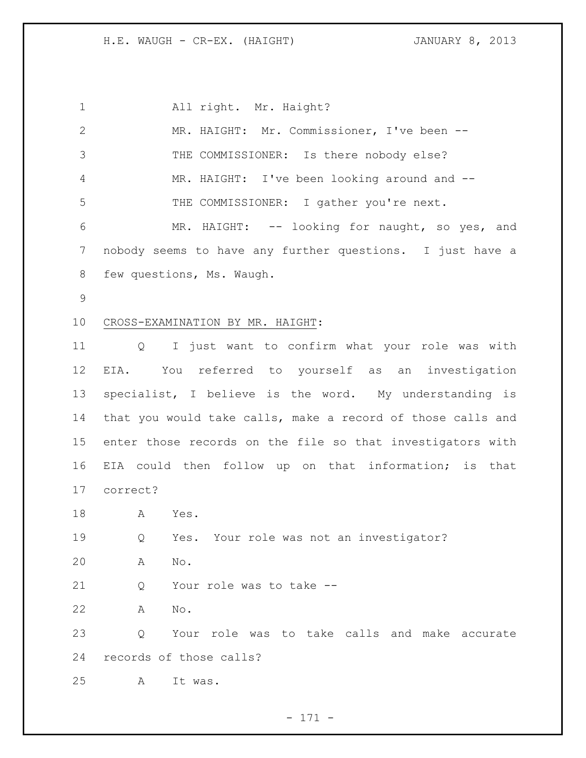All right. Mr. Haight? MR. HAIGHT: Mr. Commissioner, I've been -- THE COMMISSIONER: Is there nobody else? MR. HAIGHT: I've been looking around and -- THE COMMISSIONER: I gather you're next. MR. HAIGHT: -- looking for naught, so yes, and nobody seems to have any further questions. I just have a few questions, Ms. Waugh. CROSS-EXAMINATION BY MR. HAIGHT: Q I just want to confirm what your role was with EIA. You referred to yourself as an investigation specialist, I believe is the word. My understanding is that you would take calls, make a record of those calls and enter those records on the file so that investigators with EIA could then follow up on that information; is that correct? A Yes. Q Yes. Your role was not an investigator? A No. Q Your role was to take -- A No. Q Your role was to take calls and make accurate records of those calls? A It was.

- 171 -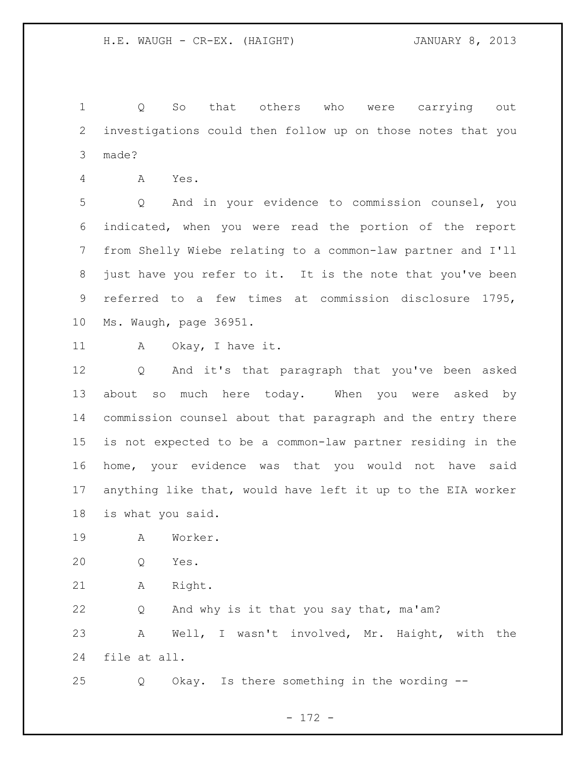Q So that others who were carrying out investigations could then follow up on those notes that you made?

A Yes.

 Q And in your evidence to commission counsel, you indicated, when you were read the portion of the report from Shelly Wiebe relating to a common-law partner and I'll just have you refer to it. It is the note that you've been referred to a few times at commission disclosure 1795, Ms. Waugh, page 36951.

11 A Okay, I have it.

 Q And it's that paragraph that you've been asked about so much here today. When you were asked by commission counsel about that paragraph and the entry there is not expected to be a common-law partner residing in the home, your evidence was that you would not have said anything like that, would have left it up to the EIA worker is what you said.

- A Worker.
- Q Yes.
- A Right.

 Q And why is it that you say that, ma'am? A Well, I wasn't involved, Mr. Haight, with the file at all.

Q Okay. Is there something in the wording --

- 172 -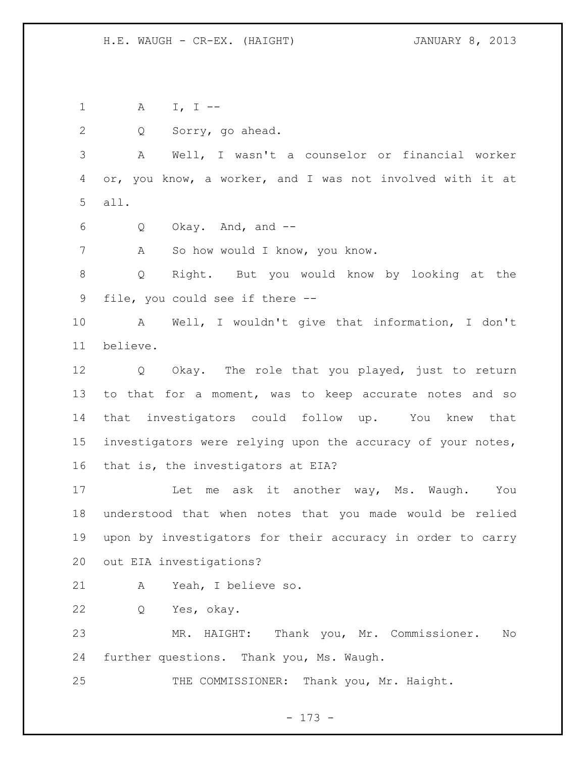A I, I --

Q Sorry, go ahead.

 A Well, I wasn't a counselor or financial worker or, you know, a worker, and I was not involved with it at all.

Q Okay. And, and --

A So how would I know, you know.

 Q Right. But you would know by looking at the file, you could see if there --

 A Well, I wouldn't give that information, I don't believe.

 Q Okay. The role that you played, just to return to that for a moment, was to keep accurate notes and so that investigators could follow up. You knew that investigators were relying upon the accuracy of your notes, that is, the investigators at EIA?

17 Let me ask it another way, Ms. Waugh. You understood that when notes that you made would be relied upon by investigators for their accuracy in order to carry out EIA investigations?

A Yeah, I believe so.

Q Yes, okay.

 MR. HAIGHT: Thank you, Mr. Commissioner. No further questions. Thank you, Ms. Waugh.

25 THE COMMISSIONER: Thank you, Mr. Haight.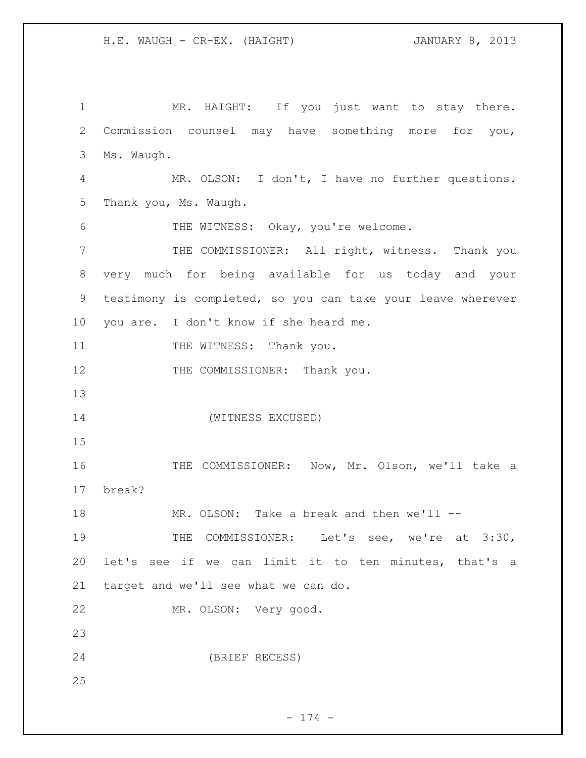1 MR. HAIGHT: If you just want to stay there. Commission counsel may have something more for you, Ms. Waugh. MR. OLSON: I don't, I have no further questions. Thank you, Ms. Waugh. THE WITNESS: Okay, you're welcome. THE COMMISSIONER: All right, witness. Thank you very much for being available for us today and your testimony is completed, so you can take your leave wherever you are. I don't know if she heard me. 11 THE WITNESS: Thank you. 12 THE COMMISSIONER: Thank you. (WITNESS EXCUSED) THE COMMISSIONER: Now, Mr. Olson, we'll take a break? 18 MR. OLSON: Take a break and then we'll --19 THE COMMISSIONER: Let's see, we're at 3:30, let's see if we can limit it to ten minutes, that's a target and we'll see what we can do. MR. OLSON: Very good. (BRIEF RECESS)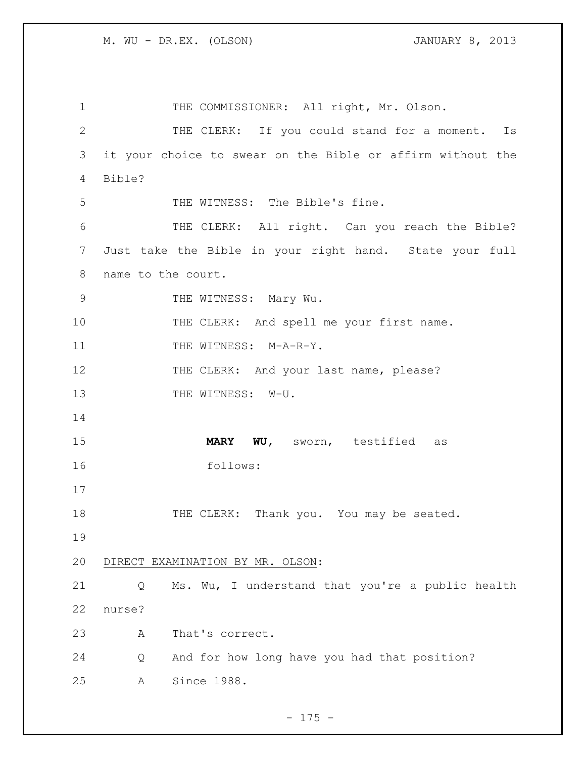1 THE COMMISSIONER: All right, Mr. Olson. THE CLERK: If you could stand for a moment. Is it your choice to swear on the Bible or affirm without the Bible? THE WITNESS: The Bible's fine. 6 THE CLERK: All right. Can you reach the Bible? Just take the Bible in your right hand. State your full name to the court. 9 THE WITNESS: Mary Wu. 10 THE CLERK: And spell me your first name. 11 THE WITNESS: M-A-R-Y. 12 THE CLERK: And your last name, please? 13 THE WITNESS: W-U. **MARY WU,** sworn, testified as follows: 18 THE CLERK: Thank you. You may be seated. DIRECT EXAMINATION BY MR. OLSON: Q Ms. Wu, I understand that you're a public health nurse? A That's correct. Q And for how long have you had that position? A Since 1988.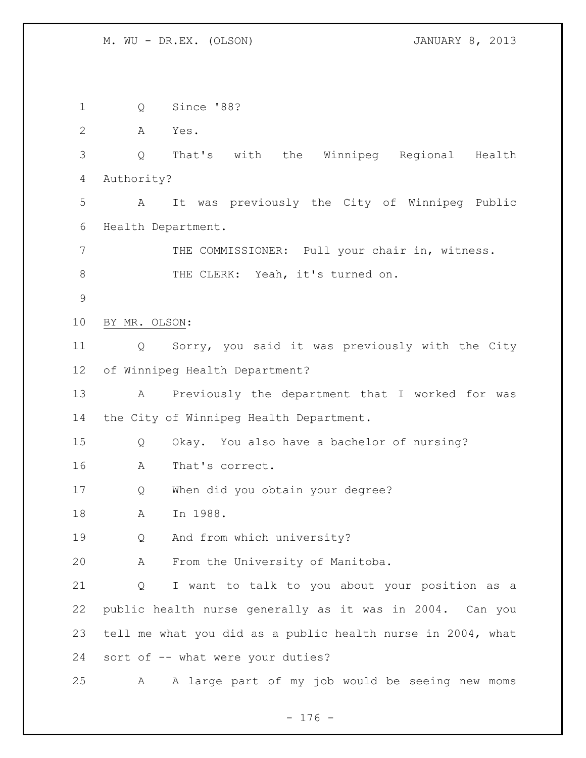Q Since '88? A Yes. Q That's with the Winnipeg Regional Health Authority? A It was previously the City of Winnipeg Public Health Department. 7 THE COMMISSIONER: Pull your chair in, witness. 8 THE CLERK: Yeah, it's turned on. BY MR. OLSON: Q Sorry, you said it was previously with the City of Winnipeg Health Department? A Previously the department that I worked for was the City of Winnipeg Health Department. Q Okay. You also have a bachelor of nursing? A That's correct. Q When did you obtain your degree? A In 1988. 19 0 And from which university? A From the University of Manitoba. Q I want to talk to you about your position as a public health nurse generally as it was in 2004. Can you tell me what you did as a public health nurse in 2004, what sort of -- what were your duties? A A large part of my job would be seeing new moms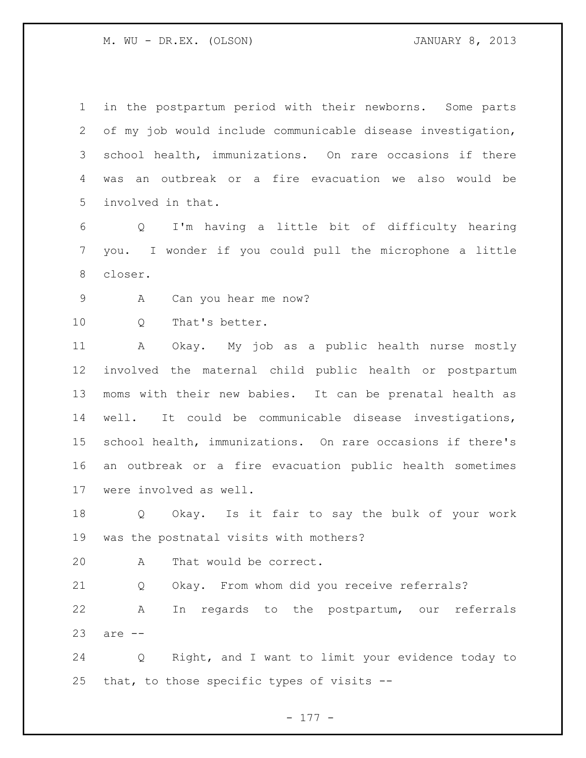in the postpartum period with their newborns. Some parts of my job would include communicable disease investigation, school health, immunizations. On rare occasions if there was an outbreak or a fire evacuation we also would be involved in that.

 Q I'm having a little bit of difficulty hearing you. I wonder if you could pull the microphone a little closer.

A Can you hear me now?

10 0 That's better.

 A Okay. My job as a public health nurse mostly involved the maternal child public health or postpartum moms with their new babies. It can be prenatal health as well. It could be communicable disease investigations, school health, immunizations. On rare occasions if there's an outbreak or a fire evacuation public health sometimes were involved as well.

 Q Okay. Is it fair to say the bulk of your work was the postnatal visits with mothers?

A That would be correct.

 Q Okay. From whom did you receive referrals? A In regards to the postpartum, our referrals are --

 Q Right, and I want to limit your evidence today to that, to those specific types of visits --

- 177 -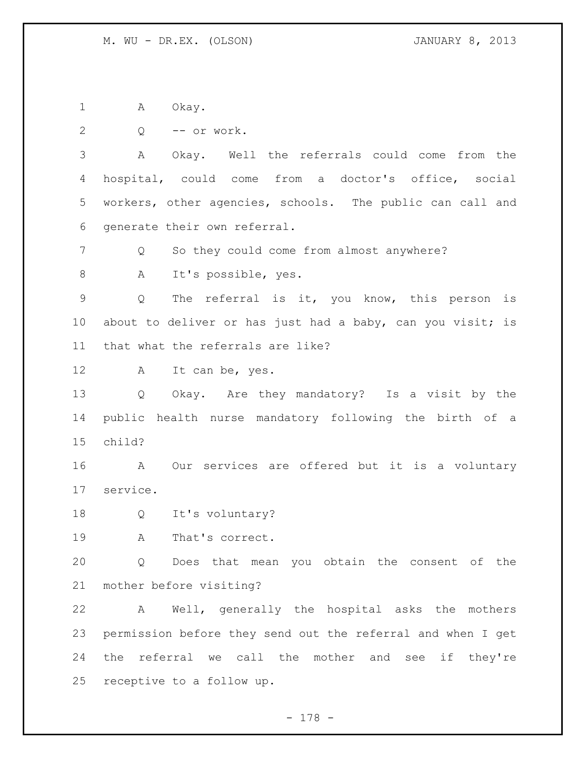1 A Okay.

Q -- or work.

 A Okay. Well the referrals could come from the hospital, could come from a doctor's office, social workers, other agencies, schools. The public can call and generate their own referral.

Q So they could come from almost anywhere?

A It's possible, yes.

 Q The referral is it, you know, this person is 10 about to deliver or has just had a baby, can you visit; is that what the referrals are like?

A It can be, yes.

 Q Okay. Are they mandatory? Is a visit by the public health nurse mandatory following the birth of a child?

 A Our services are offered but it is a voluntary service.

Q It's voluntary?

A That's correct.

 Q Does that mean you obtain the consent of the mother before visiting?

 A Well, generally the hospital asks the mothers permission before they send out the referral and when I get the referral we call the mother and see if they're receptive to a follow up.

- 178 -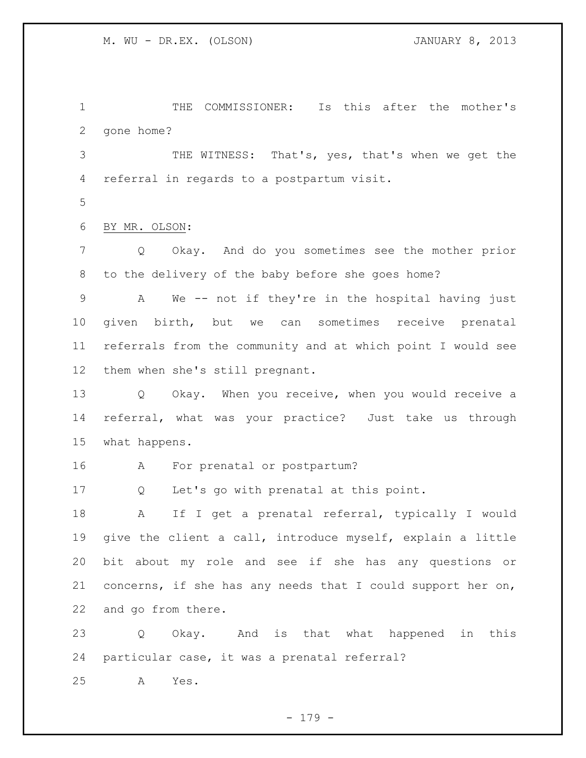THE COMMISSIONER: Is this after the mother's gone home?

 THE WITNESS: That's, yes, that's when we get the referral in regards to a postpartum visit.

BY MR. OLSON:

 Q Okay. And do you sometimes see the mother prior to the delivery of the baby before she goes home?

 A We -- not if they're in the hospital having just given birth, but we can sometimes receive prenatal referrals from the community and at which point I would see them when she's still pregnant.

 Q Okay. When you receive, when you would receive a referral, what was your practice? Just take us through what happens.

A For prenatal or postpartum?

Q Let's go with prenatal at this point.

 A If I get a prenatal referral, typically I would give the client a call, introduce myself, explain a little bit about my role and see if she has any questions or concerns, if she has any needs that I could support her on, and go from there.

 Q Okay. And is that what happened in this particular case, it was a prenatal referral?

A Yes.

- 179 -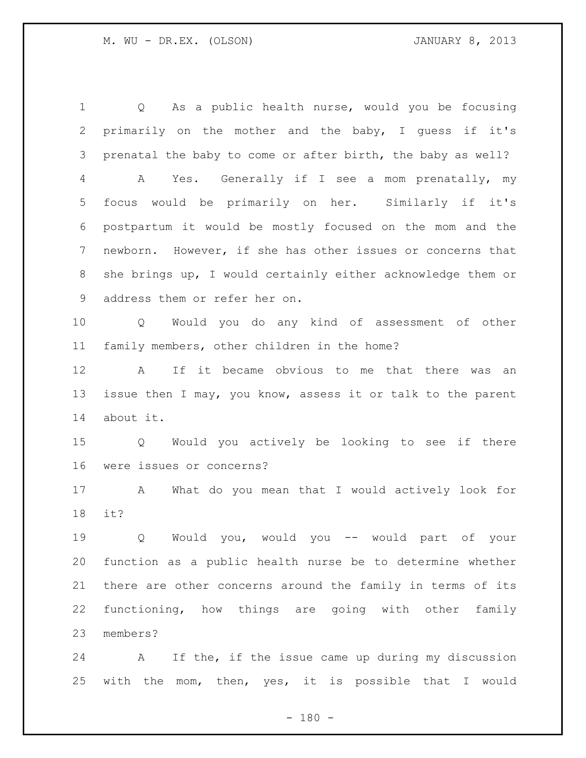Q As a public health nurse, would you be focusing primarily on the mother and the baby, I guess if it's prenatal the baby to come or after birth, the baby as well? A Yes. Generally if I see a mom prenatally, my focus would be primarily on her. Similarly if it's postpartum it would be mostly focused on the mom and the newborn. However, if she has other issues or concerns that she brings up, I would certainly either acknowledge them or address them or refer her on. Q Would you do any kind of assessment of other family members, other children in the home? A If it became obvious to me that there was an issue then I may, you know, assess it or talk to the parent about it. Q Would you actively be looking to see if there were issues or concerns? A What do you mean that I would actively look for it? Q Would you, would you -- would part of your function as a public health nurse be to determine whether there are other concerns around the family in terms of its functioning, how things are going with other family members?

 A If the, if the issue came up during my discussion with the mom, then, yes, it is possible that I would

 $- 180 -$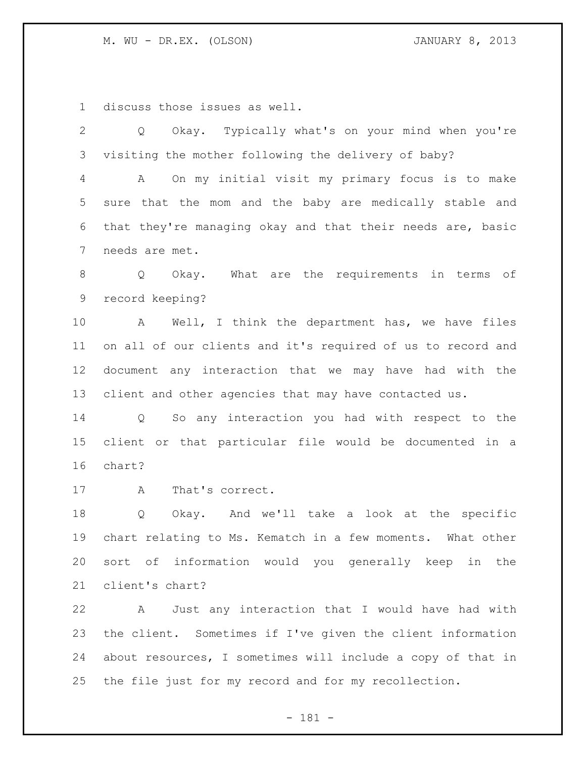discuss those issues as well.

 Q Okay. Typically what's on your mind when you're visiting the mother following the delivery of baby?

 A On my initial visit my primary focus is to make sure that the mom and the baby are medically stable and that they're managing okay and that their needs are, basic needs are met.

 Q Okay. What are the requirements in terms of record keeping?

 A Well, I think the department has, we have files on all of our clients and it's required of us to record and document any interaction that we may have had with the client and other agencies that may have contacted us.

 Q So any interaction you had with respect to the client or that particular file would be documented in a chart?

A That's correct.

 Q Okay. And we'll take a look at the specific chart relating to Ms. Kematch in a few moments. What other sort of information would you generally keep in the client's chart?

 A Just any interaction that I would have had with the client. Sometimes if I've given the client information about resources, I sometimes will include a copy of that in the file just for my record and for my recollection.

- 181 -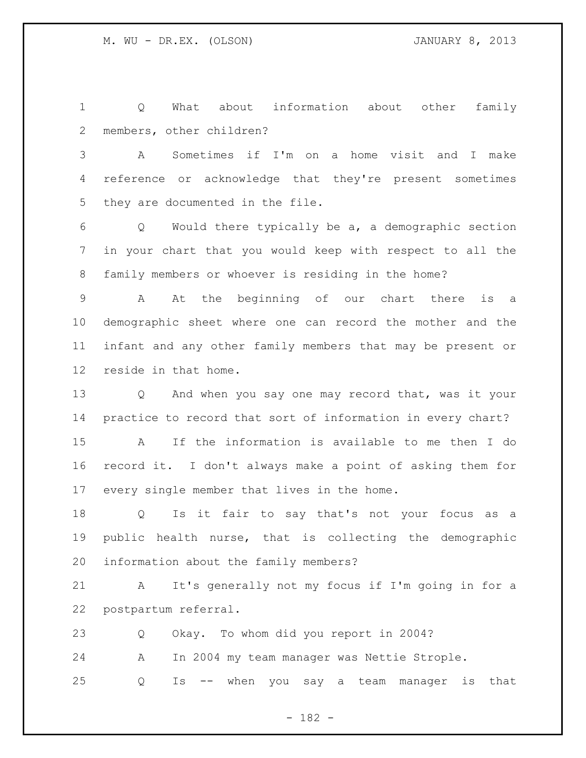Q What about information about other family members, other children?

 A Sometimes if I'm on a home visit and I make reference or acknowledge that they're present sometimes they are documented in the file.

 Q Would there typically be a, a demographic section in your chart that you would keep with respect to all the family members or whoever is residing in the home?

 A At the beginning of our chart there is a demographic sheet where one can record the mother and the infant and any other family members that may be present or reside in that home.

 Q And when you say one may record that, was it your practice to record that sort of information in every chart?

 A If the information is available to me then I do record it. I don't always make a point of asking them for every single member that lives in the home.

 Q Is it fair to say that's not your focus as a public health nurse, that is collecting the demographic information about the family members?

 A It's generally not my focus if I'm going in for a postpartum referral.

 Q Okay. To whom did you report in 2004? A In 2004 my team manager was Nettie Strople. Q Is -- when you say a team manager is that

- 182 -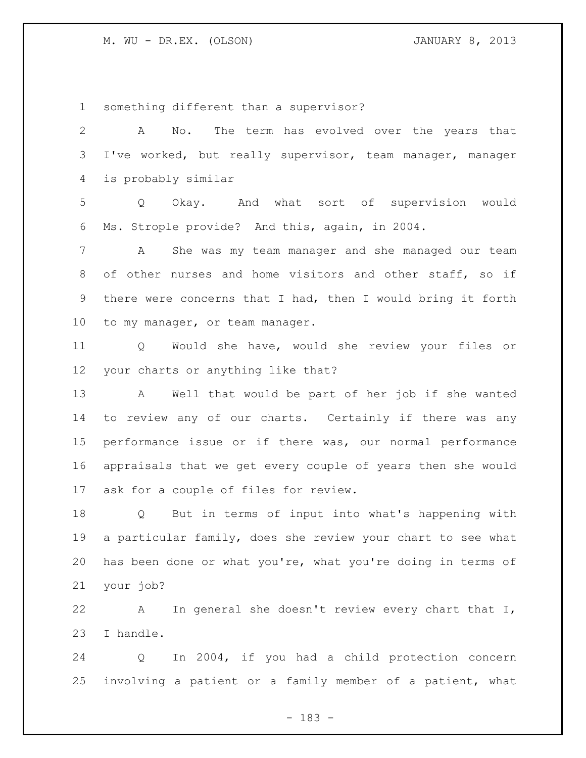something different than a supervisor?

| $\mathbf{2}$    | No. The term has evolved over the years that<br>A                   |
|-----------------|---------------------------------------------------------------------|
| 3               | I've worked, but really supervisor, team manager, manager           |
| $\overline{4}$  | is probably similar                                                 |
| 5               | Q Okay. And what sort of supervision would                          |
| 6               | Ms. Strople provide? And this, again, in 2004.                      |
| 7               | She was my team manager and she managed our team<br>A               |
| 8               | of other nurses and home visitors and other staff, so if            |
| 9               | there were concerns that I had, then I would bring it forth         |
| 10 <sub>o</sub> | to my manager, or team manager.                                     |
| 11              | Would she have, would she review your files or<br>$Q \qquad \qquad$ |
| 12 <sup>°</sup> | your charts or anything like that?                                  |
| 13              | A Well that would be part of her job if she wanted                  |
| 14              | to review any of our charts. Certainly if there was any             |
| 15              | performance issue or if there was, our normal performance           |
| 16              | appraisals that we get every couple of years then she would         |
| 17              | ask for a couple of files for review.                               |
| 18              | Q But in terms of input into what's happening with                  |
| 19              | a particular family, does she review your chart to see what         |
| 20              | has been done or what you're, what you're doing in terms of         |
| 21              | your job?                                                           |

 A In general she doesn't review every chart that I, I handle.

 Q In 2004, if you had a child protection concern involving a patient or a family member of a patient, what

- 183 -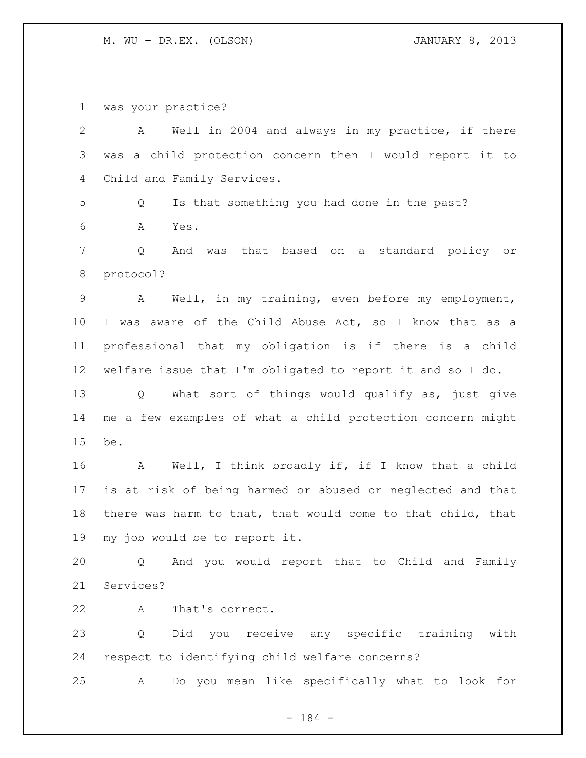was your practice?

| $\mathbf{2}$   | Well in 2004 and always in my practice, if there<br>A       |
|----------------|-------------------------------------------------------------|
| 3              | was a child protection concern then I would report it to    |
| 4              | Child and Family Services.                                  |
| 5              | Is that something you had done in the past?<br>Q            |
| 6              | Yes.<br>A                                                   |
| $7\phantom{.}$ | Q<br>And<br>was that based on a standard policy or          |
| $\,8\,$        | protocol?                                                   |
| 9              | Well, in my training, even before my employment,<br>A       |
| 10             | I was aware of the Child Abuse Act, so I know that as a     |
| 11             | professional that my obligation is if there is a child      |
| 12             | welfare issue that I'm obligated to report it and so I do.  |
| 13             | What sort of things would qualify as, just give<br>Q        |
| 14             | me a few examples of what a child protection concern might  |
| 15             | be.                                                         |
| 16             | Well, I think broadly if, if I know that a child<br>A       |
| 17             | is at risk of being harmed or abused or neglected and that  |
| 18             | there was harm to that, that would come to that child, that |
| 19             | my job would be to report it.                               |
| 20             | Q And you would report that to Child and Family             |
| 21             | Services?                                                   |
| 22             | That's correct.<br>A                                        |
| 23             | Did you receive any specific training with<br>Q             |
| 24             | respect to identifying child welfare concerns?              |
| 25             | Do you mean like specifically what to look for<br>Α         |

- 184 -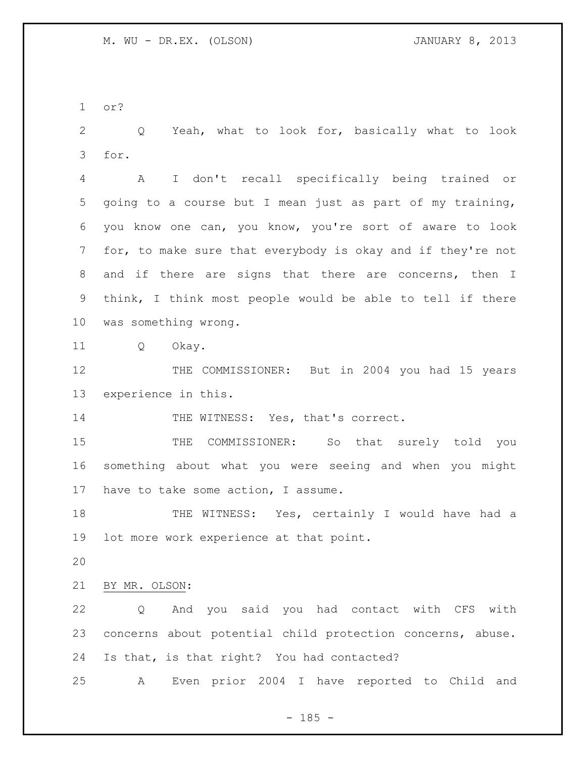or?

 Q Yeah, what to look for, basically what to look for.

 A I don't recall specifically being trained or going to a course but I mean just as part of my training, you know one can, you know, you're sort of aware to look for, to make sure that everybody is okay and if they're not and if there are signs that there are concerns, then I think, I think most people would be able to tell if there was something wrong.

Q Okay.

12 THE COMMISSIONER: But in 2004 you had 15 years experience in this.

14 THE WITNESS: Yes, that's correct.

15 THE COMMISSIONER: So that surely told you something about what you were seeing and when you might have to take some action, I assume.

18 THE WITNESS: Yes, certainly I would have had a lot more work experience at that point.

## BY MR. OLSON:

 Q And you said you had contact with CFS with concerns about potential child protection concerns, abuse. Is that, is that right? You had contacted?

A Even prior 2004 I have reported to Child and

 $- 185 -$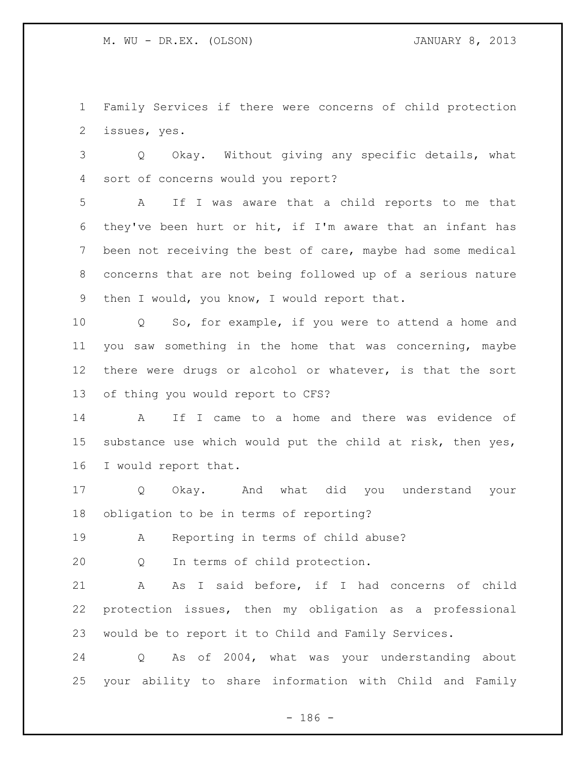Family Services if there were concerns of child protection issues, yes.

 Q Okay. Without giving any specific details, what sort of concerns would you report?

 A If I was aware that a child reports to me that they've been hurt or hit, if I'm aware that an infant has been not receiving the best of care, maybe had some medical concerns that are not being followed up of a serious nature then I would, you know, I would report that.

 Q So, for example, if you were to attend a home and you saw something in the home that was concerning, maybe there were drugs or alcohol or whatever, is that the sort of thing you would report to CFS?

 A If I came to a home and there was evidence of substance use which would put the child at risk, then yes, I would report that.

 Q Okay. And what did you understand your obligation to be in terms of reporting?

A Reporting in terms of child abuse?

Q In terms of child protection.

 A As I said before, if I had concerns of child protection issues, then my obligation as a professional would be to report it to Child and Family Services.

 Q As of 2004, what was your understanding about your ability to share information with Child and Family

 $- 186 -$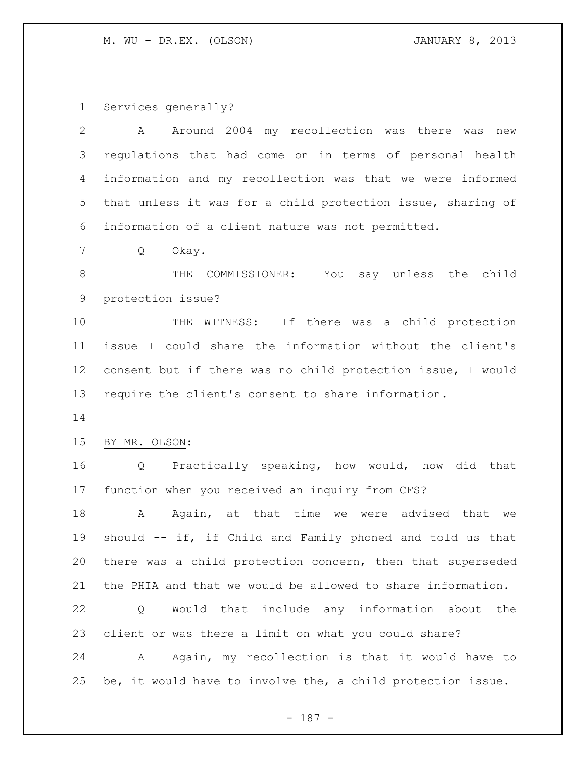Services generally?

| 2  | Around 2004 my recollection was there was<br>A<br>new       |
|----|-------------------------------------------------------------|
| 3  | regulations that had come on in terms of personal health    |
| 4  | information and my recollection was that we were informed   |
| 5  | that unless it was for a child protection issue, sharing of |
| 6  | information of a client nature was not permitted.           |
| 7  | Q<br>Okay.                                                  |
| 8  | COMMISSIONER:<br>You say unless the child<br>THE            |
| 9  | protection issue?                                           |
| 10 | WITNESS: If there was a child protection<br>THE             |
| 11 | issue I could share the information without the client's    |
| 12 | consent but if there was no child protection issue, I would |
| 13 | require the client's consent to share information.          |
| 14 |                                                             |
| 15 | BY MR. OLSON:                                               |
| 16 | Q Practically speaking, how would, how did that             |
| 17 | function when you received an inquiry from CFS?             |
| 18 | Again, at that time we were advised that we<br>A            |
| 19 | should -- if, if Child and Family phoned and told us that   |
| 20 | there was a child protection concern, then that superseded  |
| 21 | the PHIA and that we would be allowed to share information. |
| 22 | Would that include any information about the<br>Q           |
| 23 | client or was there a limit on what you could share?        |
| 24 | Again, my recollection is that it would have to<br>A        |
| 25 | be, it would have to involve the, a child protection issue. |

- 187 -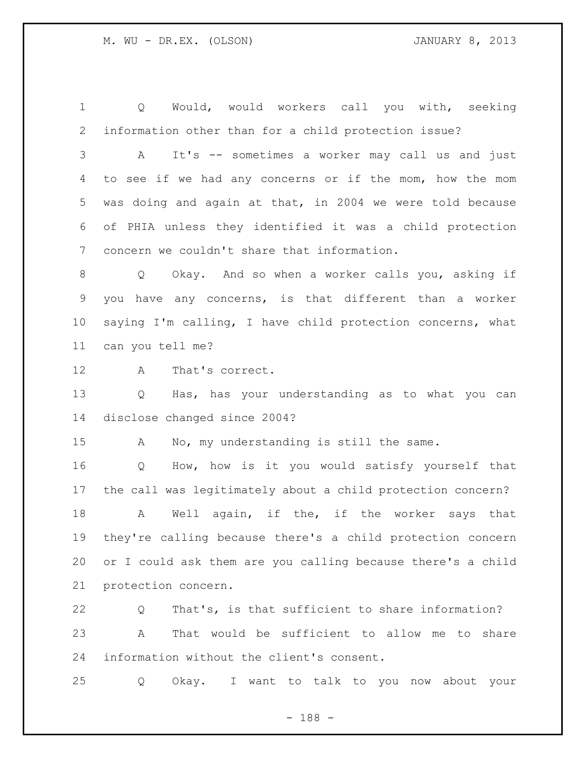Q Would, would workers call you with, seeking information other than for a child protection issue?

 A It's -- sometimes a worker may call us and just to see if we had any concerns or if the mom, how the mom was doing and again at that, in 2004 we were told because of PHIA unless they identified it was a child protection concern we couldn't share that information.

 Q Okay. And so when a worker calls you, asking if you have any concerns, is that different than a worker saying I'm calling, I have child protection concerns, what can you tell me?

A That's correct.

 Q Has, has your understanding as to what you can disclose changed since 2004?

A No, my understanding is still the same.

 Q How, how is it you would satisfy yourself that the call was legitimately about a child protection concern?

18 A Well again, if the, if the worker says that they're calling because there's a child protection concern or I could ask them are you calling because there's a child protection concern.

 Q That's, is that sufficient to share information? A That would be sufficient to allow me to share information without the client's consent.

Q Okay. I want to talk to you now about your

- 188 -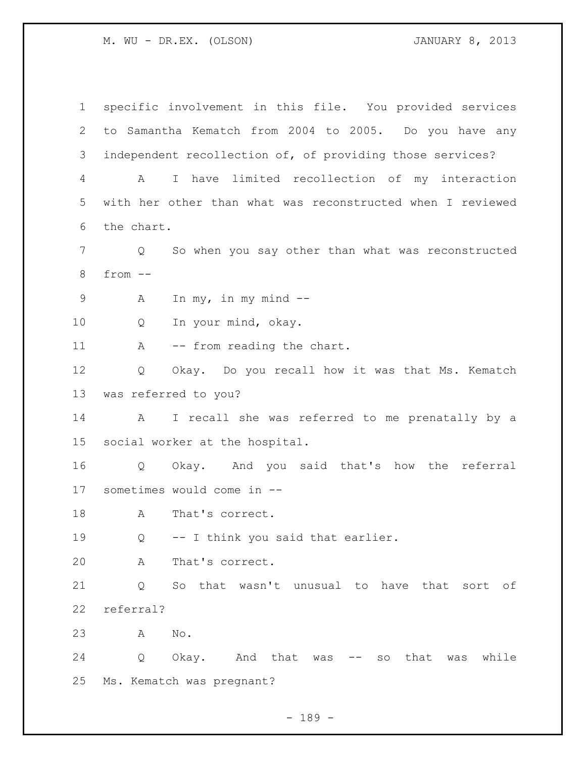specific involvement in this file. You provided services to Samantha Kematch from 2004 to 2005. Do you have any independent recollection of, of providing those services? A I have limited recollection of my interaction with her other than what was reconstructed when I reviewed the chart. Q So when you say other than what was reconstructed from -- A In my, in my mind -- Q In your mind, okay. 11 A -- from reading the chart. Q Okay. Do you recall how it was that Ms. Kematch was referred to you? A I recall she was referred to me prenatally by a social worker at the hospital. Q Okay. And you said that's how the referral sometimes would come in -- 18 A That's correct. Q -- I think you said that earlier. A That's correct. Q So that wasn't unusual to have that sort of referral? A No. Q Okay. And that was -- so that was while Ms. Kematch was pregnant?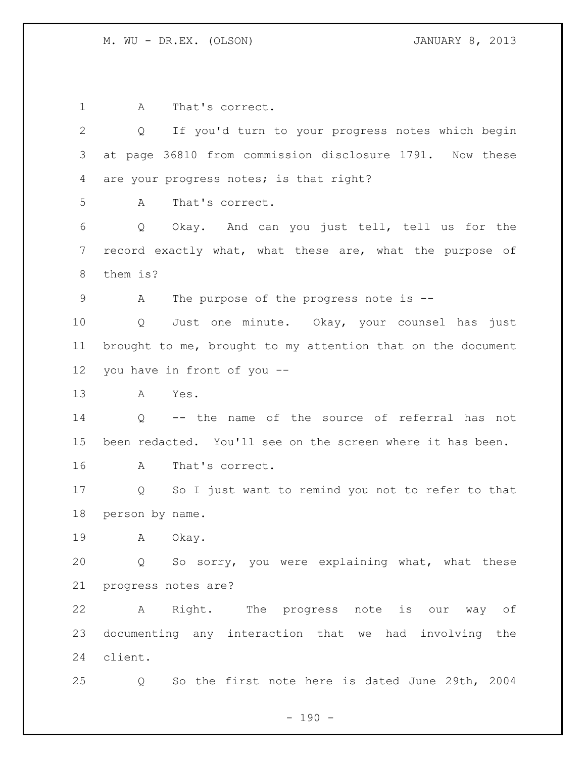1 A That's correct. Q If you'd turn to your progress notes which begin at page 36810 from commission disclosure 1791. Now these 4 are your progress notes; is that right? A That's correct. Q Okay. And can you just tell, tell us for the record exactly what, what these are, what the purpose of them is? 9 A The purpose of the progress note is -- Q Just one minute. Okay, your counsel has just brought to me, brought to my attention that on the document you have in front of you -- A Yes. Q -- the name of the source of referral has not been redacted. You'll see on the screen where it has been. A That's correct. Q So I just want to remind you not to refer to that person by name. A Okay. Q So sorry, you were explaining what, what these progress notes are? A Right. The progress note is our way of documenting any interaction that we had involving the client. Q So the first note here is dated June 29th, 2004

 $- 190 -$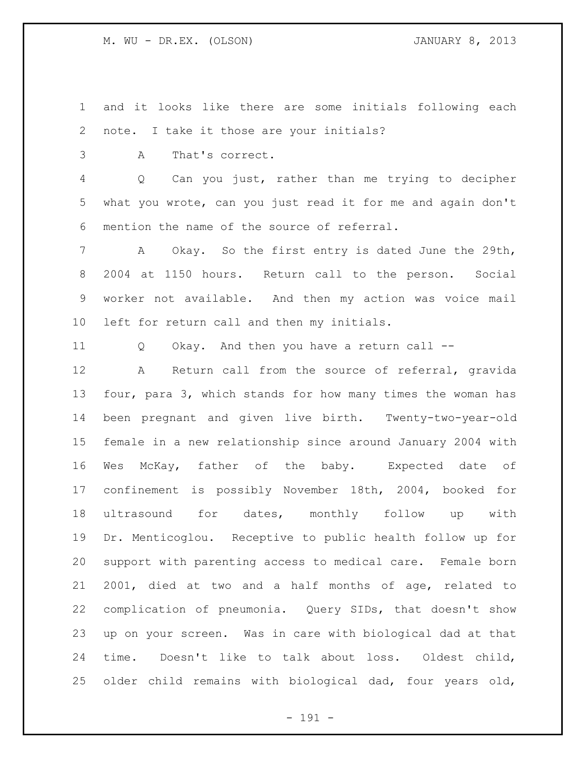and it looks like there are some initials following each note. I take it those are your initials?

A That's correct.

 Q Can you just, rather than me trying to decipher what you wrote, can you just read it for me and again don't mention the name of the source of referral.

 A Okay. So the first entry is dated June the 29th, 2004 at 1150 hours. Return call to the person. Social worker not available. And then my action was voice mail left for return call and then my initials.

Q Okay. And then you have a return call --

 A Return call from the source of referral, gravida four, para 3, which stands for how many times the woman has been pregnant and given live birth. Twenty-two-year-old female in a new relationship since around January 2004 with Wes McKay, father of the baby. Expected date of confinement is possibly November 18th, 2004, booked for ultrasound for dates, monthly follow up with Dr. Menticoglou. Receptive to public health follow up for support with parenting access to medical care. Female born 2001, died at two and a half months of age, related to complication of pneumonia. Query SIDs, that doesn't show up on your screen. Was in care with biological dad at that time. Doesn't like to talk about loss. Oldest child, older child remains with biological dad, four years old,

- 191 -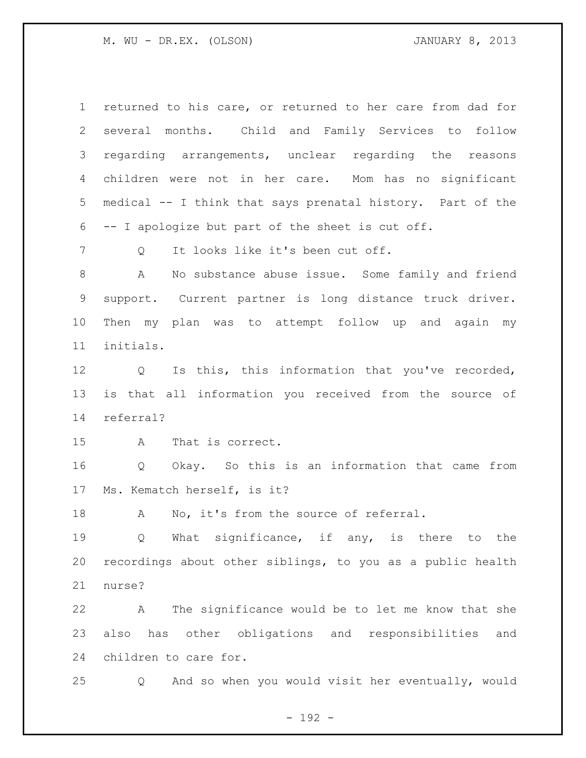returned to his care, or returned to her care from dad for several months. Child and Family Services to follow regarding arrangements, unclear regarding the reasons children were not in her care. Mom has no significant medical -- I think that says prenatal history. Part of the -- I apologize but part of the sheet is cut off.

7 O It looks like it's been cut off.

 A No substance abuse issue. Some family and friend support. Current partner is long distance truck driver. Then my plan was to attempt follow up and again my initials.

 Q Is this, this information that you've recorded, is that all information you received from the source of referral?

A That is correct.

 Q Okay. So this is an information that came from Ms. Kematch herself, is it?

18 A No, it's from the source of referral.

19 0 What significance, if any, is there to the recordings about other siblings, to you as a public health nurse?

 A The significance would be to let me know that she also has other obligations and responsibilities and children to care for.

Q And so when you would visit her eventually, would

- 192 -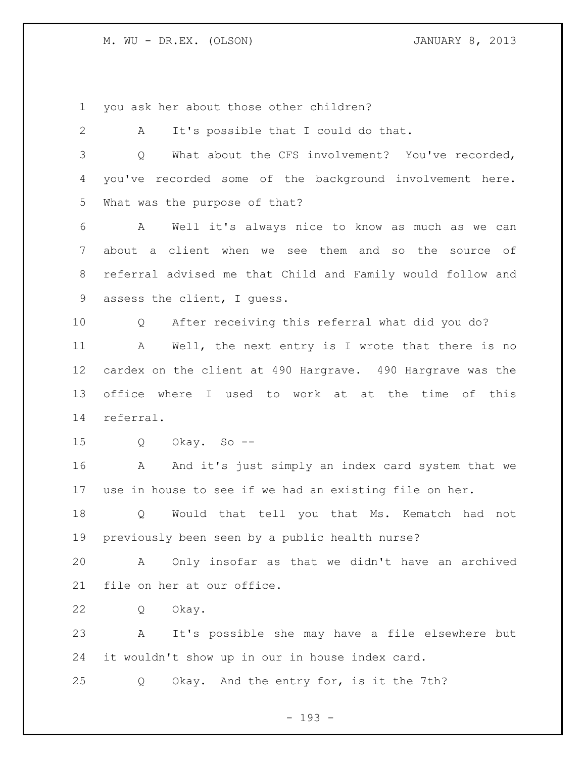you ask her about those other children?

| It's possible that I could do that.<br>A                   |
|------------------------------------------------------------|
| What about the CFS involvement? You've recorded,<br>Q      |
| you've recorded some of the background involvement here.   |
| What was the purpose of that?                              |
| A<br>Well it's always nice to know as much as we can       |
| about a client when we see them and so the source of       |
| referral advised me that Child and Family would follow and |
| assess the client, I guess.                                |
| After receiving this referral what did you do?<br>Q        |
| Well, the next entry is I wrote that there is no<br>A      |
| cardex on the client at 490 Hargrave. 490 Hargrave was the |
| office where I used to work at at the time of this         |
| referral.                                                  |
| Okay. So --<br>Q                                           |
| A And it's just simply an index card system that we        |
| use in house to see if we had an existing file on her.     |
| Would that tell you that Ms. Kematch had not<br>Q          |
| previously been seen by a public health nurse?             |
| Only insofar as that we didn't have an archived<br>A       |
| file on her at our office.                                 |
| Okay.<br>Q                                                 |
| It's possible she may have a file elsewhere but<br>A       |
|                                                            |
| it wouldn't show up in our in house index card.            |
|                                                            |

- 193 -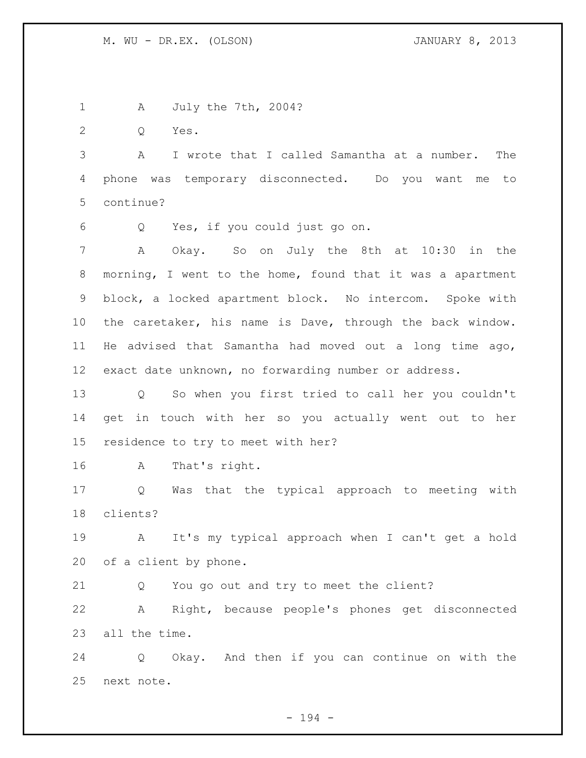A July the 7th, 2004? Q Yes. A I wrote that I called Samantha at a number. The phone was temporary disconnected. Do you want me to continue? Q Yes, if you could just go on. A Okay. So on July the 8th at 10:30 in the morning, I went to the home, found that it was a apartment block, a locked apartment block. No intercom. Spoke with the caretaker, his name is Dave, through the back window. He advised that Samantha had moved out a long time ago, exact date unknown, no forwarding number or address. Q So when you first tried to call her you couldn't get in touch with her so you actually went out to her residence to try to meet with her? A That's right. Q Was that the typical approach to meeting with clients? A It's my typical approach when I can't get a hold of a client by phone. Q You go out and try to meet the client? A Right, because people's phones get disconnected all the time.

 Q Okay. And then if you can continue on with the next note.

- 194 -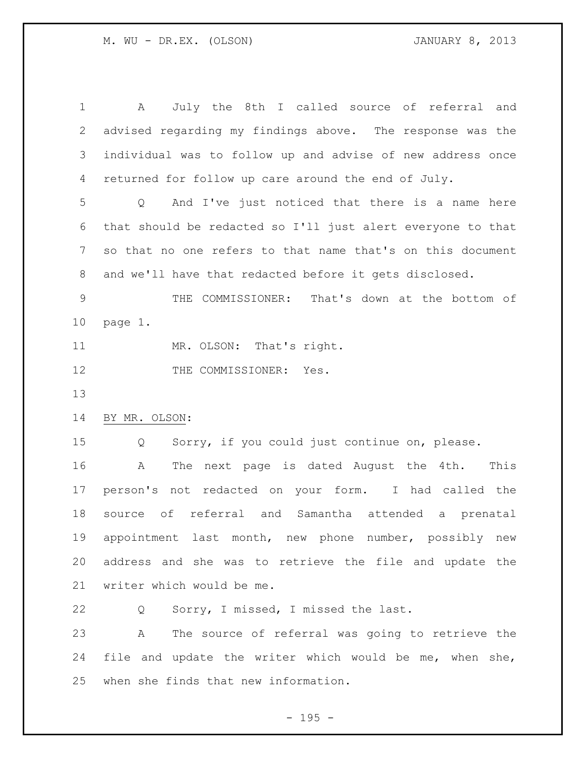A July the 8th I called source of referral and advised regarding my findings above. The response was the individual was to follow up and advise of new address once returned for follow up care around the end of July. Q And I've just noticed that there is a name here that should be redacted so I'll just alert everyone to that so that no one refers to that name that's on this document and we'll have that redacted before it gets disclosed. THE COMMISSIONER: That's down at the bottom of page 1. 11 MR. OLSON: That's right. 12 THE COMMISSIONER: Yes. BY MR. OLSON: Q Sorry, if you could just continue on, please. A The next page is dated August the 4th. This person's not redacted on your form. I had called the source of referral and Samantha attended a prenatal appointment last month, new phone number, possibly new address and she was to retrieve the file and update the writer which would be me. Q Sorry, I missed, I missed the last. A The source of referral was going to retrieve the file and update the writer which would be me, when she,

 $- 195 -$ 

when she finds that new information.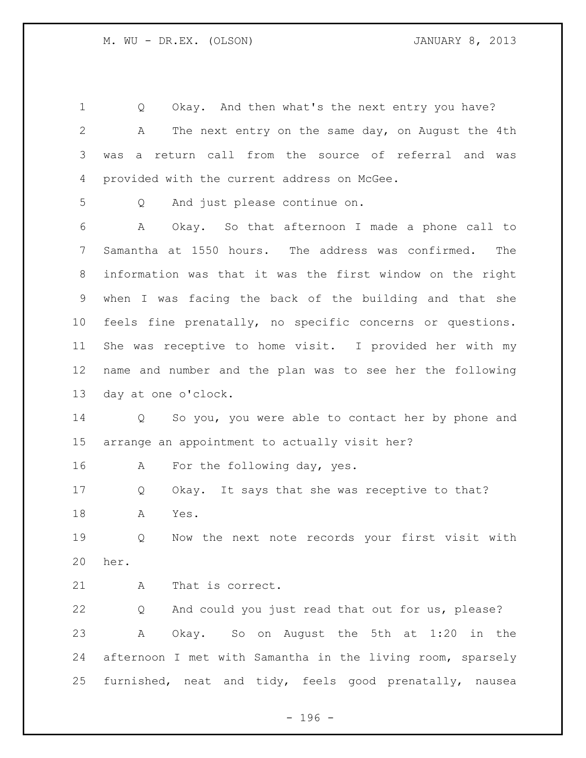Q Okay. And then what's the next entry you have? A The next entry on the same day, on August the 4th was a return call from the source of referral and was provided with the current address on McGee. Q And just please continue on. A Okay. So that afternoon I made a phone call to Samantha at 1550 hours. The address was confirmed. The information was that it was the first window on the right when I was facing the back of the building and that she feels fine prenatally, no specific concerns or questions. She was receptive to home visit. I provided her with my name and number and the plan was to see her the following day at one o'clock. Q So you, you were able to contact her by phone and arrange an appointment to actually visit her? 16 A For the following day, yes. Q Okay. It says that she was receptive to that? A Yes. Q Now the next note records your first visit with her. 21 A That is correct. Q And could you just read that out for us, please? A Okay. So on August the 5th at 1:20 in the afternoon I met with Samantha in the living room, sparsely furnished, neat and tidy, feels good prenatally, nausea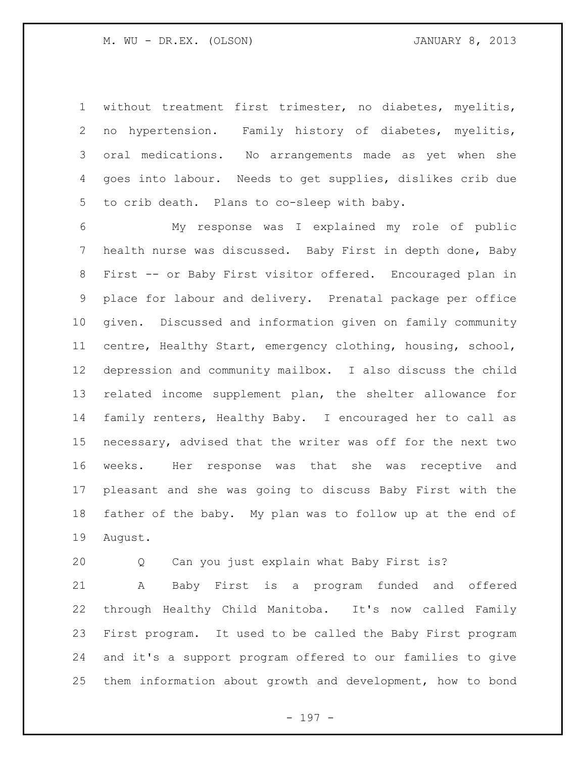without treatment first trimester, no diabetes, myelitis, no hypertension. Family history of diabetes, myelitis, oral medications. No arrangements made as yet when she goes into labour. Needs to get supplies, dislikes crib due to crib death. Plans to co-sleep with baby.

 My response was I explained my role of public health nurse was discussed. Baby First in depth done, Baby First -- or Baby First visitor offered. Encouraged plan in place for labour and delivery. Prenatal package per office given. Discussed and information given on family community centre, Healthy Start, emergency clothing, housing, school, depression and community mailbox. I also discuss the child related income supplement plan, the shelter allowance for family renters, Healthy Baby. I encouraged her to call as necessary, advised that the writer was off for the next two weeks. Her response was that she was receptive and pleasant and she was going to discuss Baby First with the father of the baby. My plan was to follow up at the end of August.

Q Can you just explain what Baby First is?

 A Baby First is a program funded and offered through Healthy Child Manitoba. It's now called Family First program. It used to be called the Baby First program and it's a support program offered to our families to give them information about growth and development, how to bond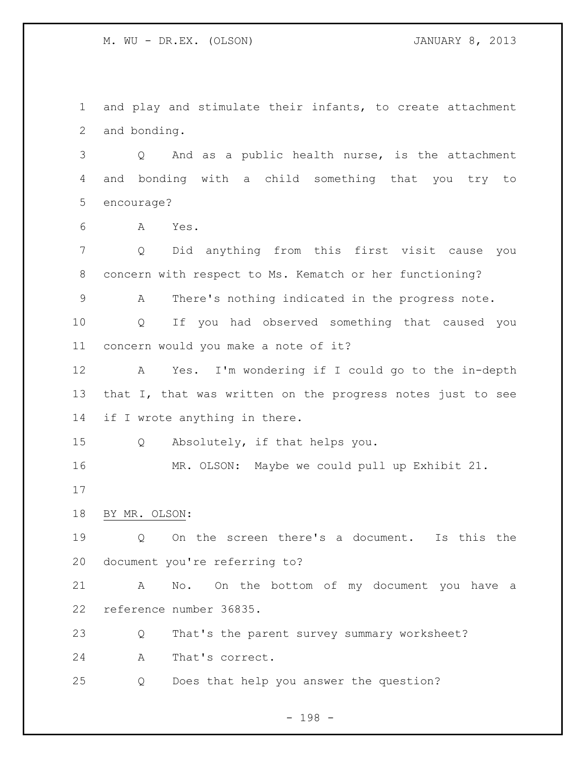and play and stimulate their infants, to create attachment and bonding.

 Q And as a public health nurse, is the attachment and bonding with a child something that you try to encourage?

A Yes.

 Q Did anything from this first visit cause you concern with respect to Ms. Kematch or her functioning?

A There's nothing indicated in the progress note.

 Q If you had observed something that caused you concern would you make a note of it?

 A Yes. I'm wondering if I could go to the in-depth 13 that I, that was written on the progress notes just to see 14 if I wrote anything in there.

Q Absolutely, if that helps you.

MR. OLSON: Maybe we could pull up Exhibit 21.

BY MR. OLSON:

 Q On the screen there's a document. Is this the document you're referring to?

 A No. On the bottom of my document you have a reference number 36835.

Q That's the parent survey summary worksheet?

A That's correct.

Q Does that help you answer the question?

- 198 -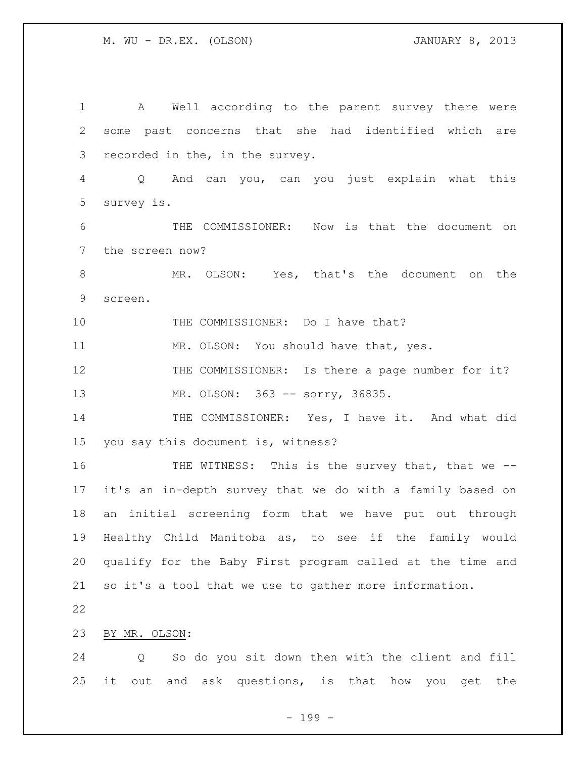A Well according to the parent survey there were some past concerns that she had identified which are recorded in the, in the survey. Q And can you, can you just explain what this survey is. THE COMMISSIONER: Now is that the document on the screen now? MR. OLSON: Yes, that's the document on the screen. 10 THE COMMISSIONER: Do I have that? 11 MR. OLSON: You should have that, yes. THE COMMISSIONER: Is there a page number for it? 13 MR. OLSON: 363 -- sorry, 36835. THE COMMISSIONER: Yes, I have it. And what did you say this document is, witness? 16 THE WITNESS: This is the survey that, that we -- it's an in-depth survey that we do with a family based on an initial screening form that we have put out through Healthy Child Manitoba as, to see if the family would qualify for the Baby First program called at the time and so it's a tool that we use to gather more information. BY MR. OLSON: Q So do you sit down then with the client and fill it out and ask questions, is that how you get the

- 199 -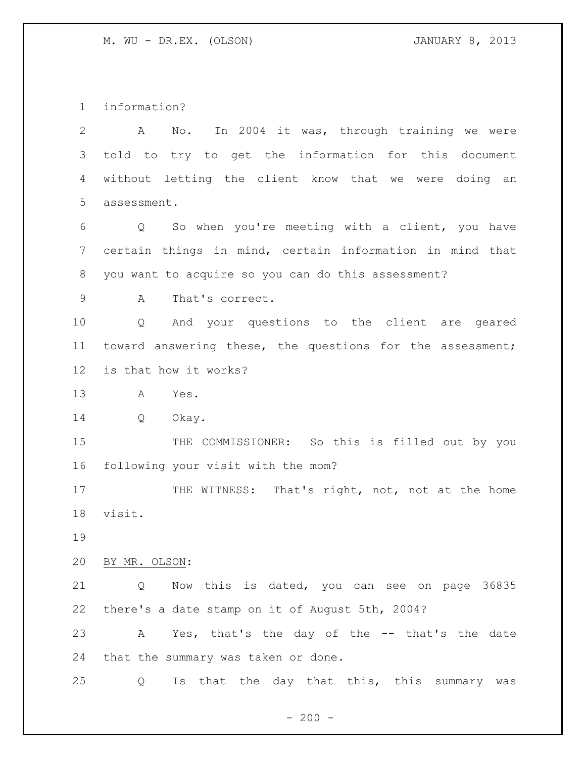information?

 A No. In 2004 it was, through training we were told to try to get the information for this document without letting the client know that we were doing an assessment. Q So when you're meeting with a client, you have certain things in mind, certain information in mind that you want to acquire so you can do this assessment? A That's correct. Q And your questions to the client are geared toward answering these, the questions for the assessment; is that how it works? A Yes. Q Okay.

15 THE COMMISSIONER: So this is filled out by you following your visit with the mom?

17 THE WITNESS: That's right, not, not at the home visit.

BY MR. OLSON:

 Q Now this is dated, you can see on page 36835 there's a date stamp on it of August 5th, 2004?

 A Yes, that's the day of the -- that's the date that the summary was taken or done.

Q Is that the day that this, this summary was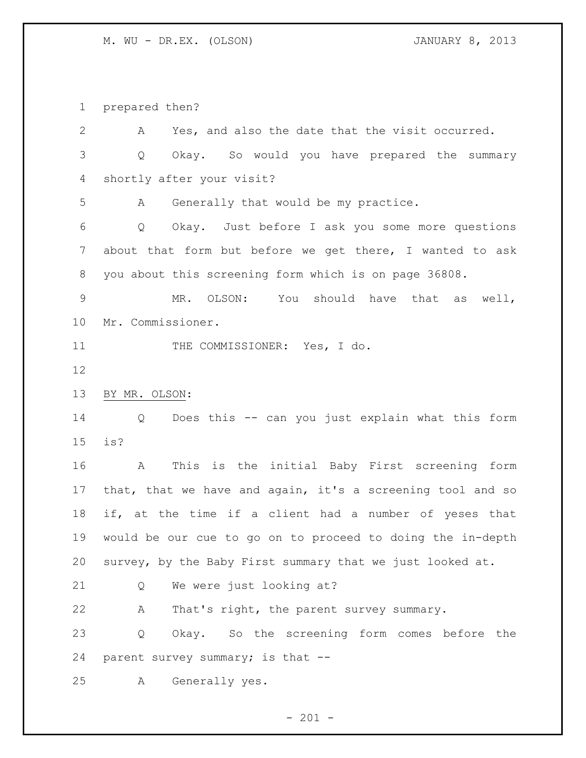prepared then?

 A Yes, and also the date that the visit occurred. Q Okay. So would you have prepared the summary shortly after your visit? A Generally that would be my practice. Q Okay. Just before I ask you some more questions about that form but before we get there, I wanted to ask you about this screening form which is on page 36808. MR. OLSON: You should have that as well, Mr. Commissioner. 11 THE COMMISSIONER: Yes, I do. BY MR. OLSON: Q Does this -- can you just explain what this form is? A This is the initial Baby First screening form that, that we have and again, it's a screening tool and so if, at the time if a client had a number of yeses that would be our cue to go on to proceed to doing the in-depth survey, by the Baby First summary that we just looked at. Q We were just looking at? A That's right, the parent survey summary. Q Okay. So the screening form comes before the parent survey summary; is that -- A Generally yes.

 $- 201 -$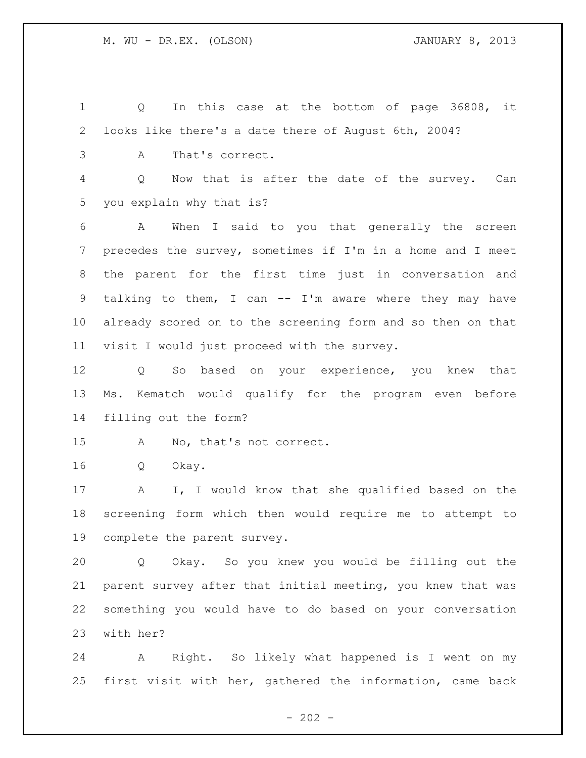Q In this case at the bottom of page 36808, it looks like there's a date there of August 6th, 2004? A That's correct. Q Now that is after the date of the survey. Can you explain why that is? A When I said to you that generally the screen precedes the survey, sometimes if I'm in a home and I meet the parent for the first time just in conversation and talking to them, I can -- I'm aware where they may have already scored on to the screening form and so then on that visit I would just proceed with the survey. Q So based on your experience, you knew that Ms. Kematch would qualify for the program even before filling out the form? A No, that's not correct. Q Okay. A I, I would know that she qualified based on the screening form which then would require me to attempt to complete the parent survey. Q Okay. So you knew you would be filling out the

 parent survey after that initial meeting, you knew that was something you would have to do based on your conversation with her?

 A Right. So likely what happened is I went on my first visit with her, gathered the information, came back

 $- 202 -$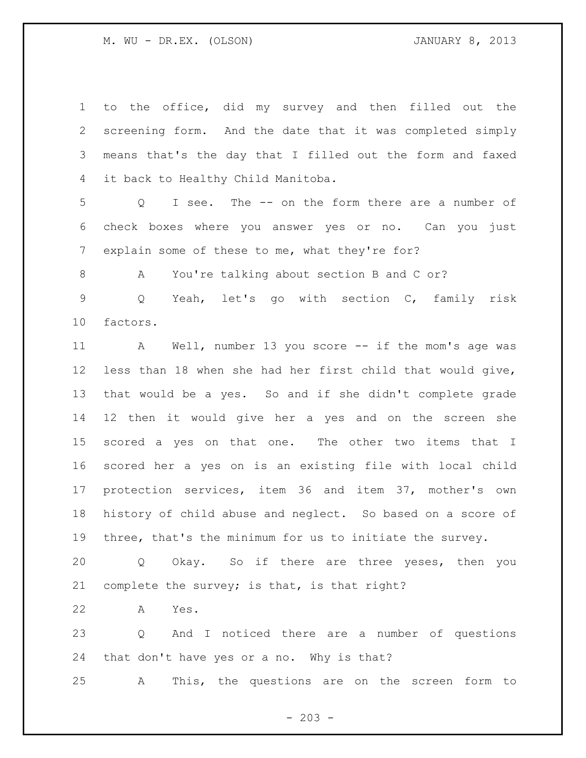| $\mathbf 1$ | to the office, did my survey and then filled out the       |
|-------------|------------------------------------------------------------|
| 2           | screening form. And the date that it was completed simply  |
| 3           | means that's the day that I filled out the form and faxed  |
| 4           | it back to Healthy Child Manitoba.                         |
| 5           | I see. The -- on the form there are a number of<br>Q       |
| 6           | check boxes where you answer yes or no. Can you just       |
| 7           | explain some of these to me, what they're for?             |
| 8           | You're talking about section B and C or?<br>А              |
| $\mathsf 9$ | Yeah, let's go with section C, family risk<br>Q            |
| 10          | factors.                                                   |
| 11          | A Well, number 13 you score -- if the mom's age was        |
| 12          | less than 18 when she had her first child that would give, |
| 13          | that would be a yes. So and if she didn't complete grade   |
| 14          | 12 then it would give her a yes and on the screen she      |
| 15          | scored a yes on that one. The other two items that I       |
| 16          | scored her a yes on is an existing file with local child   |
| 17          | protection services, item 36 and item 37, mother's own     |
| 18          | history of child abuse and neglect. So based on a score of |
| 19          | three, that's the minimum for us to initiate the survey.   |
| 20          | Okay. So if there are three yeses, then you<br>$Q \qquad$  |
| 21          | complete the survey; is that, is that right?               |
| 22          | Yes.<br>Α                                                  |
| 23          | And I noticed there are a number of questions<br>Q         |
| 24          | that don't have yes or a no. Why is that?                  |
| 25          | This, the questions are on the screen form to<br>A         |

- 203 -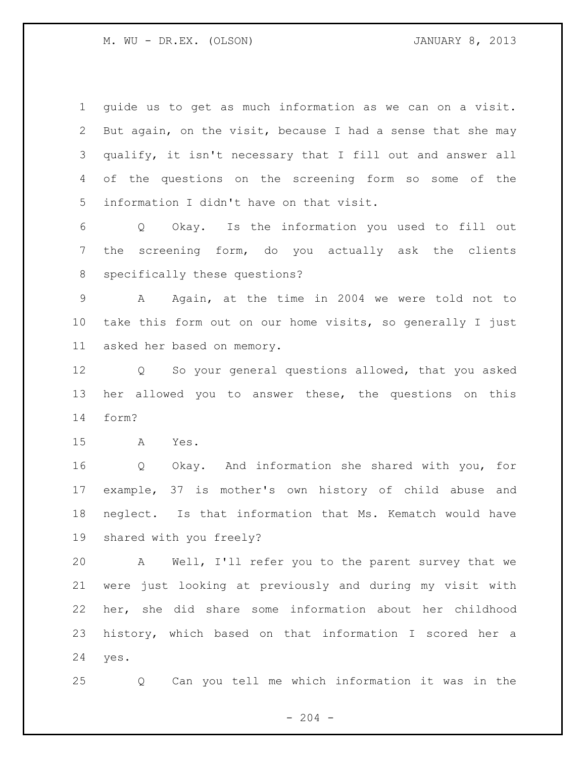guide us to get as much information as we can on a visit. But again, on the visit, because I had a sense that she may qualify, it isn't necessary that I fill out and answer all of the questions on the screening form so some of the information I didn't have on that visit. Q Okay. Is the information you used to fill out the screening form, do you actually ask the clients specifically these questions? A Again, at the time in 2004 we were told not to take this form out on our home visits, so generally I just asked her based on memory. Q So your general questions allowed, that you asked her allowed you to answer these, the questions on this form? A Yes. Q Okay. And information she shared with you, for example, 37 is mother's own history of child abuse and neglect. Is that information that Ms. Kematch would have shared with you freely? A Well, I'll refer you to the parent survey that we were just looking at previously and during my visit with her, she did share some information about her childhood history, which based on that information I scored her a

yes.

Q Can you tell me which information it was in the

 $-204 -$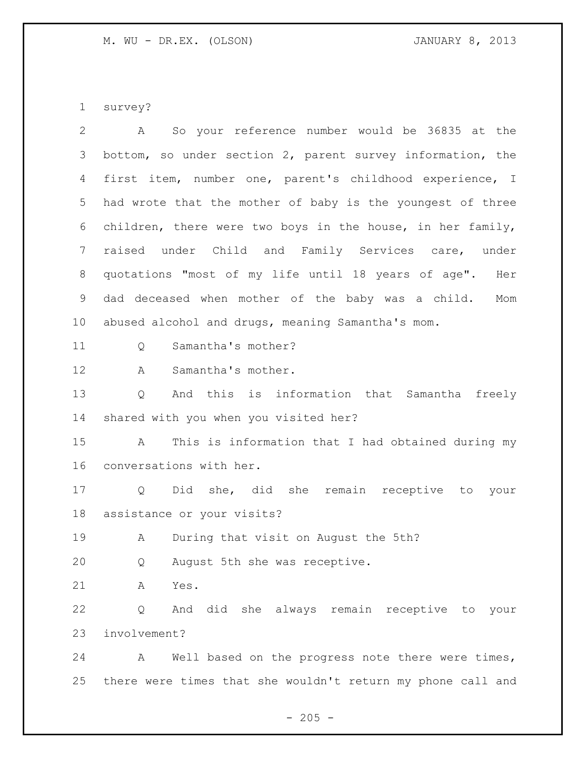survey?

| $\overline{2}$ | So your reference number would be 36835 at the<br>A         |
|----------------|-------------------------------------------------------------|
| 3              | bottom, so under section 2, parent survey information, the  |
| 4              | first item, number one, parent's childhood experience, I    |
| 5              | had wrote that the mother of baby is the youngest of three  |
| 6              | children, there were two boys in the house, in her family,  |
| $\overline{7}$ | raised under Child and Family Services care, under          |
| 8              | quotations "most of my life until 18 years of age". Her     |
| 9              | dad deceased when mother of the baby was a child.<br>Mom    |
| 10             | abused alcohol and drugs, meaning Samantha's mom.           |
| 11             | Samantha's mother?<br>Q                                     |
| 12             | Samantha's mother.<br>A                                     |
| 13             | And this is information that Samantha freely<br>Q           |
| 14             | shared with you when you visited her?                       |
| 15             | This is information that I had obtained during my<br>A      |
| 16             | conversations with her.                                     |
| 17             | Did she, did she remain receptive to your<br>Q              |
| 18             | assistance or your visits?                                  |
| 19             | During that visit on August the 5th?<br>A                   |
| 20             | August 5th she was receptive.<br>Q                          |
| 21             | Α<br>Yes.                                                   |
| 22             | And did she always remain receptive to your<br>Q            |
| 23             | involvement?                                                |
| 24             | Well based on the progress note there were times,<br>A      |
| 25             | there were times that she wouldn't return my phone call and |

 $- 205 -$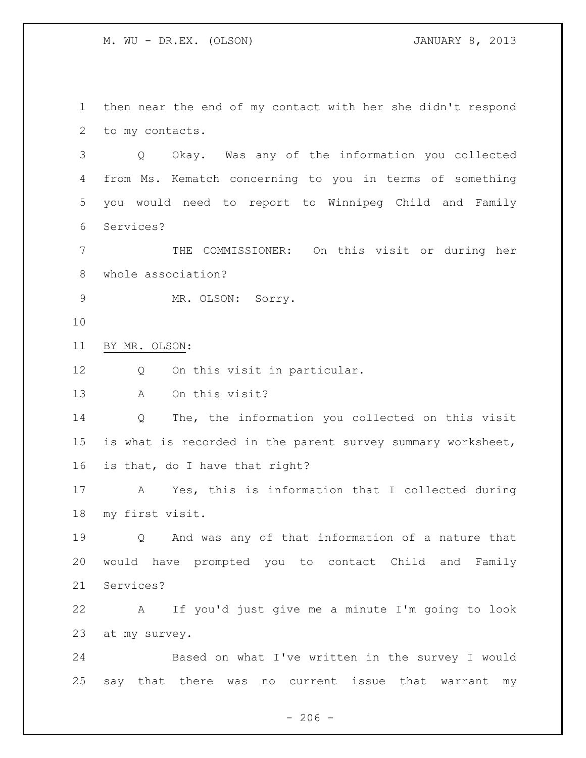then near the end of my contact with her she didn't respond to my contacts.

 Q Okay. Was any of the information you collected from Ms. Kematch concerning to you in terms of something you would need to report to Winnipeg Child and Family Services?

 THE COMMISSIONER: On this visit or during her whole association?

9 MR. OLSON: Sorry.

BY MR. OLSON:

Q On this visit in particular.

A On this visit?

 Q The, the information you collected on this visit is what is recorded in the parent survey summary worksheet, is that, do I have that right?

 A Yes, this is information that I collected during my first visit.

 Q And was any of that information of a nature that would have prompted you to contact Child and Family Services?

 A If you'd just give me a minute I'm going to look at my survey.

 Based on what I've written in the survey I would say that there was no current issue that warrant my

 $-206 -$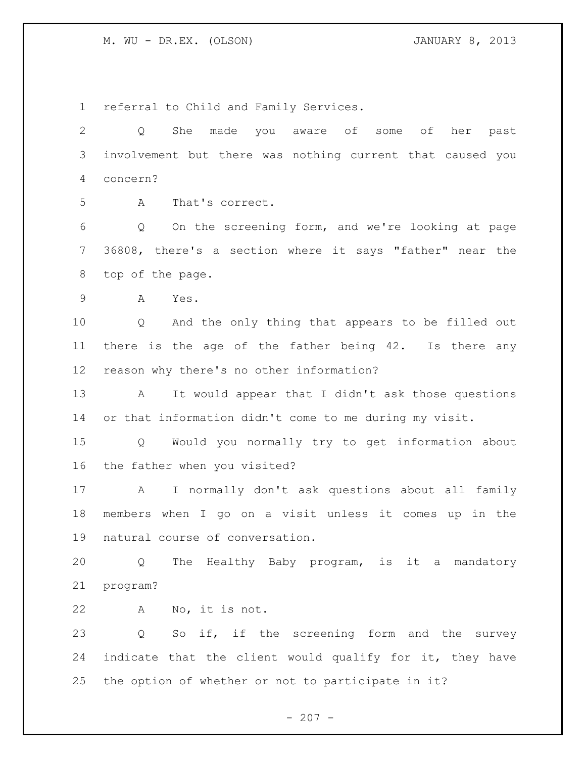referral to Child and Family Services. Q She made you aware of some of her past involvement but there was nothing current that caused you concern? A That's correct. Q On the screening form, and we're looking at page 36808, there's a section where it says "father" near the top of the page. A Yes. Q And the only thing that appears to be filled out there is the age of the father being 42. Is there any reason why there's no other information? A It would appear that I didn't ask those questions or that information didn't come to me during my visit. Q Would you normally try to get information about the father when you visited? A I normally don't ask questions about all family members when I go on a visit unless it comes up in the natural course of conversation. Q The Healthy Baby program, is it a mandatory program? A No, it is not. Q So if, if the screening form and the survey indicate that the client would qualify for it, they have the option of whether or not to participate in it?

 $- 207 -$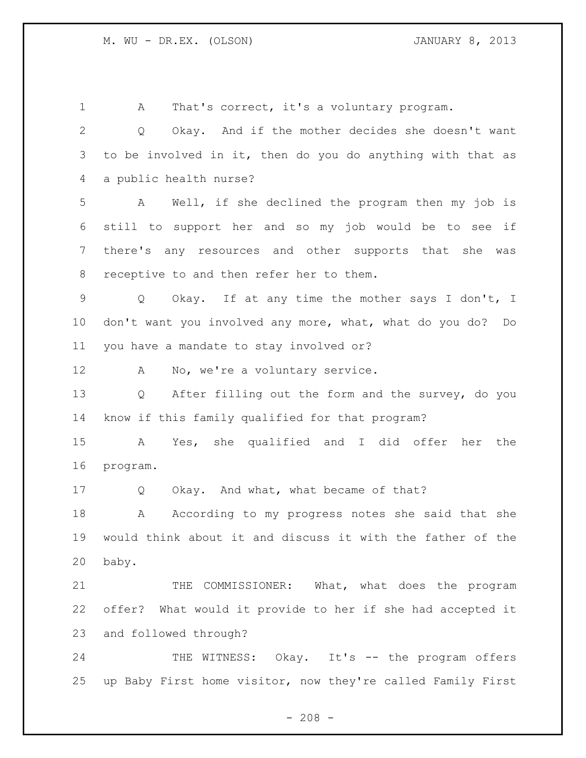1 A That's correct, it's a voluntary program. Q Okay. And if the mother decides she doesn't want to be involved in it, then do you do anything with that as a public health nurse? A Well, if she declined the program then my job is still to support her and so my job would be to see if there's any resources and other supports that she was receptive to and then refer her to them. Q Okay. If at any time the mother says I don't, I don't want you involved any more, what, what do you do? Do you have a mandate to stay involved or? 12 A No, we're a voluntary service. Q After filling out the form and the survey, do you know if this family qualified for that program? A Yes, she qualified and I did offer her the program. Q Okay. And what, what became of that? A According to my progress notes she said that she would think about it and discuss it with the father of the baby. 21 THE COMMISSIONER: What, what does the program offer? What would it provide to her if she had accepted it and followed through? 24 THE WITNESS: Okay. It's -- the program offers up Baby First home visitor, now they're called Family First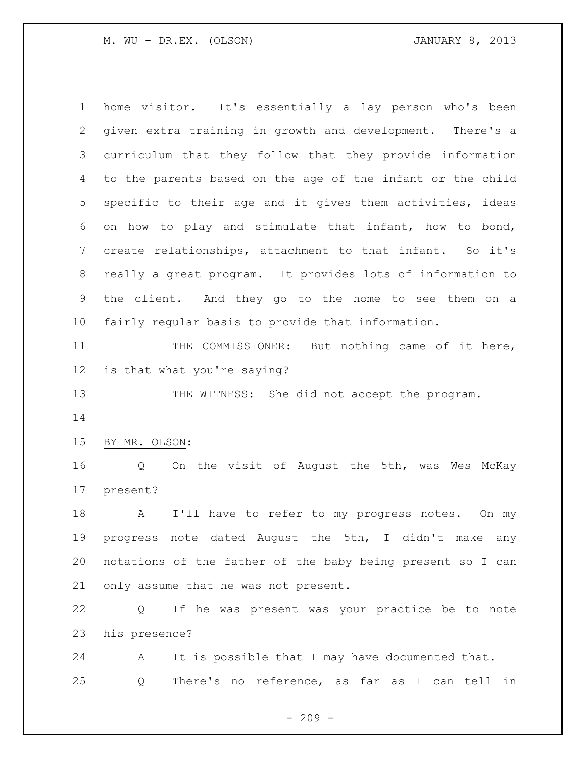home visitor. It's essentially a lay person who's been given extra training in growth and development. There's a curriculum that they follow that they provide information to the parents based on the age of the infant or the child specific to their age and it gives them activities, ideas on how to play and stimulate that infant, how to bond, 7 create relationships, attachment to that infant. So it's really a great program. It provides lots of information to the client. And they go to the home to see them on a fairly regular basis to provide that information. 11 THE COMMISSIONER: But nothing came of it here, is that what you're saying? 13 THE WITNESS: She did not accept the program. BY MR. OLSON: Q On the visit of August the 5th, was Wes McKay present? 18 A I'll have to refer to my progress notes. On my progress note dated August the 5th, I didn't make any notations of the father of the baby being present so I can only assume that he was not present. Q If he was present was your practice be to note his presence? A It is possible that I may have documented that. Q There's no reference, as far as I can tell in

 $-209 -$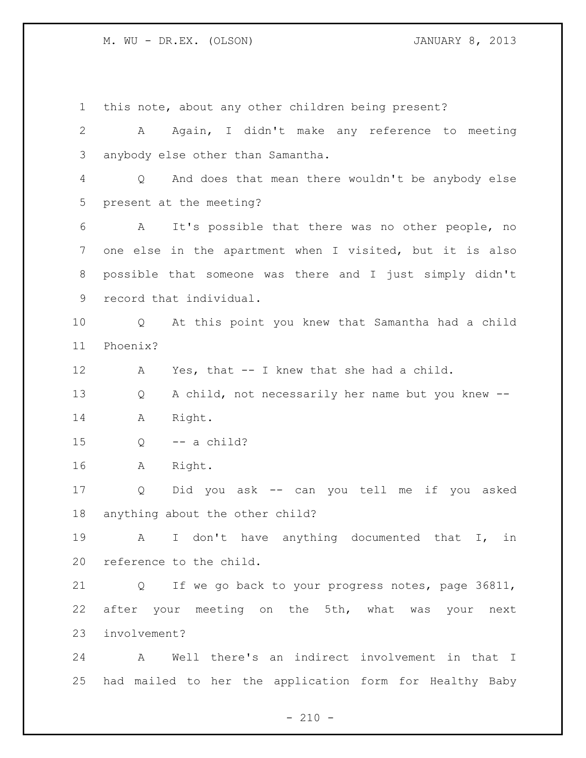this note, about any other children being present? A Again, I didn't make any reference to meeting anybody else other than Samantha. Q And does that mean there wouldn't be anybody else present at the meeting? A It's possible that there was no other people, no one else in the apartment when I visited, but it is also possible that someone was there and I just simply didn't record that individual. Q At this point you knew that Samantha had a child Phoenix? A Yes, that -- I knew that she had a child. Q A child, not necessarily her name but you knew -- A Right. Q  $-$  a child? A Right. Q Did you ask -- can you tell me if you asked anything about the other child? A I don't have anything documented that I, in reference to the child. Q If we go back to your progress notes, page 36811, after your meeting on the 5th, what was your next involvement? A Well there's an indirect involvement in that I had mailed to her the application form for Healthy Baby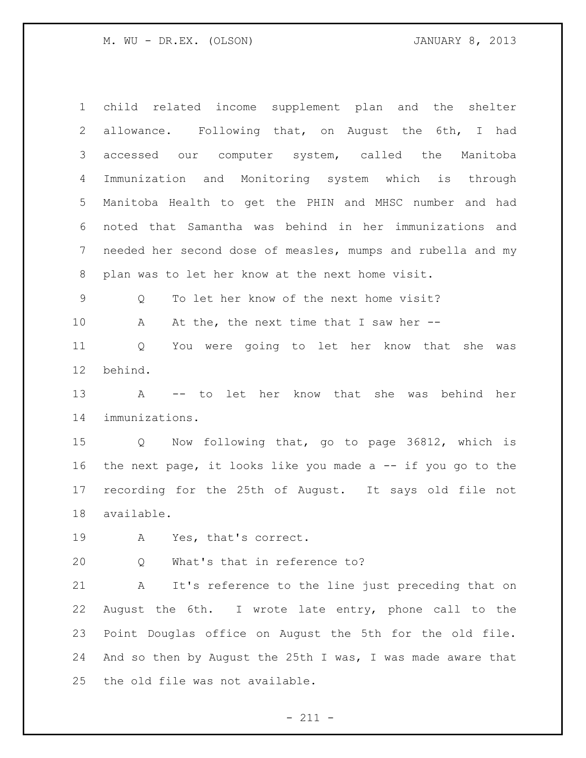child related income supplement plan and the shelter allowance. Following that, on August the 6th, I had accessed our computer system, called the Manitoba Immunization and Monitoring system which is through Manitoba Health to get the PHIN and MHSC number and had noted that Samantha was behind in her immunizations and needed her second dose of measles, mumps and rubella and my plan was to let her know at the next home visit. Q To let her know of the next home visit? 10 A At the, the next time that I saw her -- Q You were going to let her know that she was behind. A -- to let her know that she was behind her immunizations. Q Now following that, go to page 36812, which is the next page, it looks like you made a -- if you go to the recording for the 25th of August. It says old file not available. A Yes, that's correct. Q What's that in reference to? A It's reference to the line just preceding that on August the 6th. I wrote late entry, phone call to the Point Douglas office on August the 5th for the old file. 24 And so then by August the 25th I was, I was made aware that the old file was not available.

- 211 -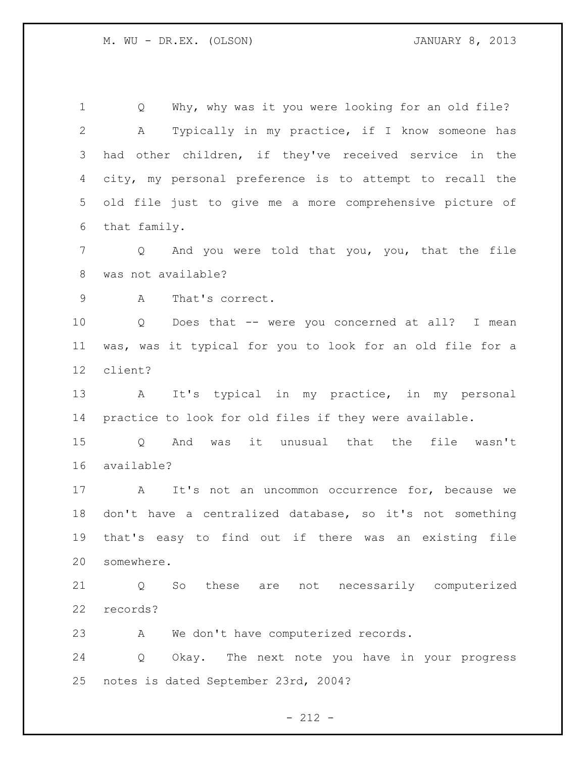1 Q Why, why was it you were looking for an old file? A Typically in my practice, if I know someone has had other children, if they've received service in the city, my personal preference is to attempt to recall the old file just to give me a more comprehensive picture of that family.

 Q And you were told that you, you, that the file was not available?

A That's correct.

 Q Does that -- were you concerned at all? I mean was, was it typical for you to look for an old file for a client?

 A It's typical in my practice, in my personal practice to look for old files if they were available.

 Q And was it unusual that the file wasn't available?

17 A It's not an uncommon occurrence for, because we don't have a centralized database, so it's not something that's easy to find out if there was an existing file somewhere.

 Q So these are not necessarily computerized records?

A We don't have computerized records.

 Q Okay. The next note you have in your progress notes is dated September 23rd, 2004?

 $- 212 -$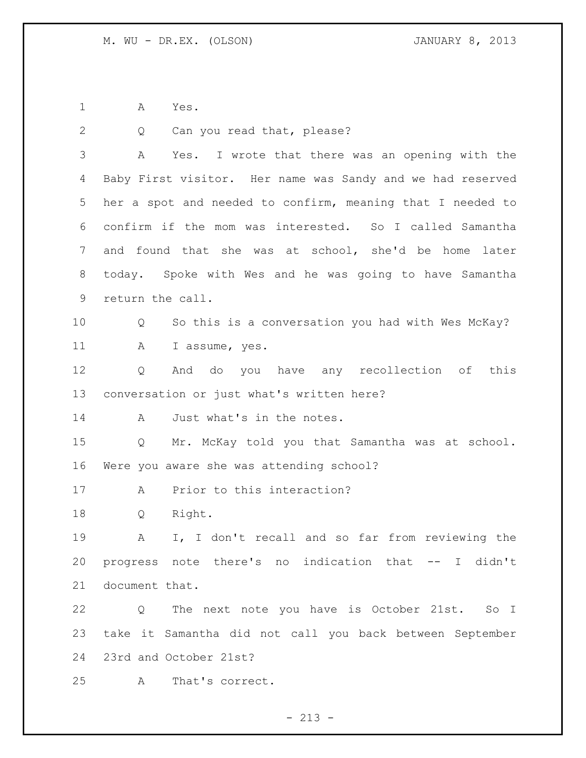A Yes.

| 2  | Can you read that, please?<br>Q                            |
|----|------------------------------------------------------------|
| 3  | Yes. I wrote that there was an opening with the<br>A       |
| 4  | Baby First visitor. Her name was Sandy and we had reserved |
| 5  | her a spot and needed to confirm, meaning that I needed to |
| 6  | confirm if the mom was interested. So I called Samantha    |
| 7  | and found that she was at school, she'd be home later      |
| 8  | today. Spoke with Wes and he was going to have Samantha    |
| 9  | return the call.                                           |
| 10 | So this is a conversation you had with Wes McKay?<br>Q     |
| 11 | A<br>I assume, yes.                                        |
| 12 | And do you have any recollection of this<br>Q              |
| 13 | conversation or just what's written here?                  |
| 14 | Just what's in the notes.<br>A                             |
| 15 | Mr. McKay told you that Samantha was at school.<br>Q       |
| 16 | Were you aware she was attending school?                   |
| 17 | Prior to this interaction?<br>A                            |
| 18 | Right.<br>Q                                                |
| 19 | I, I don't recall and so far from reviewing the<br>Α       |
| 20 | progress note there's no indication that -- I didn't       |
| 21 | document that.                                             |
| 22 | Q The next note you have is October 21st. So I             |
| 23 | take it Samantha did not call you back between September   |
|    | 24 23rd and October 21st?                                  |
| 25 | That's correct.<br>A                                       |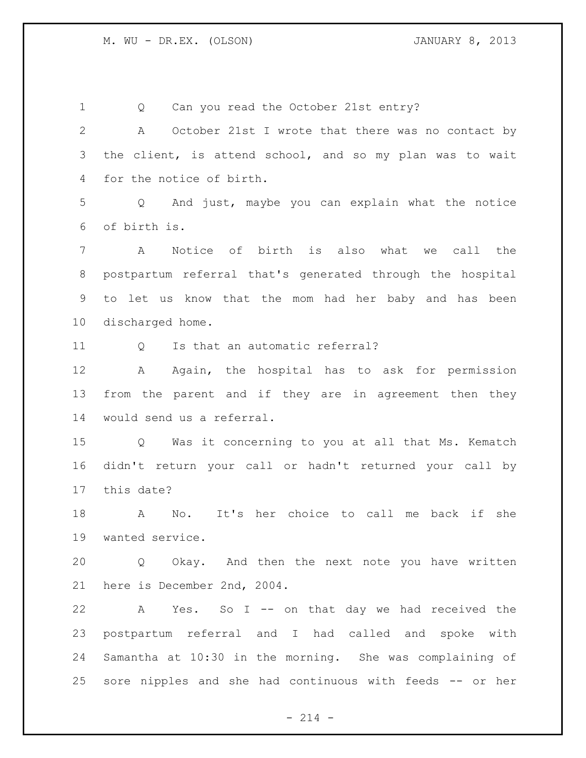| 1               | Can you read the October 21st entry?<br>Q                             |
|-----------------|-----------------------------------------------------------------------|
| $\mathbf{2}$    | Α<br>October 21st I wrote that there was no contact by                |
| 3               | the client, is attend school, and so my plan was to wait              |
| 4               | for the notice of birth.                                              |
| 5               | Q And just, maybe you can explain what the notice                     |
| 6               | of birth is.                                                          |
| 7               | Notice of birth is also what we call the<br>$\mathbf{A}$              |
| 8               | postpartum referral that's generated through the hospital             |
| 9               | to let us know that the mom had her baby and has been                 |
| 10 <sub>o</sub> | discharged home.                                                      |
| 11              | Is that an automatic referral?<br>$Q \qquad \qquad$                   |
| 12              | Again, the hospital has to ask for permission<br>A                    |
| 13              | from the parent and if they are in agreement then they                |
| 14              | would send us a referral.                                             |
| 15              | Was it concerning to you at all that Ms. Kematch<br>$Q \qquad \qquad$ |
| 16              | didn't return your call or hadn't returned your call by               |
| 17              | this date?                                                            |
| 18              | It's her choice to call me back if she<br>$\mathbb N$ o.<br>A         |
| 19              | wanted service.                                                       |
| 20              | Q Okay. And then the next note you have written                       |
| 21              | here is December 2nd, 2004.                                           |
| 22              | A Yes. So I -- on that day we had received the                        |
| 23              | postpartum referral and I had called and spoke with                   |
| 24              | Samantha at 10:30 in the morning. She was complaining of              |
| 25              | sore nipples and she had continuous with feeds -- or her              |
|                 |                                                                       |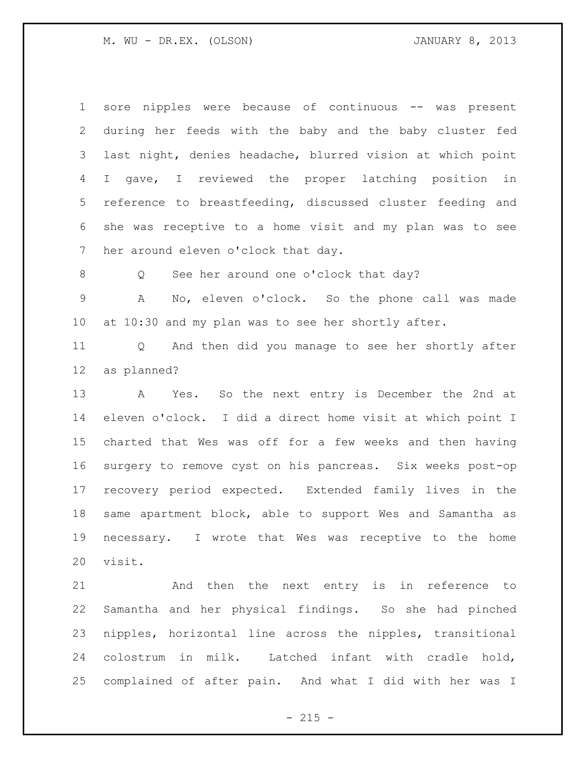sore nipples were because of continuous -- was present during her feeds with the baby and the baby cluster fed last night, denies headache, blurred vision at which point I gave, I reviewed the proper latching position in reference to breastfeeding, discussed cluster feeding and she was receptive to a home visit and my plan was to see 7 her around eleven o'clock that day.

8 Q See her around one o'clock that day?

 A No, eleven o'clock. So the phone call was made at 10:30 and my plan was to see her shortly after.

 Q And then did you manage to see her shortly after as planned?

 A Yes. So the next entry is December the 2nd at eleven o'clock. I did a direct home visit at which point I charted that Wes was off for a few weeks and then having surgery to remove cyst on his pancreas. Six weeks post-op recovery period expected. Extended family lives in the same apartment block, able to support Wes and Samantha as necessary. I wrote that Wes was receptive to the home visit.

 And then the next entry is in reference to Samantha and her physical findings. So she had pinched nipples, horizontal line across the nipples, transitional colostrum in milk. Latched infant with cradle hold, complained of after pain. And what I did with her was I

 $- 215 -$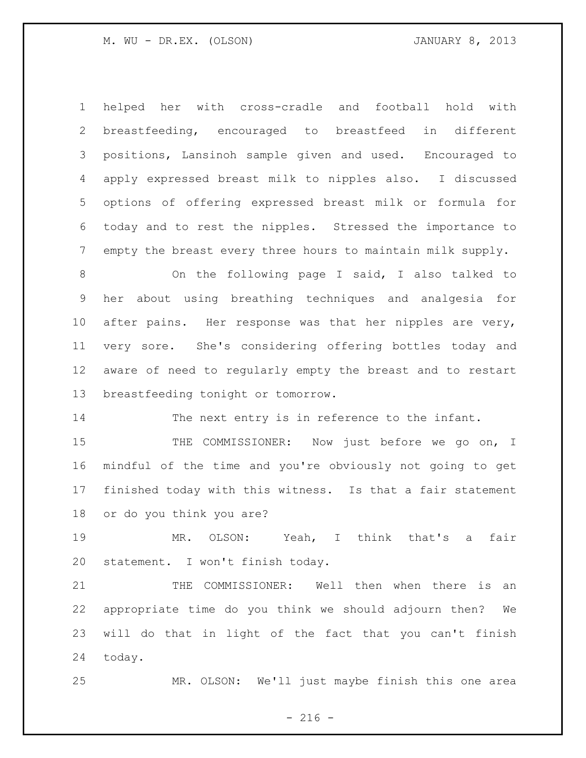helped her with cross-cradle and football hold with breastfeeding, encouraged to breastfeed in different positions, Lansinoh sample given and used. Encouraged to apply expressed breast milk to nipples also. I discussed options of offering expressed breast milk or formula for today and to rest the nipples. Stressed the importance to empty the breast every three hours to maintain milk supply.

 On the following page I said, I also talked to her about using breathing techniques and analgesia for after pains. Her response was that her nipples are very, very sore. She's considering offering bottles today and aware of need to regularly empty the breast and to restart breastfeeding tonight or tomorrow.

The next entry is in reference to the infant.

15 THE COMMISSIONER: Now just before we go on, I mindful of the time and you're obviously not going to get finished today with this witness. Is that a fair statement or do you think you are?

 MR. OLSON: Yeah, I think that's a fair statement. I won't finish today.

 THE COMMISSIONER: Well then when there is an appropriate time do you think we should adjourn then? We will do that in light of the fact that you can't finish today.

MR. OLSON: We'll just maybe finish this one area

 $-216 -$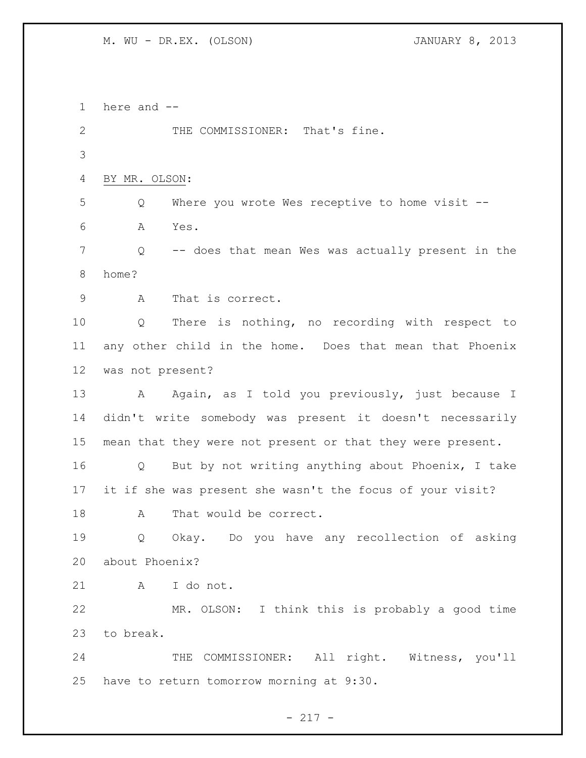here and -- 2 THE COMMISSIONER: That's fine. BY MR. OLSON: Q Where you wrote Wes receptive to home visit -- A Yes. Q -- does that mean Wes was actually present in the home? A That is correct. Q There is nothing, no recording with respect to any other child in the home. Does that mean that Phoenix was not present? 13 A Again, as I told you previously, just because I didn't write somebody was present it doesn't necessarily mean that they were not present or that they were present. Q But by not writing anything about Phoenix, I take it if she was present she wasn't the focus of your visit? 18 A That would be correct. Q Okay. Do you have any recollection of asking about Phoenix? A I do not. MR. OLSON: I think this is probably a good time to break. THE COMMISSIONER: All right. Witness, you'll have to return tomorrow morning at 9:30.

- 217 -